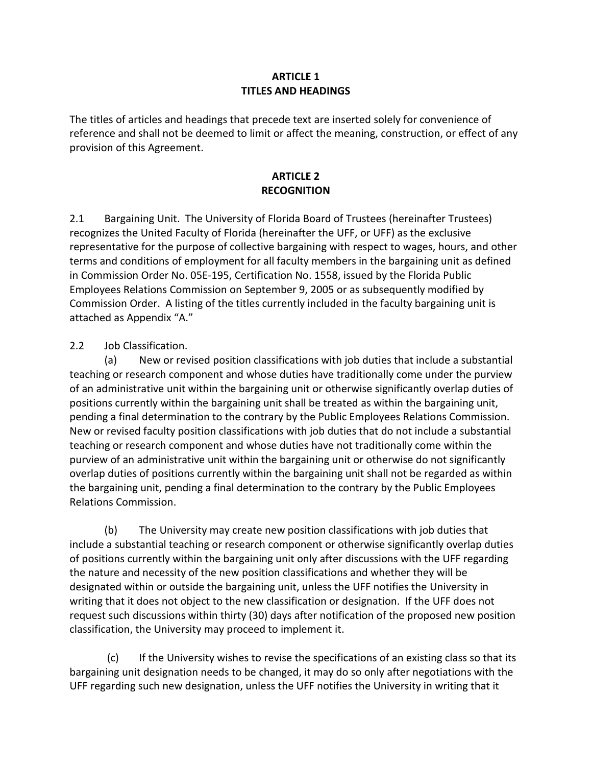#### **ARTICLE 1 TITLES AND HEADINGS**

The titles of articles and headings that precede text are inserted solely for convenience of reference and shall not be deemed to limit or affect the meaning, construction, or effect of any provision of this Agreement.

## **ARTICLE 2 RECOGNITION**

2.1 Bargaining Unit. The University of Florida Board of Trustees (hereinafter Trustees) recognizes the United Faculty of Florida (hereinafter the UFF, or UFF) as the exclusive representative for the purpose of collective bargaining with respect to wages, hours, and other terms and conditions of employment for all faculty members in the bargaining unit as defined in Commission Order No. 05E-195, Certification No. 1558, issued by the Florida Public Employees Relations Commission on September 9, 2005 or as subsequently modified by Commission Order. A listing of the titles currently included in the faculty bargaining unit is attached as Appendix "A."

2.2 Job Classification.

(a) New or revised position classifications with job duties that include a substantial teaching or research component and whose duties have traditionally come under the purview of an administrative unit within the bargaining unit or otherwise significantly overlap duties of positions currently within the bargaining unit shall be treated as within the bargaining unit, pending a final determination to the contrary by the Public Employees Relations Commission. New or revised faculty position classifications with job duties that do not include a substantial teaching or research component and whose duties have not traditionally come within the purview of an administrative unit within the bargaining unit or otherwise do not significantly overlap duties of positions currently within the bargaining unit shall not be regarded as within the bargaining unit, pending a final determination to the contrary by the Public Employees Relations Commission.

(b) The University may create new position classifications with job duties that include a substantial teaching or research component or otherwise significantly overlap duties of positions currently within the bargaining unit only after discussions with the UFF regarding the nature and necessity of the new position classifications and whether they will be designated within or outside the bargaining unit, unless the UFF notifies the University in writing that it does not object to the new classification or designation. If the UFF does not request such discussions within thirty (30) days after notification of the proposed new position classification, the University may proceed to implement it.

(c) If the University wishes to revise the specifications of an existing class so that its bargaining unit designation needs to be changed, it may do so only after negotiations with the UFF regarding such new designation, unless the UFF notifies the University in writing that it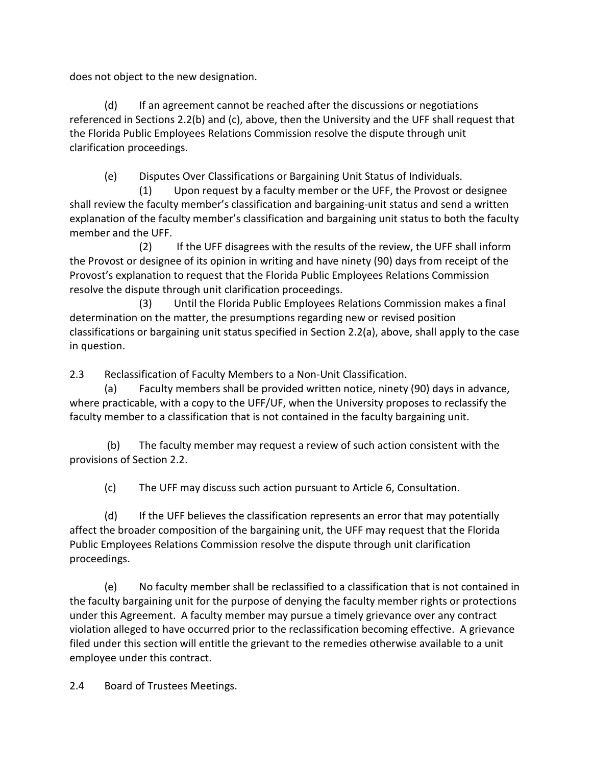does not object to the new designation.

(d) If an agreement cannot be reached after the discussions or negotiations referenced in Sections 2.2(b) and (c), above, then the University and the UFF shall request that the Florida Public Employees Relations Commission resolve the dispute through unit clarification proceedings.

(e) Disputes Over Classifications or Bargaining Unit Status of Individuals.

 (1) Upon request by a faculty member or the UFF, the Provost or designee shall review the faculty member's classification and bargaining-unit status and send a written explanation of the faculty member's classification and bargaining unit status to both the faculty member and the UFF.

 (2) If the UFF disagrees with the results of the review, the UFF shall inform the Provost or designee of its opinion in writing and have ninety (90) days from receipt of the Provost's explanation to request that the Florida Public Employees Relations Commission resolve the dispute through unit clarification proceedings.

 (3) Until the Florida Public Employees Relations Commission makes a final determination on the matter, the presumptions regarding new or revised position classifications or bargaining unit status specified in Section 2.2(a), above, shall apply to the case in question.

2.3 Reclassification of Faculty Members to a Non-Unit Classification.

(a) Faculty members shall be provided written notice, ninety (90) days in advance, where practicable, with a copy to the UFF/UF, when the University proposes to reclassify the faculty member to a classification that is not contained in the faculty bargaining unit.

(b) The faculty member may request a review of such action consistent with the provisions of Section 2.2.

(c) The UFF may discuss such action pursuant to Article 6, Consultation.

(d) If the UFF believes the classification represents an error that may potentially affect the broader composition of the bargaining unit, the UFF may request that the Florida Public Employees Relations Commission resolve the dispute through unit clarification proceedings.

(e) No faculty member shall be reclassified to a classification that is not contained in the faculty bargaining unit for the purpose of denying the faculty member rights or protections under this Agreement. A faculty member may pursue a timely grievance over any contract violation alleged to have occurred prior to the reclassification becoming effective. A grievance filed under this section will entitle the grievant to the remedies otherwise available to a unit employee under this contract.

2.4 Board of Trustees Meetings.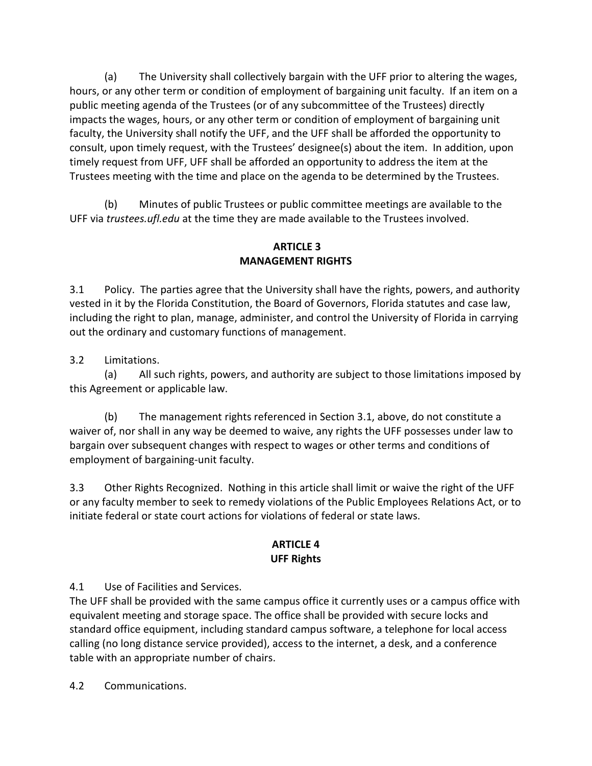(a) The University shall collectively bargain with the UFF prior to altering the wages, hours, or any other term or condition of employment of bargaining unit faculty. If an item on a public meeting agenda of the Trustees (or of any subcommittee of the Trustees) directly impacts the wages, hours, or any other term or condition of employment of bargaining unit faculty, the University shall notify the UFF, and the UFF shall be afforded the opportunity to consult, upon timely request, with the Trustees' designee(s) about the item. In addition, upon timely request from UFF, UFF shall be afforded an opportunity to address the item at the Trustees meeting with the time and place on the agenda to be determined by the Trustees.

(b) Minutes of public Trustees or public committee meetings are available to the UFF via *trustees.ufl.edu* at the time they are made available to the Trustees involved.

## **ARTICLE 3 MANAGEMENT RIGHTS**

3.1 Policy. The parties agree that the University shall have the rights, powers, and authority vested in it by the Florida Constitution, the Board of Governors, Florida statutes and case law, including the right to plan, manage, administer, and control the University of Florida in carrying out the ordinary and customary functions of management.

3.2 Limitations.

(a) All such rights, powers, and authority are subject to those limitations imposed by this Agreement or applicable law.

(b) The management rights referenced in Section 3.1, above, do not constitute a waiver of, nor shall in any way be deemed to waive, any rights the UFF possesses under law to bargain over subsequent changes with respect to wages or other terms and conditions of employment of bargaining-unit faculty.

3.3 Other Rights Recognized. Nothing in this article shall limit or waive the right of the UFF or any faculty member to seek to remedy violations of the Public Employees Relations Act, or to initiate federal or state court actions for violations of federal or state laws.

## **ARTICLE 4 UFF Rights**

4.1 Use of Facilities and Services.

The UFF shall be provided with the same campus office it currently uses or a campus office with equivalent meeting and storage space. The office shall be provided with secure locks and standard office equipment, including standard campus software, a telephone for local access calling (no long distance service provided), access to the internet, a desk, and a conference table with an appropriate number of chairs.

4.2 Communications.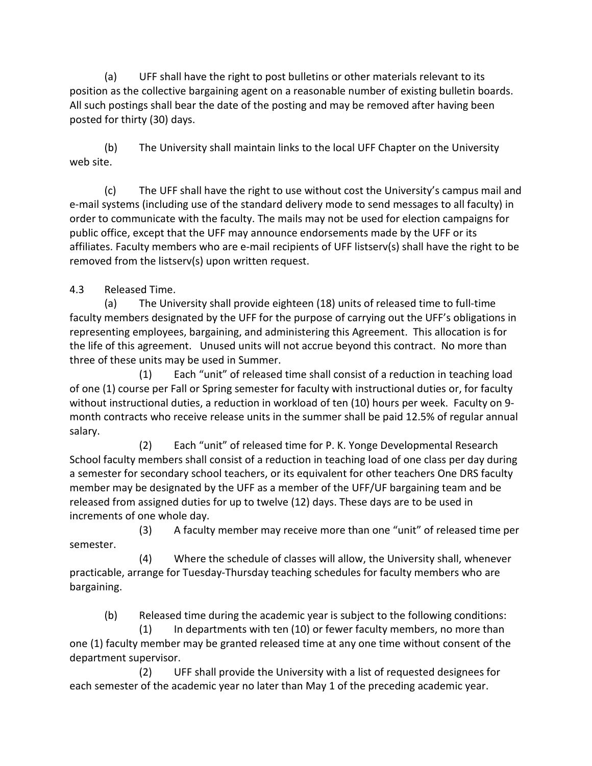(a) UFF shall have the right to post bulletins or other materials relevant to its position as the collective bargaining agent on a reasonable number of existing bulletin boards. All such postings shall bear the date of the posting and may be removed after having been posted for thirty (30) days.

(b) The University shall maintain links to the local UFF Chapter on the University web site.

(c) The UFF shall have the right to use without cost the University's campus mail and e-mail systems (including use of the standard delivery mode to send messages to all faculty) in order to communicate with the faculty. The mails may not be used for election campaigns for public office, except that the UFF may announce endorsements made by the UFF or its affiliates. Faculty members who are e-mail recipients of UFF listserv(s) shall have the right to be removed from the listserv(s) upon written request.

4.3 Released Time.

(a) The University shall provide eighteen (18) units of released time to full-time faculty members designated by the UFF for the purpose of carrying out the UFF's obligations in representing employees, bargaining, and administering this Agreement.This allocation is for the life of this agreement. Unused units will not accrue beyond this contract. No more than three of these units may be used in Summer.

(1) Each "unit" of released time shall consist of a reduction in teaching load of one (1) course per Fall or Spring semester for faculty with instructional duties or, for faculty without instructional duties, a reduction in workload of ten (10) hours per week. Faculty on 9 month contracts who receive release units in the summer shall be paid 12.5% of regular annual salary.

(2) Each "unit" of released time for P. K. Yonge Developmental Research School faculty members shall consist of a reduction in teaching load of one class per day during a semester for secondary school teachers, or its equivalent for other teachers One DRS faculty member may be designated by the UFF as a member of the UFF/UF bargaining team and be released from assigned duties for up to twelve (12) days. These days are to be used in increments of one whole day.

(3) A faculty member may receive more than one "unit" of released time per semester.

(4) Where the schedule of classes will allow, the University shall, whenever practicable, arrange for Tuesday-Thursday teaching schedules for faculty members who are bargaining.

(b) Released time during the academic year is subject to the following conditions:

 (1) In departments with ten (10) or fewer faculty members, no more than one (1) faculty member may be granted released time at any one time without consent of the department supervisor.

 (2) UFF shall provide the University with a list of requested designees for each semester of the academic year no later than May 1 of the preceding academic year.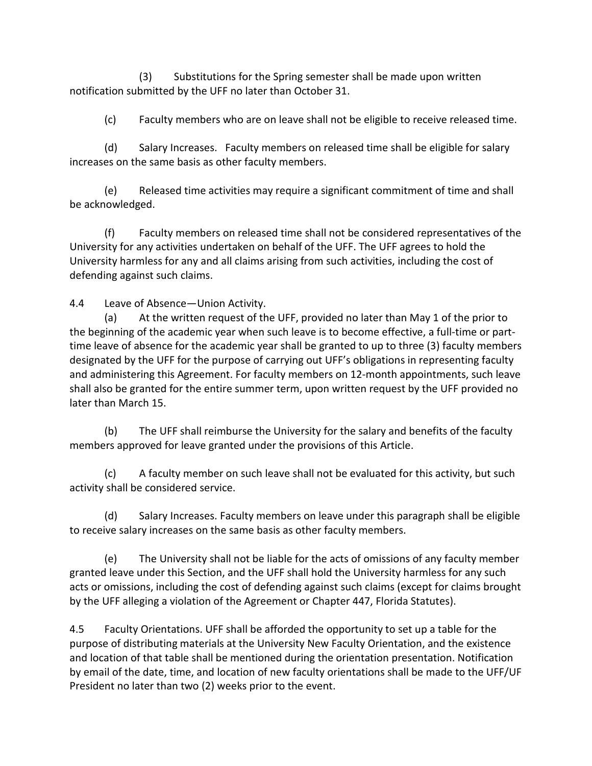(3) Substitutions for the Spring semester shall be made upon written notification submitted by the UFF no later than October 31.

(c) Faculty members who are on leave shall not be eligible to receive released time.

(d) Salary Increases. Faculty members on released time shall be eligible for salary increases on the same basis as other faculty members.

 (e) Released time activities may require a significant commitment of time and shall be acknowledged.

(f) Faculty members on released time shall not be considered representatives of the University for any activities undertaken on behalf of the UFF. The UFF agrees to hold the University harmless for any and all claims arising from such activities, including the cost of defending against such claims.

4.4 Leave of Absence—Union Activity.

(a) At the written request of the UFF, provided no later than May 1 of the prior to the beginning of the academic year when such leave is to become effective, a full-time or parttime leave of absence for the academic year shall be granted to up to three (3) faculty members designated by the UFF for the purpose of carrying out UFF's obligations in representing faculty and administering this Agreement. For faculty members on 12-month appointments, such leave shall also be granted for the entire summer term, upon written request by the UFF provided no later than March 15.

(b) The UFF shall reimburse the University for the salary and benefits of the faculty members approved for leave granted under the provisions of this Article.

(c) A faculty member on such leave shall not be evaluated for this activity, but such activity shall be considered service.

(d) Salary Increases. Faculty members on leave under this paragraph shall be eligible to receive salary increases on the same basis as other faculty members.

(e) The University shall not be liable for the acts of omissions of any faculty member granted leave under this Section, and the UFF shall hold the University harmless for any such acts or omissions, including the cost of defending against such claims (except for claims brought by the UFF alleging a violation of the Agreement or Chapter 447, Florida Statutes).

4.5 Faculty Orientations. UFF shall be afforded the opportunity to set up a table for the purpose of distributing materials at the University New Faculty Orientation, and the existence and location of that table shall be mentioned during the orientation presentation. Notification by email of the date, time, and location of new faculty orientations shall be made to the UFF/UF President no later than two (2) weeks prior to the event.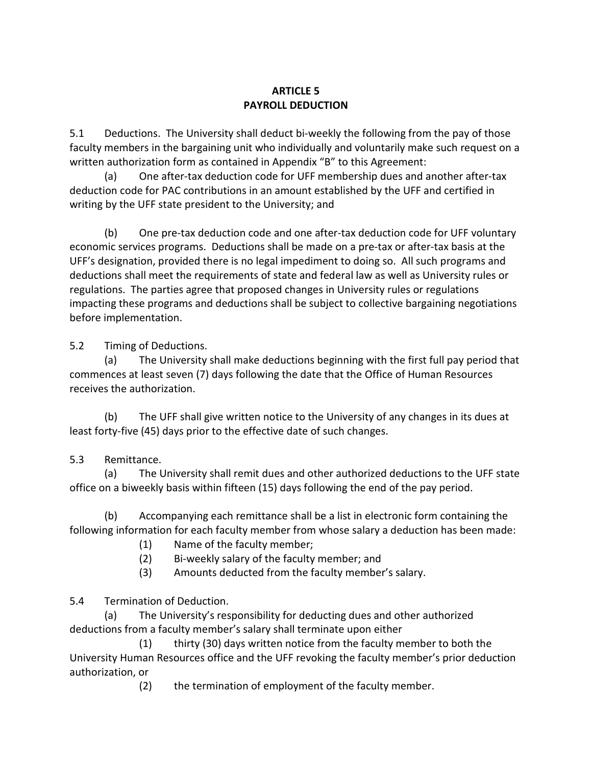## **ARTICLE 5 PAYROLL DEDUCTION**

5.1 Deductions. The University shall deduct bi-weekly the following from the pay of those faculty members in the bargaining unit who individually and voluntarily make such request on a written authorization form as contained in Appendix "B" to this Agreement:

(a) One after-tax deduction code for UFF membership dues and another after-tax deduction code for PAC contributions in an amount established by the UFF and certified in writing by the UFF state president to the University; and

(b) One pre-tax deduction code and one after-tax deduction code for UFF voluntary economic services programs. Deductions shall be made on a pre-tax or after-tax basis at the UFF's designation, provided there is no legal impediment to doing so. All such programs and deductions shall meet the requirements of state and federal law as well as University rules or regulations. The parties agree that proposed changes in University rules or regulations impacting these programs and deductions shall be subject to collective bargaining negotiations before implementation.

5.2 Timing of Deductions.

(a) The University shall make deductions beginning with the first full pay period that commences at least seven (7) days following the date that the Office of Human Resources receives the authorization.

(b) The UFF shall give written notice to the University of any changes in its dues at least forty-five (45) days prior to the effective date of such changes.

## 5.3 Remittance.

(a) The University shall remit dues and other authorized deductions to the UFF state office on a biweekly basis within fifteen (15) days following the end of the pay period.

(b) Accompanying each remittance shall be a list in electronic form containing the following information for each faculty member from whose salary a deduction has been made:

- (1) Name of the faculty member;
- (2) Bi-weekly salary of the faculty member; and
- (3) Amounts deducted from the faculty member's salary.

5.4 Termination of Deduction.

(a) The University's responsibility for deducting dues and other authorized deductions from a faculty member's salary shall terminate upon either

(1) thirty (30) days written notice from the faculty member to both the University Human Resources office and the UFF revoking the faculty member's prior deduction authorization, or

(2) the termination of employment of the faculty member.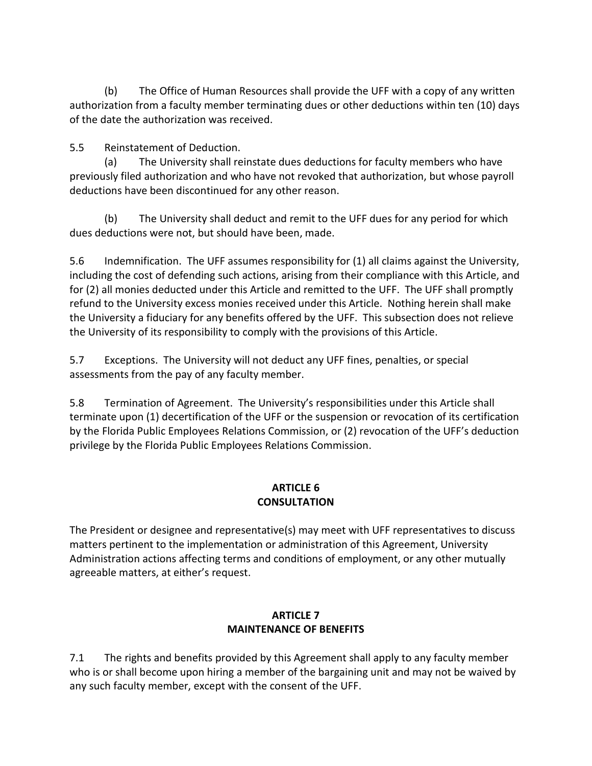(b) The Office of Human Resources shall provide the UFF with a copy of any written authorization from a faculty member terminating dues or other deductions within ten (10) days of the date the authorization was received.

5.5 Reinstatement of Deduction.

(a) The University shall reinstate dues deductions for faculty members who have previously filed authorization and who have not revoked that authorization, but whose payroll deductions have been discontinued for any other reason.

(b) The University shall deduct and remit to the UFF dues for any period for which dues deductions were not, but should have been, made.

5.6 Indemnification. The UFF assumes responsibility for (1) all claims against the University, including the cost of defending such actions, arising from their compliance with this Article, and for (2) all monies deducted under this Article and remitted to the UFF. The UFF shall promptly refund to the University excess monies received under this Article. Nothing herein shall make the University a fiduciary for any benefits offered by the UFF. This subsection does not relieve the University of its responsibility to comply with the provisions of this Article.

5.7 Exceptions. The University will not deduct any UFF fines, penalties, or special assessments from the pay of any faculty member.

5.8 Termination of Agreement. The University's responsibilities under this Article shall terminate upon (1) decertification of the UFF or the suspension or revocation of its certification by the Florida Public Employees Relations Commission, or (2) revocation of the UFF's deduction privilege by the Florida Public Employees Relations Commission.

#### **ARTICLE 6 CONSULTATION**

The President or designee and representative(s) may meet with UFF representatives to discuss matters pertinent to the implementation or administration of this Agreement, University Administration actions affecting terms and conditions of employment, or any other mutually agreeable matters, at either's request.

## **ARTICLE 7 MAINTENANCE OF BENEFITS**

7.1 The rights and benefits provided by this Agreement shall apply to any faculty member who is or shall become upon hiring a member of the bargaining unit and may not be waived by any such faculty member, except with the consent of the UFF.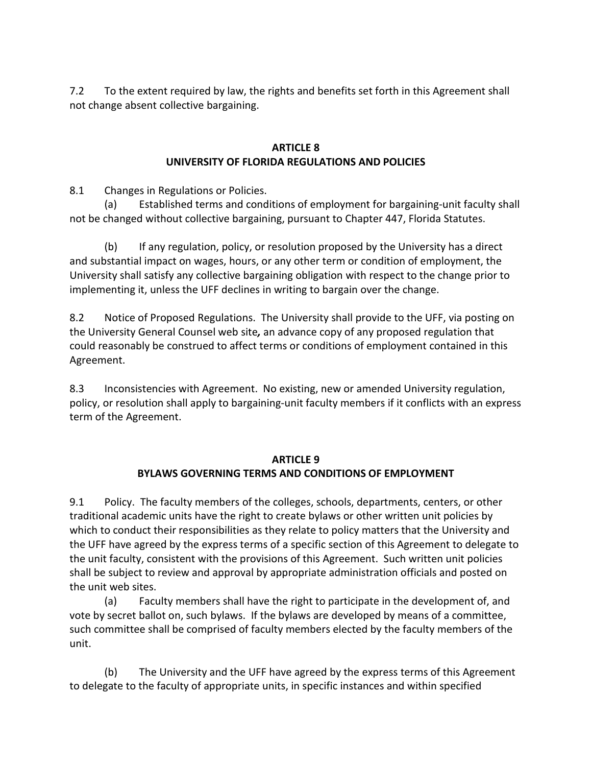7.2 To the extent required by law, the rights and benefits set forth in this Agreement shall not change absent collective bargaining.

#### **ARTICLE 8 UNIVERSITY OF FLORIDA REGULATIONS AND POLICIES**

8.1 Changes in Regulations or Policies.

(a) Established terms and conditions of employment for bargaining-unit faculty shall not be changed without collective bargaining, pursuant to Chapter 447, Florida Statutes.

(b) If any regulation, policy, or resolution proposed by the University has a direct and substantial impact on wages, hours, or any other term or condition of employment, the University shall satisfy any collective bargaining obligation with respect to the change prior to implementing it, unless the UFF declines in writing to bargain over the change.

8.2 Notice of Proposed Regulations. The University shall provide to the UFF, via posting on the University General Counsel web site*,* an advance copy of any proposed regulation that could reasonably be construed to affect terms or conditions of employment contained in this Agreement.

8.3 Inconsistencies with Agreement. No existing, new or amended University regulation, policy, or resolution shall apply to bargaining-unit faculty members if it conflicts with an express term of the Agreement.

#### **ARTICLE 9 BYLAWS GOVERNING TERMS AND CONDITIONS OF EMPLOYMENT**

9.1 Policy. The faculty members of the colleges, schools, departments, centers, or other traditional academic units have the right to create bylaws or other written unit policies by which to conduct their responsibilities as they relate to policy matters that the University and the UFF have agreed by the express terms of a specific section of this Agreement to delegate to the unit faculty, consistent with the provisions of this Agreement. Such written unit policies shall be subject to review and approval by appropriate administration officials and posted on the unit web sites.

(a) Faculty members shall have the right to participate in the development of, and vote by secret ballot on, such bylaws. If the bylaws are developed by means of a committee, such committee shall be comprised of faculty members elected by the faculty members of the unit.

(b) The University and the UFF have agreed by the express terms of this Agreement to delegate to the faculty of appropriate units, in specific instances and within specified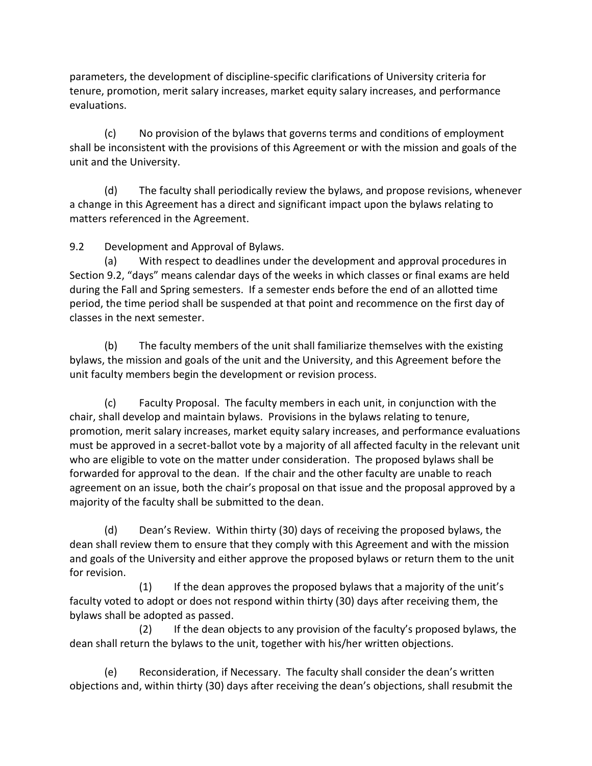parameters, the development of discipline-specific clarifications of University criteria for tenure, promotion, merit salary increases, market equity salary increases, and performance evaluations.

(c) No provision of the bylaws that governs terms and conditions of employment shall be inconsistent with the provisions of this Agreement or with the mission and goals of the unit and the University.

(d) The faculty shall periodically review the bylaws, and propose revisions, whenever a change in this Agreement has a direct and significant impact upon the bylaws relating to matters referenced in the Agreement.

9.2 Development and Approval of Bylaws.

(a) With respect to deadlines under the development and approval procedures in Section 9.2, "days" means calendar days of the weeks in which classes or final exams are held during the Fall and Spring semesters. If a semester ends before the end of an allotted time period, the time period shall be suspended at that point and recommence on the first day of classes in the next semester.

(b) The faculty members of the unit shall familiarize themselves with the existing bylaws, the mission and goals of the unit and the University, and this Agreement before the unit faculty members begin the development or revision process.

(c) Faculty Proposal. The faculty members in each unit, in conjunction with the chair, shall develop and maintain bylaws. Provisions in the bylaws relating to tenure, promotion, merit salary increases, market equity salary increases, and performance evaluations must be approved in a secret-ballot vote by a majority of all affected faculty in the relevant unit who are eligible to vote on the matter under consideration. The proposed bylaws shall be forwarded for approval to the dean. If the chair and the other faculty are unable to reach agreement on an issue, both the chair's proposal on that issue and the proposal approved by a majority of the faculty shall be submitted to the dean.

(d) Dean's Review. Within thirty (30) days of receiving the proposed bylaws, the dean shall review them to ensure that they comply with this Agreement and with the mission and goals of the University and either approve the proposed bylaws or return them to the unit for revision.

 (1) If the dean approves the proposed bylaws that a majority of the unit's faculty voted to adopt or does not respond within thirty (30) days after receiving them, the bylaws shall be adopted as passed.

 (2) If the dean objects to any provision of the faculty's proposed bylaws, the dean shall return the bylaws to the unit, together with his/her written objections.

(e) Reconsideration, if Necessary. The faculty shall consider the dean's written objections and, within thirty (30) days after receiving the dean's objections, shall resubmit the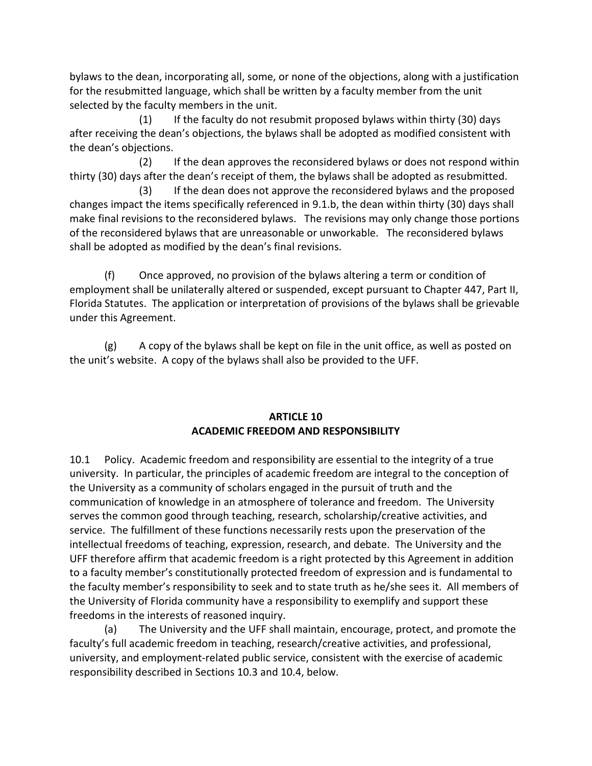bylaws to the dean, incorporating all, some, or none of the objections, along with a justification for the resubmitted language, which shall be written by a faculty member from the unit selected by the faculty members in the unit.

 (1) If the faculty do not resubmit proposed bylaws within thirty (30) days after receiving the dean's objections, the bylaws shall be adopted as modified consistent with the dean's objections.

 (2) If the dean approves the reconsidered bylaws or does not respond within thirty (30) days after the dean's receipt of them, the bylaws shall be adopted as resubmitted.

 (3) If the dean does not approve the reconsidered bylaws and the proposed changes impact the items specifically referenced in 9.1.b, the dean within thirty (30) days shall make final revisions to the reconsidered bylaws. The revisions may only change those portions of the reconsidered bylaws that are unreasonable or unworkable. The reconsidered bylaws shall be adopted as modified by the dean's final revisions.

(f) Once approved, no provision of the bylaws altering a term or condition of employment shall be unilaterally altered or suspended, except pursuant to Chapter 447, Part II, Florida Statutes. The application or interpretation of provisions of the bylaws shall be grievable under this Agreement.

(g) A copy of the bylaws shall be kept on file in the unit office, as well as posted on the unit's website. A copy of the bylaws shall also be provided to the UFF.

#### **ARTICLE 10 ACADEMIC FREEDOM AND RESPONSIBILITY**

10.1 Policy. Academic freedom and responsibility are essential to the integrity of a true university. In particular, the principles of academic freedom are integral to the conception of the University as a community of scholars engaged in the pursuit of truth and the communication of knowledge in an atmosphere of tolerance and freedom. The University serves the common good through teaching, research, scholarship/creative activities, and service. The fulfillment of these functions necessarily rests upon the preservation of the intellectual freedoms of teaching, expression, research, and debate. The University and the UFF therefore affirm that academic freedom is a right protected by this Agreement in addition to a faculty member's constitutionally protected freedom of expression and is fundamental to the faculty member's responsibility to seek and to state truth as he/she sees it. All members of the University of Florida community have a responsibility to exemplify and support these freedoms in the interests of reasoned inquiry.

(a) The University and the UFF shall maintain, encourage, protect, and promote the faculty's full academic freedom in teaching, research/creative activities, and professional, university, and employment-related public service, consistent with the exercise of academic responsibility described in Sections 10.3 and 10.4, below.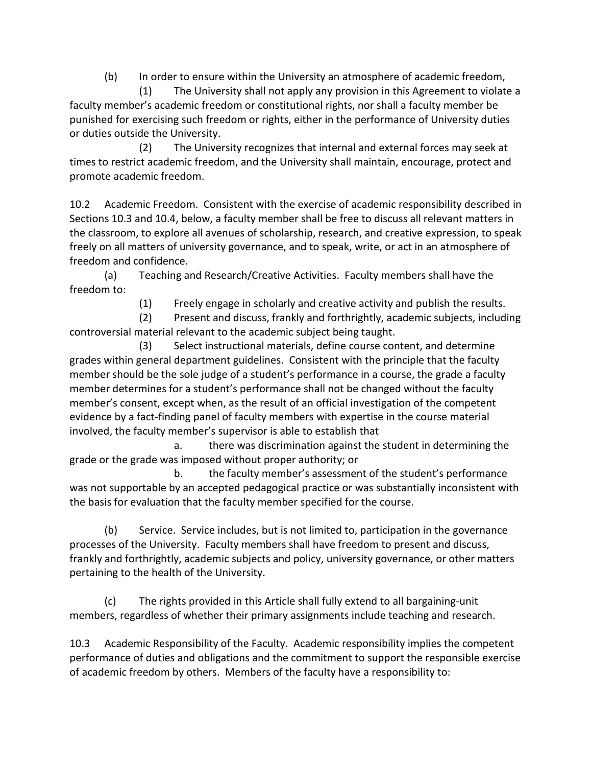(b) In order to ensure within the University an atmosphere of academic freedom,

 (1) The University shall not apply any provision in this Agreement to violate a faculty member's academic freedom or constitutional rights, nor shall a faculty member be punished for exercising such freedom or rights, either in the performance of University duties or duties outside the University.

 (2) The University recognizes that internal and external forces may seek at times to restrict academic freedom, and the University shall maintain, encourage, protect and promote academic freedom.

10.2 Academic Freedom. Consistent with the exercise of academic responsibility described in Sections 10.3 and 10.4, below, a faculty member shall be free to discuss all relevant matters in the classroom, to explore all avenues of scholarship, research, and creative expression, to speak freely on all matters of university governance, and to speak, write, or act in an atmosphere of freedom and confidence.

(a) Teaching and Research/Creative Activities. Faculty members shall have the freedom to:

(1) Freely engage in scholarly and creative activity and publish the results.

 (2) Present and discuss, frankly and forthrightly, academic subjects, including controversial material relevant to the academic subject being taught.

 (3) Select instructional materials, define course content, and determine grades within general department guidelines. Consistent with the principle that the faculty member should be the sole judge of a student's performance in a course, the grade a faculty member determines for a student's performance shall not be changed without the faculty member's consent, except when, as the result of an official investigation of the competent evidence by a fact-finding panel of faculty members with expertise in the course material involved, the faculty member's supervisor is able to establish that

 a. there was discrimination against the student in determining the grade or the grade was imposed without proper authority; or

 b. the faculty member's assessment of the student's performance was not supportable by an accepted pedagogical practice or was substantially inconsistent with the basis for evaluation that the faculty member specified for the course.

(b) Service. Service includes, but is not limited to, participation in the governance processes of the University. Faculty members shall have freedom to present and discuss, frankly and forthrightly, academic subjects and policy, university governance, or other matters pertaining to the health of the University.

(c) The rights provided in this Article shall fully extend to all bargaining-unit members, regardless of whether their primary assignments include teaching and research.

10.3 Academic Responsibility of the Faculty. Academic responsibility implies the competent performance of duties and obligations and the commitment to support the responsible exercise of academic freedom by others. Members of the faculty have a responsibility to: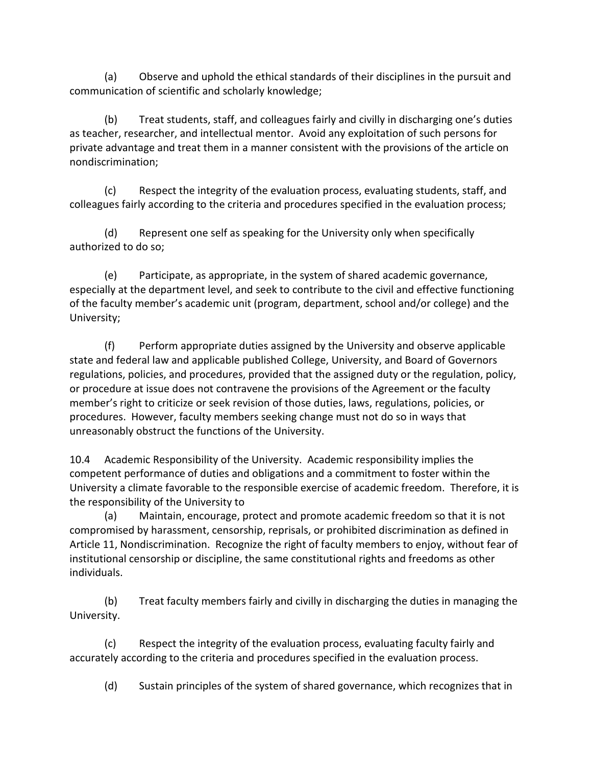(a) Observe and uphold the ethical standards of their disciplines in the pursuit and communication of scientific and scholarly knowledge;

(b) Treat students, staff, and colleagues fairly and civilly in discharging one's duties as teacher, researcher, and intellectual mentor. Avoid any exploitation of such persons for private advantage and treat them in a manner consistent with the provisions of the article on nondiscrimination;

(c) Respect the integrity of the evaluation process, evaluating students, staff, and colleagues fairly according to the criteria and procedures specified in the evaluation process;

(d) Represent one self as speaking for the University only when specifically authorized to do so;

(e) Participate, as appropriate, in the system of shared academic governance, especially at the department level, and seek to contribute to the civil and effective functioning of the faculty member's academic unit (program, department, school and/or college) and the University;

(f) Perform appropriate duties assigned by the University and observe applicable state and federal law and applicable published College, University, and Board of Governors regulations, policies, and procedures, provided that the assigned duty or the regulation, policy, or procedure at issue does not contravene the provisions of the Agreement or the faculty member's right to criticize or seek revision of those duties, laws, regulations, policies, or procedures. However, faculty members seeking change must not do so in ways that unreasonably obstruct the functions of the University.

10.4 Academic Responsibility of the University. Academic responsibility implies the competent performance of duties and obligations and a commitment to foster within the University a climate favorable to the responsible exercise of academic freedom. Therefore, it is the responsibility of the University to

(a) Maintain, encourage, protect and promote academic freedom so that it is not compromised by harassment, censorship, reprisals, or prohibited discrimination as defined in Article 11, Nondiscrimination. Recognize the right of faculty members to enjoy, without fear of institutional censorship or discipline, the same constitutional rights and freedoms as other individuals.

(b) Treat faculty members fairly and civilly in discharging the duties in managing the University.

(c) Respect the integrity of the evaluation process, evaluating faculty fairly and accurately according to the criteria and procedures specified in the evaluation process.

(d) Sustain principles of the system of shared governance, which recognizes that in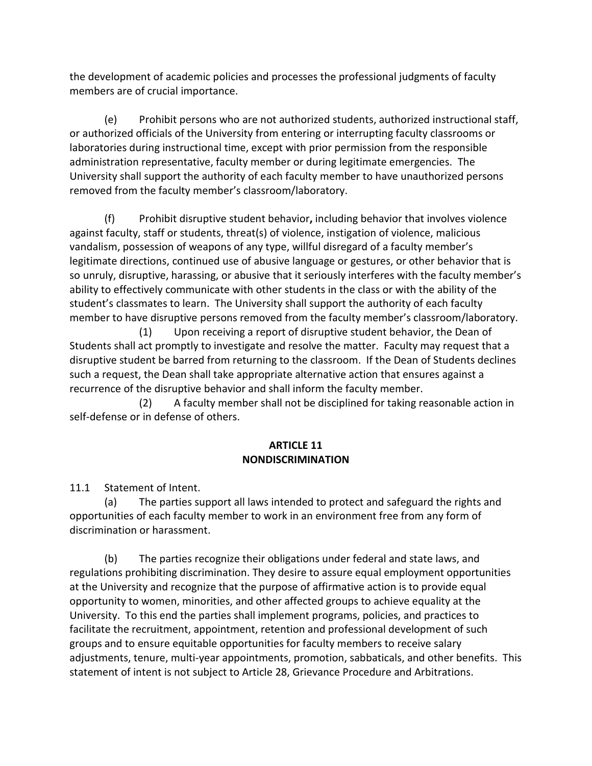the development of academic policies and processes the professional judgments of faculty members are of crucial importance.

(e) Prohibit persons who are not authorized students, authorized instructional staff, or authorized officials of the University from entering or interrupting faculty classrooms or laboratories during instructional time, except with prior permission from the responsible administration representative, faculty member or during legitimate emergencies. The University shall support the authority of each faculty member to have unauthorized persons removed from the faculty member's classroom/laboratory.

(f) Prohibit disruptive student behavior**,** including behavior that involves violence against faculty, staff or students, threat(s) of violence, instigation of violence, malicious vandalism, possession of weapons of any type, willful disregard of a faculty member's legitimate directions, continued use of abusive language or gestures, or other behavior that is so unruly, disruptive, harassing, or abusive that it seriously interferes with the faculty member's ability to effectively communicate with other students in the class or with the ability of the student's classmates to learn. The University shall support the authority of each faculty member to have disruptive persons removed from the faculty member's classroom/laboratory.

 (1) Upon receiving a report of disruptive student behavior, the Dean of Students shall act promptly to investigate and resolve the matter. Faculty may request that a disruptive student be barred from returning to the classroom. If the Dean of Students declines such a request, the Dean shall take appropriate alternative action that ensures against a recurrence of the disruptive behavior and shall inform the faculty member.

 (2) A faculty member shall not be disciplined for taking reasonable action in self-defense or in defense of others.

## **ARTICLE 11 NONDISCRIMINATION**

11.1 Statement of Intent.

(a) The parties support all laws intended to protect and safeguard the rights and opportunities of each faculty member to work in an environment free from any form of discrimination or harassment.

(b) The parties recognize their obligations under federal and state laws, and regulations prohibiting discrimination. They desire to assure equal employment opportunities at the University and recognize that the purpose of affirmative action is to provide equal opportunity to women, minorities, and other affected groups to achieve equality at the University. To this end the parties shall implement programs, policies, and practices to facilitate the recruitment, appointment, retention and professional development of such groups and to ensure equitable opportunities for faculty members to receive salary adjustments, tenure, multi-year appointments, promotion, sabbaticals, and other benefits. This statement of intent is not subject to Article 28, Grievance Procedure and Arbitrations.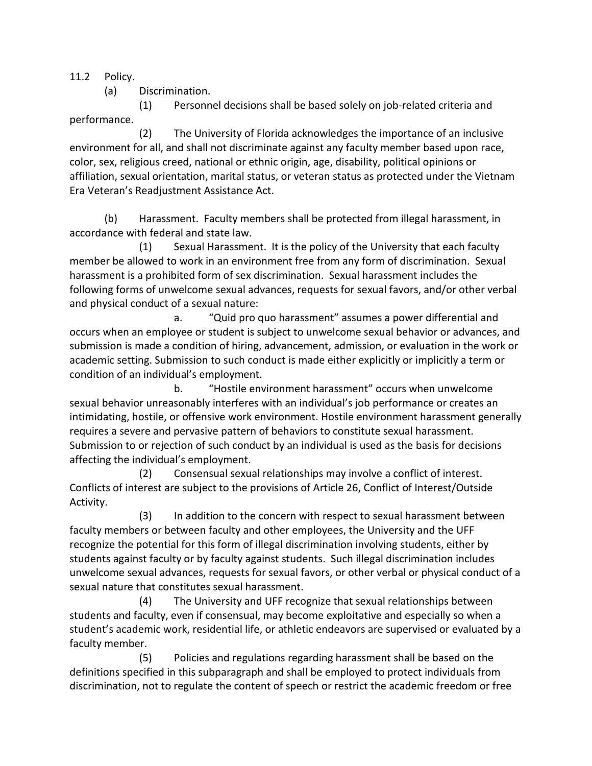11.2 Policy.

(a) Discrimination.

 (1) Personnel decisions shall be based solely on job-related criteria and performance.

 (2) The University of Florida acknowledges the importance of an inclusive environment for all, and shall not discriminate against any faculty member based upon race, color, sex, religious creed, national or ethnic origin, age, disability, political opinions or affiliation, sexual orientation, marital status, or veteran status as protected under the Vietnam Era Veteran's Readjustment Assistance Act.

(b) Harassment. Faculty members shall be protected from illegal harassment, in accordance with federal and state law.

 (1) Sexual Harassment. It is the policy of the University that each faculty member be allowed to work in an environment free from any form of discrimination. Sexual harassment is a prohibited form of sex discrimination. Sexual harassment includes the following forms of unwelcome sexual advances, requests for sexual favors, and/or other verbal and physical conduct of a sexual nature:

a. "Quid pro quo harassment" assumes a power differential and occurs when an employee or student is subject to unwelcome sexual behavior or advances, and submission is made a condition of hiring, advancement, admission, or evaluation in the work or academic setting. Submission to such conduct is made either explicitly or implicitly a term or condition of an individual's employment.

 b. "Hostile environment harassment" occurs when unwelcome sexual behavior unreasonably interferes with an individual's job performance or creates an intimidating, hostile, or offensive work environment. Hostile environment harassment generally requires a severe and pervasive pattern of behaviors to constitute sexual harassment. Submission to or rejection of such conduct by an individual is used as the basis for decisions affecting the individual's employment.

 (2) Consensual sexual relationships may involve a conflict of interest. Conflicts of interest are subject to the provisions of Article 26, Conflict of Interest/Outside Activity.

 (3) In addition to the concern with respect to sexual harassment between faculty members or between faculty and other employees, the University and the UFF recognize the potential for this form of illegal discrimination involving students, either by students against faculty or by faculty against students. Such illegal discrimination includes unwelcome sexual advances, requests for sexual favors, or other verbal or physical conduct of a sexual nature that constitutes sexual harassment.

 (4) The University and UFF recognize that sexual relationships between students and faculty, even if consensual, may become exploitative and especially so when a student's academic work, residential life, or athletic endeavors are supervised or evaluated by a faculty member.

 (5) Policies and regulations regarding harassment shall be based on the definitions specified in this subparagraph and shall be employed to protect individuals from discrimination, not to regulate the content of speech or restrict the academic freedom or free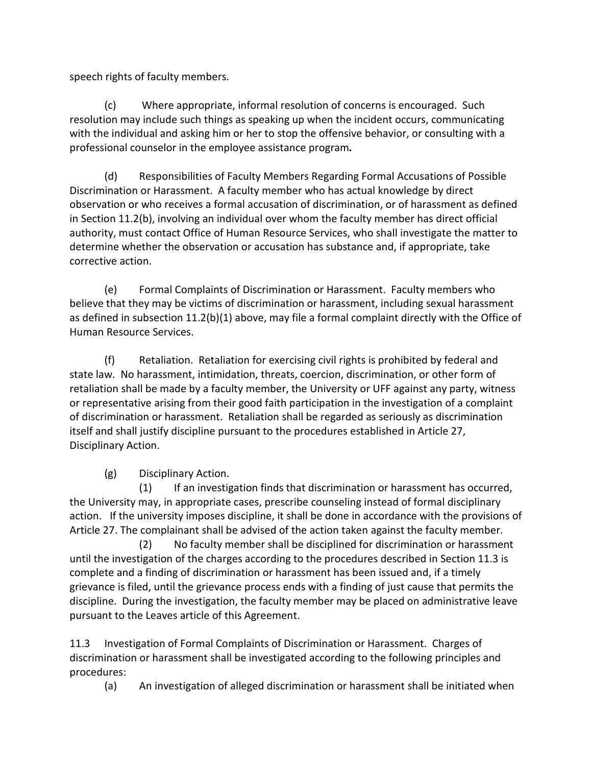speech rights of faculty members.

(c) Where appropriate, informal resolution of concerns is encouraged. Such resolution may include such things as speaking up when the incident occurs, communicating with the individual and asking him or her to stop the offensive behavior, or consulting with a professional counselor in the employee assistance program*.*

(d) Responsibilities of Faculty Members Regarding Formal Accusations of Possible Discrimination or Harassment. A faculty member who has actual knowledge by direct observation or who receives a formal accusation of discrimination, or of harassment as defined in Section 11.2(b), involving an individual over whom the faculty member has direct official authority, must contact Office of Human Resource Services, who shall investigate the matter to determine whether the observation or accusation has substance and, if appropriate, take corrective action.

(e) Formal Complaints of Discrimination or Harassment. Faculty members who believe that they may be victims of discrimination or harassment, including sexual harassment as defined in subsection 11.2(b)(1) above, may file a formal complaint directly with the Office of Human Resource Services.

(f) Retaliation. Retaliation for exercising civil rights is prohibited by federal and state law. No harassment, intimidation, threats, coercion, discrimination, or other form of retaliation shall be made by a faculty member, the University or UFF against any party, witness or representative arising from their good faith participation in the investigation of a complaint of discrimination or harassment. Retaliation shall be regarded as seriously as discrimination itself and shall justify discipline pursuant to the procedures established in Article 27, Disciplinary Action.

(g) Disciplinary Action.

 (1) If an investigation finds that discrimination or harassment has occurred, the University may, in appropriate cases, prescribe counseling instead of formal disciplinary action. If the university imposes discipline, it shall be done in accordance with the provisions of Article 27. The complainant shall be advised of the action taken against the faculty member.

(2) No faculty member shall be disciplined for discrimination or harassment until the investigation of the charges according to the procedures described in Section 11.3 is complete and a finding of discrimination or harassment has been issued and, if a timely grievance is filed, until the grievance process ends with a finding of just cause that permits the discipline. During the investigation, the faculty member may be placed on administrative leave pursuant to the Leaves article of this Agreement.

11.3 Investigation of Formal Complaints of Discrimination or Harassment. Charges of discrimination or harassment shall be investigated according to the following principles and procedures:

(a) An investigation of alleged discrimination or harassment shall be initiated when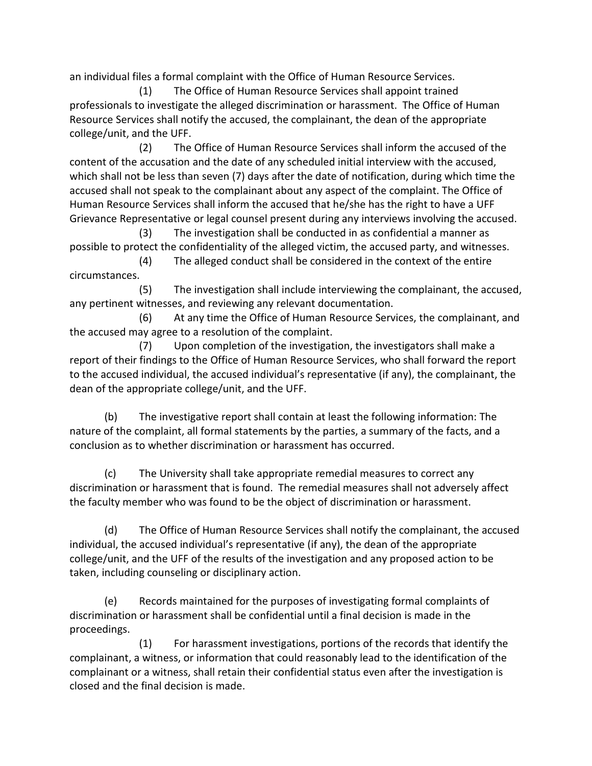an individual files a formal complaint with the Office of Human Resource Services.

 (1) The Office of Human Resource Services shall appoint trained professionals to investigate the alleged discrimination or harassment. The Office of Human Resource Services shall notify the accused, the complainant, the dean of the appropriate college/unit, and the UFF.

 (2) The Office of Human Resource Services shall inform the accused of the content of the accusation and the date of any scheduled initial interview with the accused, which shall not be less than seven (7) days after the date of notification, during which time the accused shall not speak to the complainant about any aspect of the complaint. The Office of Human Resource Services shall inform the accused that he/she has the right to have a UFF Grievance Representative or legal counsel present during any interviews involving the accused.

 (3) The investigation shall be conducted in as confidential a manner as possible to protect the confidentiality of the alleged victim, the accused party, and witnesses.

 (4) The alleged conduct shall be considered in the context of the entire circumstances.

 (5) The investigation shall include interviewing the complainant, the accused, any pertinent witnesses, and reviewing any relevant documentation.

 (6) At any time the Office of Human Resource Services, the complainant, and the accused may agree to a resolution of the complaint.

 (7) Upon completion of the investigation, the investigators shall make a report of their findings to the Office of Human Resource Services, who shall forward the report to the accused individual, the accused individual's representative (if any), the complainant, the dean of the appropriate college/unit, and the UFF.

(b) The investigative report shall contain at least the following information: The nature of the complaint, all formal statements by the parties, a summary of the facts, and a conclusion as to whether discrimination or harassment has occurred.

(c) The University shall take appropriate remedial measures to correct any discrimination or harassment that is found. The remedial measures shall not adversely affect the faculty member who was found to be the object of discrimination or harassment.

(d) The Office of Human Resource Services shall notify the complainant, the accused individual, the accused individual's representative (if any), the dean of the appropriate college/unit, and the UFF of the results of the investigation and any proposed action to be taken, including counseling or disciplinary action.

(e) Records maintained for the purposes of investigating formal complaints of discrimination or harassment shall be confidential until a final decision is made in the proceedings.

 (1) For harassment investigations, portions of the records that identify the complainant, a witness, or information that could reasonably lead to the identification of the complainant or a witness, shall retain their confidential status even after the investigation is closed and the final decision is made.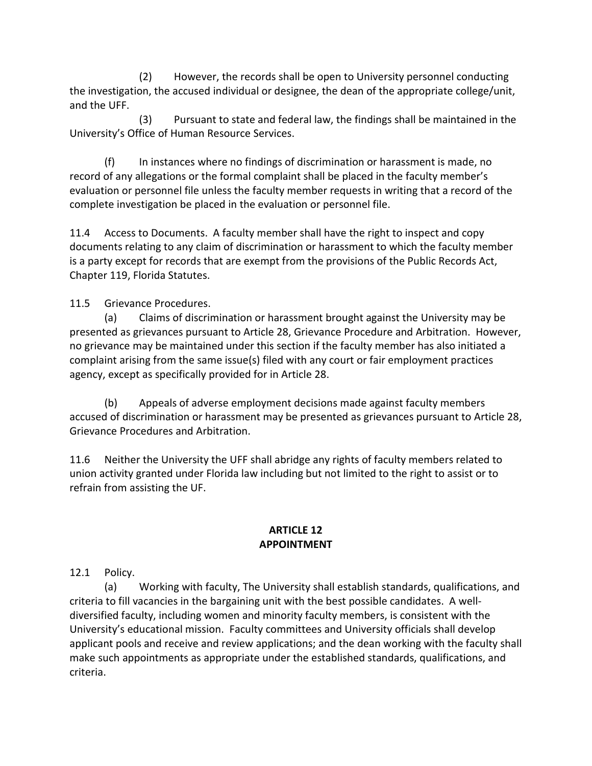(2) However, the records shall be open to University personnel conducting the investigation, the accused individual or designee, the dean of the appropriate college/unit, and the UFF.

 (3) Pursuant to state and federal law, the findings shall be maintained in the University's Office of Human Resource Services.

(f) In instances where no findings of discrimination or harassment is made, no record of any allegations or the formal complaint shall be placed in the faculty member's evaluation or personnel file unless the faculty member requests in writing that a record of the complete investigation be placed in the evaluation or personnel file.

11.4 Access to Documents. A faculty member shall have the right to inspect and copy documents relating to any claim of discrimination or harassment to which the faculty member is a party except for records that are exempt from the provisions of the Public Records Act, Chapter 119, Florida Statutes.

11.5 Grievance Procedures.

(a) Claims of discrimination or harassment brought against the University may be presented as grievances pursuant to Article 28, Grievance Procedure and Arbitration. However, no grievance may be maintained under this section if the faculty member has also initiated a complaint arising from the same issue(s) filed with any court or fair employment practices agency, except as specifically provided for in Article 28.

(b) Appeals of adverse employment decisions made against faculty members accused of discrimination or harassment may be presented as grievances pursuant to Article 28, Grievance Procedures and Arbitration.

11.6 Neither the University the UFF shall abridge any rights of faculty members related to union activity granted under Florida law including but not limited to the right to assist or to refrain from assisting the UF.

#### **ARTICLE 12 APPOINTMENT**

12.1 Policy.

(a) Working with faculty, The University shall establish standards, qualifications, and criteria to fill vacancies in the bargaining unit with the best possible candidates. A welldiversified faculty, including women and minority faculty members, is consistent with the University's educational mission. Faculty committees and University officials shall develop applicant pools and receive and review applications; and the dean working with the faculty shall make such appointments as appropriate under the established standards, qualifications, and criteria.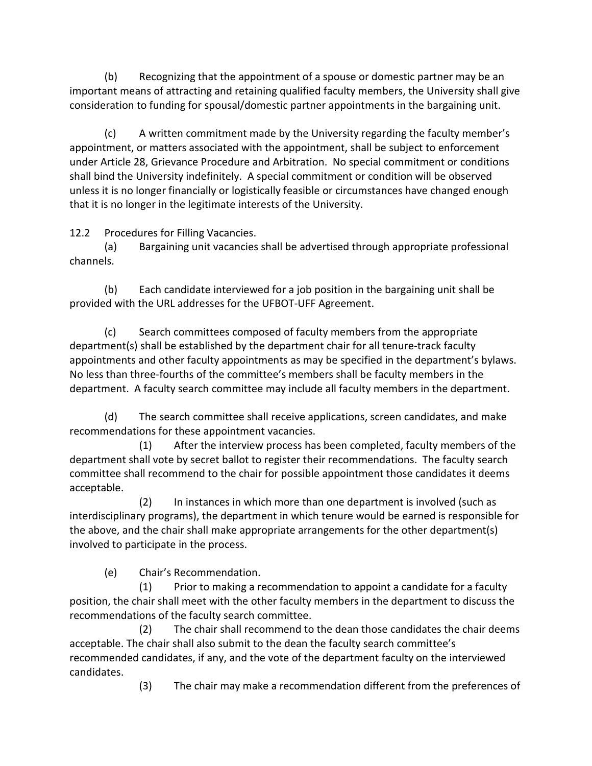(b) Recognizing that the appointment of a spouse or domestic partner may be an important means of attracting and retaining qualified faculty members, the University shall give consideration to funding for spousal/domestic partner appointments in the bargaining unit.

(c) A written commitment made by the University regarding the faculty member's appointment, or matters associated with the appointment, shall be subject to enforcement under Article 28, Grievance Procedure and Arbitration. No special commitment or conditions shall bind the University indefinitely. A special commitment or condition will be observed unless it is no longer financially or logistically feasible or circumstances have changed enough that it is no longer in the legitimate interests of the University.

12.2 Procedures for Filling Vacancies.

(a) Bargaining unit vacancies shall be advertised through appropriate professional channels.

(b) Each candidate interviewed for a job position in the bargaining unit shall be provided with the URL addresses for the UFBOT-UFF Agreement.

(c) Search committees composed of faculty members from the appropriate department(s) shall be established by the department chair for all tenure-track faculty appointments and other faculty appointments as may be specified in the department's bylaws. No less than three-fourths of the committee's members shall be faculty members in the department. A faculty search committee may include all faculty members in the department.

(d) The search committee shall receive applications, screen candidates, and make recommendations for these appointment vacancies.

 (1) After the interview process has been completed, faculty members of the department shall vote by secret ballot to register their recommendations. The faculty search committee shall recommend to the chair for possible appointment those candidates it deems acceptable.

(2) In instances in which more than one department is involved (such as interdisciplinary programs), the department in which tenure would be earned is responsible for the above, and the chair shall make appropriate arrangements for the other department(s) involved to participate in the process.

(e) Chair's Recommendation.

 (1) Prior to making a recommendation to appoint a candidate for a faculty position, the chair shall meet with the other faculty members in the department to discuss the recommendations of the faculty search committee.

 (2) The chair shall recommend to the dean those candidates the chair deems acceptable. The chair shall also submit to the dean the faculty search committee's recommended candidates, if any, and the vote of the department faculty on the interviewed candidates.

(3) The chair may make a recommendation different from the preferences of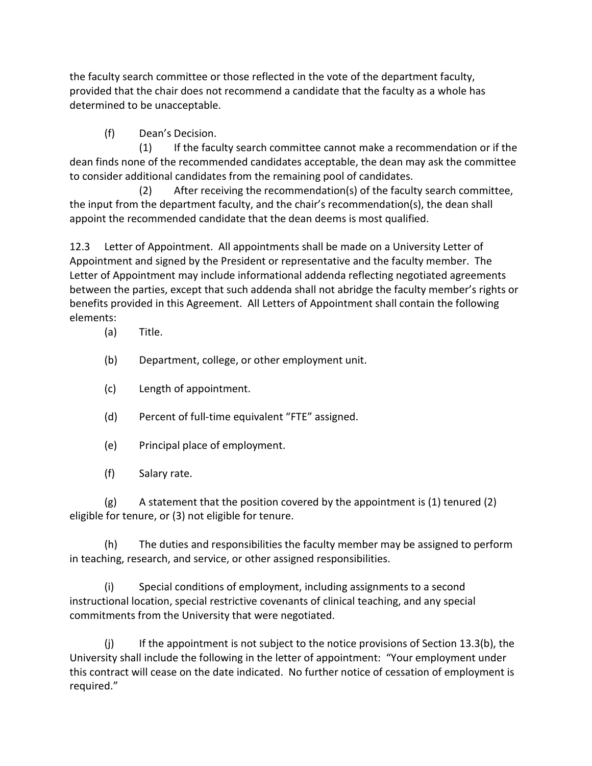the faculty search committee or those reflected in the vote of the department faculty, provided that the chair does not recommend a candidate that the faculty as a whole has determined to be unacceptable.

(f) Dean's Decision.

 (1) If the faculty search committee cannot make a recommendation or if the dean finds none of the recommended candidates acceptable, the dean may ask the committee to consider additional candidates from the remaining pool of candidates.

 (2) After receiving the recommendation(s) of the faculty search committee, the input from the department faculty, and the chair's recommendation(s), the dean shall appoint the recommended candidate that the dean deems is most qualified.

12.3 Letter of Appointment. All appointments shall be made on a University Letter of Appointment and signed by the President or representative and the faculty member. The Letter of Appointment may include informational addenda reflecting negotiated agreements between the parties, except that such addenda shall not abridge the faculty member's rights or benefits provided in this Agreement. All Letters of Appointment shall contain the following elements:

(a) Title.

- (b) Department, college, or other employment unit.
- (c) Length of appointment.
- (d) Percent of full-time equivalent "FTE" assigned.
- (e) Principal place of employment.
- (f) Salary rate.

(g) A statement that the position covered by the appointment is (1) tenured (2) eligible for tenure, or (3) not eligible for tenure.

(h) The duties and responsibilities the faculty member may be assigned to perform in teaching, research, and service, or other assigned responsibilities.

(i) Special conditions of employment, including assignments to a second instructional location, special restrictive covenants of clinical teaching, and any special commitments from the University that were negotiated.

 $(i)$  If the appointment is not subject to the notice provisions of Section 13.3(b), the University shall include the following in the letter of appointment:"Your employment under this contract will cease on the date indicated. No further notice of cessation of employment is required."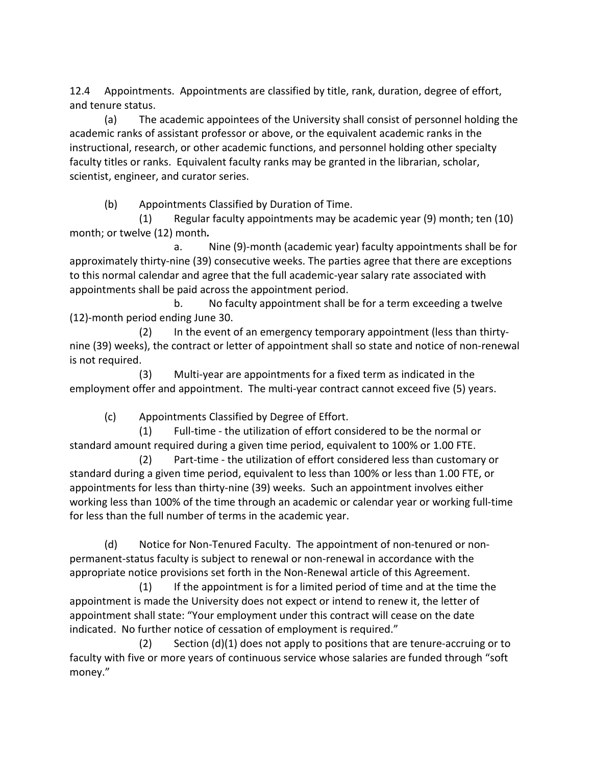12.4 Appointments. Appointments are classified by title, rank, duration, degree of effort, and tenure status.

(a) The academic appointees of the University shall consist of personnel holding the academic ranks of assistant professor or above, or the equivalent academic ranks in the instructional, research, or other academic functions, and personnel holding other specialty faculty titles or ranks. Equivalent faculty ranks may be granted in the librarian, scholar, scientist, engineer, and curator series.

(b) Appointments Classified by Duration of Time.

(1) Regular faculty appointments may be academic year (9) month; ten (10) month; or twelve (12) month*.*

a. Nine (9)-month (academic year) faculty appointments shall be for approximately thirty-nine (39) consecutive weeks. The parties agree that there are exceptions to this normal calendar and agree that the full academic-year salary rate associated with appointments shall be paid across the appointment period.

b. No faculty appointment shall be for a term exceeding a twelve (12)-month period ending June 30.

(2) In the event of an emergency temporary appointment (less than thirtynine (39) weeks), the contract or letter of appointment shall so state and notice of non-renewal is not required.

(3) Multi-year are appointments for a fixed term as indicated in the employment offer and appointment. The multi-year contract cannot exceed five (5) years.

(c) Appointments Classified by Degree of Effort.

(1) Full-time - the utilization of effort considered to be the normal or standard amount required during a given time period, equivalent to 100% or 1.00 FTE.

(2) Part-time - the utilization of effort considered less than customary or standard during a given time period, equivalent to less than 100% or less than 1.00 FTE, or appointments for less than thirty-nine (39) weeks. Such an appointment involves either working less than 100% of the time through an academic or calendar year or working full-time for less than the full number of terms in the academic year.

(d) Notice for Non-Tenured Faculty. The appointment of non-tenured or nonpermanent-status faculty is subject to renewal or non-renewal in accordance with the appropriate notice provisions set forth in the Non-Renewal article of this Agreement.

 (1) If the appointment is for a limited period of time and at the time the appointment is made the University does not expect or intend to renew it, the letter of appointment shall state: "Your employment under this contract will cease on the date indicated. No further notice of cessation of employment is required."

 (2) Section (d)(1) does not apply to positions that are tenure-accruing or to faculty with five or more years of continuous service whose salaries are funded through "soft money."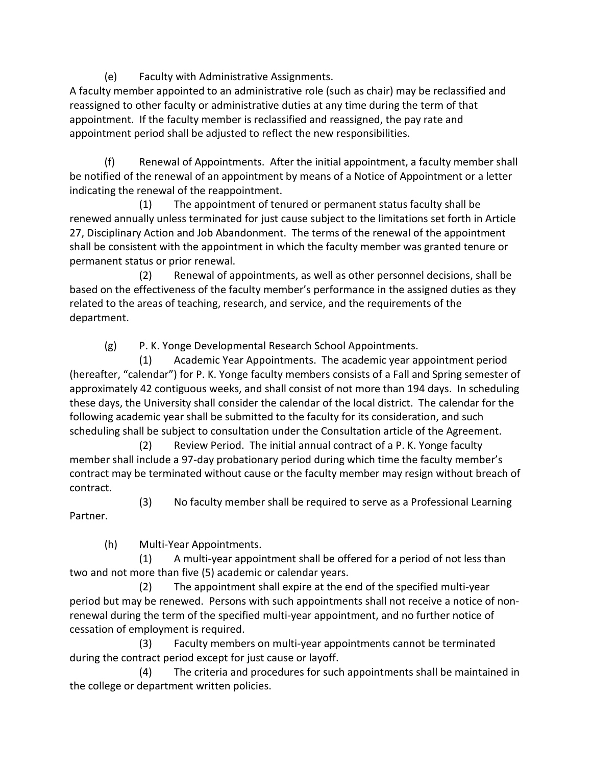(e) Faculty with Administrative Assignments.

A faculty member appointed to an administrative role (such as chair) may be reclassified and reassigned to other faculty or administrative duties at any time during the term of that appointment. If the faculty member is reclassified and reassigned, the pay rate and appointment period shall be adjusted to reflect the new responsibilities.

(f) Renewal of Appointments. After the initial appointment, a faculty member shall be notified of the renewal of an appointment by means of a Notice of Appointment or a letter indicating the renewal of the reappointment.

 (1) The appointment of tenured or permanent status faculty shall be renewed annually unless terminated for just cause subject to the limitations set forth in Article 27, Disciplinary Action and Job Abandonment. The terms of the renewal of the appointment shall be consistent with the appointment in which the faculty member was granted tenure or permanent status or prior renewal.

 (2) Renewal of appointments, as well as other personnel decisions, shall be based on the effectiveness of the faculty member's performance in the assigned duties as they related to the areas of teaching, research, and service, and the requirements of the department.

(g) P. K. Yonge Developmental Research School Appointments.

 (1) Academic Year Appointments. The academic year appointment period (hereafter, "calendar") for P. K. Yonge faculty members consists of a Fall and Spring semester of approximately 42 contiguous weeks, and shall consist of not more than 194 days. In scheduling these days, the University shall consider the calendar of the local district. The calendar for the following academic year shall be submitted to the faculty for its consideration, and such scheduling shall be subject to consultation under the Consultation article of the Agreement.

 (2) Review Period. The initial annual contract of a P. K. Yonge faculty member shall include a 97-day probationary period during which time the faculty member's contract may be terminated without cause or the faculty member may resign without breach of contract.

(3) No faculty member shall be required to serve as a Professional Learning

Partner.

(h) Multi-Year Appointments.

(1) A multi-year appointment shall be offered for a period of not less than two and not more than five (5) academic or calendar years.

(2) The appointment shall expire at the end of the specified multi-year period but may be renewed. Persons with such appointments shall not receive a notice of nonrenewal during the term of the specified multi-year appointment, and no further notice of cessation of employment is required.

 (3) Faculty members on multi-year appointments cannot be terminated during the contract period except for just cause or layoff.

 (4) The criteria and procedures for such appointments shall be maintained in the college or department written policies.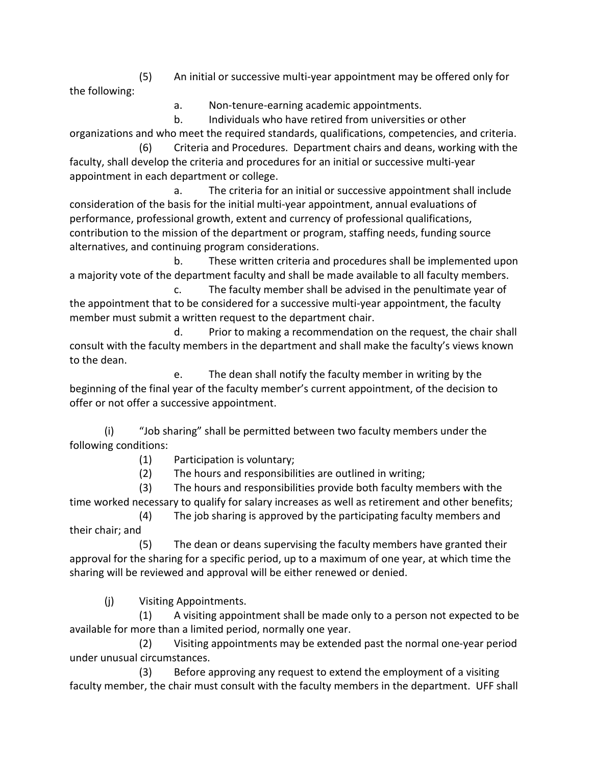(5) An initial or successive multi-year appointment may be offered only for the following:

a. Non-tenure-earning academic appointments.

 b. Individuals who have retired from universities or other organizations and who meet the required standards, qualifications, competencies, and criteria.

 (6) Criteria and Procedures. Department chairs and deans, working with the faculty, shall develop the criteria and procedures for an initial or successive multi-year appointment in each department or college.

 a. The criteria for an initial or successive appointment shall include consideration of the basis for the initial multi-year appointment, annual evaluations of performance, professional growth, extent and currency of professional qualifications, contribution to the mission of the department or program, staffing needs, funding source alternatives, and continuing program considerations.

 b. These written criteria and procedures shall be implemented upon a majority vote of the department faculty and shall be made available to all faculty members.

 c. The faculty member shall be advised in the penultimate year of the appointment that to be considered for a successive multi-year appointment, the faculty member must submit a written request to the department chair.

 d. Prior to making a recommendation on the request, the chair shall consult with the faculty members in the department and shall make the faculty's views known to the dean.

 e. The dean shall notify the faculty member in writing by the beginning of the final year of the faculty member's current appointment, of the decision to offer or not offer a successive appointment.

(i) "Job sharing" shall be permitted between two faculty members under the following conditions:

(1) Participation is voluntary;

(2) The hours and responsibilities are outlined in writing;

 (3) The hours and responsibilities provide both faculty members with the time worked necessary to qualify for salary increases as well as retirement and other benefits;

 (4) The job sharing is approved by the participating faculty members and their chair; and

 (5) The dean or deans supervising the faculty members have granted their approval for the sharing for a specific period, up to a maximum of one year, at which time the sharing will be reviewed and approval will be either renewed or denied.

(j) Visiting Appointments.

 (1) A visiting appointment shall be made only to a person not expected to be available for more than a limited period, normally one year.

 (2) Visiting appointments may be extended past the normal one-year period under unusual circumstances.

 (3) Before approving any request to extend the employment of a visiting faculty member, the chair must consult with the faculty members in the department. UFF shall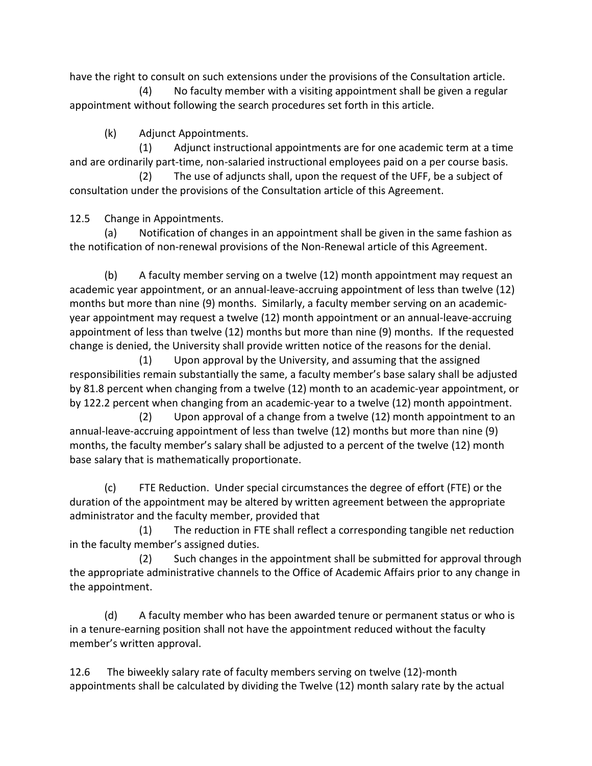have the right to consult on such extensions under the provisions of the Consultation article.

 (4) No faculty member with a visiting appointment shall be given a regular appointment without following the search procedures set forth in this article.

(k) Adjunct Appointments.

 (1) Adjunct instructional appointments are for one academic term at a time and are ordinarily part-time, non-salaried instructional employees paid on a per course basis.

 (2) The use of adjuncts shall, upon the request of the UFF, be a subject of consultation under the provisions of the Consultation article of this Agreement.

12.5 Change in Appointments.

(a) Notification of changes in an appointment shall be given in the same fashion as the notification of non-renewal provisions of the Non-Renewal article of this Agreement.

(b) A faculty member serving on a twelve (12) month appointment may request an academic year appointment, or an annual-leave-accruing appointment of less than twelve (12) months but more than nine (9) months. Similarly, a faculty member serving on an academicyear appointment may request a twelve (12) month appointment or an annual-leave-accruing appointment of less than twelve (12) months but more than nine (9) months. If the requested change is denied, the University shall provide written notice of the reasons for the denial.

 (1) Upon approval by the University, and assuming that the assigned responsibilities remain substantially the same, a faculty member's base salary shall be adjusted by 81.8 percent when changing from a twelve (12) month to an academic-year appointment, or by 122.2 percent when changing from an academic-year to a twelve (12) month appointment.

 (2) Upon approval of a change from a twelve (12) month appointment to an annual-leave-accruing appointment of less than twelve (12) months but more than nine (9) months, the faculty member's salary shall be adjusted to a percent of the twelve (12) month base salary that is mathematically proportionate.

(c) FTE Reduction. Under special circumstances the degree of effort (FTE) or the duration of the appointment may be altered by written agreement between the appropriate administrator and the faculty member, provided that

 (1) The reduction in FTE shall reflect a corresponding tangible net reduction in the faculty member's assigned duties.

 (2) Such changes in the appointment shall be submitted for approval through the appropriate administrative channels to the Office of Academic Affairs prior to any change in the appointment.

(d) A faculty member who has been awarded tenure or permanent status or who is in a tenure-earning position shall not have the appointment reduced without the faculty member's written approval.

12.6 The biweekly salary rate of faculty members serving on twelve (12)-month appointments shall be calculated by dividing the Twelve (12) month salary rate by the actual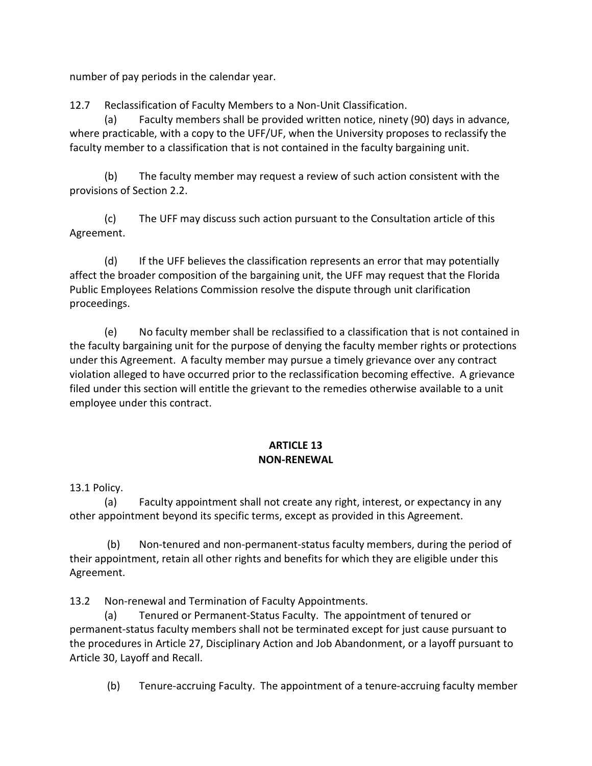number of pay periods in the calendar year.

12.7 Reclassification of Faculty Members to a Non-Unit Classification.

(a) Faculty members shall be provided written notice, ninety (90) days in advance, where practicable, with a copy to the UFF/UF, when the University proposes to reclassify the faculty member to a classification that is not contained in the faculty bargaining unit.

(b) The faculty member may request a review of such action consistent with the provisions of Section 2.2.

(c) The UFF may discuss such action pursuant to the Consultation article of this Agreement.

(d) If the UFF believes the classification represents an error that may potentially affect the broader composition of the bargaining unit, the UFF may request that the Florida Public Employees Relations Commission resolve the dispute through unit clarification proceedings.

(e) No faculty member shall be reclassified to a classification that is not contained in the faculty bargaining unit for the purpose of denying the faculty member rights or protections under this Agreement. A faculty member may pursue a timely grievance over any contract violation alleged to have occurred prior to the reclassification becoming effective. A grievance filed under this section will entitle the grievant to the remedies otherwise available to a unit employee under this contract.

## **ARTICLE 13 NON-RENEWAL**

13.1 Policy.

(a) Faculty appointment shall not create any right, interest, or expectancy in any other appointment beyond its specific terms, except as provided in this Agreement.

(b) Non-tenured and non-permanent-status faculty members, during the period of their appointment, retain all other rights and benefits for which they are eligible under this Agreement.

13.2 Non-renewal and Termination of Faculty Appointments.

(a) Tenured or Permanent-Status Faculty. The appointment of tenured or permanent-status faculty members shall not be terminated except for just cause pursuant to the procedures in Article 27, Disciplinary Action and Job Abandonment, or a layoff pursuant to Article 30, Layoff and Recall.

(b) Tenure-accruing Faculty. The appointment of a tenure-accruing faculty member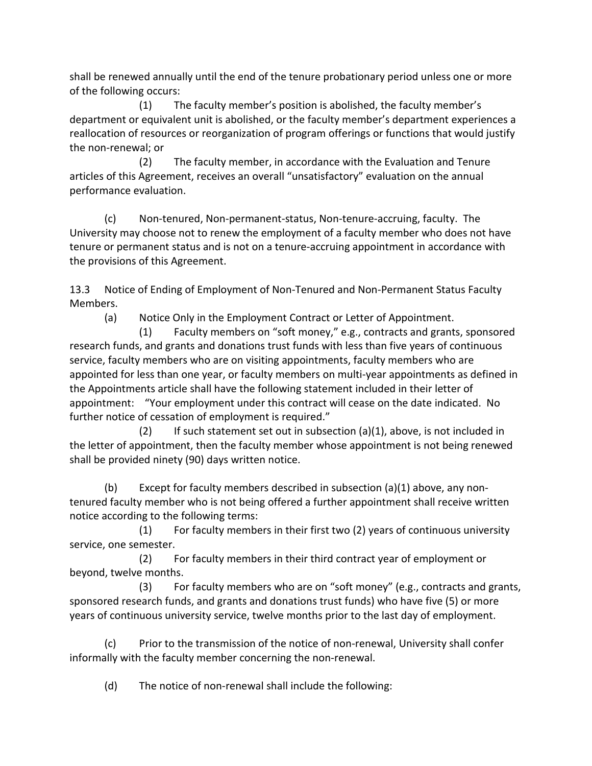shall be renewed annually until the end of the tenure probationary period unless one or more of the following occurs:

 (1) The faculty member's position is abolished, the faculty member's department or equivalent unit is abolished, or the faculty member's department experiences a reallocation of resources or reorganization of program offerings or functions that would justify the non-renewal; or

 (2) The faculty member, in accordance with the Evaluation and Tenure articles of this Agreement, receives an overall "unsatisfactory" evaluation on the annual performance evaluation.

(c) Non-tenured, Non-permanent-status, Non-tenure-accruing, faculty. The University may choose not to renew the employment of a faculty member who does not have tenure or permanent status and is not on a tenure-accruing appointment in accordance with the provisions of this Agreement.

13.3 Notice of Ending of Employment of Non-Tenured and Non-Permanent Status Faculty Members.

(a) Notice Only in the Employment Contract or Letter of Appointment.

 (1) Faculty members on "soft money," e.g., contracts and grants, sponsored research funds, and grants and donations trust funds with less than five years of continuous service, faculty members who are on visiting appointments, faculty members who are appointed for less than one year, or faculty members on multi-year appointments as defined in the Appointments article shall have the following statement included in their letter of appointment: "Your employment under this contract will cease on the date indicated. No further notice of cessation of employment is required."

 (2) If such statement set out in subsection (a)(1), above, is not included in the letter of appointment, then the faculty member whose appointment is not being renewed shall be provided ninety (90) days written notice.

(b) Except for faculty members described in subsection (a)(1) above, any nontenured faculty member who is not being offered a further appointment shall receive written notice according to the following terms:

 (1) For faculty members in their first two (2) years of continuous university service, one semester.

 (2) For faculty members in their third contract year of employment or beyond, twelve months.

 (3) For faculty members who are on "soft money" (e.g., contracts and grants, sponsored research funds, and grants and donations trust funds) who have five (5) or more years of continuous university service, twelve months prior to the last day of employment.

(c) Prior to the transmission of the notice of non-renewal, University shall confer informally with the faculty member concerning the non-renewal.

(d) The notice of non-renewal shall include the following: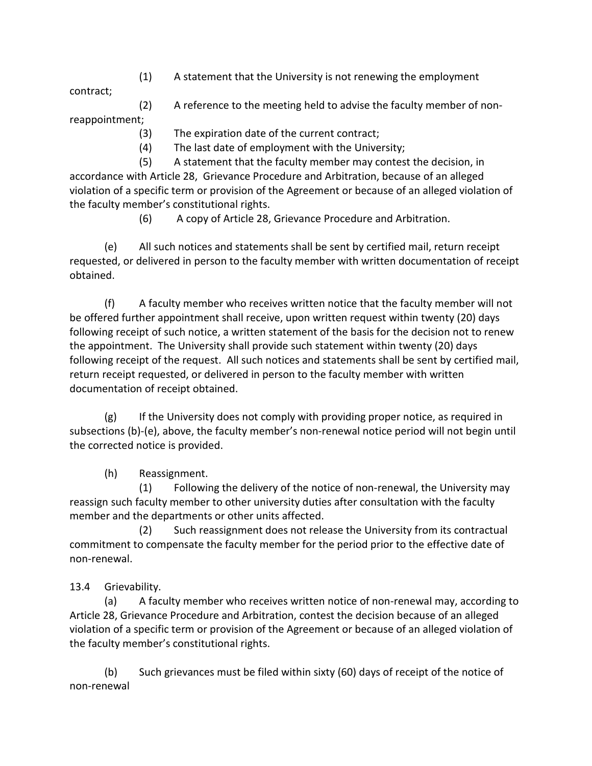(1) A statement that the University is not renewing the employment

contract;

- (2) A reference to the meeting held to advise the faculty member of nonreappointment;
	- (3) The expiration date of the current contract;
	- (4) The last date of employment with the University;

 (5) A statement that the faculty member may contest the decision, in accordance with Article 28, Grievance Procedure and Arbitration, because of an alleged violation of a specific term or provision of the Agreement or because of an alleged violation of the faculty member's constitutional rights.

(6) A copy of Article 28, Grievance Procedure and Arbitration.

(e) All such notices and statements shall be sent by certified mail, return receipt requested, or delivered in person to the faculty member with written documentation of receipt obtained.

(f) A faculty member who receives written notice that the faculty member will not be offered further appointment shall receive, upon written request within twenty (20) days following receipt of such notice, a written statement of the basis for the decision not to renew the appointment. The University shall provide such statement within twenty (20) days following receipt of the request. All such notices and statements shall be sent by certified mail, return receipt requested, or delivered in person to the faculty member with written documentation of receipt obtained.

(g) If the University does not comply with providing proper notice, as required in subsections (b)-(e), above, the faculty member's non-renewal notice period will not begin until the corrected notice is provided.

(h) Reassignment.

 (1) Following the delivery of the notice of non-renewal, the University may reassign such faculty member to other university duties after consultation with the faculty member and the departments or other units affected.

 (2) Such reassignment does not release the University from its contractual commitment to compensate the faculty member for the period prior to the effective date of non-renewal.

# 13.4 Grievability.

(a) A faculty member who receives written notice of non-renewal may, according to Article 28, Grievance Procedure and Arbitration, contest the decision because of an alleged violation of a specific term or provision of the Agreement or because of an alleged violation of the faculty member's constitutional rights.

(b) Such grievances must be filed within sixty (60) days of receipt of the notice of non-renewal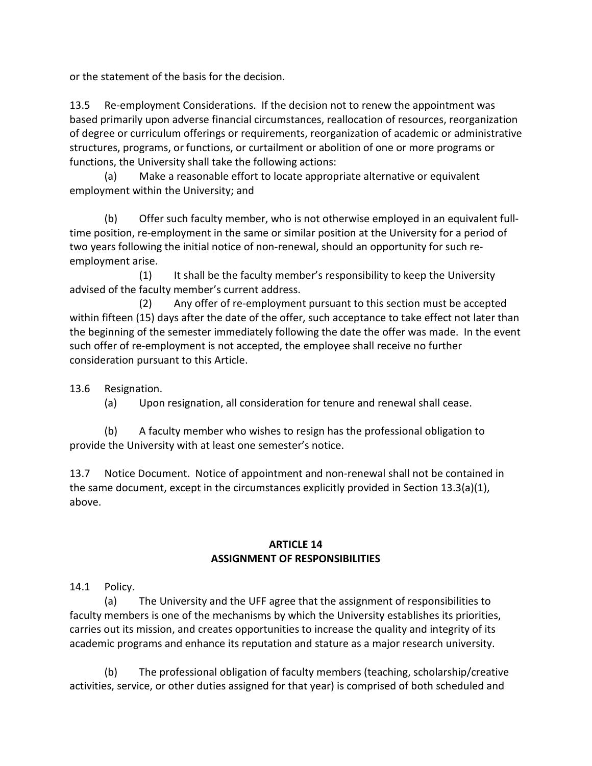or the statement of the basis for the decision.

13.5 Re-employment Considerations. If the decision not to renew the appointment was based primarily upon adverse financial circumstances, reallocation of resources, reorganization of degree or curriculum offerings or requirements, reorganization of academic or administrative structures, programs, or functions, or curtailment or abolition of one or more programs or functions, the University shall take the following actions:

(a) Make a reasonable effort to locate appropriate alternative or equivalent employment within the University; and

(b) Offer such faculty member, who is not otherwise employed in an equivalent fulltime position, re-employment in the same or similar position at the University for a period of two years following the initial notice of non-renewal, should an opportunity for such reemployment arise.

 (1) It shall be the faculty member's responsibility to keep the University advised of the faculty member's current address.

 (2) Any offer of re-employment pursuant to this section must be accepted within fifteen (15) days after the date of the offer, such acceptance to take effect not later than the beginning of the semester immediately following the date the offer was made. In the event such offer of re-employment is not accepted, the employee shall receive no further consideration pursuant to this Article.

13.6 Resignation.

(a) Upon resignation, all consideration for tenure and renewal shall cease.

(b) A faculty member who wishes to resign has the professional obligation to provide the University with at least one semester's notice.

13.7 Notice Document. Notice of appointment and non-renewal shall not be contained in the same document, except in the circumstances explicitly provided in Section 13.3(a)(1), above.

#### **ARTICLE 14 ASSIGNMENT OF RESPONSIBILITIES**

14.1 Policy.

(a) The University and the UFF agree that the assignment of responsibilities to faculty members is one of the mechanisms by which the University establishes its priorities, carries out its mission, and creates opportunities to increase the quality and integrity of its academic programs and enhance its reputation and stature as a major research university.

(b) The professional obligation of faculty members (teaching, scholarship/creative activities, service, or other duties assigned for that year) is comprised of both scheduled and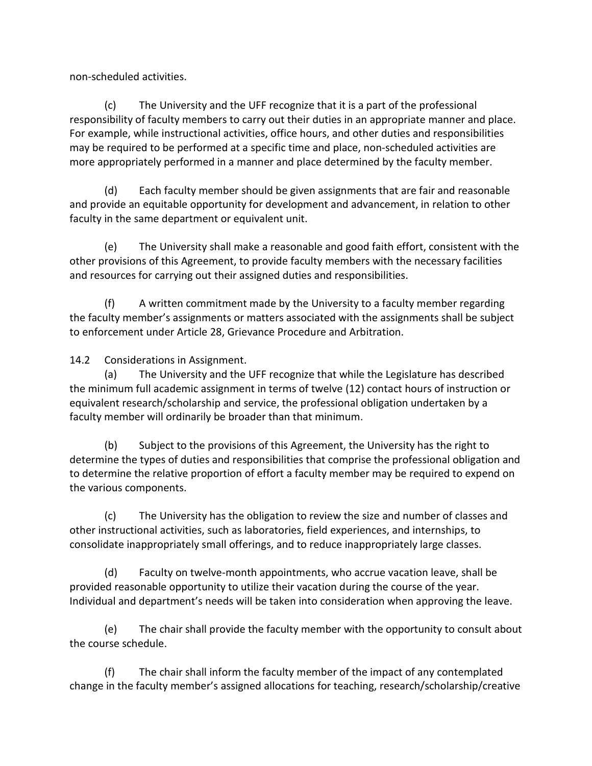non-scheduled activities.

(c) The University and the UFF recognize that it is a part of the professional responsibility of faculty members to carry out their duties in an appropriate manner and place. For example, while instructional activities, office hours, and other duties and responsibilities may be required to be performed at a specific time and place, non-scheduled activities are more appropriately performed in a manner and place determined by the faculty member.

(d) Each faculty member should be given assignments that are fair and reasonable and provide an equitable opportunity for development and advancement, in relation to other faculty in the same department or equivalent unit.

(e) The University shall make a reasonable and good faith effort, consistent with the other provisions of this Agreement, to provide faculty members with the necessary facilities and resources for carrying out their assigned duties and responsibilities.

(f) A written commitment made by the University to a faculty member regarding the faculty member's assignments or matters associated with the assignments shall be subject to enforcement under Article 28, Grievance Procedure and Arbitration.

14.2 Considerations in Assignment.

(a) The University and the UFF recognize that while the Legislature has described the minimum full academic assignment in terms of twelve (12) contact hours of instruction or equivalent research/scholarship and service, the professional obligation undertaken by a faculty member will ordinarily be broader than that minimum.

(b) Subject to the provisions of this Agreement, the University has the right to determine the types of duties and responsibilities that comprise the professional obligation and to determine the relative proportion of effort a faculty member may be required to expend on the various components.

(c) The University has the obligation to review the size and number of classes and other instructional activities, such as laboratories, field experiences, and internships, to consolidate inappropriately small offerings, and to reduce inappropriately large classes.

(d) Faculty on twelve-month appointments, who accrue vacation leave, shall be provided reasonable opportunity to utilize their vacation during the course of the year. Individual and department's needs will be taken into consideration when approving the leave.

(e) The chair shall provide the faculty member with the opportunity to consult about the course schedule.

(f) The chair shall inform the faculty member of the impact of any contemplated change in the faculty member's assigned allocations for teaching, research/scholarship/creative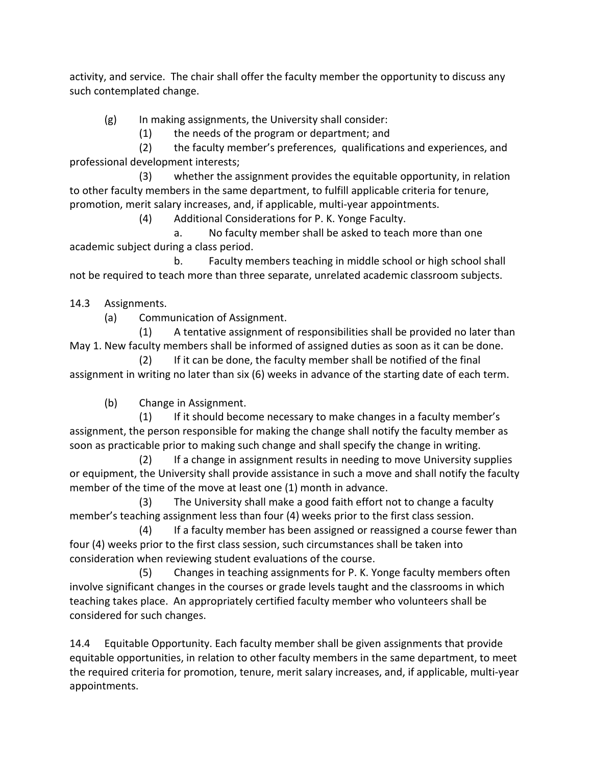activity, and service. The chair shall offer the faculty member the opportunity to discuss any such contemplated change.

(g) In making assignments, the University shall consider:

(1) the needs of the program or department; and

 (2) the faculty member's preferences, qualifications and experiences, and professional development interests;

 (3) whether the assignment provides the equitable opportunity, in relation to other faculty members in the same department, to fulfill applicable criteria for tenure, promotion, merit salary increases, and, if applicable, multi-year appointments.

(4) Additional Considerations for P. K. Yonge Faculty.

 a. No faculty member shall be asked to teach more than one academic subject during a class period.

 b. Faculty members teaching in middle school or high school shall not be required to teach more than three separate, unrelated academic classroom subjects.

14.3 Assignments.

(a) Communication of Assignment.

 (1) A tentative assignment of responsibilities shall be provided no later than May 1. New faculty members shall be informed of assigned duties as soon as it can be done.

 (2) If it can be done, the faculty member shall be notified of the final assignment in writing no later than six (6) weeks in advance of the starting date of each term.

(b) Change in Assignment.

 (1) If it should become necessary to make changes in a faculty member's assignment, the person responsible for making the change shall notify the faculty member as soon as practicable prior to making such change and shall specify the change in writing.

 (2) If a change in assignment results in needing to move University supplies or equipment, the University shall provide assistance in such a move and shall notify the faculty member of the time of the move at least one (1) month in advance.

 (3) The University shall make a good faith effort not to change a faculty member's teaching assignment less than four (4) weeks prior to the first class session.

 (4) If a faculty member has been assigned or reassigned a course fewer than four (4) weeks prior to the first class session, such circumstances shall be taken into consideration when reviewing student evaluations of the course.

 (5) Changes in teaching assignments for P. K. Yonge faculty members often involve significant changes in the courses or grade levels taught and the classrooms in which teaching takes place. An appropriately certified faculty member who volunteers shall be considered for such changes.

14.4 Equitable Opportunity. Each faculty member shall be given assignments that provide equitable opportunities, in relation to other faculty members in the same department, to meet the required criteria for promotion, tenure, merit salary increases, and, if applicable, multi-year appointments.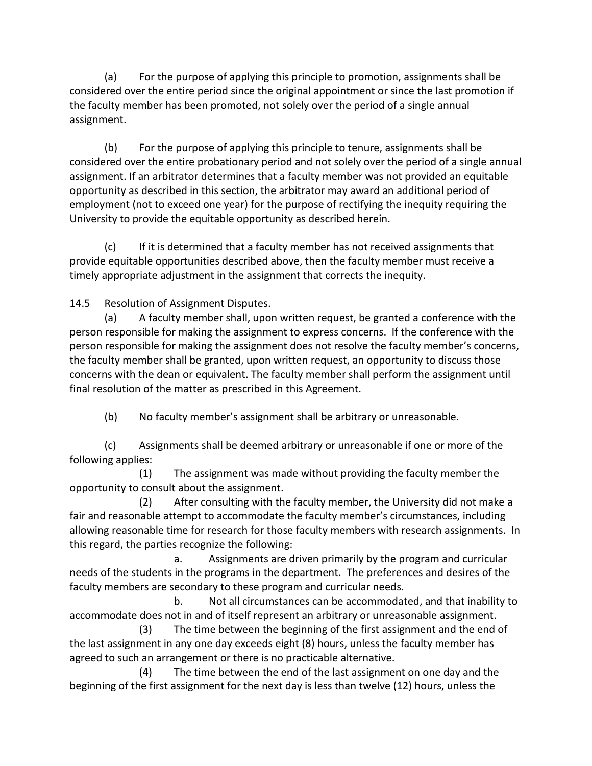(a) For the purpose of applying this principle to promotion, assignments shall be considered over the entire period since the original appointment or since the last promotion if the faculty member has been promoted, not solely over the period of a single annual assignment.

(b) For the purpose of applying this principle to tenure, assignments shall be considered over the entire probationary period and not solely over the period of a single annual assignment. If an arbitrator determines that a faculty member was not provided an equitable opportunity as described in this section, the arbitrator may award an additional period of employment (not to exceed one year) for the purpose of rectifying the inequity requiring the University to provide the equitable opportunity as described herein.

(c) If it is determined that a faculty member has not received assignments that provide equitable opportunities described above, then the faculty member must receive a timely appropriate adjustment in the assignment that corrects the inequity.

14.5 Resolution of Assignment Disputes.

(a) A faculty member shall, upon written request, be granted a conference with the person responsible for making the assignment to express concerns. If the conference with the person responsible for making the assignment does not resolve the faculty member's concerns, the faculty member shall be granted, upon written request, an opportunity to discuss those concerns with the dean or equivalent. The faculty member shall perform the assignment until final resolution of the matter as prescribed in this Agreement.

(b) No faculty member's assignment shall be arbitrary or unreasonable.

(c) Assignments shall be deemed arbitrary or unreasonable if one or more of the following applies:

 (1) The assignment was made without providing the faculty member the opportunity to consult about the assignment.

 (2) After consulting with the faculty member, the University did not make a fair and reasonable attempt to accommodate the faculty member's circumstances, including allowing reasonable time for research for those faculty members with research assignments. In this regard, the parties recognize the following:

 a. Assignments are driven primarily by the program and curricular needs of the students in the programs in the department. The preferences and desires of the faculty members are secondary to these program and curricular needs.

 b. Not all circumstances can be accommodated, and that inability to accommodate does not in and of itself represent an arbitrary or unreasonable assignment.

 (3) The time between the beginning of the first assignment and the end of the last assignment in any one day exceeds eight (8) hours, unless the faculty member has agreed to such an arrangement or there is no practicable alternative.

 (4) The time between the end of the last assignment on one day and the beginning of the first assignment for the next day is less than twelve (12) hours, unless the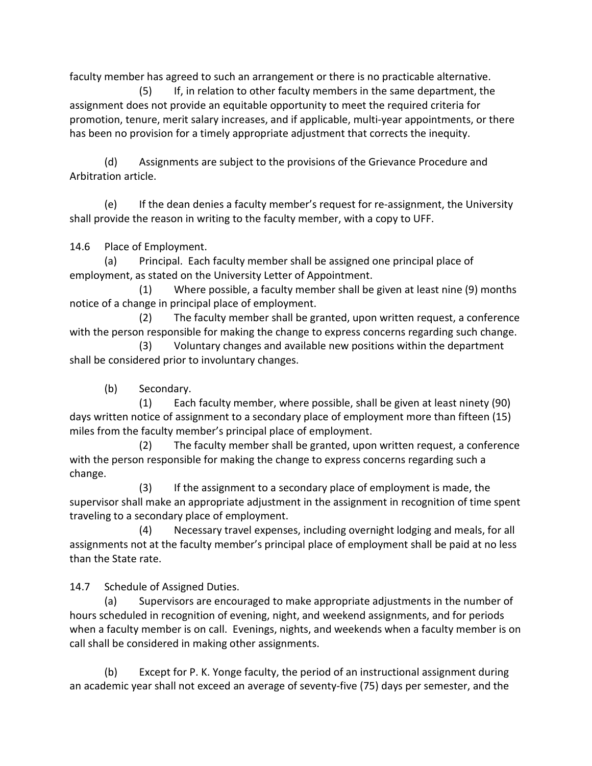faculty member has agreed to such an arrangement or there is no practicable alternative.

 (5) If, in relation to other faculty members in the same department, the assignment does not provide an equitable opportunity to meet the required criteria for promotion, tenure, merit salary increases, and if applicable, multi-year appointments, or there has been no provision for a timely appropriate adjustment that corrects the inequity.

(d) Assignments are subject to the provisions of the Grievance Procedure and Arbitration article.

(e) If the dean denies a faculty member's request for re-assignment, the University shall provide the reason in writing to the faculty member, with a copy to UFF.

14.6 Place of Employment.

(a) Principal. Each faculty member shall be assigned one principal place of employment, as stated on the University Letter of Appointment.

 (1) Where possible, a faculty member shall be given at least nine (9) months notice of a change in principal place of employment.

 (2) The faculty member shall be granted, upon written request, a conference with the person responsible for making the change to express concerns regarding such change.

 (3) Voluntary changes and available new positions within the department shall be considered prior to involuntary changes.

(b) Secondary.

 (1) Each faculty member, where possible, shall be given at least ninety (90) days written notice of assignment to a secondary place of employment more than fifteen (15) miles from the faculty member's principal place of employment.

 (2) The faculty member shall be granted, upon written request, a conference with the person responsible for making the change to express concerns regarding such a change.

 (3) If the assignment to a secondary place of employment is made, the supervisor shall make an appropriate adjustment in the assignment in recognition of time spent traveling to a secondary place of employment.

 (4) Necessary travel expenses, including overnight lodging and meals, for all assignments not at the faculty member's principal place of employment shall be paid at no less than the State rate.

14.7 Schedule of Assigned Duties.

(a) Supervisors are encouraged to make appropriate adjustments in the number of hours scheduled in recognition of evening, night, and weekend assignments, and for periods when a faculty member is on call. Evenings, nights, and weekends when a faculty member is on call shall be considered in making other assignments.

(b) Except for P. K. Yonge faculty, the period of an instructional assignment during an academic year shall not exceed an average of seventy-five (75) days per semester, and the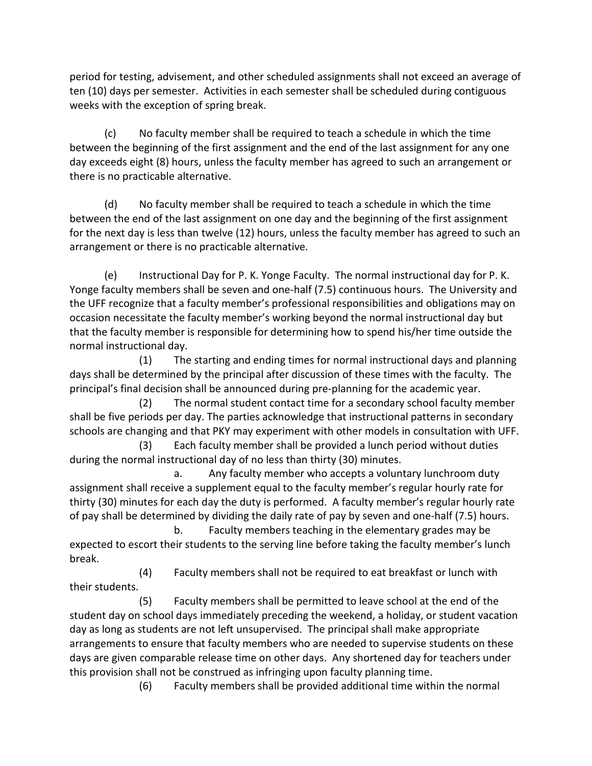period for testing, advisement, and other scheduled assignments shall not exceed an average of ten (10) days per semester. Activities in each semester shall be scheduled during contiguous weeks with the exception of spring break.

(c) No faculty member shall be required to teach a schedule in which the time between the beginning of the first assignment and the end of the last assignment for any one day exceeds eight (8) hours, unless the faculty member has agreed to such an arrangement or there is no practicable alternative.

(d) No faculty member shall be required to teach a schedule in which the time between the end of the last assignment on one day and the beginning of the first assignment for the next day is less than twelve (12) hours, unless the faculty member has agreed to such an arrangement or there is no practicable alternative.

(e) Instructional Day for P. K. Yonge Faculty. The normal instructional day for P. K. Yonge faculty members shall be seven and one-half (7.5) continuous hours. The University and the UFF recognize that a faculty member's professional responsibilities and obligations may on occasion necessitate the faculty member's working beyond the normal instructional day but that the faculty member is responsible for determining how to spend his/her time outside the normal instructional day.

 (1) The starting and ending times for normal instructional days and planning days shall be determined by the principal after discussion of these times with the faculty. The principal's final decision shall be announced during pre-planning for the academic year.

 (2) The normal student contact time for a secondary school faculty member shall be five periods per day. The parties acknowledge that instructional patterns in secondary schools are changing and that PKY may experiment with other models in consultation with UFF.

 (3) Each faculty member shall be provided a lunch period without duties during the normal instructional day of no less than thirty (30) minutes.

 a. Any faculty member who accepts a voluntary lunchroom duty assignment shall receive a supplement equal to the faculty member's regular hourly rate for thirty (30) minutes for each day the duty is performed. A faculty member's regular hourly rate of pay shall be determined by dividing the daily rate of pay by seven and one-half (7.5) hours.

 b. Faculty members teaching in the elementary grades may be expected to escort their students to the serving line before taking the faculty member's lunch break.

 (4) Faculty members shall not be required to eat breakfast or lunch with their students.

 (5) Faculty members shall be permitted to leave school at the end of the student day on school days immediately preceding the weekend, a holiday, or student vacation day as long as students are not left unsupervised. The principal shall make appropriate arrangements to ensure that faculty members who are needed to supervise students on these days are given comparable release time on other days. Any shortened day for teachers under this provision shall not be construed as infringing upon faculty planning time.

(6) Faculty members shall be provided additional time within the normal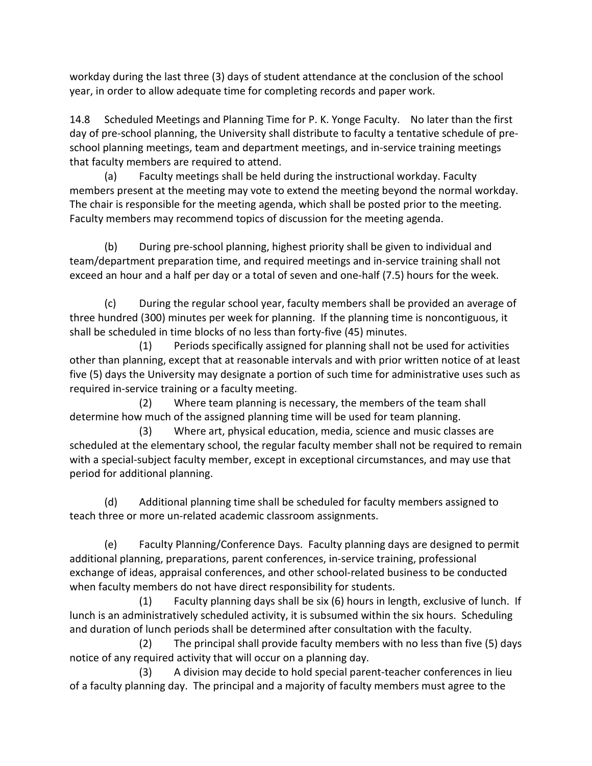workday during the last three (3) days of student attendance at the conclusion of the school year, in order to allow adequate time for completing records and paper work.

14.8 Scheduled Meetings and Planning Time for P. K. Yonge Faculty. No later than the first day of pre-school planning, the University shall distribute to faculty a tentative schedule of preschool planning meetings, team and department meetings, and in-service training meetings that faculty members are required to attend.

(a) Faculty meetings shall be held during the instructional workday. Faculty members present at the meeting may vote to extend the meeting beyond the normal workday. The chair is responsible for the meeting agenda, which shall be posted prior to the meeting. Faculty members may recommend topics of discussion for the meeting agenda.

(b) During pre-school planning, highest priority shall be given to individual and team/department preparation time, and required meetings and in-service training shall not exceed an hour and a half per day or a total of seven and one-half (7.5) hours for the week.

(c) During the regular school year, faculty members shall be provided an average of three hundred (300) minutes per week for planning. If the planning time is noncontiguous, it shall be scheduled in time blocks of no less than forty-five (45) minutes.

 (1) Periods specifically assigned for planning shall not be used for activities other than planning, except that at reasonable intervals and with prior written notice of at least five (5) days the University may designate a portion of such time for administrative uses such as required in-service training or a faculty meeting.

 (2) Where team planning is necessary, the members of the team shall determine how much of the assigned planning time will be used for team planning.

 (3) Where art, physical education, media, science and music classes are scheduled at the elementary school, the regular faculty member shall not be required to remain with a special-subject faculty member, except in exceptional circumstances, and may use that period for additional planning.

 (d) Additional planning time shall be scheduled for faculty members assigned to teach three or more un-related academic classroom assignments.

 (e) Faculty Planning/Conference Days. Faculty planning days are designed to permit additional planning, preparations, parent conferences, in-service training, professional exchange of ideas, appraisal conferences, and other school-related business to be conducted when faculty members do not have direct responsibility for students.

 (1) Faculty planning days shall be six (6) hours in length, exclusive of lunch. If lunch is an administratively scheduled activity, it is subsumed within the six hours. Scheduling and duration of lunch periods shall be determined after consultation with the faculty.

 (2) The principal shall provide faculty members with no less than five (5) days notice of any required activity that will occur on a planning day.

 (3) A division may decide to hold special parent-teacher conferences in lieu of a faculty planning day. The principal and a majority of faculty members must agree to the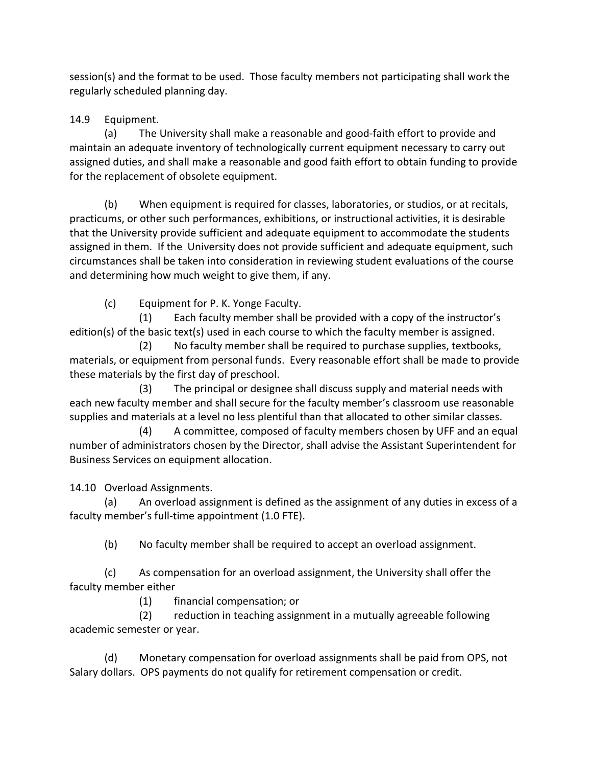session(s) and the format to be used. Those faculty members not participating shall work the regularly scheduled planning day.

# 14.9 Equipment.

(a) The University shall make a reasonable and good-faith effort to provide and maintain an adequate inventory of technologically current equipment necessary to carry out assigned duties, and shall make a reasonable and good faith effort to obtain funding to provide for the replacement of obsolete equipment.

(b) When equipment is required for classes, laboratories, or studios, or at recitals, practicums, or other such performances, exhibitions, or instructional activities, it is desirable that the University provide sufficient and adequate equipment to accommodate the students assigned in them. If the University does not provide sufficient and adequate equipment, such circumstances shall be taken into consideration in reviewing student evaluations of the course and determining how much weight to give them, if any.

(c) Equipment for P. K. Yonge Faculty.

 (1) Each faculty member shall be provided with a copy of the instructor's edition(s) of the basic text(s) used in each course to which the faculty member is assigned.

 (2) No faculty member shall be required to purchase supplies, textbooks, materials, or equipment from personal funds. Every reasonable effort shall be made to provide these materials by the first day of preschool.

 (3) The principal or designee shall discuss supply and material needs with each new faculty member and shall secure for the faculty member's classroom use reasonable supplies and materials at a level no less plentiful than that allocated to other similar classes.

 (4) A committee, composed of faculty members chosen by UFF and an equal number of administrators chosen by the Director, shall advise the Assistant Superintendent for Business Services on equipment allocation.

14.10 Overload Assignments.

(a) An overload assignment is defined as the assignment of any duties in excess of a faculty member's full-time appointment (1.0 FTE).

(b) No faculty member shall be required to accept an overload assignment.

(c) As compensation for an overload assignment, the University shall offer the faculty member either

(1) financial compensation; or

(2) reduction in teaching assignment in a mutually agreeable following academic semester or year.

(d) Monetary compensation for overload assignments shall be paid from OPS, not Salary dollars. OPS payments do not qualify for retirement compensation or credit.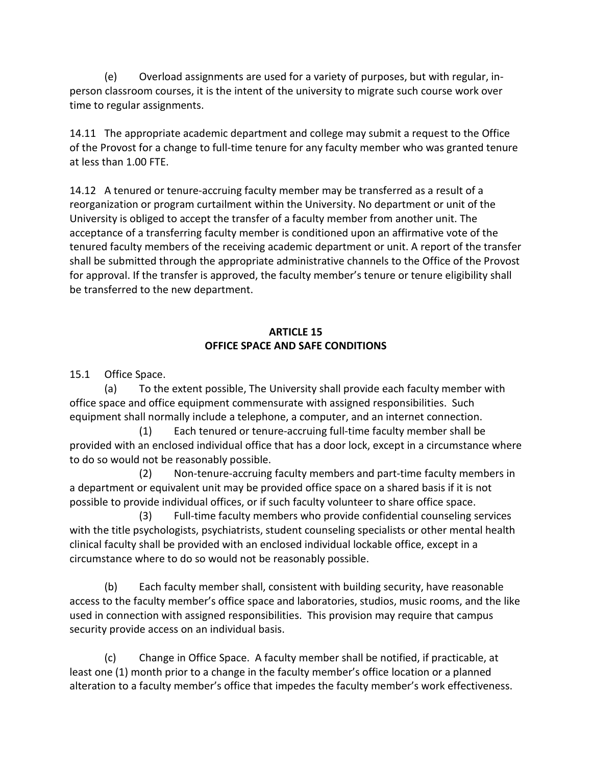(e) Overload assignments are used for a variety of purposes, but with regular, inperson classroom courses, it is the intent of the university to migrate such course work over time to regular assignments.

14.11 The appropriate academic department and college may submit a request to the Office of the Provost for a change to full-time tenure for any faculty member who was granted tenure at less than 1.00 FTE.

14.12 A tenured or tenure-accruing faculty member may be transferred as a result of a reorganization or program curtailment within the University. No department or unit of the University is obliged to accept the transfer of a faculty member from another unit. The acceptance of a transferring faculty member is conditioned upon an affirmative vote of the tenured faculty members of the receiving academic department or unit. A report of the transfer shall be submitted through the appropriate administrative channels to the Office of the Provost for approval. If the transfer is approved, the faculty member's tenure or tenure eligibility shall be transferred to the new department.

#### **ARTICLE 15 OFFICE SPACE AND SAFE CONDITIONS**

15.1 Office Space.

(a) To the extent possible, The University shall provide each faculty member with office space and office equipment commensurate with assigned responsibilities. Such equipment shall normally include a telephone, a computer, and an internet connection.

 (1) Each tenured or tenure-accruing full-time faculty member shall be provided with an enclosed individual office that has a door lock, except in a circumstance where to do so would not be reasonably possible.

 (2) Non-tenure-accruing faculty members and part-time faculty members in a department or equivalent unit may be provided office space on a shared basis if it is not possible to provide individual offices, or if such faculty volunteer to share office space.

(3) Full-time faculty members who provide confidential counseling services with the title psychologists, psychiatrists, student counseling specialists or other mental health clinical faculty shall be provided with an enclosed individual lockable office, except in a circumstance where to do so would not be reasonably possible.

(b) Each faculty member shall, consistent with building security, have reasonable access to the faculty member's office space and laboratories, studios, music rooms, and the like used in connection with assigned responsibilities. This provision may require that campus security provide access on an individual basis.

(c) Change in Office Space. A faculty member shall be notified, if practicable, at least one (1) month prior to a change in the faculty member's office location or a planned alteration to a faculty member's office that impedes the faculty member's work effectiveness.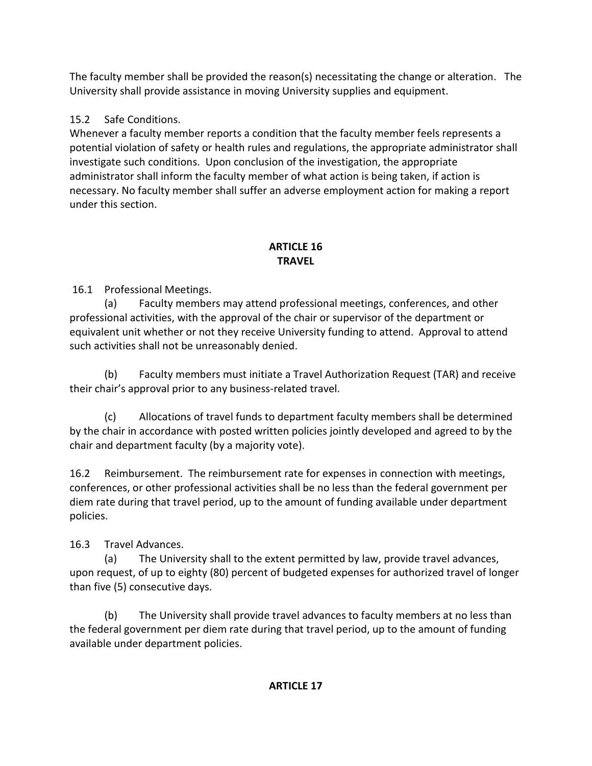The faculty member shall be provided the reason(s) necessitating the change or alteration. The University shall provide assistance in moving University supplies and equipment.

# 15.2 Safe Conditions.

Whenever a faculty member reports a condition that the faculty member feels represents a potential violation of safety or health rules and regulations, the appropriate administrator shall investigate such conditions. Upon conclusion of the investigation, the appropriate administrator shall inform the faculty member of what action is being taken, if action is necessary. No faculty member shall suffer an adverse employment action for making a report under this section.

## **ARTICLE 16 TRAVEL**

16.1 Professional Meetings.

(a) Faculty members may attend professional meetings, conferences, and other professional activities, with the approval of the chair or supervisor of the department or equivalent unit whether or not they receive University funding to attend. Approval to attend such activities shall not be unreasonably denied.

(b) Faculty members must initiate a Travel Authorization Request (TAR) and receive their chair's approval prior to any business-related travel.

(c) Allocations of travel funds to department faculty members shall be determined by the chair in accordance with posted written policies jointly developed and agreed to by the chair and department faculty (by a majority vote).

16.2 Reimbursement. The reimbursement rate for expenses in connection with meetings, conferences, or other professional activities shall be no less than the federal government per diem rate during that travel period, up to the amount of funding available under department policies.

16.3 Travel Advances.

(a) The University shall to the extent permitted by law, provide travel advances, upon request, of up to eighty (80) percent of budgeted expenses for authorized travel of longer than five (5) consecutive days.

(b) The University shall provide travel advances to faculty members at no less than the federal government per diem rate during that travel period, up to the amount of funding available under department policies.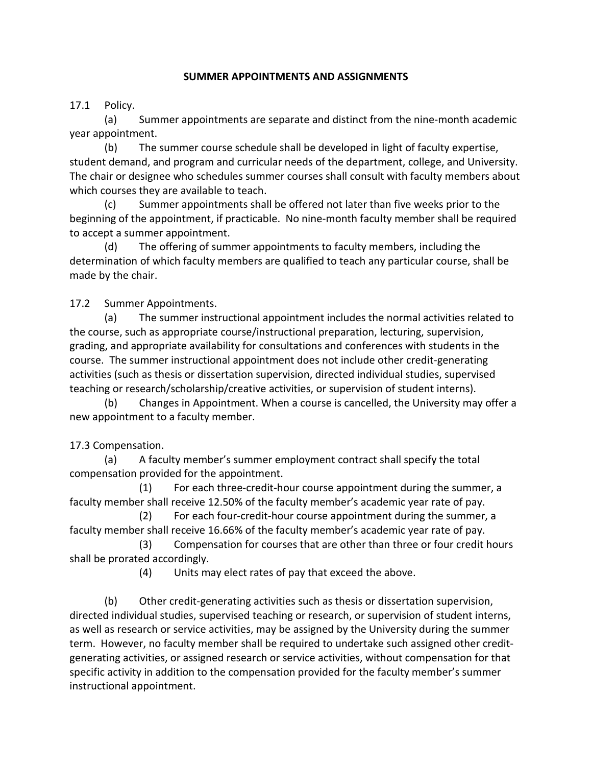#### **SUMMER APPOINTMENTS AND ASSIGNMENTS**

17.1 Policy.

(a) Summer appointments are separate and distinct from the nine-month academic year appointment.

(b) The summer course schedule shall be developed in light of faculty expertise, student demand, and program and curricular needs of the department, college, and University. The chair or designee who schedules summer courses shall consult with faculty members about which courses they are available to teach.

(c) Summer appointments shall be offered not later than five weeks prior to the beginning of the appointment, if practicable. No nine-month faculty member shall be required to accept a summer appointment.

(d) The offering of summer appointments to faculty members, including the determination of which faculty members are qualified to teach any particular course, shall be made by the chair.

17.2 Summer Appointments.

(a) The summer instructional appointment includes the normal activities related to the course, such as appropriate course/instructional preparation, lecturing, supervision, grading, and appropriate availability for consultations and conferences with students in the course. The summer instructional appointment does not include other credit-generating activities (such as thesis or dissertation supervision, directed individual studies, supervised teaching or research/scholarship/creative activities, or supervision of student interns).

(b) Changes in Appointment. When a course is cancelled, the University may offer a new appointment to a faculty member.

#### 17.3 Compensation.

(a) A faculty member's summer employment contract shall specify the total compensation provided for the appointment.

(1) For each three-credit-hour course appointment during the summer, a faculty member shall receive 12.50% of the faculty member's academic year rate of pay.

(2) For each four-credit-hour course appointment during the summer, a faculty member shall receive 16.66% of the faculty member's academic year rate of pay.

(3) Compensation for courses that are other than three or four credit hours shall be prorated accordingly.

(4) Units may elect rates of pay that exceed the above.

(b) Other credit-generating activities such as thesis or dissertation supervision, directed individual studies, supervised teaching or research, or supervision of student interns, as well as research or service activities, may be assigned by the University during the summer term. However, no faculty member shall be required to undertake such assigned other creditgenerating activities, or assigned research or service activities, without compensation for that specific activity in addition to the compensation provided for the faculty member's summer instructional appointment.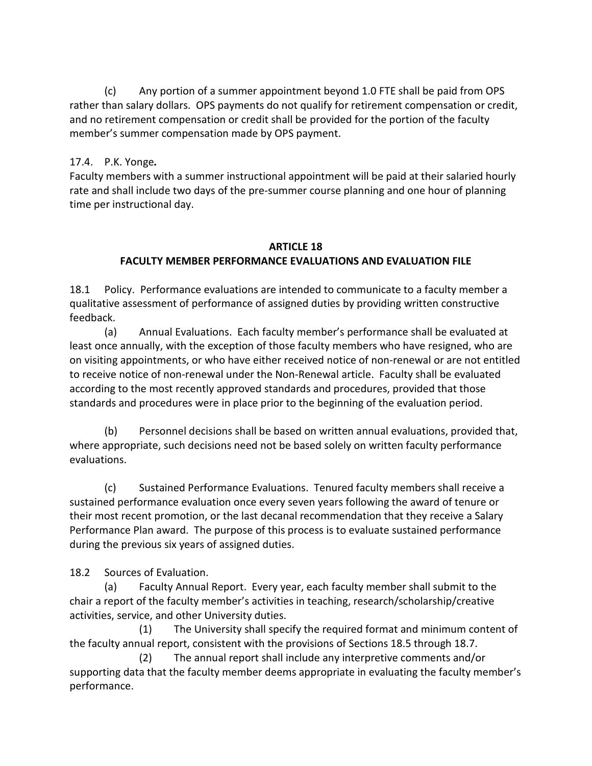(c) Any portion of a summer appointment beyond 1.0 FTE shall be paid from OPS rather than salary dollars. OPS payments do not qualify for retirement compensation or credit, and no retirement compensation or credit shall be provided for the portion of the faculty member's summer compensation made by OPS payment.

### 17.4. P.K. Yonge*.*

Faculty members with a summer instructional appointment will be paid at their salaried hourly rate and shall include two days of the pre-summer course planning and one hour of planning time per instructional day.

#### **ARTICLE 18 FACULTY MEMBER PERFORMANCE EVALUATIONS AND EVALUATION FILE**

18.1 Policy. Performance evaluations are intended to communicate to a faculty member a qualitative assessment of performance of assigned duties by providing written constructive feedback.

(a) Annual Evaluations. Each faculty member's performance shall be evaluated at least once annually, with the exception of those faculty members who have resigned, who are on visiting appointments, or who have either received notice of non-renewal or are not entitled to receive notice of non-renewal under the Non-Renewal article. Faculty shall be evaluated according to the most recently approved standards and procedures, provided that those standards and procedures were in place prior to the beginning of the evaluation period.

(b) Personnel decisions shall be based on written annual evaluations, provided that, where appropriate, such decisions need not be based solely on written faculty performance evaluations.

(c) Sustained Performance Evaluations. Tenured faculty members shall receive a sustained performance evaluation once every seven years following the award of tenure or their most recent promotion, or the last decanal recommendation that they receive a Salary Performance Plan award. The purpose of this process is to evaluate sustained performance during the previous six years of assigned duties.

18.2 Sources of Evaluation.

(a) Faculty Annual Report. Every year, each faculty member shall submit to the chair a report of the faculty member's activities in teaching, research/scholarship/creative activities, service, and other University duties.

 (1) The University shall specify the required format and minimum content of the faculty annual report, consistent with the provisions of Sections 18.5 through 18.7.

 (2) The annual report shall include any interpretive comments and/or supporting data that the faculty member deems appropriate in evaluating the faculty member's performance.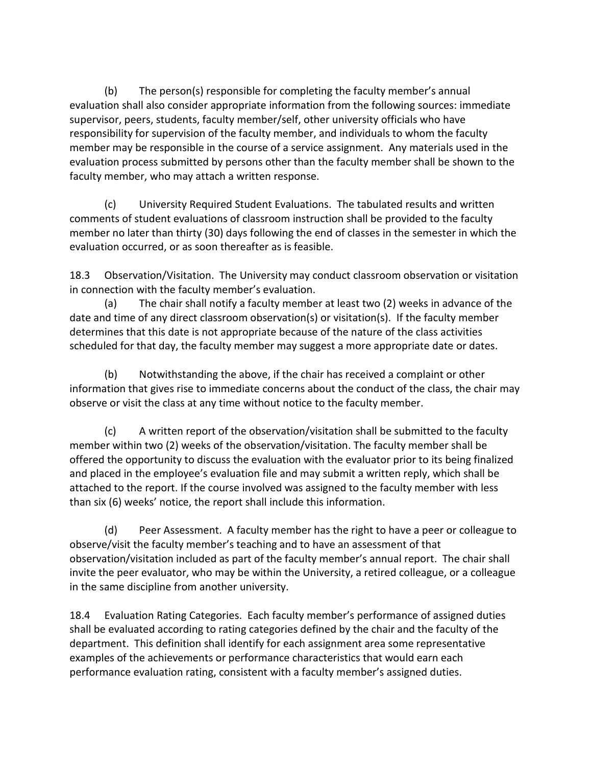(b) The person(s) responsible for completing the faculty member's annual evaluation shall also consider appropriate information from the following sources: immediate supervisor, peers, students, faculty member/self, other university officials who have responsibility for supervision of the faculty member, and individuals to whom the faculty member may be responsible in the course of a service assignment. Any materials used in the evaluation process submitted by persons other than the faculty member shall be shown to the faculty member, who may attach a written response.

(c) University Required Student Evaluations. The tabulated results and written comments of student evaluations of classroom instruction shall be provided to the faculty member no later than thirty (30) days following the end of classes in the semester in which the evaluation occurred, or as soon thereafter as is feasible.

18.3 Observation/Visitation. The University may conduct classroom observation or visitation in connection with the faculty member's evaluation.

(a) The chair shall notify a faculty member at least two (2) weeks in advance of the date and time of any direct classroom observation(s) or visitation(s). If the faculty member determines that this date is not appropriate because of the nature of the class activities scheduled for that day, the faculty member may suggest a more appropriate date or dates.

(b) Notwithstanding the above, if the chair has received a complaint or other information that gives rise to immediate concerns about the conduct of the class, the chair may observe or visit the class at any time without notice to the faculty member.

(c) A written report of the observation/visitation shall be submitted to the faculty member within two (2) weeks of the observation/visitation. The faculty member shall be offered the opportunity to discuss the evaluation with the evaluator prior to its being finalized and placed in the employee's evaluation file and may submit a written reply, which shall be attached to the report. If the course involved was assigned to the faculty member with less than six (6) weeks' notice, the report shall include this information.

(d) Peer Assessment. A faculty member has the right to have a peer or colleague to observe/visit the faculty member's teaching and to have an assessment of that observation/visitation included as part of the faculty member's annual report. The chair shall invite the peer evaluator, who may be within the University, a retired colleague, or a colleague in the same discipline from another university.

18.4 Evaluation Rating Categories. Each faculty member's performance of assigned duties shall be evaluated according to rating categories defined by the chair and the faculty of the department. This definition shall identify for each assignment area some representative examples of the achievements or performance characteristics that would earn each performance evaluation rating, consistent with a faculty member's assigned duties.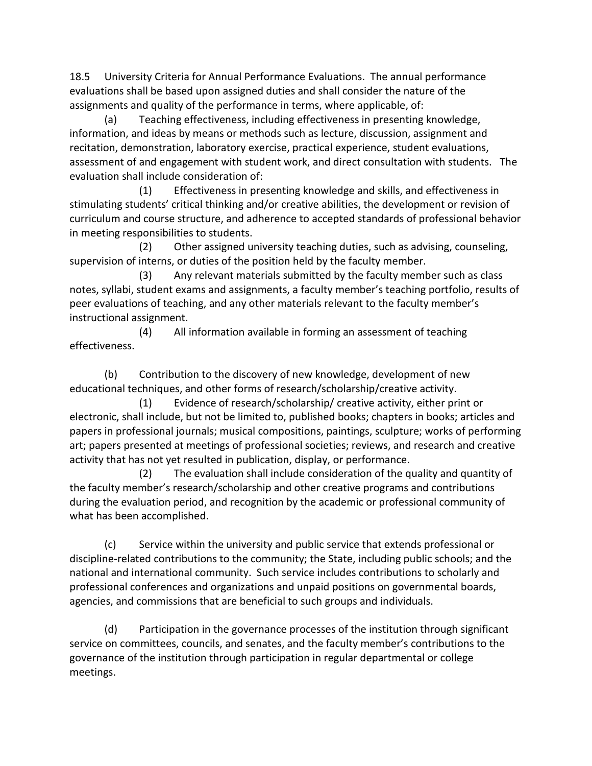18.5 University Criteria for Annual Performance Evaluations. The annual performance evaluations shall be based upon assigned duties and shall consider the nature of the assignments and quality of the performance in terms, where applicable, of:

(a) Teaching effectiveness, including effectiveness in presenting knowledge, information, and ideas by means or methods such as lecture, discussion, assignment and recitation, demonstration, laboratory exercise, practical experience, student evaluations, assessment of and engagement with student work, and direct consultation with students. The evaluation shall include consideration of:

 (1) Effectiveness in presenting knowledge and skills, and effectiveness in stimulating students' critical thinking and/or creative abilities, the development or revision of curriculum and course structure, and adherence to accepted standards of professional behavior in meeting responsibilities to students.

 (2) Other assigned university teaching duties, such as advising, counseling, supervision of interns, or duties of the position held by the faculty member.

 (3) Any relevant materials submitted by the faculty member such as class notes, syllabi, student exams and assignments, a faculty member's teaching portfolio, results of peer evaluations of teaching, and any other materials relevant to the faculty member's instructional assignment.

 (4) All information available in forming an assessment of teaching effectiveness.

(b) Contribution to the discovery of new knowledge, development of new educational techniques, and other forms of research/scholarship/creative activity.

 (1) Evidence of research/scholarship/ creative activity, either print or electronic, shall include, but not be limited to, published books; chapters in books; articles and papers in professional journals; musical compositions, paintings, sculpture; works of performing art; papers presented at meetings of professional societies; reviews, and research and creative activity that has not yet resulted in publication, display, or performance.

 (2) The evaluation shall include consideration of the quality and quantity of the faculty member's research/scholarship and other creative programs and contributions during the evaluation period, and recognition by the academic or professional community of what has been accomplished.

(c) Service within the university and public service that extends professional or discipline-related contributions to the community; the State, including public schools; and the national and international community. Such service includes contributions to scholarly and professional conferences and organizations and unpaid positions on governmental boards, agencies, and commissions that are beneficial to such groups and individuals.

(d) Participation in the governance processes of the institution through significant service on committees, councils, and senates, and the faculty member's contributions to the governance of the institution through participation in regular departmental or college meetings.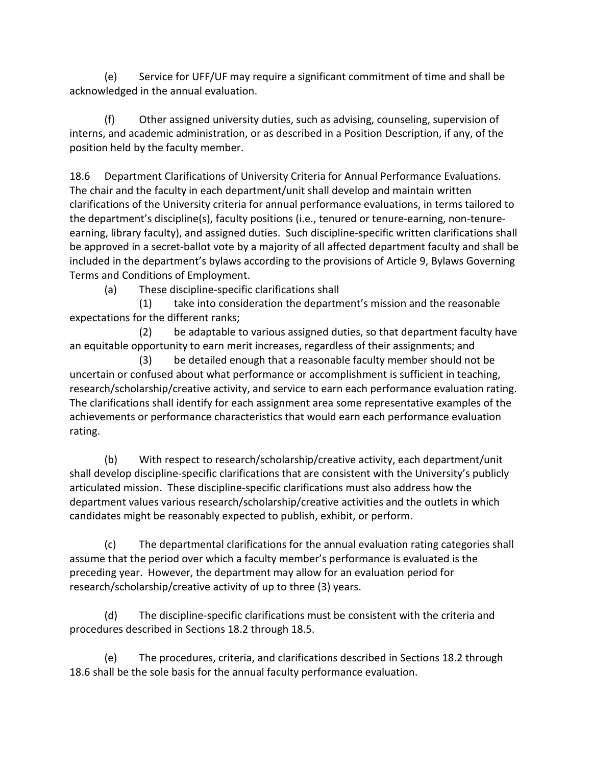(e) Service for UFF/UF may require a significant commitment of time and shall be acknowledged in the annual evaluation.

(f) Other assigned university duties, such as advising, counseling, supervision of interns, and academic administration, or as described in a Position Description, if any, of the position held by the faculty member.

18.6 Department Clarifications of University Criteria for Annual Performance Evaluations. The chair and the faculty in each department/unit shall develop and maintain written clarifications of the University criteria for annual performance evaluations, in terms tailored to the department's discipline(s), faculty positions (i.e., tenured or tenure-earning, non-tenureearning, library faculty), and assigned duties. Such discipline-specific written clarifications shall be approved in a secret-ballot vote by a majority of all affected department faculty and shall be included in the department's bylaws according to the provisions of Article 9, Bylaws Governing Terms and Conditions of Employment.

(a) These discipline-specific clarifications shall

 (1) take into consideration the department's mission and the reasonable expectations for the different ranks;

 (2) be adaptable to various assigned duties, so that department faculty have an equitable opportunity to earn merit increases, regardless of their assignments; and

 (3) be detailed enough that a reasonable faculty member should not be uncertain or confused about what performance or accomplishment is sufficient in teaching, research/scholarship/creative activity, and service to earn each performance evaluation rating. The clarifications shall identify for each assignment area some representative examples of the achievements or performance characteristics that would earn each performance evaluation rating.

(b) With respect to research/scholarship/creative activity, each department/unit shall develop discipline-specific clarifications that are consistent with the University's publicly articulated mission. These discipline-specific clarifications must also address how the department values various research/scholarship/creative activities and the outlets in which candidates might be reasonably expected to publish, exhibit, or perform.

(c) The departmental clarifications for the annual evaluation rating categories shall assume that the period over which a faculty member's performance is evaluated is the preceding year. However, the department may allow for an evaluation period for research/scholarship/creative activity of up to three (3) years.

(d) The discipline-specific clarifications must be consistent with the criteria and procedures described in Sections 18.2 through 18.5.

(e) The procedures, criteria, and clarifications described in Sections 18.2 through 18.6 shall be the sole basis for the annual faculty performance evaluation.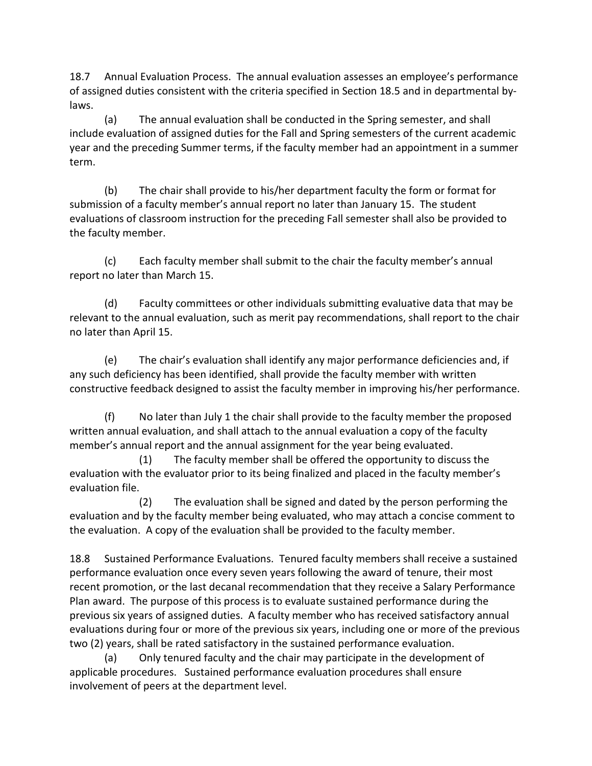18.7 Annual Evaluation Process. The annual evaluation assesses an employee's performance of assigned duties consistent with the criteria specified in Section 18.5 and in departmental bylaws.

(a) The annual evaluation shall be conducted in the Spring semester, and shall include evaluation of assigned duties for the Fall and Spring semesters of the current academic year and the preceding Summer terms, if the faculty member had an appointment in a summer term.

(b) The chair shall provide to his/her department faculty the form or format for submission of a faculty member's annual report no later than January 15. The student evaluations of classroom instruction for the preceding Fall semester shall also be provided to the faculty member.

(c) Each faculty member shall submit to the chair the faculty member's annual report no later than March 15.

(d) Faculty committees or other individuals submitting evaluative data that may be relevant to the annual evaluation, such as merit pay recommendations, shall report to the chair no later than April 15.

(e) The chair's evaluation shall identify any major performance deficiencies and, if any such deficiency has been identified, shall provide the faculty member with written constructive feedback designed to assist the faculty member in improving his/her performance.

(f) No later than July 1 the chair shall provide to the faculty member the proposed written annual evaluation, and shall attach to the annual evaluation a copy of the faculty member's annual report and the annual assignment for the year being evaluated.

 (1) The faculty member shall be offered the opportunity to discuss the evaluation with the evaluator prior to its being finalized and placed in the faculty member's evaluation file.

 (2) The evaluation shall be signed and dated by the person performing the evaluation and by the faculty member being evaluated, who may attach a concise comment to the evaluation. A copy of the evaluation shall be provided to the faculty member.

18.8 Sustained Performance Evaluations. Tenured faculty members shall receive a sustained performance evaluation once every seven years following the award of tenure, their most recent promotion, or the last decanal recommendation that they receive a Salary Performance Plan award. The purpose of this process is to evaluate sustained performance during the previous six years of assigned duties. A faculty member who has received satisfactory annual evaluations during four or more of the previous six years, including one or more of the previous two (2) years, shall be rated satisfactory in the sustained performance evaluation.

(a) Only tenured faculty and the chair may participate in the development of applicable procedures. Sustained performance evaluation procedures shall ensure involvement of peers at the department level.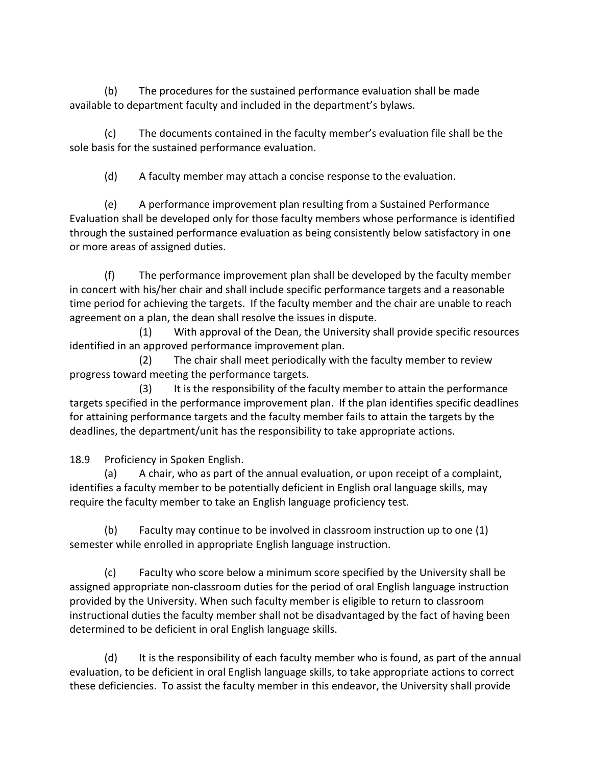(b) The procedures for the sustained performance evaluation shall be made available to department faculty and included in the department's bylaws.

(c) The documents contained in the faculty member's evaluation file shall be the sole basis for the sustained performance evaluation.

(d) A faculty member may attach a concise response to the evaluation.

(e) A performance improvement plan resulting from a Sustained Performance Evaluation shall be developed only for those faculty members whose performance is identified through the sustained performance evaluation as being consistently below satisfactory in one or more areas of assigned duties.

(f) The performance improvement plan shall be developed by the faculty member in concert with his/her chair and shall include specific performance targets and a reasonable time period for achieving the targets. If the faculty member and the chair are unable to reach agreement on a plan, the dean shall resolve the issues in dispute.

 (1) With approval of the Dean, the University shall provide specific resources identified in an approved performance improvement plan.

 (2) The chair shall meet periodically with the faculty member to review progress toward meeting the performance targets.

 (3) It is the responsibility of the faculty member to attain the performance targets specified in the performance improvement plan. If the plan identifies specific deadlines for attaining performance targets and the faculty member fails to attain the targets by the deadlines, the department/unit has the responsibility to take appropriate actions.

18.9 Proficiency in Spoken English.

 (a) A chair, who as part of the annual evaluation, or upon receipt of a complaint, identifies a faculty member to be potentially deficient in English oral language skills, may require the faculty member to take an English language proficiency test.

(b) Faculty may continue to be involved in classroom instruction up to one (1) semester while enrolled in appropriate English language instruction.

(c) Faculty who score below a minimum score specified by the University shall be assigned appropriate non-classroom duties for the period of oral English language instruction provided by the University. When such faculty member is eligible to return to classroom instructional duties the faculty member shall not be disadvantaged by the fact of having been determined to be deficient in oral English language skills.

(d) It is the responsibility of each faculty member who is found, as part of the annual evaluation, to be deficient in oral English language skills, to take appropriate actions to correct these deficiencies. To assist the faculty member in this endeavor, the University shall provide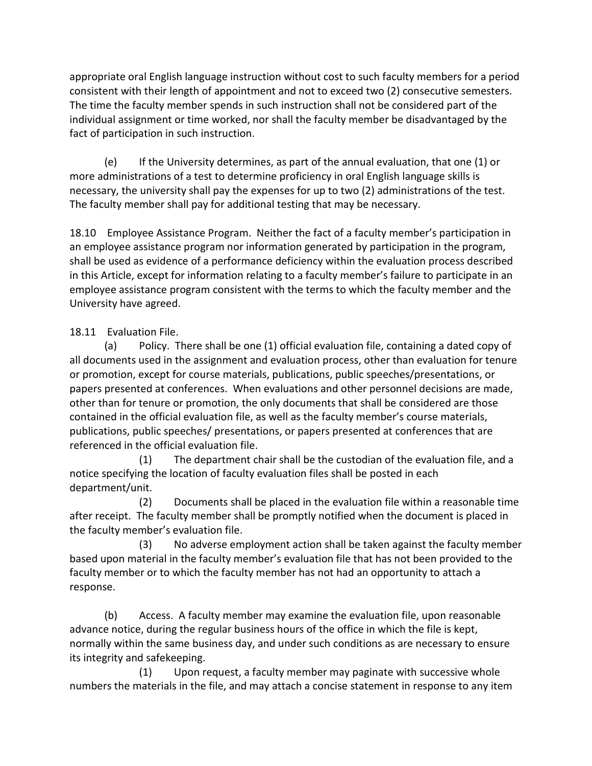appropriate oral English language instruction without cost to such faculty members for a period consistent with their length of appointment and not to exceed two (2) consecutive semesters. The time the faculty member spends in such instruction shall not be considered part of the individual assignment or time worked, nor shall the faculty member be disadvantaged by the fact of participation in such instruction.

(e) If the University determines, as part of the annual evaluation, that one (1) or more administrations of a test to determine proficiency in oral English language skills is necessary, the university shall pay the expenses for up to two (2) administrations of the test. The faculty member shall pay for additional testing that may be necessary.

18.10 Employee Assistance Program. Neither the fact of a faculty member's participation in an employee assistance program nor information generated by participation in the program, shall be used as evidence of a performance deficiency within the evaluation process described in this Article, except for information relating to a faculty member's failure to participate in an employee assistance program consistent with the terms to which the faculty member and the University have agreed.

# 18.11 Evaluation File.

(a) Policy. There shall be one (1) official evaluation file, containing a dated copy of all documents used in the assignment and evaluation process, other than evaluation for tenure or promotion, except for course materials, publications, public speeches/presentations, or papers presented at conferences. When evaluations and other personnel decisions are made, other than for tenure or promotion, the only documents that shall be considered are those contained in the official evaluation file, as well as the faculty member's course materials, publications, public speeches/ presentations, or papers presented at conferences that are referenced in the official evaluation file.

(1) The department chair shall be the custodian of the evaluation file, and a notice specifying the location of faculty evaluation files shall be posted in each department/unit.

(2) Documents shall be placed in the evaluation file within a reasonable time after receipt. The faculty member shall be promptly notified when the document is placed in the faculty member's evaluation file.

(3) No adverse employment action shall be taken against the faculty member based upon material in the faculty member's evaluation file that has not been provided to the faculty member or to which the faculty member has not had an opportunity to attach a response.

(b) Access. A faculty member may examine the evaluation file, upon reasonable advance notice, during the regular business hours of the office in which the file is kept, normally within the same business day, and under such conditions as are necessary to ensure its integrity and safekeeping.

(1) Upon request, a faculty member may paginate with successive whole numbers the materials in the file, and may attach a concise statement in response to any item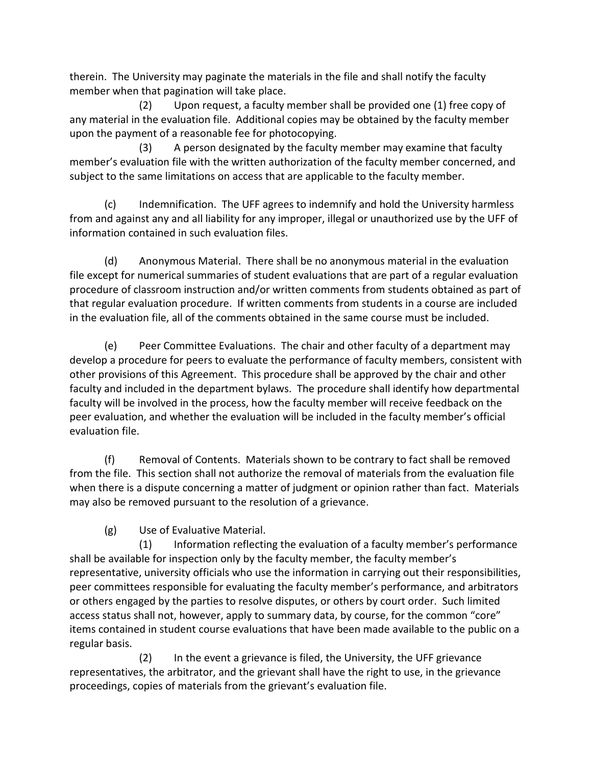therein. The University may paginate the materials in the file and shall notify the faculty member when that pagination will take place.

(2) Upon request, a faculty member shall be provided one (1) free copy of any material in the evaluation file. Additional copies may be obtained by the faculty member upon the payment of a reasonable fee for photocopying.

(3) A person designated by the faculty member may examine that faculty member's evaluation file with the written authorization of the faculty member concerned, and subject to the same limitations on access that are applicable to the faculty member.

(c) Indemnification. The UFF agrees to indemnify and hold the University harmless from and against any and all liability for any improper, illegal or unauthorized use by the UFF of information contained in such evaluation files.

(d) Anonymous Material. There shall be no anonymous material in the evaluation file except for numerical summaries of student evaluations that are part of a regular evaluation procedure of classroom instruction and/or written comments from students obtained as part of that regular evaluation procedure. If written comments from students in a course are included in the evaluation file, all of the comments obtained in the same course must be included.

(e) Peer Committee Evaluations. The chair and other faculty of a department may develop a procedure for peers to evaluate the performance of faculty members, consistent with other provisions of this Agreement. This procedure shall be approved by the chair and other faculty and included in the department bylaws. The procedure shall identify how departmental faculty will be involved in the process, how the faculty member will receive feedback on the peer evaluation, and whether the evaluation will be included in the faculty member's official evaluation file.

(f) Removal of Contents. Materials shown to be contrary to fact shall be removed from the file. This section shall not authorize the removal of materials from the evaluation file when there is a dispute concerning a matter of judgment or opinion rather than fact. Materials may also be removed pursuant to the resolution of a grievance.

(g) Use of Evaluative Material.

(1) Information reflecting the evaluation of a faculty member's performance shall be available for inspection only by the faculty member, the faculty member's representative, university officials who use the information in carrying out their responsibilities, peer committees responsible for evaluating the faculty member's performance, and arbitrators or others engaged by the parties to resolve disputes, or others by court order. Such limited access status shall not, however, apply to summary data, by course, for the common "core" items contained in student course evaluations that have been made available to the public on a regular basis.

(2) In the event a grievance is filed, the University, the UFF grievance representatives, the arbitrator, and the grievant shall have the right to use, in the grievance proceedings, copies of materials from the grievant's evaluation file.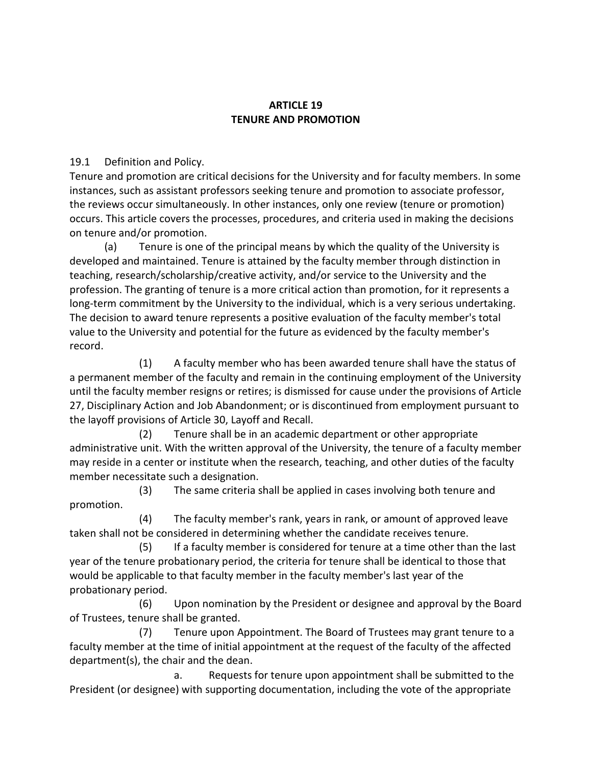### **ARTICLE 19 TENURE AND PROMOTION**

19.1 Definition and Policy.

Tenure and promotion are critical decisions for the University and for faculty members. In some instances, such as assistant professors seeking tenure and promotion to associate professor, the reviews occur simultaneously. In other instances, only one review (tenure or promotion) occurs. This article covers the processes, procedures, and criteria used in making the decisions on tenure and/or promotion.

(a) Tenure is one of the principal means by which the quality of the University is developed and maintained. Tenure is attained by the faculty member through distinction in teaching, research/scholarship/creative activity, and/or service to the University and the profession. The granting of tenure is a more critical action than promotion, for it represents a long-term commitment by the University to the individual, which is a very serious undertaking. The decision to award tenure represents a positive evaluation of the faculty member's total value to the University and potential for the future as evidenced by the faculty member's record.

(1) A faculty member who has been awarded tenure shall have the status of a permanent member of the faculty and remain in the continuing employment of the University until the faculty member resigns or retires; is dismissed for cause under the provisions of Article 27, Disciplinary Action and Job Abandonment; or is discontinued from employment pursuant to the layoff provisions of Article 30, Layoff and Recall.

(2) Tenure shall be in an academic department or other appropriate administrative unit. With the written approval of the University, the tenure of a faculty member may reside in a center or institute when the research, teaching, and other duties of the faculty member necessitate such a designation.

(3) The same criteria shall be applied in cases involving both tenure and promotion.

(4) The faculty member's rank, years in rank, or amount of approved leave taken shall not be considered in determining whether the candidate receives tenure.

(5) If a faculty member is considered for tenure at a time other than the last year of the tenure probationary period, the criteria for tenure shall be identical to those that would be applicable to that faculty member in the faculty member's last year of the probationary period.

(6) Upon nomination by the President or designee and approval by the Board of Trustees, tenure shall be granted.

(7) Tenure upon Appointment. The Board of Trustees may grant tenure to a faculty member at the time of initial appointment at the request of the faculty of the affected department(s), the chair and the dean.

a. Requests for tenure upon appointment shall be submitted to the President (or designee) with supporting documentation, including the vote of the appropriate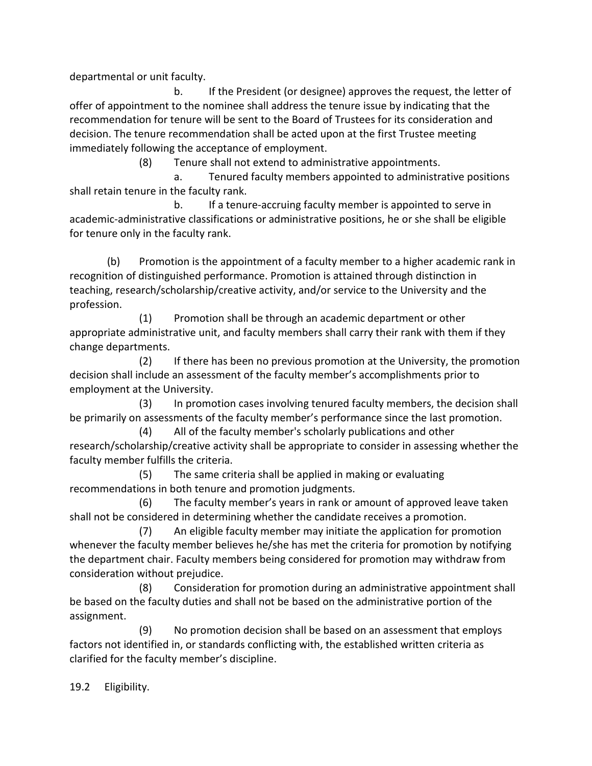departmental or unit faculty.

b. If the President (or designee) approves the request, the letter of offer of appointment to the nominee shall address the tenure issue by indicating that the recommendation for tenure will be sent to the Board of Trustees for its consideration and decision. The tenure recommendation shall be acted upon at the first Trustee meeting immediately following the acceptance of employment.

(8) Tenure shall not extend to administrative appointments.

a. Tenured faculty members appointed to administrative positions shall retain tenure in the faculty rank.

b. If a tenure-accruing faculty member is appointed to serve in academic-administrative classifications or administrative positions, he or she shall be eligible for tenure only in the faculty rank.

(b) Promotion is the appointment of a faculty member to a higher academic rank in recognition of distinguished performance. Promotion is attained through distinction in teaching, research/scholarship/creative activity, and/or service to the University and the profession.

(1) Promotion shall be through an academic department or other appropriate administrative unit, and faculty members shall carry their rank with them if they change departments.

(2) If there has been no previous promotion at the University, the promotion decision shall include an assessment of the faculty member's accomplishments prior to employment at the University.

(3) In promotion cases involving tenured faculty members, the decision shall be primarily on assessments of the faculty member's performance since the last promotion.

(4) All of the faculty member's scholarly publications and other research/scholarship/creative activity shall be appropriate to consider in assessing whether the faculty member fulfills the criteria.

(5) The same criteria shall be applied in making or evaluating recommendations in both tenure and promotion judgments.

(6) The faculty member's years in rank or amount of approved leave taken shall not be considered in determining whether the candidate receives a promotion.

(7) An eligible faculty member may initiate the application for promotion whenever the faculty member believes he/she has met the criteria for promotion by notifying the department chair. Faculty members being considered for promotion may withdraw from consideration without prejudice.

(8) Consideration for promotion during an administrative appointment shall be based on the faculty duties and shall not be based on the administrative portion of the assignment.

(9) No promotion decision shall be based on an assessment that employs factors not identified in, or standards conflicting with, the established written criteria as clarified for the faculty member's discipline.

19.2 Eligibility.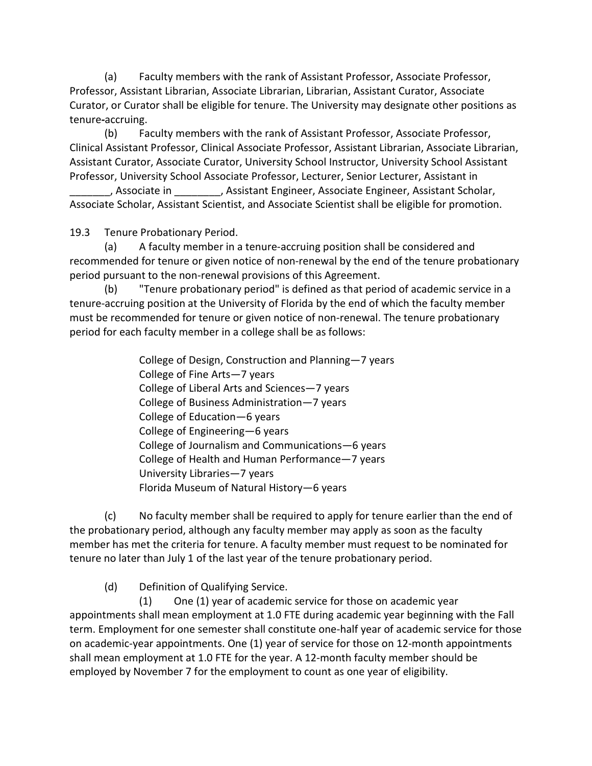(a) Faculty members with the rank of Assistant Professor, Associate Professor, Professor, Assistant Librarian, Associate Librarian, Librarian, Assistant Curator, Associate Curator, or Curator shall be eligible for tenure. The University may designate other positions as tenure*-*accruing.

(b) Faculty members with the rank of Assistant Professor, Associate Professor, Clinical Assistant Professor, Clinical Associate Professor, Assistant Librarian, Associate Librarian, Assistant Curator, Associate Curator, University School Instructor, University School Assistant Professor, University School Associate Professor, Lecturer, Senior Lecturer, Assistant in

\_\_\_\_\_\_\_, Associate in \_\_\_\_\_\_\_\_, Assistant Engineer, Associate Engineer, Assistant Scholar, Associate Scholar, Assistant Scientist, and Associate Scientist shall be eligible for promotion.

19.3 Tenure Probationary Period.

(a) A faculty member in a tenure-accruing position shall be considered and recommended for tenure or given notice of non-renewal by the end of the tenure probationary period pursuant to the non-renewal provisions of this Agreement.

(b) "Tenure probationary period" is defined as that period of academic service in a tenure-accruing position at the University of Florida by the end of which the faculty member must be recommended for tenure or given notice of non-renewal. The tenure probationary period for each faculty member in a college shall be as follows:

> College of Design, Construction and Planning—7 years College of Fine Arts—7 years College of Liberal Arts and Sciences—7 years College of Business Administration—7 years College of Education—6 years College of Engineering—6 years College of Journalism and Communications—6 years College of Health and Human Performance—7 years University Libraries—7 years Florida Museum of Natural History—6 years

(c) No faculty member shall be required to apply for tenure earlier than the end of the probationary period, although any faculty member may apply as soon as the faculty member has met the criteria for tenure. A faculty member must request to be nominated for tenure no later than July 1 of the last year of the tenure probationary period.

(d) Definition of Qualifying Service.

(1) One (1) year of academic service for those on academic year appointments shall mean employment at 1.0 FTE during academic year beginning with the Fall term. Employment for one semester shall constitute one-half year of academic service for those on academic-year appointments. One (1) year of service for those on 12-month appointments shall mean employment at 1.0 FTE for the year. A 12-month faculty member should be employed by November 7 for the employment to count as one year of eligibility.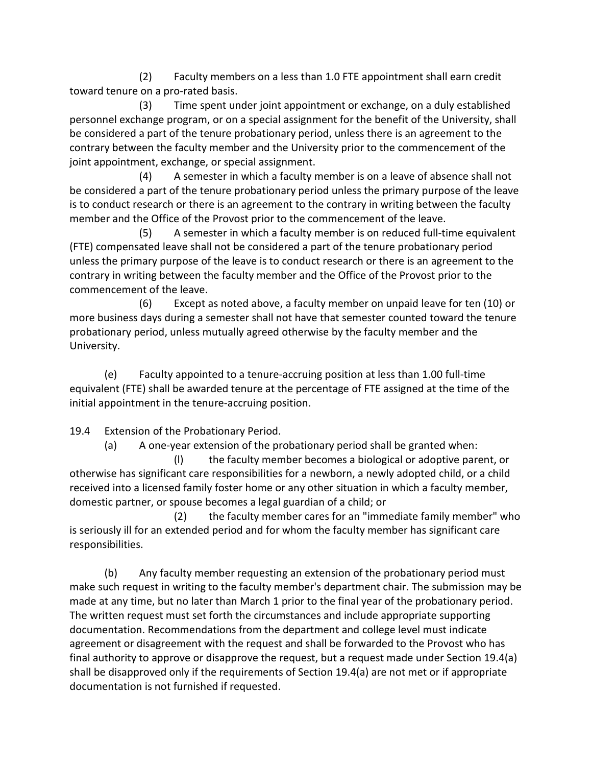(2) Faculty members on a less than 1.0 FTE appointment shall earn credit toward tenure on a pro-rated basis.

(3) Time spent under joint appointment or exchange, on a duly established personnel exchange program, or on a special assignment for the benefit of the University, shall be considered a part of the tenure probationary period, unless there is an agreement to the contrary between the faculty member and the University prior to the commencement of the joint appointment, exchange, or special assignment.

(4) A semester in which a faculty member is on a leave of absence shall not be considered a part of the tenure probationary period unless the primary purpose of the leave is to conduct research or there is an agreement to the contrary in writing between the faculty member and the Office of the Provost prior to the commencement of the leave.

(5) A semester in which a faculty member is on reduced full-time equivalent (FTE) compensated leave shall not be considered a part of the tenure probationary period unless the primary purpose of the leave is to conduct research or there is an agreement to the contrary in writing between the faculty member and the Office of the Provost prior to the commencement of the leave.

(6) Except as noted above, a faculty member on unpaid leave for ten (10) or more business days during a semester shall not have that semester counted toward the tenure probationary period, unless mutually agreed otherwise by the faculty member and the University.

(e) Faculty appointed to a tenure-accruing position at less than 1.00 full-time equivalent (FTE) shall be awarded tenure at the percentage of FTE assigned at the time of the initial appointment in the tenure-accruing position.

19.4 Extension of the Probationary Period.

(a) A one-year extension of the probationary period shall be granted when:

(l) the faculty member becomes a biological or adoptive parent, or otherwise has significant care responsibilities for a newborn, a newly adopted child, or a child received into a licensed family foster home or any other situation in which a faculty member, domestic partner, or spouse becomes a legal guardian of a child; or

(2) the faculty member cares for an "immediate family member" who is seriously ill for an extended period and for whom the faculty member has significant care responsibilities.

(b) Any faculty member requesting an extension of the probationary period must make such request in writing to the faculty member's department chair. The submission may be made at any time, but no later than March 1 prior to the final year of the probationary period. The written request must set forth the circumstances and include appropriate supporting documentation. Recommendations from the department and college level must indicate agreement or disagreement with the request and shall be forwarded to the Provost who has final authority to approve or disapprove the request, but a request made under Section 19.4(a) shall be disapproved only if the requirements of Section 19.4(a) are not met or if appropriate documentation is not furnished if requested.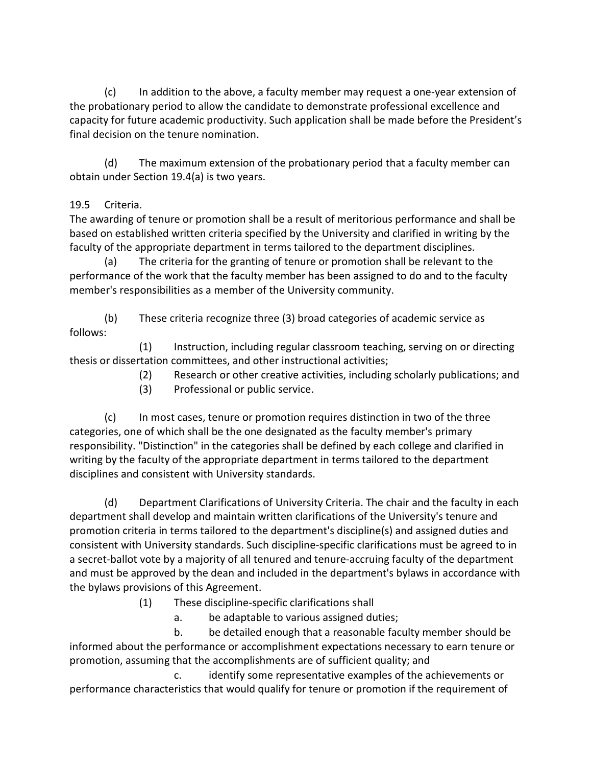(c) In addition to the above, a faculty member may request a one-year extension of the probationary period to allow the candidate to demonstrate professional excellence and capacity for future academic productivity. Such application shall be made before the President's final decision on the tenure nomination.

(d) The maximum extension of the probationary period that a faculty member can obtain under Section 19.4(a) is two years.

# 19.5 Criteria.

The awarding of tenure or promotion shall be a result of meritorious performance and shall be based on established written criteria specified by the University and clarified in writing by the faculty of the appropriate department in terms tailored to the department disciplines.

(a) The criteria for the granting of tenure or promotion shall be relevant to the performance of the work that the faculty member has been assigned to do and to the faculty member's responsibilities as a member of the University community.

(b) These criteria recognize three (3) broad categories of academic service as follows:

(1) Instruction, including regular classroom teaching, serving on or directing thesis or dissertation committees, and other instructional activities;

(2) Research or other creative activities, including scholarly publications; and

(3) Professional or public service.

(c) In most cases, tenure or promotion requires distinction in two of the three categories, one of which shall be the one designated as the faculty member's primary responsibility. "Distinction" in the categories shall be defined by each college and clarified in writing by the faculty of the appropriate department in terms tailored to the department disciplines and consistent with University standards.

(d) Department Clarifications of University Criteria. The chair and the faculty in each department shall develop and maintain written clarifications of the University's tenure and promotion criteria in terms tailored to the department's discipline(s) and assigned duties and consistent with University standards. Such discipline-specific clarifications must be agreed to in a secret-ballot vote by a majority of all tenured and tenure-accruing faculty of the department and must be approved by the dean and included in the department's bylaws in accordance with the bylaws provisions of this Agreement.

(1) These discipline-specific clarifications shall

a. be adaptable to various assigned duties;

b. be detailed enough that a reasonable faculty member should be informed about the performance or accomplishment expectations necessary to earn tenure or promotion, assuming that the accomplishments are of sufficient quality; and

c. identify some representative examples of the achievements or performance characteristics that would qualify for tenure or promotion if the requirement of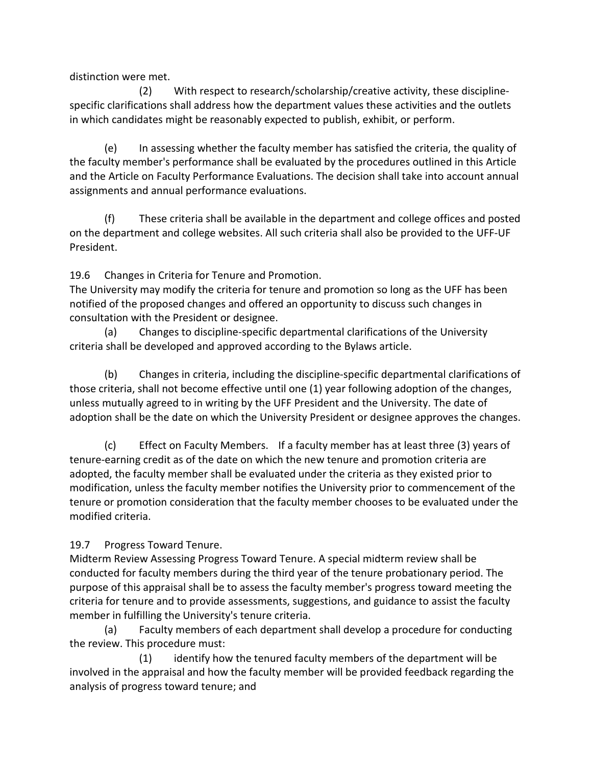distinction were met.

(2) With respect to research/scholarship/creative activity, these disciplinespecific clarifications shall address how the department values these activities and the outlets in which candidates might be reasonably expected to publish, exhibit, or perform.

(e) In assessing whether the faculty member has satisfied the criteria, the quality of the faculty member's performance shall be evaluated by the procedures outlined in this Article and the Article on Faculty Performance Evaluations. The decision shall take into account annual assignments and annual performance evaluations.

(f) These criteria shall be available in the department and college offices and posted on the department and college websites. All such criteria shall also be provided to the UFF-UF President.

19.6 Changes in Criteria for Tenure and Promotion.

The University may modify the criteria for tenure and promotion so long as the UFF has been notified of the proposed changes and offered an opportunity to discuss such changes in consultation with the President or designee.

(a) Changes to discipline-specific departmental clarifications of the University criteria shall be developed and approved according to the Bylaws article.

(b) Changes in criteria, including the discipline-specific departmental clarifications of those criteria, shall not become effective until one (1) year following adoption of the changes, unless mutually agreed to in writing by the UFF President and the University. The date of adoption shall be the date on which the University President or designee approves the changes.

(c) Effect on Faculty Members. If a faculty member has at least three (3) years of tenure-earning credit as of the date on which the new tenure and promotion criteria are adopted, the faculty member shall be evaluated under the criteria as they existed prior to modification, unless the faculty member notifies the University prior to commencement of the tenure or promotion consideration that the faculty member chooses to be evaluated under the modified criteria.

19.7 Progress Toward Tenure.

Midterm Review Assessing Progress Toward Tenure. A special midterm review shall be conducted for faculty members during the third year of the tenure probationary period. The purpose of this appraisal shall be to assess the faculty member's progress toward meeting the criteria for tenure and to provide assessments, suggestions, and guidance to assist the faculty member in fulfilling the University's tenure criteria.

(a) Faculty members of each department shall develop a procedure for conducting the review. This procedure must:

(1) identify how the tenured faculty members of the department will be involved in the appraisal and how the faculty member will be provided feedback regarding the analysis of progress toward tenure; and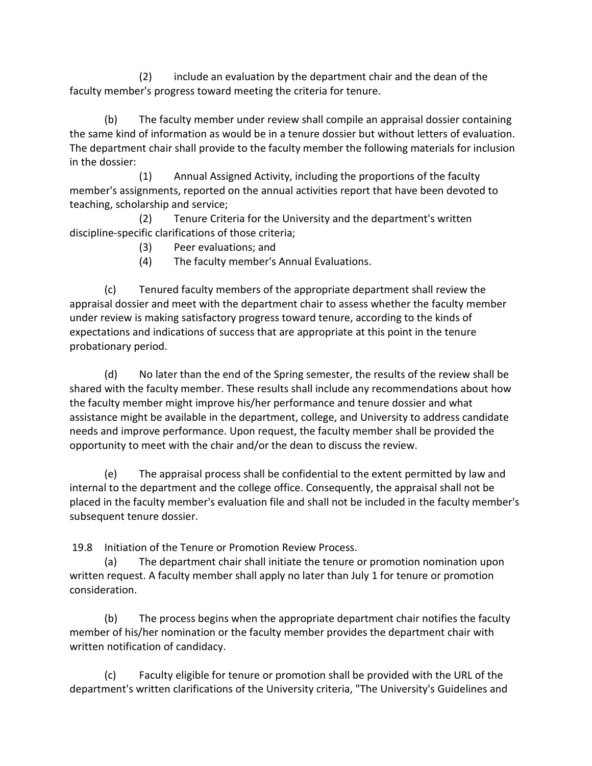(2) include an evaluation by the department chair and the dean of the faculty member's progress toward meeting the criteria for tenure.

(b) The faculty member under review shall compile an appraisal dossier containing the same kind of information as would be in a tenure dossier but without letters of evaluation. The department chair shall provide to the faculty member the following materials for inclusion in the dossier:

(1) Annual Assigned Activity, including the proportions of the faculty member's assignments, reported on the annual activities report that have been devoted to teaching, scholarship and service;

(2) Tenure Criteria for the University and the department's written discipline-specific clarifications of those criteria;

- (3) Peer evaluations; and
- (4) The faculty member's Annual Evaluations.

(c) Tenured faculty members of the appropriate department shall review the appraisal dossier and meet with the department chair to assess whether the faculty member under review is making satisfactory progress toward tenure, according to the kinds of expectations and indications of success that are appropriate at this point in the tenure probationary period.

(d) No later than the end of the Spring semester, the results of the review shall be shared with the faculty member. These results shall include any recommendations about how the faculty member might improve his/her performance and tenure dossier and what assistance might be available in the department, college, and University to address candidate needs and improve performance. Upon request, the faculty member shall be provided the opportunity to meet with the chair and/or the dean to discuss the review.

(e) The appraisal process shall be confidential to the extent permitted by law and internal to the department and the college office. Consequently, the appraisal shall not be placed in the faculty member's evaluation file and shall not be included in the faculty member's subsequent tenure dossier.

19.8 Initiation of the Tenure or Promotion Review Process.

(a) The department chair shall initiate the tenure or promotion nomination upon written request. A faculty member shall apply no later than July 1 for tenure or promotion consideration.

(b) The process begins when the appropriate department chair notifies the faculty member of his/her nomination or the faculty member provides the department chair with written notification of candidacy.

(c) Faculty eligible for tenure or promotion shall be provided with the URL of the department's written clarifications of the University criteria, "The University's Guidelines and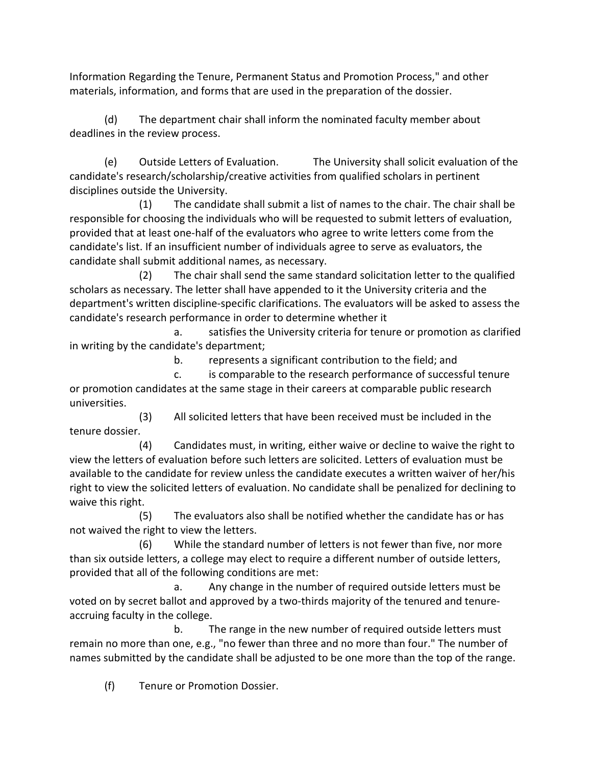Information Regarding the Tenure, Permanent Status and Promotion Process," and other materials, information, and forms that are used in the preparation of the dossier.

(d) The department chair shall inform the nominated faculty member about deadlines in the review process.

(e) Outside Letters of Evaluation. The University shall solicit evaluation of the candidate's research/scholarship/creative activities from qualified scholars in pertinent disciplines outside the University.

(1) The candidate shall submit a list of names to the chair. The chair shall be responsible for choosing the individuals who will be requested to submit letters of evaluation, provided that at least one-half of the evaluators who agree to write letters come from the candidate's list. If an insufficient number of individuals agree to serve as evaluators, the candidate shall submit additional names, as necessary.

(2) The chair shall send the same standard solicitation letter to the qualified scholars as necessary. The letter shall have appended to it the University criteria and the department's written discipline-specific clarifications. The evaluators will be asked to assess the candidate's research performance in order to determine whether it

a. satisfies the University criteria for tenure or promotion as clarified in writing by the candidate's department;

b. represents a significant contribution to the field; and

c. is comparable to the research performance of successful tenure or promotion candidates at the same stage in their careers at comparable public research universities.

(3) All solicited letters that have been received must be included in the tenure dossier.

(4) Candidates must, in writing, either waive or decline to waive the right to view the letters of evaluation before such letters are solicited. Letters of evaluation must be available to the candidate for review unless the candidate executes a written waiver of her/his right to view the solicited letters of evaluation. No candidate shall be penalized for declining to waive this right.

(5) The evaluators also shall be notified whether the candidate has or has not waived the right to view the letters.

(6) While the standard number of letters is not fewer than five, nor more than six outside letters, a college may elect to require a different number of outside letters, provided that all of the following conditions are met:

a. Any change in the number of required outside letters must be voted on by secret ballot and approved by a two-thirds majority of the tenured and tenureaccruing faculty in the college.

b. The range in the new number of required outside letters must remain no more than one, e.g., "no fewer than three and no more than four." The number of names submitted by the candidate shall be adjusted to be one more than the top of the range.

(f) Tenure or Promotion Dossier.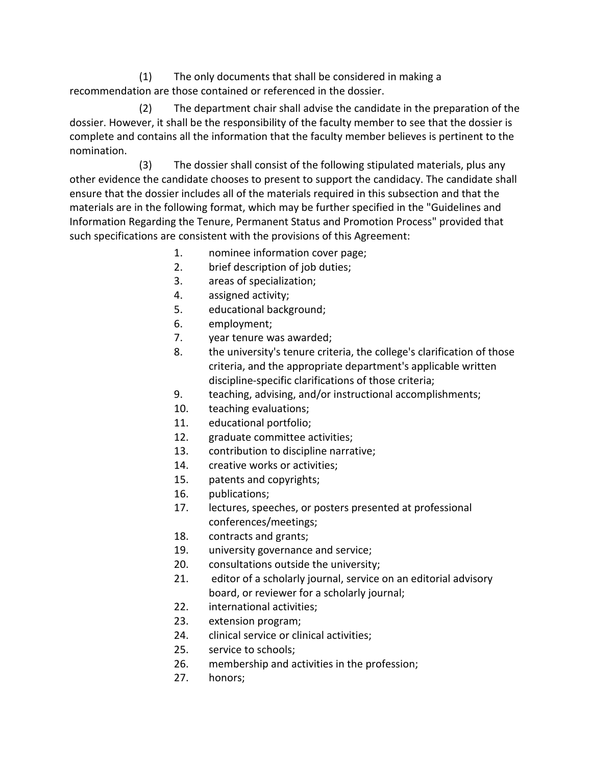(1) The only documents that shall be considered in making a recommendation are those contained or referenced in the dossier.

(2) The department chair shall advise the candidate in the preparation of the dossier. However, it shall be the responsibility of the faculty member to see that the dossier is complete and contains all the information that the faculty member believes is pertinent to the nomination.

(3) The dossier shall consist of the following stipulated materials, plus any other evidence the candidate chooses to present to support the candidacy. The candidate shall ensure that the dossier includes all of the materials required in this subsection and that the materials are in the following format, which may be further specified in the "Guidelines and Information Regarding the Tenure, Permanent Status and Promotion Process" provided that such specifications are consistent with the provisions of this Agreement:

- 1. nominee information cover page;
- 2. brief description of job duties;
- 3. areas of specialization;
- 4. assigned activity;
- 5. educational background;
- 6. employment;
- 7. year tenure was awarded;
- 8. the university's tenure criteria, the college's clarification of those criteria, and the appropriate department's applicable written discipline-specific clarifications of those criteria;
- 9. teaching, advising, and/or instructional accomplishments;
- 10. teaching evaluations;
- 11. educational portfolio;
- 12. graduate committee activities;
- 13. contribution to discipline narrative;
- 14. creative works or activities;
- 15. patents and copyrights;
- 16. publications;
- 17. lectures, speeches, or posters presented at professional conferences/meetings;
- 18. contracts and grants;
- 19. university governance and service;
- 20. consultations outside the university;
- 21. editor of a scholarly journal, service on an editorial advisory board, or reviewer for a scholarly journal;
- 22. international activities;
- 23. extension program;
- 24. clinical service or clinical activities;
- 25. service to schools;
- 26. membership and activities in the profession;
- 27. honors;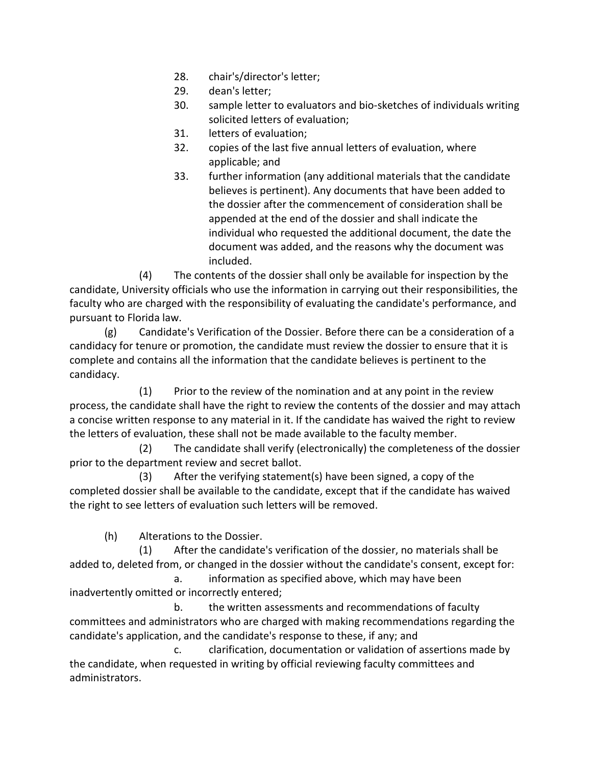- 28. chair's/director's letter;
- 29. dean's letter;
- 30. sample letter to evaluators and bio-sketches of individuals writing solicited letters of evaluation;
- 31. letters of evaluation;
- 32. copies of the last five annual letters of evaluation, where applicable; and
- 33. further information (any additional materials that the candidate believes is pertinent). Any documents that have been added to the dossier after the commencement of consideration shall be appended at the end of the dossier and shall indicate the individual who requested the additional document, the date the document was added, and the reasons why the document was included.

(4) The contents of the dossier shall only be available for inspection by the candidate, University officials who use the information in carrying out their responsibilities, the faculty who are charged with the responsibility of evaluating the candidate's performance, and pursuant to Florida law.

(g) Candidate's Verification of the Dossier. Before there can be a consideration of a candidacy for tenure or promotion, the candidate must review the dossier to ensure that it is complete and contains all the information that the candidate believes is pertinent to the candidacy.

(1) Prior to the review of the nomination and at any point in the review process, the candidate shall have the right to review the contents of the dossier and may attach a concise written response to any material in it. If the candidate has waived the right to review the letters of evaluation, these shall not be made available to the faculty member.

(2) The candidate shall verify (electronically) the completeness of the dossier prior to the department review and secret ballot.

(3) After the verifying statement(s) have been signed, a copy of the completed dossier shall be available to the candidate, except that if the candidate has waived the right to see letters of evaluation such letters will be removed.

(h) Alterations to the Dossier.

(1) After the candidate's verification of the dossier, no materials shall be added to, deleted from, or changed in the dossier without the candidate's consent, except for:

a. information as specified above, which may have been inadvertently omitted or incorrectly entered;

b. the written assessments and recommendations of faculty committees and administrators who are charged with making recommendations regarding the candidate's application, and the candidate's response to these, if any; and

c. clarification, documentation or validation of assertions made by the candidate, when requested in writing by official reviewing faculty committees and administrators.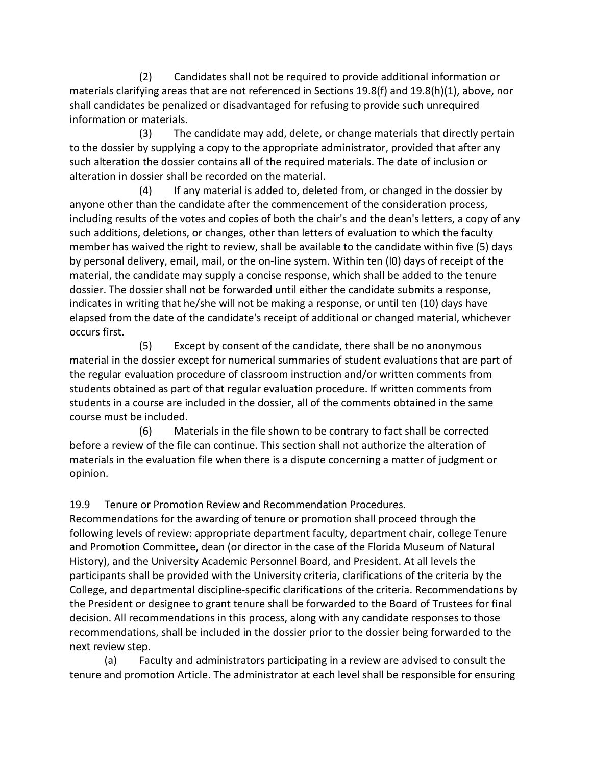(2) Candidates shall not be required to provide additional information or materials clarifying areas that are not referenced in Sections 19.8(f) and 19.8(h)(1), above, nor shall candidates be penalized or disadvantaged for refusing to provide such unrequired information or materials.

(3) The candidate may add, delete, or change materials that directly pertain to the dossier by supplying a copy to the appropriate administrator, provided that after any such alteration the dossier contains all of the required materials. The date of inclusion or alteration in dossier shall be recorded on the material.

(4) If any material is added to, deleted from, or changed in the dossier by anyone other than the candidate after the commencement of the consideration process, including results of the votes and copies of both the chair's and the dean's letters, a copy of any such additions, deletions, or changes, other than letters of evaluation to which the faculty member has waived the right to review, shall be available to the candidate within five (5) days by personal delivery, email, mail, or the on-line system. Within ten (l0) days of receipt of the material, the candidate may supply a concise response, which shall be added to the tenure dossier. The dossier shall not be forwarded until either the candidate submits a response, indicates in writing that he/she will not be making a response, or until ten (10) days have elapsed from the date of the candidate's receipt of additional or changed material, whichever occurs first.

(5) Except by consent of the candidate, there shall be no anonymous material in the dossier except for numerical summaries of student evaluations that are part of the regular evaluation procedure of classroom instruction and/or written comments from students obtained as part of that regular evaluation procedure. If written comments from students in a course are included in the dossier, all of the comments obtained in the same course must be included.

(6) Materials in the file shown to be contrary to fact shall be corrected before a review of the file can continue. This section shall not authorize the alteration of materials in the evaluation file when there is a dispute concerning a matter of judgment or opinion.

19.9 Tenure or Promotion Review and Recommendation Procedures.

Recommendations for the awarding of tenure or promotion shall proceed through the following levels of review: appropriate department faculty, department chair, college Tenure and Promotion Committee, dean (or director in the case of the Florida Museum of Natural History), and the University Academic Personnel Board, and President. At all levels the participants shall be provided with the University criteria, clarifications of the criteria by the College, and departmental discipline-specific clarifications of the criteria. Recommendations by the President or designee to grant tenure shall be forwarded to the Board of Trustees for final decision. All recommendations in this process, along with any candidate responses to those recommendations, shall be included in the dossier prior to the dossier being forwarded to the next review step.

(a) Faculty and administrators participating in a review are advised to consult the tenure and promotion Article. The administrator at each level shall be responsible for ensuring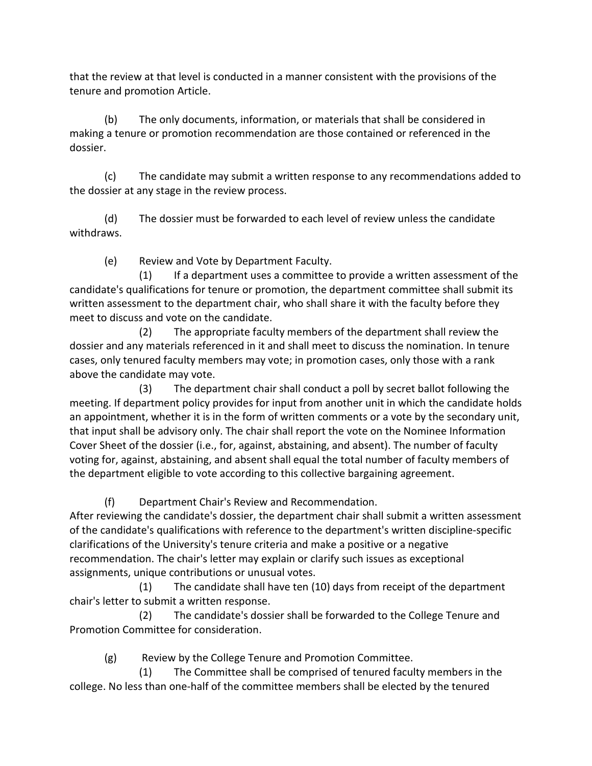that the review at that level is conducted in a manner consistent with the provisions of the tenure and promotion Article.

(b) The only documents, information, or materials that shall be considered in making a tenure or promotion recommendation are those contained or referenced in the dossier.

(c) The candidate may submit a written response to any recommendations added to the dossier at any stage in the review process.

(d) The dossier must be forwarded to each level of review unless the candidate withdraws.

(e) Review and Vote by Department Faculty.

(1) If a department uses a committee to provide a written assessment of the candidate's qualifications for tenure or promotion, the department committee shall submit its written assessment to the department chair, who shall share it with the faculty before they meet to discuss and vote on the candidate.

(2) The appropriate faculty members of the department shall review the dossier and any materials referenced in it and shall meet to discuss the nomination. In tenure cases, only tenured faculty members may vote; in promotion cases, only those with a rank above the candidate may vote.

(3) The department chair shall conduct a poll by secret ballot following the meeting. If department policy provides for input from another unit in which the candidate holds an appointment, whether it is in the form of written comments or a vote by the secondary unit, that input shall be advisory only. The chair shall report the vote on the Nominee Information Cover Sheet of the dossier (i.e., for, against, abstaining, and absent). The number of faculty voting for, against, abstaining, and absent shall equal the total number of faculty members of the department eligible to vote according to this collective bargaining agreement.

(f) Department Chair's Review and Recommendation.

After reviewing the candidate's dossier, the department chair shall submit a written assessment of the candidate's qualifications with reference to the department's written discipline-specific clarifications of the University's tenure criteria and make a positive or a negative recommendation. The chair's letter may explain or clarify such issues as exceptional assignments, unique contributions or unusual votes.

(1) The candidate shall have ten (10) days from receipt of the department chair's letter to submit a written response.

(2) The candidate's dossier shall be forwarded to the College Tenure and Promotion Committee for consideration.

(g) Review by the College Tenure and Promotion Committee.

(1) The Committee shall be comprised of tenured faculty members in the college. No less than one-half of the committee members shall be elected by the tenured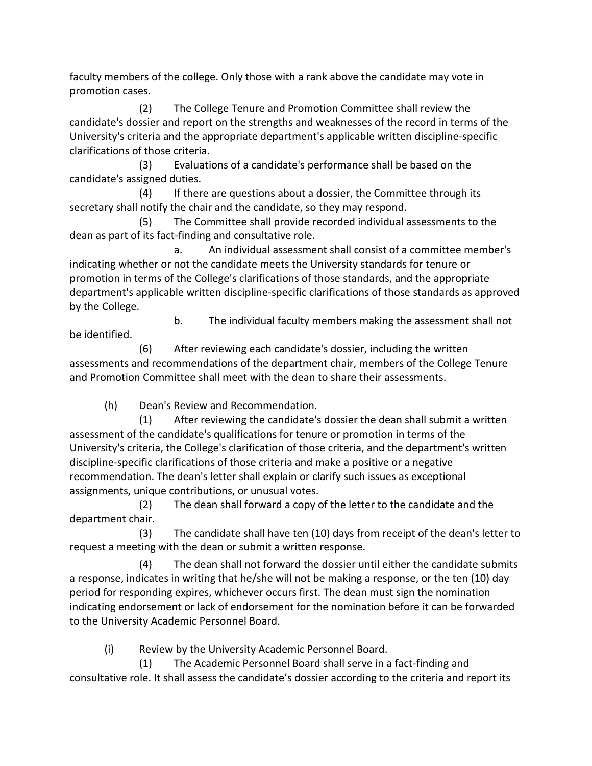faculty members of the college. Only those with a rank above the candidate may vote in promotion cases.

(2) The College Tenure and Promotion Committee shall review the candidate's dossier and report on the strengths and weaknesses of the record in terms of the University's criteria and the appropriate department's applicable written discipline-specific clarifications of those criteria.

(3) Evaluations of a candidate's performance shall be based on the candidate's assigned duties.

(4) If there are questions about a dossier, the Committee through its secretary shall notify the chair and the candidate, so they may respond.

(5) The Committee shall provide recorded individual assessments to the dean as part of its fact-finding and consultative role.

a. An individual assessment shall consist of a committee member's indicating whether or not the candidate meets the University standards for tenure or promotion in terms of the College's clarifications of those standards, and the appropriate department's applicable written discipline-specific clarifications of those standards as approved by the College.

be identified.

b. The individual faculty members making the assessment shall not

(6) After reviewing each candidate's dossier, including the written assessments and recommendations of the department chair, members of the College Tenure and Promotion Committee shall meet with the dean to share their assessments.

(h) Dean's Review and Recommendation.

(1) After reviewing the candidate's dossier the dean shall submit a written assessment of the candidate's qualifications for tenure or promotion in terms of the University's criteria, the College's clarification of those criteria, and the department's written discipline-specific clarifications of those criteria and make a positive or a negative recommendation. The dean's letter shall explain or clarify such issues as exceptional assignments, unique contributions, or unusual votes.

(2) The dean shall forward a copy of the letter to the candidate and the department chair.

(3) The candidate shall have ten (10) days from receipt of the dean's letter to request a meeting with the dean or submit a written response.

(4) The dean shall not forward the dossier until either the candidate submits a response, indicates in writing that he/she will not be making a response, or the ten (10) day period for responding expires, whichever occurs first. The dean must sign the nomination indicating endorsement or lack of endorsement for the nomination before it can be forwarded to the University Academic Personnel Board.

(i) Review by the University Academic Personnel Board.

(1) The Academic Personnel Board shall serve in a fact-finding and consultative role. It shall assess the candidate's dossier according to the criteria and report its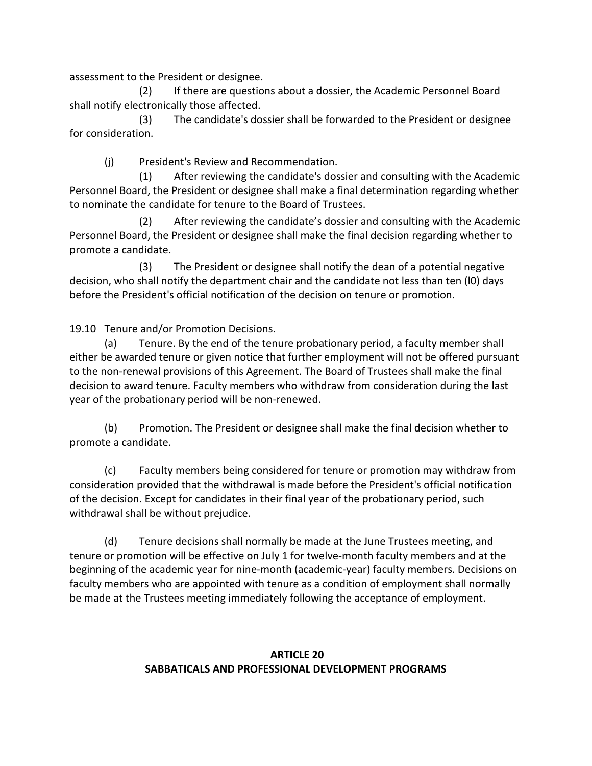assessment to the President or designee.

(2) If there are questions about a dossier, the Academic Personnel Board shall notify electronically those affected.

(3) The candidate's dossier shall be forwarded to the President or designee for consideration.

(j) President's Review and Recommendation.

(1) After reviewing the candidate's dossier and consulting with the Academic Personnel Board, the President or designee shall make a final determination regarding whether to nominate the candidate for tenure to the Board of Trustees.

(2) After reviewing the candidate's dossier and consulting with the Academic Personnel Board, the President or designee shall make the final decision regarding whether to promote a candidate.

(3) The President or designee shall notify the dean of a potential negative decision, who shall notify the department chair and the candidate not less than ten (l0) days before the President's official notification of the decision on tenure or promotion.

19.10 Tenure and/or Promotion Decisions.

(a) Tenure. By the end of the tenure probationary period, a faculty member shall either be awarded tenure or given notice that further employment will not be offered pursuant to the non-renewal provisions of this Agreement. The Board of Trustees shall make the final decision to award tenure. Faculty members who withdraw from consideration during the last year of the probationary period will be non-renewed.

(b) Promotion. The President or designee shall make the final decision whether to promote a candidate.

(c) Faculty members being considered for tenure or promotion may withdraw from consideration provided that the withdrawal is made before the President's official notification of the decision. Except for candidates in their final year of the probationary period, such withdrawal shall be without prejudice.

(d) Tenure decisions shall normally be made at the June Trustees meeting, and tenure or promotion will be effective on July 1 for twelve-month faculty members and at the beginning of the academic year for nine-month (academic-year) faculty members. Decisions on faculty members who are appointed with tenure as a condition of employment shall normally be made at the Trustees meeting immediately following the acceptance of employment.

## **ARTICLE 20 SABBATICALS AND PROFESSIONAL DEVELOPMENT PROGRAMS**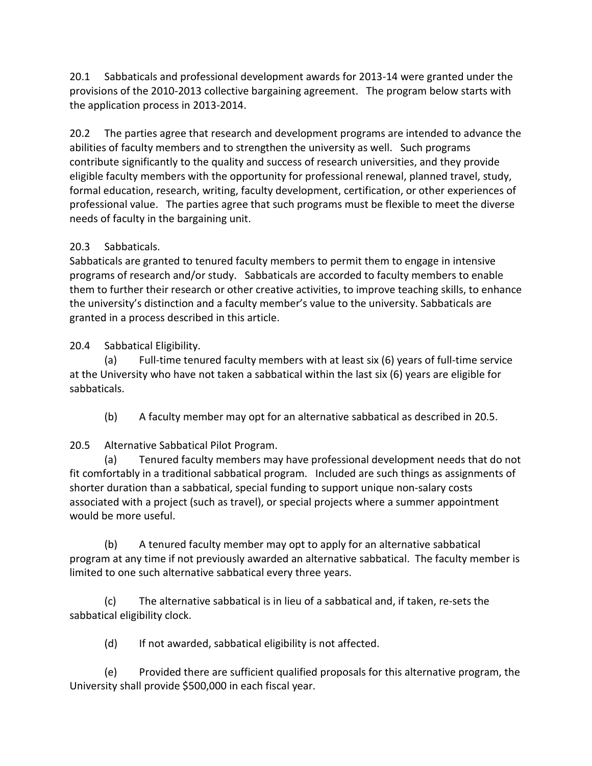20.1 Sabbaticals and professional development awards for 2013-14 were granted under the provisions of the 2010-2013 collective bargaining agreement. The program below starts with the application process in 2013-2014.

20.2 The parties agree that research and development programs are intended to advance the abilities of faculty members and to strengthen the university as well. Such programs contribute significantly to the quality and success of research universities, and they provide eligible faculty members with the opportunity for professional renewal, planned travel, study, formal education, research, writing, faculty development, certification, or other experiences of professional value. The parties agree that such programs must be flexible to meet the diverse needs of faculty in the bargaining unit.

# 20.3 Sabbaticals.

Sabbaticals are granted to tenured faculty members to permit them to engage in intensive programs of research and/or study. Sabbaticals are accorded to faculty members to enable them to further their research or other creative activities, to improve teaching skills, to enhance the university's distinction and a faculty member's value to the university. Sabbaticals are granted in a process described in this article.

20.4 Sabbatical Eligibility.

(a) Full-time tenured faculty members with at least six (6) years of full-time service at the University who have not taken a sabbatical within the last six (6) years are eligible for sabbaticals.

(b) A faculty member may opt for an alternative sabbatical as described in 20.5.

# 20.5 Alternative Sabbatical Pilot Program.

(a) Tenured faculty members may have professional development needs that do not fit comfortably in a traditional sabbatical program. Included are such things as assignments of shorter duration than a sabbatical, special funding to support unique non-salary costs associated with a project (such as travel), or special projects where a summer appointment would be more useful.

(b) A tenured faculty member may opt to apply for an alternative sabbatical program at any time if not previously awarded an alternative sabbatical. The faculty member is limited to one such alternative sabbatical every three years.

(c) The alternative sabbatical is in lieu of a sabbatical and, if taken, re-sets the sabbatical eligibility clock.

(d) If not awarded, sabbatical eligibility is not affected.

(e) Provided there are sufficient qualified proposals for this alternative program, the University shall provide \$500,000 in each fiscal year.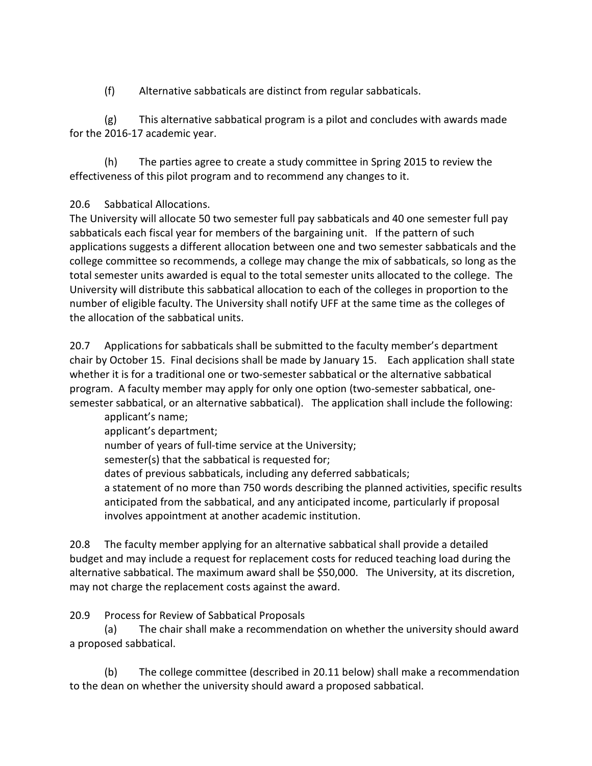(f) Alternative sabbaticals are distinct from regular sabbaticals.

(g) This alternative sabbatical program is a pilot and concludes with awards made for the 2016-17 academic year.

(h) The parties agree to create a study committee in Spring 2015 to review the effectiveness of this pilot program and to recommend any changes to it.

## 20.6 Sabbatical Allocations.

The University will allocate 50 two semester full pay sabbaticals and 40 one semester full pay sabbaticals each fiscal year for members of the bargaining unit. If the pattern of such applications suggests a different allocation between one and two semester sabbaticals and the college committee so recommends, a college may change the mix of sabbaticals, so long as the total semester units awarded is equal to the total semester units allocated to the college. The University will distribute this sabbatical allocation to each of the colleges in proportion to the number of eligible faculty. The University shall notify UFF at the same time as the colleges of the allocation of the sabbatical units.

20.7 Applications for sabbaticals shall be submitted to the faculty member's department chair by October 15. Final decisions shall be made by January 15. Each application shall state whether it is for a traditional one or two-semester sabbatical or the alternative sabbatical program. A faculty member may apply for only one option (two-semester sabbatical, onesemester sabbatical, or an alternative sabbatical). The application shall include the following:

applicant's name; applicant's department;

number of years of full-time service at the University; semester(s) that the sabbatical is requested for; dates of previous sabbaticals, including any deferred sabbaticals; a statement of no more than 750 words describing the planned activities, specific results

anticipated from the sabbatical, and any anticipated income, particularly if proposal involves appointment at another academic institution.

20.8 The faculty member applying for an alternative sabbatical shall provide a detailed budget and may include a request for replacement costs for reduced teaching load during the alternative sabbatical. The maximum award shall be \$50,000. The University, at its discretion, may not charge the replacement costs against the award.

20.9 Process for Review of Sabbatical Proposals

(a) The chair shall make a recommendation on whether the university should award a proposed sabbatical.

(b) The college committee (described in 20.11 below) shall make a recommendation to the dean on whether the university should award a proposed sabbatical.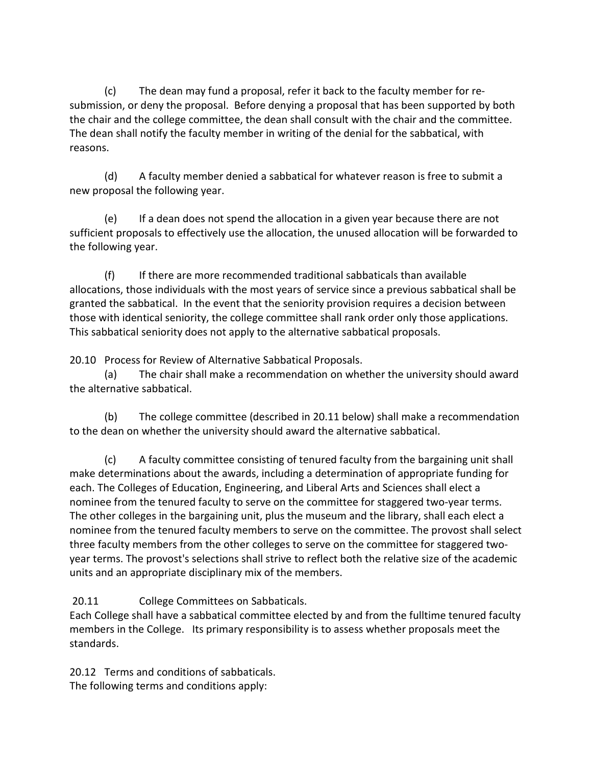(c) The dean may fund a proposal, refer it back to the faculty member for resubmission, or deny the proposal. Before denying a proposal that has been supported by both the chair and the college committee, the dean shall consult with the chair and the committee. The dean shall notify the faculty member in writing of the denial for the sabbatical, with reasons.

(d) A faculty member denied a sabbatical for whatever reason is free to submit a new proposal the following year.

(e) If a dean does not spend the allocation in a given year because there are not sufficient proposals to effectively use the allocation, the unused allocation will be forwarded to the following year.

(f) If there are more recommended traditional sabbaticals than available allocations, those individuals with the most years of service since a previous sabbatical shall be granted the sabbatical. In the event that the seniority provision requires a decision between those with identical seniority, the college committee shall rank order only those applications. This sabbatical seniority does not apply to the alternative sabbatical proposals.

20.10 Process for Review of Alternative Sabbatical Proposals.

(a) The chair shall make a recommendation on whether the university should award the alternative sabbatical.

(b) The college committee (described in 20.11 below) shall make a recommendation to the dean on whether the university should award the alternative sabbatical.

(c) A faculty committee consisting of tenured faculty from the bargaining unit shall make determinations about the awards, including a determination of appropriate funding for each. The Colleges of Education, Engineering, and Liberal Arts and Sciences shall elect a nominee from the tenured faculty to serve on the committee for staggered two-year terms. The other colleges in the bargaining unit, plus the museum and the library, shall each elect a nominee from the tenured faculty members to serve on the committee. The provost shall select three faculty members from the other colleges to serve on the committee for staggered twoyear terms. The provost's selections shall strive to reflect both the relative size of the academic units and an appropriate disciplinary mix of the members.

20.11 College Committees on Sabbaticals.

Each College shall have a sabbatical committee elected by and from the fulltime tenured faculty members in the College. Its primary responsibility is to assess whether proposals meet the standards.

20.12 Terms and conditions of sabbaticals. The following terms and conditions apply: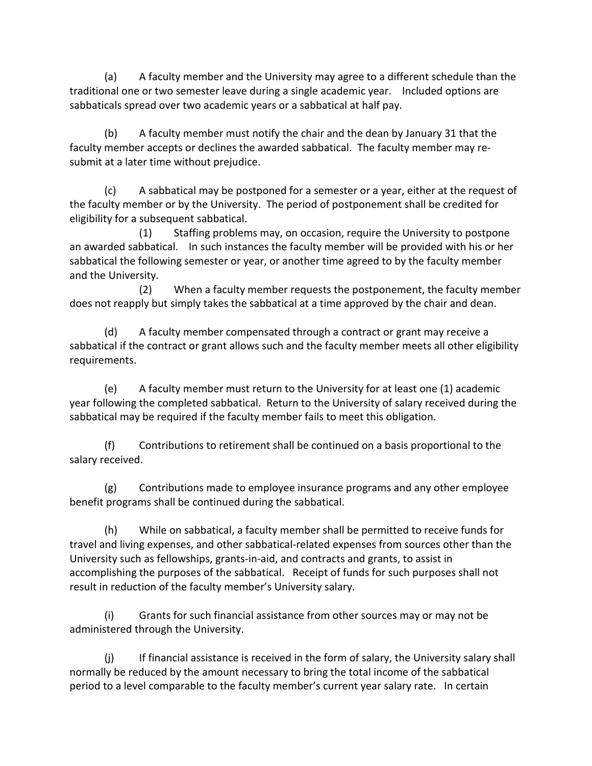(a) A faculty member and the University may agree to a different schedule than the traditional one or two semester leave during a single academic year. Included options are sabbaticals spread over two academic years or a sabbatical at half pay.

(b) A faculty member must notify the chair and the dean by January 31 that the faculty member accepts or declines the awarded sabbatical. The faculty member may resubmit at a later time without prejudice.

(c) A sabbatical may be postponed for a semester or a year, either at the request of the faculty member or by the University. The period of postponement shall be credited for eligibility for a subsequent sabbatical.

(1) Staffing problems may, on occasion, require the University to postpone an awarded sabbatical. In such instances the faculty member will be provided with his or her sabbatical the following semester or year, or another time agreed to by the faculty member and the University.

(2) When a faculty member requests the postponement, the faculty member does not reapply but simply takes the sabbatical at a time approved by the chair and dean.

(d) A faculty member compensated through a contract or grant may receive a sabbatical if the contract or grant allows such and the faculty member meets all other eligibility requirements.

(e) A faculty member must return to the University for at least one (1) academic year following the completed sabbatical. Return to the University of salary received during the sabbatical may be required if the faculty member fails to meet this obligation.

(f) Contributions to retirement shall be continued on a basis proportional to the salary received.

(g) Contributions made to employee insurance programs and any other employee benefit programs shall be continued during the sabbatical.

(h) While on sabbatical, a faculty member shall be permitted to receive funds for travel and living expenses, and other sabbatical-related expenses from sources other than the University such as fellowships, grants-in-aid, and contracts and grants, to assist in accomplishing the purposes of the sabbatical. Receipt of funds for such purposes shall not result in reduction of the faculty member's University salary.

(i) Grants for such financial assistance from other sources may or may not be administered through the University.

(j) If financial assistance is received in the form of salary, the University salary shall normally be reduced by the amount necessary to bring the total income of the sabbatical period to a level comparable to the faculty member's current year salary rate. In certain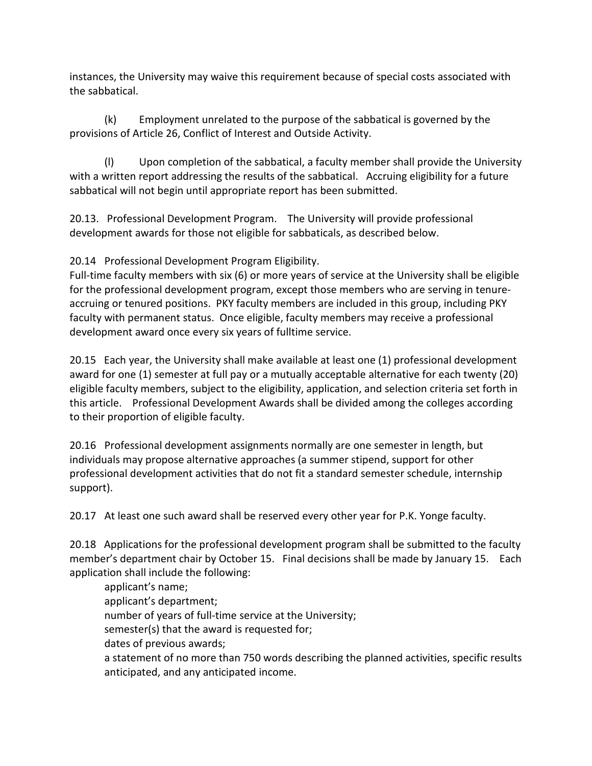instances, the University may waive this requirement because of special costs associated with the sabbatical.

(k) Employment unrelated to the purpose of the sabbatical is governed by the provisions of Article 26, Conflict of Interest and Outside Activity.

(l) Upon completion of the sabbatical, a faculty member shall provide the University with a written report addressing the results of the sabbatical. Accruing eligibility for a future sabbatical will not begin until appropriate report has been submitted.

20.13. Professional Development Program. The University will provide professional development awards for those not eligible for sabbaticals, as described below.

20.14 Professional Development Program Eligibility.

Full-time faculty members with six (6) or more years of service at the University shall be eligible for the professional development program, except those members who are serving in tenureaccruing or tenured positions. PKY faculty members are included in this group, including PKY faculty with permanent status. Once eligible, faculty members may receive a professional development award once every six years of fulltime service.

20.15 Each year, the University shall make available at least one (1) professional development award for one (1) semester at full pay or a mutually acceptable alternative for each twenty (20) eligible faculty members, subject to the eligibility, application, and selection criteria set forth in this article. Professional Development Awards shall be divided among the colleges according to their proportion of eligible faculty.

20.16 Professional development assignments normally are one semester in length, but individuals may propose alternative approaches (a summer stipend, support for other professional development activities that do not fit a standard semester schedule, internship support).

20.17 At least one such award shall be reserved every other year for P.K. Yonge faculty.

20.18 Applications for the professional development program shall be submitted to the faculty member's department chair by October 15. Final decisions shall be made by January 15. Each application shall include the following:

applicant's name; applicant's department; number of years of full-time service at the University; semester(s) that the award is requested for; dates of previous awards; a statement of no more than 750 words describing the planned activities, specific results anticipated, and any anticipated income.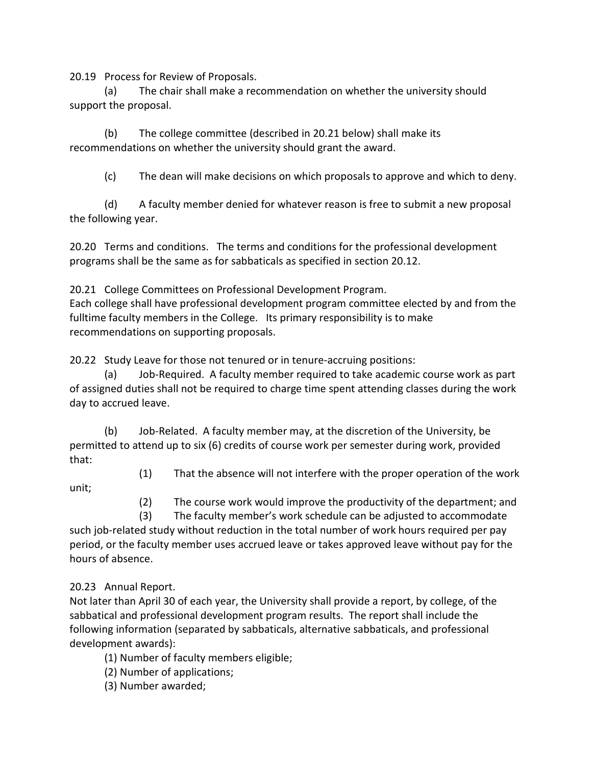20.19 Process for Review of Proposals.

(a) The chair shall make a recommendation on whether the university should support the proposal.

(b) The college committee (described in 20.21 below) shall make its recommendations on whether the university should grant the award.

(c) The dean will make decisions on which proposals to approve and which to deny.

(d) A faculty member denied for whatever reason is free to submit a new proposal the following year.

20.20 Terms and conditions. The terms and conditions for the professional development programs shall be the same as for sabbaticals as specified in section 20.12.

20.21 College Committees on Professional Development Program.

Each college shall have professional development program committee elected by and from the fulltime faculty members in the College. Its primary responsibility is to make recommendations on supporting proposals.

20.22 Study Leave for those not tenured or in tenure-accruing positions:

(a) Job-Required. A faculty member required to take academic course work as part of assigned duties shall not be required to charge time spent attending classes during the work day to accrued leave.

(b) Job-Related. A faculty member may, at the discretion of the University, be permitted to attend up to six (6) credits of course work per semester during work, provided that:

(1) That the absence will not interfere with the proper operation of the work

unit;

(2) The course work would improve the productivity of the department; and

 (3) The faculty member's work schedule can be adjusted to accommodate such job-related study without reduction in the total number of work hours required per pay period, or the faculty member uses accrued leave or takes approved leave without pay for the hours of absence.

20.23 Annual Report.

Not later than April 30 of each year, the University shall provide a report, by college, of the sabbatical and professional development program results. The report shall include the following information (separated by sabbaticals, alternative sabbaticals, and professional development awards):

(1) Number of faculty members eligible;

(2) Number of applications;

(3) Number awarded;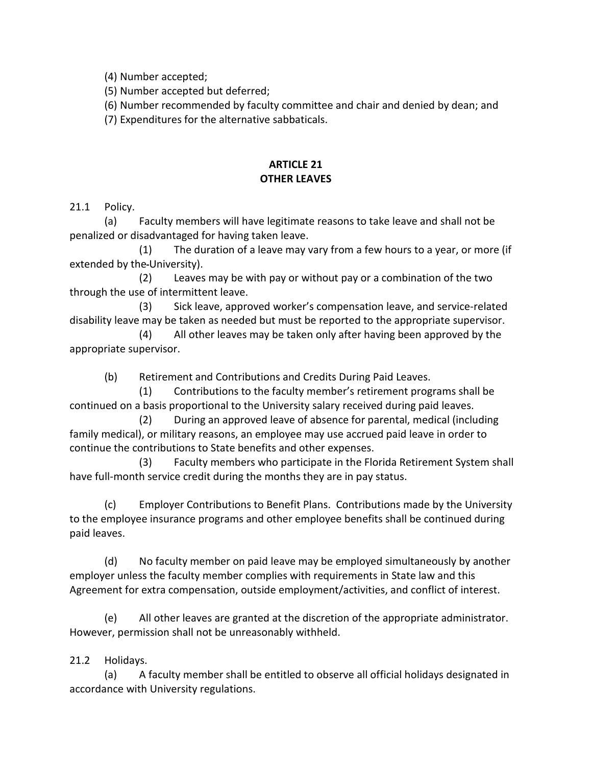(4) Number accepted;

(5) Number accepted but deferred;

(6) Number recommended by faculty committee and chair and denied by dean; and

(7) Expenditures for the alternative sabbaticals.

## **ARTICLE 21 OTHER LEAVES**

21.1 Policy.

(a) Faculty members will have legitimate reasons to take leave and shall not be penalized or disadvantaged for having taken leave.

 (1) The duration of a leave may vary from a few hours to a year, or more (if extended by the University).

(2) Leaves may be with pay or without pay or a combination of the two through the use of intermittent leave.

(3) Sick leave, approved worker's compensation leave, and service-related disability leave may be taken as needed but must be reported to the appropriate supervisor.

(4) All other leaves may be taken only after having been approved by the appropriate supervisor.

(b) Retirement and Contributions and Credits During Paid Leaves.

(1) Contributions to the faculty member's retirement programs shall be continued on a basis proportional to the University salary received during paid leaves.

(2) During an approved leave of absence for parental, medical (including family medical), or military reasons, an employee may use accrued paid leave in order to continue the contributions to State benefits and other expenses.

(3) Faculty members who participate in the Florida Retirement System shall have full-month service credit during the months they are in pay status.

(c) Employer Contributions to Benefit Plans. Contributions made by the University to the employee insurance programs and other employee benefits shall be continued during paid leaves.

(d) No faculty member on paid leave may be employed simultaneously by another employer unless the faculty member complies with requirements in State law and this Agreement for extra compensation, outside employment/activities, and conflict of interest.

(e) All other leaves are granted at the discretion of the appropriate administrator. However, permission shall not be unreasonably withheld.

21.2 Holidays.

(a) A faculty member shall be entitled to observe all official holidays designated in accordance with University regulations.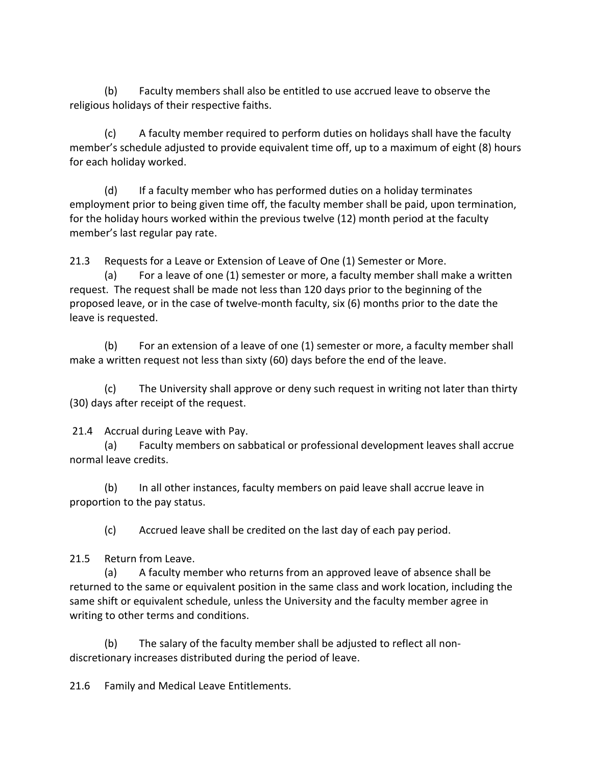(b) Faculty members shall also be entitled to use accrued leave to observe the religious holidays of their respective faiths.

(c) A faculty member required to perform duties on holidays shall have the faculty member's schedule adjusted to provide equivalent time off, up to a maximum of eight (8) hours for each holiday worked.

(d) If a faculty member who has performed duties on a holiday terminates employment prior to being given time off, the faculty member shall be paid, upon termination, for the holiday hours worked within the previous twelve (12) month period at the faculty member's last regular pay rate.

21.3 Requests for a Leave or Extension of Leave of One (1) Semester or More.

(a) For a leave of one (1) semester or more, a faculty member shall make a written request. The request shall be made not less than 120 days prior to the beginning of the proposed leave, or in the case of twelve-month faculty, six (6) months prior to the date the leave is requested.

(b) For an extension of a leave of one (1) semester or more, a faculty member shall make a written request not less than sixty (60) days before the end of the leave.

(c) The University shall approve or deny such request in writing not later than thirty (30) days after receipt of the request.

21.4 Accrual during Leave with Pay.

(a) Faculty members on sabbatical or professional development leaves shall accrue normal leave credits.

(b) In all other instances, faculty members on paid leave shall accrue leave in proportion to the pay status.

(c) Accrued leave shall be credited on the last day of each pay period.

21.5 Return from Leave.

(a) A faculty member who returns from an approved leave of absence shall be returned to the same or equivalent position in the same class and work location, including the same shift or equivalent schedule, unless the University and the faculty member agree in writing to other terms and conditions.

(b) The salary of the faculty member shall be adjusted to reflect all nondiscretionary increases distributed during the period of leave.

21.6 Family and Medical Leave Entitlements.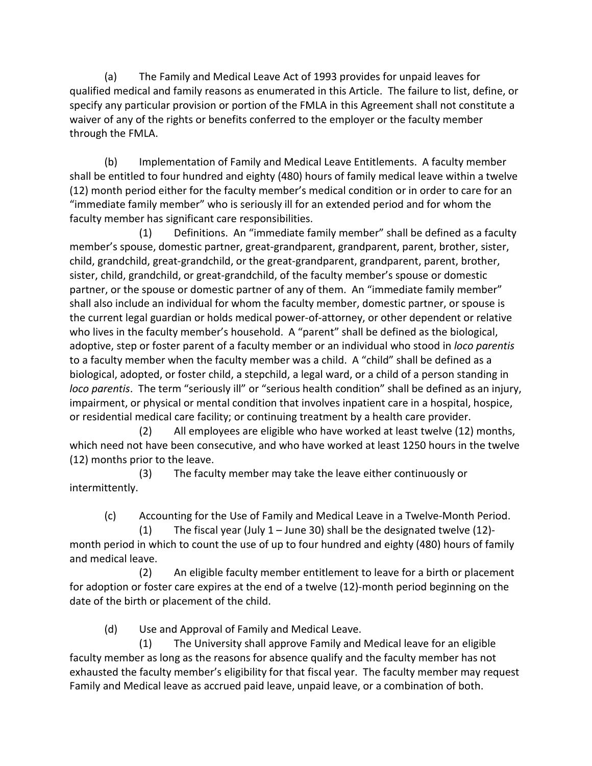(a) The Family and Medical Leave Act of 1993 provides for unpaid leaves for qualified medical and family reasons as enumerated in this Article.The failure to list, define, or specify any particular provision or portion of the FMLA in this Agreement shall not constitute a waiver of any of the rights or benefits conferred to the employer or the faculty member through the FMLA.

(b) Implementation of Family and Medical Leave Entitlements. A faculty member shall be entitled to four hundred and eighty (480) hours of family medical leave within a twelve (12) month period either for the faculty member's medical condition or in order to care for an "immediate family member" who is seriously ill for an extended period and for whom the faculty member has significant care responsibilities.

(1) Definitions. An "immediate family member" shall be defined as a faculty member's spouse, domestic partner, great-grandparent, grandparent, parent, brother, sister, child, grandchild, great-grandchild, or the great-grandparent, grandparent, parent, brother, sister, child, grandchild, or great-grandchild, of the faculty member's spouse or domestic partner, or the spouse or domestic partner of any of them. An "immediate family member" shall also include an individual for whom the faculty member, domestic partner, or spouse is the current legal guardian or holds medical power-of-attorney, or other dependent or relative who lives in the faculty member's household. A "parent" shall be defined as the biological, adoptive, step or foster parent of a faculty member or an individual who stood in *loco parentis* to a faculty member when the faculty member was a child. A "child" shall be defined as a biological, adopted, or foster child, a stepchild, a legal ward, or a child of a person standing in *loco parentis*. The term "seriously ill" or "serious health condition" shall be defined as an injury, impairment, or physical or mental condition that involves inpatient care in a hospital, hospice, or residential medical care facility; or continuing treatment by a health care provider.

(2) All employees are eligible who have worked at least twelve (12) months, which need not have been consecutive, and who have worked at least 1250 hours in the twelve (12) months prior to the leave.

(3) The faculty member may take the leave either continuously or intermittently.

(c) Accounting for the Use of Family and Medical Leave in a Twelve-Month Period.

(1) The fiscal year (July 1 – June 30) shall be the designated twelve (12) month period in which to count the use of up to four hundred and eighty (480) hours of family and medical leave.

(2) An eligible faculty member entitlement to leave for a birth or placement for adoption or foster care expires at the end of a twelve (12)-month period beginning on the date of the birth or placement of the child.

(d) Use and Approval of Family and Medical Leave.

(1) The University shall approve Family and Medical leave for an eligible faculty member as long as the reasons for absence qualify and the faculty member has not exhausted the faculty member's eligibility for that fiscal year. The faculty member may request Family and Medical leave as accrued paid leave, unpaid leave, or a combination of both.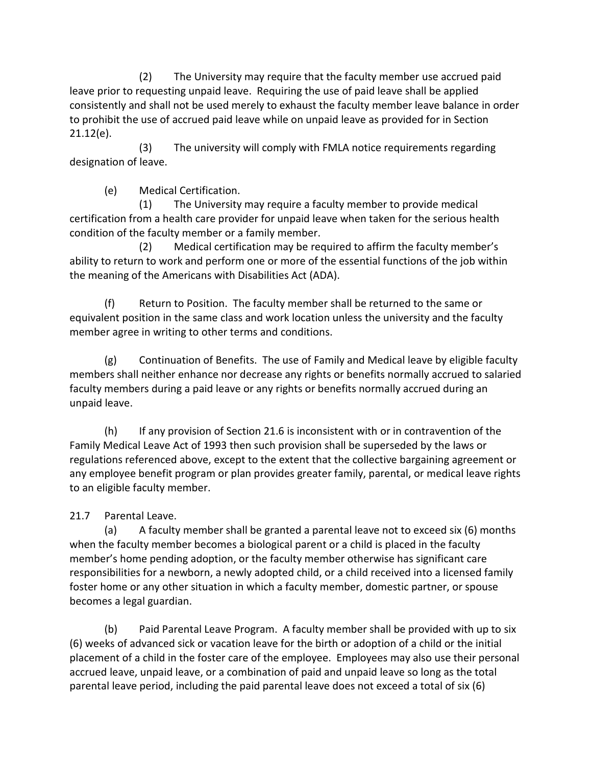(2) The University may require that the faculty member use accrued paid leave prior to requesting unpaid leave. Requiring the use of paid leave shall be applied consistently and shall not be used merely to exhaust the faculty member leave balance in order to prohibit the use of accrued paid leave while on unpaid leave as provided for in Section 21.12(e).

(3) The university will comply with FMLA notice requirements regarding designation of leave.

(e) Medical Certification.

(1) The University may require a faculty member to provide medical certification from a health care provider for unpaid leave when taken for the serious health condition of the faculty member or a family member.

(2) Medical certification may be required to affirm the faculty member's ability to return to work and perform one or more of the essential functions of the job within the meaning of the Americans with Disabilities Act (ADA).

(f) Return to Position. The faculty member shall be returned to the same or equivalent position in the same class and work location unless the university and the faculty member agree in writing to other terms and conditions.

(g) Continuation of Benefits. The use of Family and Medical leave by eligible faculty members shall neither enhance nor decrease any rights or benefits normally accrued to salaried faculty members during a paid leave or any rights or benefits normally accrued during an unpaid leave.

(h) If any provision of Section 21.6 is inconsistent with or in contravention of the Family Medical Leave Act of 1993 then such provision shall be superseded by the laws or regulations referenced above, except to the extent that the collective bargaining agreement or any employee benefit program or plan provides greater family, parental, or medical leave rights to an eligible faculty member.

# 21.7 Parental Leave.

(a) A faculty member shall be granted a parental leave not to exceed six (6) months when the faculty member becomes a biological parent or a child is placed in the faculty member's home pending adoption, or the faculty member otherwise has significant care responsibilities for a newborn, a newly adopted child, or a child received into a licensed family foster home or any other situation in which a faculty member, domestic partner, or spouse becomes a legal guardian.

(b) Paid Parental Leave Program. A faculty member shall be provided with up to six (6) weeks of advanced sick or vacation leave for the birth or adoption of a child or the initial placement of a child in the foster care of the employee. Employees may also use their personal accrued leave, unpaid leave, or a combination of paid and unpaid leave so long as the total parental leave period, including the paid parental leave does not exceed a total of six (6)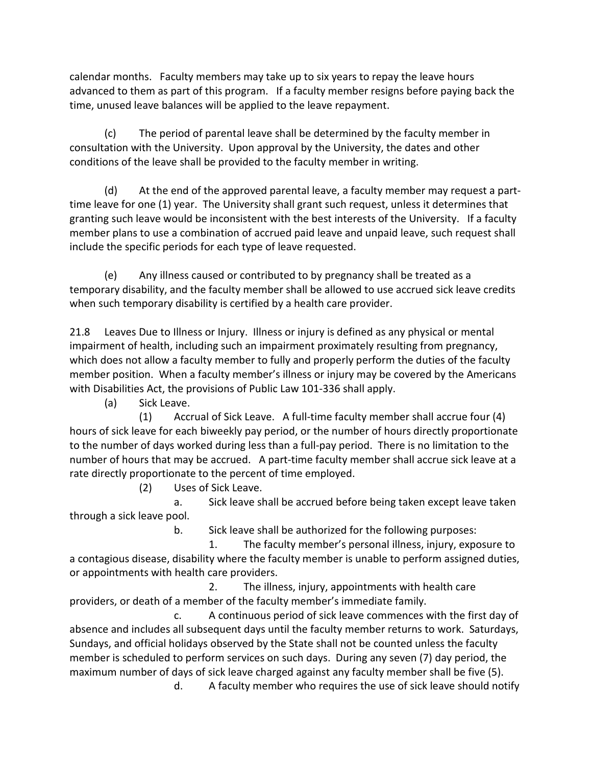calendar months.Faculty members may take up to six years to repay the leave hours advanced to them as part of this program. If a faculty member resigns before paying back the time, unused leave balances will be applied to the leave repayment.

(c) The period of parental leave shall be determined by the faculty member in consultation with the University. Upon approval by the University, the dates and other conditions of the leave shall be provided to the faculty member in writing.

(d) At the end of the approved parental leave, a faculty member may request a parttime leave for one (1) year. The University shall grant such request, unless it determines that granting such leave would be inconsistent with the best interests of the University. If a faculty member plans to use a combination of accrued paid leave and unpaid leave, such request shall include the specific periods for each type of leave requested.

(e) Any illness caused or contributed to by pregnancy shall be treated as a temporary disability, and the faculty member shall be allowed to use accrued sick leave credits when such temporary disability is certified by a health care provider.

21.8 Leaves Due to Illness or Injury. Illness or injury is defined as any physical or mental impairment of health, including such an impairment proximately resulting from pregnancy, which does not allow a faculty member to fully and properly perform the duties of the faculty member position. When a faculty member's illness or injury may be covered by the Americans with Disabilities Act, the provisions of Public Law 101-336 shall apply.

(a) Sick Leave.

(1) Accrual of Sick Leave. A full-time faculty member shall accrue four (4) hours of sick leave for each biweekly pay period, or the number of hours directly proportionate to the number of days worked during less than a full-pay period. There is no limitation to the number of hours that may be accrued. A part-time faculty member shall accrue sick leave at a rate directly proportionate to the percent of time employed.

(2) Uses of Sick Leave.

a. Sick leave shall be accrued before being taken except leave taken through a sick leave pool.

b. Sick leave shall be authorized for the following purposes:

1. The faculty member's personal illness, injury, exposure to a contagious disease, disability where the faculty member is unable to perform assigned duties, or appointments with health care providers.

2. The illness, injury, appointments with health care providers, or death of a member of the faculty member's immediate family.

c. A continuous period of sick leave commences with the first day of absence and includes all subsequent days until the faculty member returns to work. Saturdays, Sundays, and official holidays observed by the State shall not be counted unless the faculty member is scheduled to perform services on such days. During any seven (7) day period, the maximum number of days of sick leave charged against any faculty member shall be five (5).

d. A faculty member who requires the use of sick leave should notify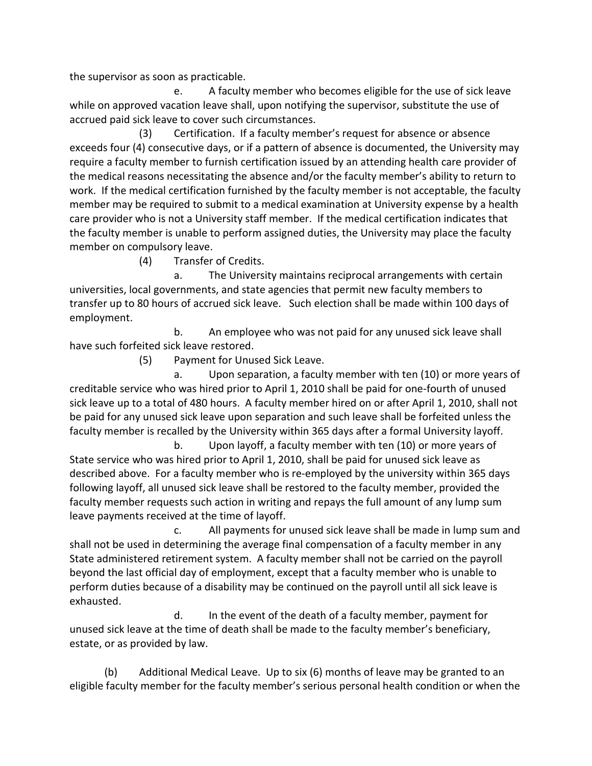the supervisor as soon as practicable.

e. A faculty member who becomes eligible for the use of sick leave while on approved vacation leave shall, upon notifying the supervisor, substitute the use of accrued paid sick leave to cover such circumstances.

(3) Certification. If a faculty member's request for absence or absence exceeds four (4) consecutive days, or if a pattern of absence is documented, the University may require a faculty member to furnish certification issued by an attending health care provider of the medical reasons necessitating the absence and/or the faculty member's ability to return to work. If the medical certification furnished by the faculty member is not acceptable, the faculty member may be required to submit to a medical examination at University expense by a health care provider who is not a University staff member. If the medical certification indicates that the faculty member is unable to perform assigned duties, the University may place the faculty member on compulsory leave.

(4) Transfer of Credits.

a. The University maintains reciprocal arrangements with certain universities, local governments, and state agencies that permit new faculty members to transfer up to 80 hours of accrued sick leave. Such election shall be made within 100 days of employment.

b. An employee who was not paid for any unused sick leave shall have such forfeited sick leave restored.

(5) Payment for Unused Sick Leave.

a. Upon separation, a faculty member with ten (10) or more years of creditable service who was hired prior to April 1, 2010 shall be paid for one-fourth of unused sick leave up to a total of 480 hours. A faculty member hired on or after April 1, 2010, shall not be paid for any unused sick leave upon separation and such leave shall be forfeited unless the faculty member is recalled by the University within 365 days after a formal University layoff.

b. Upon layoff, a faculty member with ten (10) or more years of State service who was hired prior to April 1, 2010, shall be paid for unused sick leave as described above. For a faculty member who is re-employed by the university within 365 days following layoff, all unused sick leave shall be restored to the faculty member, provided the faculty member requests such action in writing and repays the full amount of any lump sum leave payments received at the time of layoff.

c. All payments for unused sick leave shall be made in lump sum and shall not be used in determining the average final compensation of a faculty member in any State administered retirement system. A faculty member shall not be carried on the payroll beyond the last official day of employment, except that a faculty member who is unable to perform duties because of a disability may be continued on the payroll until all sick leave is exhausted.

d. In the event of the death of a faculty member, payment for unused sick leave at the time of death shall be made to the faculty member's beneficiary, estate, or as provided by law.

(b) Additional Medical Leave. Up to six (6) months of leave may be granted to an eligible faculty member for the faculty member's serious personal health condition or when the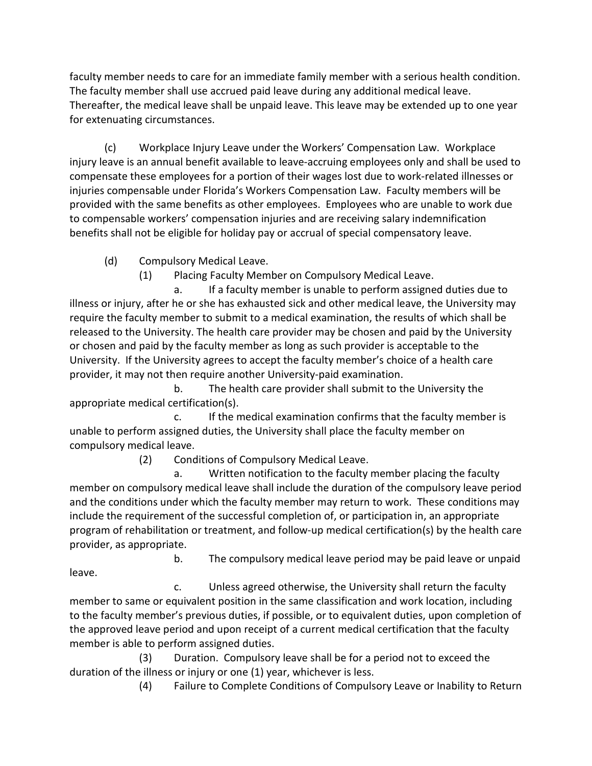faculty member needs to care for an immediate family member with a serious health condition. The faculty member shall use accrued paid leave during any additional medical leave. Thereafter, the medical leave shall be unpaid leave. This leave may be extended up to one year for extenuating circumstances.

(c) Workplace Injury Leave under the Workers' Compensation Law. Workplace injury leave is an annual benefit available to leave-accruing employees only and shall be used to compensate these employees for a portion of their wages lost due to work-related illnesses or injuries compensable under Florida's Workers Compensation Law. Faculty members will be provided with the same benefits as other employees. Employees who are unable to work due to compensable workers' compensation injuries and are receiving salary indemnification benefits shall not be eligible for holiday pay or accrual of special compensatory leave.

(d) Compulsory Medical Leave.

(1) Placing Faculty Member on Compulsory Medical Leave.

a. If a faculty member is unable to perform assigned duties due to illness or injury, after he or she has exhausted sick and other medical leave, the University may require the faculty member to submit to a medical examination, the results of which shall be released to the University. The health care provider may be chosen and paid by the University or chosen and paid by the faculty member as long as such provider is acceptable to the University. If the University agrees to accept the faculty member's choice of a health care provider, it may not then require another University-paid examination.

 b. The health care provider shall submit to the University the appropriate medical certification(s).

c. If the medical examination confirms that the faculty member is unable to perform assigned duties, the University shall place the faculty member on compulsory medical leave.

(2) Conditions of Compulsory Medical Leave.

a. Written notification to the faculty member placing the faculty member on compulsory medical leave shall include the duration of the compulsory leave period and the conditions under which the faculty member may return to work. These conditions may include the requirement of the successful completion of, or participation in, an appropriate program of rehabilitation or treatment, and follow-up medical certification(s) by the health care provider, as appropriate.

 b. The compulsory medical leave period may be paid leave or unpaid leave.

c. Unless agreed otherwise, the University shall return the faculty member to same or equivalent position in the same classification and work location, including to the faculty member's previous duties, if possible, or to equivalent duties, upon completion of the approved leave period and upon receipt of a current medical certification that the faculty member is able to perform assigned duties.

(3) Duration. Compulsory leave shall be for a period not to exceed the duration of the illness or injury or one (1) year, whichever is less.

(4) Failure to Complete Conditions of Compulsory Leave or Inability to Return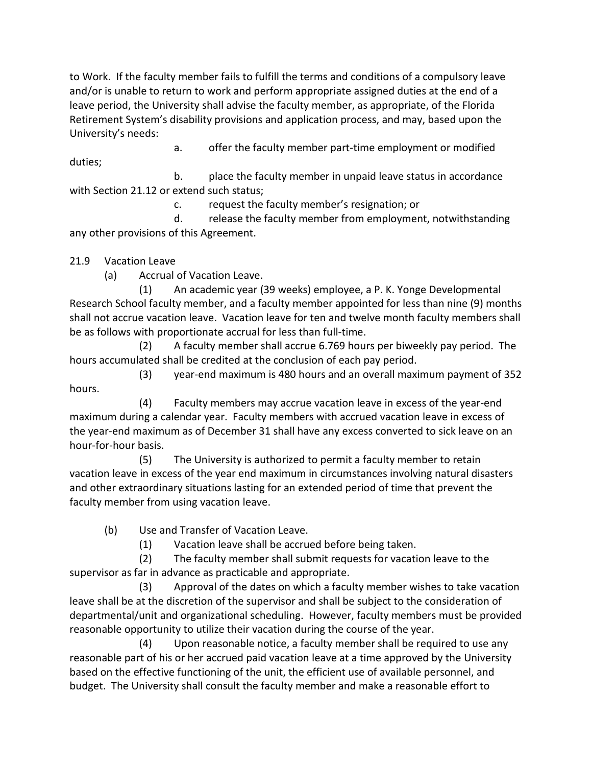to Work. If the faculty member fails to fulfill the terms and conditions of a compulsory leave and/or is unable to return to work and perform appropriate assigned duties at the end of a leave period, the University shall advise the faculty member, as appropriate, of the Florida Retirement System's disability provisions and application process, and may, based upon the University's needs:

a. offer the faculty member part-time employment or modified

duties;

b. place the faculty member in unpaid leave status in accordance with Section 21.12 or extend such status;

c. request the faculty member's resignation; or

d. release the faculty member from employment, notwithstanding any other provisions of this Agreement.

21.9 Vacation Leave

(a) Accrual of Vacation Leave.

(1) An academic year (39 weeks) employee, a P. K. Yonge Developmental Research School faculty member, and a faculty member appointed for less than nine (9) months shall not accrue vacation leave. Vacation leave for ten and twelve month faculty members shall be as follows with proportionate accrual for less than full-time.

(2) A faculty member shall accrue 6.769 hours per biweekly pay period. The hours accumulated shall be credited at the conclusion of each pay period.

(3) year-end maximum is 480 hours and an overall maximum payment of 352 hours.

(4) Faculty members may accrue vacation leave in excess of the year-end maximum during a calendar year. Faculty members with accrued vacation leave in excess of the year-end maximum as of December 31 shall have any excess converted to sick leave on an hour-for-hour basis.

 (5) The University is authorized to permit a faculty member to retain vacation leave in excess of the year end maximum in circumstances involving natural disasters and other extraordinary situations lasting for an extended period of time that prevent the faculty member from using vacation leave.

(b) Use and Transfer of Vacation Leave.

(1) Vacation leave shall be accrued before being taken.

(2) The faculty member shall submit requests for vacation leave to the supervisor as far in advance as practicable and appropriate.

(3) Approval of the dates on which a faculty member wishes to take vacation leave shall be at the discretion of the supervisor and shall be subject to the consideration of departmental/unit and organizational scheduling. However, faculty members must be provided reasonable opportunity to utilize their vacation during the course of the year.

(4) Upon reasonable notice, a faculty member shall be required to use any reasonable part of his or her accrued paid vacation leave at a time approved by the University based on the effective functioning of the unit, the efficient use of available personnel, and budget. The University shall consult the faculty member and make a reasonable effort to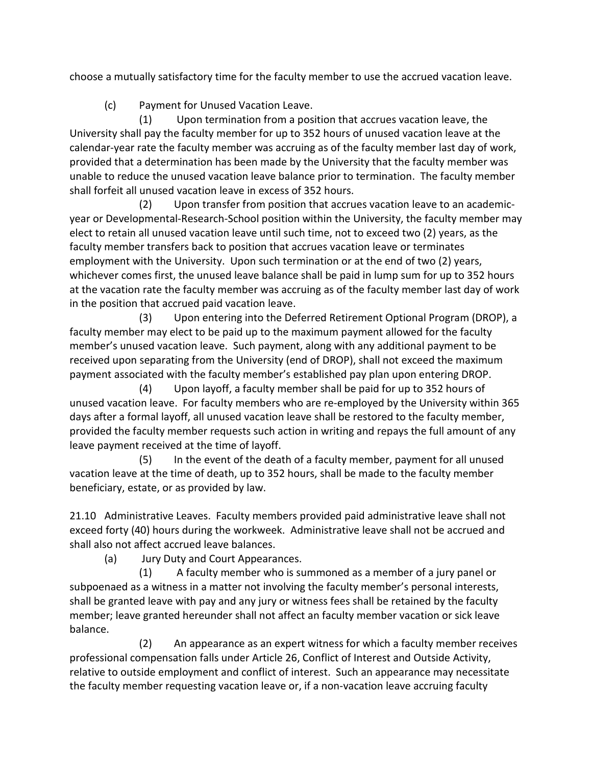choose a mutually satisfactory time for the faculty member to use the accrued vacation leave.

(c) Payment for Unused Vacation Leave.

(1) Upon termination from a position that accrues vacation leave, the University shall pay the faculty member for up to 352 hours of unused vacation leave at the calendar-year rate the faculty member was accruing as of the faculty member last day of work, provided that a determination has been made by the University that the faculty member was unable to reduce the unused vacation leave balance prior to termination. The faculty member shall forfeit all unused vacation leave in excess of 352 hours.

(2) Upon transfer from position that accrues vacation leave to an academicyear or Developmental-Research-School position within the University, the faculty member may elect to retain all unused vacation leave until such time, not to exceed two (2) years, as the faculty member transfers back to position that accrues vacation leave or terminates employment with the University. Upon such termination or at the end of two (2) years, whichever comes first, the unused leave balance shall be paid in lump sum for up to 352 hours at the vacation rate the faculty member was accruing as of the faculty member last day of work in the position that accrued paid vacation leave.

(3) Upon entering into the Deferred Retirement Optional Program (DROP), a faculty member may elect to be paid up to the maximum payment allowed for the faculty member's unused vacation leave. Such payment, along with any additional payment to be received upon separating from the University (end of DROP), shall not exceed the maximum payment associated with the faculty member's established pay plan upon entering DROP.

(4) Upon layoff, a faculty member shall be paid for up to 352 hours of unused vacation leave. For faculty members who are re-employed by the University within 365 days after a formal layoff, all unused vacation leave shall be restored to the faculty member, provided the faculty member requests such action in writing and repays the full amount of any leave payment received at the time of layoff.

(5) In the event of the death of a faculty member, payment for all unused vacation leave at the time of death, up to 352 hours, shall be made to the faculty member beneficiary, estate, or as provided by law.

21.10 Administrative Leaves. Faculty members provided paid administrative leave shall not exceed forty (40) hours during the workweek. Administrative leave shall not be accrued and shall also not affect accrued leave balances.

(a) Jury Duty and Court Appearances.

(1) A faculty member who is summoned as a member of a jury panel or subpoenaed as a witness in a matter not involving the faculty member's personal interests, shall be granted leave with pay and any jury or witness fees shall be retained by the faculty member; leave granted hereunder shall not affect an faculty member vacation or sick leave balance.

(2) An appearance as an expert witness for which a faculty member receives professional compensation falls under Article 26, Conflict of Interest and Outside Activity, relative to outside employment and conflict of interest. Such an appearance may necessitate the faculty member requesting vacation leave or, if a non-vacation leave accruing faculty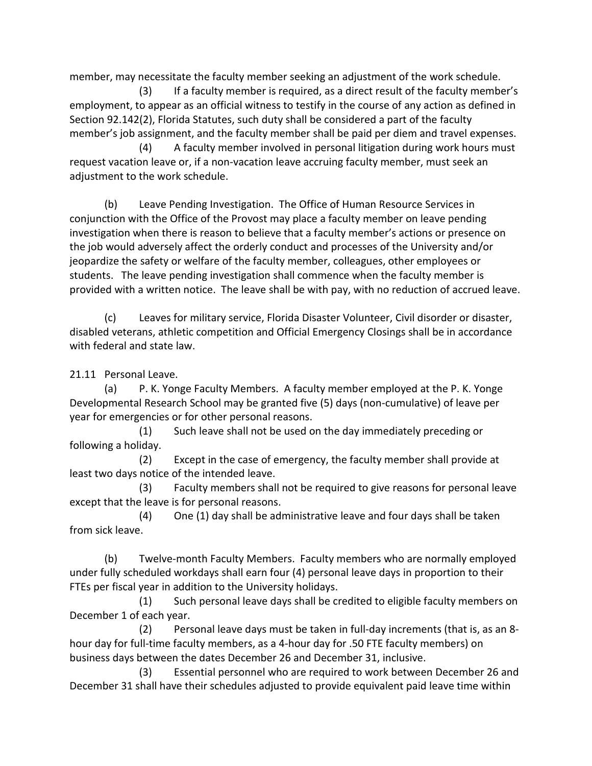member, may necessitate the faculty member seeking an adjustment of the work schedule.

(3) If a faculty member is required, as a direct result of the faculty member's employment, to appear as an official witness to testify in the course of any action as defined in Section 92.142(2), Florida Statutes, such duty shall be considered a part of the faculty member's job assignment, and the faculty member shall be paid per diem and travel expenses.

(4) A faculty member involved in personal litigation during work hours must request vacation leave or, if a non-vacation leave accruing faculty member, must seek an adjustment to the work schedule.

(b) Leave Pending Investigation. The Office of Human Resource Services in conjunction with the Office of the Provost may place a faculty member on leave pending investigation when there is reason to believe that a faculty member's actions or presence on the job would adversely affect the orderly conduct and processes of the University and/or jeopardize the safety or welfare of the faculty member, colleagues, other employees or students. The leave pending investigation shall commence when the faculty member is provided with a written notice. The leave shall be with pay, with no reduction of accrued leave.

(c) Leaves for military service, Florida Disaster Volunteer, Civil disorder or disaster, disabled veterans, athletic competition and Official Emergency Closings shall be in accordance with federal and state law.

21.11 Personal Leave.

(a) P. K. Yonge Faculty Members. A faculty member employed at the P. K. Yonge Developmental Research School may be granted five (5) days (non-cumulative) of leave per year for emergencies or for other personal reasons.

 (1) Such leave shall not be used on the day immediately preceding or following a holiday.

(2) Except in the case of emergency, the faculty member shall provide at least two days notice of the intended leave.

(3) Faculty members shall not be required to give reasons for personal leave except that the leave is for personal reasons.

 (4) One (1) day shall be administrative leave and four days shall be taken from sick leave.

(b) Twelve-month Faculty Members. Faculty members who are normally employed under fully scheduled workdays shall earn four (4) personal leave days in proportion to their FTEs per fiscal year in addition to the University holidays.

(1) Such personal leave days shall be credited to eligible faculty members on December 1 of each year.

(2) Personal leave days must be taken in full-day increments (that is, as an 8 hour day for full-time faculty members, as a 4-hour day for .50 FTE faculty members) on business days between the dates December 26 and December 31, inclusive.

(3) Essential personnel who are required to work between December 26 and December 31 shall have their schedules adjusted to provide equivalent paid leave time within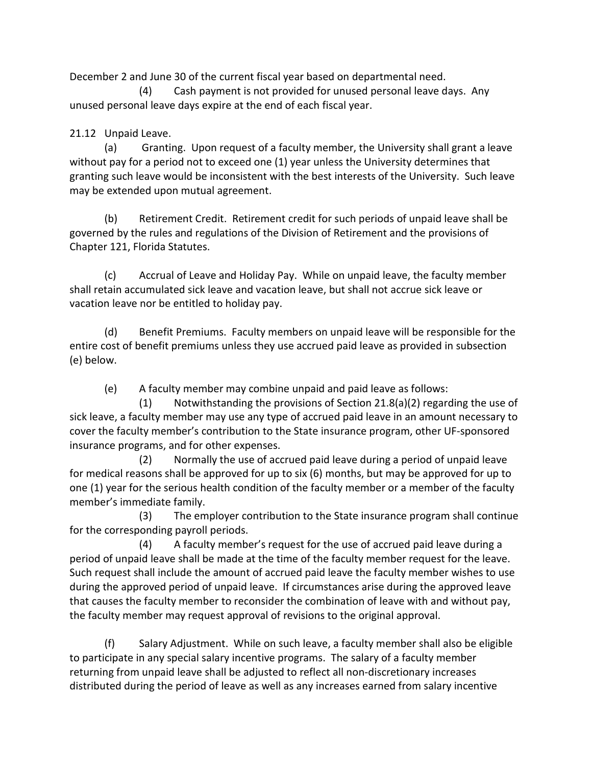December 2 and June 30 of the current fiscal year based on departmental need.

(4) Cash payment is not provided for unused personal leave days. Any unused personal leave days expire at the end of each fiscal year.

### 21.12 Unpaid Leave.

(a) Granting. Upon request of a faculty member, the University shall grant a leave without pay for a period not to exceed one (1) year unless the University determines that granting such leave would be inconsistent with the best interests of the University. Such leave may be extended upon mutual agreement.

(b) Retirement Credit. Retirement credit for such periods of unpaid leave shall be governed by the rules and regulations of the Division of Retirement and the provisions of Chapter 121, Florida Statutes.

(c) Accrual of Leave and Holiday Pay. While on unpaid leave, the faculty member shall retain accumulated sick leave and vacation leave, but shall not accrue sick leave or vacation leave nor be entitled to holiday pay.

(d) Benefit Premiums. Faculty members on unpaid leave will be responsible for the entire cost of benefit premiums unless they use accrued paid leave as provided in subsection (e) below.

(e) A faculty member may combine unpaid and paid leave as follows:

(1) Notwithstanding the provisions of Section 21.8(a)(2) regarding the use of sick leave, a faculty member may use any type of accrued paid leave in an amount necessary to cover the faculty member's contribution to the State insurance program, other UF-sponsored insurance programs, and for other expenses.

(2) Normally the use of accrued paid leave during a period of unpaid leave for medical reasons shall be approved for up to six (6) months, but may be approved for up to one (1) year for the serious health condition of the faculty member or a member of the faculty member's immediate family.

(3) The employer contribution to the State insurance program shall continue for the corresponding payroll periods.

(4) A faculty member's request for the use of accrued paid leave during a period of unpaid leave shall be made at the time of the faculty member request for the leave. Such request shall include the amount of accrued paid leave the faculty member wishes to use during the approved period of unpaid leave. If circumstances arise during the approved leave that causes the faculty member to reconsider the combination of leave with and without pay, the faculty member may request approval of revisions to the original approval.

(f) Salary Adjustment. While on such leave, a faculty member shall also be eligible to participate in any special salary incentive programs. The salary of a faculty member returning from unpaid leave shall be adjusted to reflect all non-discretionary increases distributed during the period of leave as well as any increases earned from salary incentive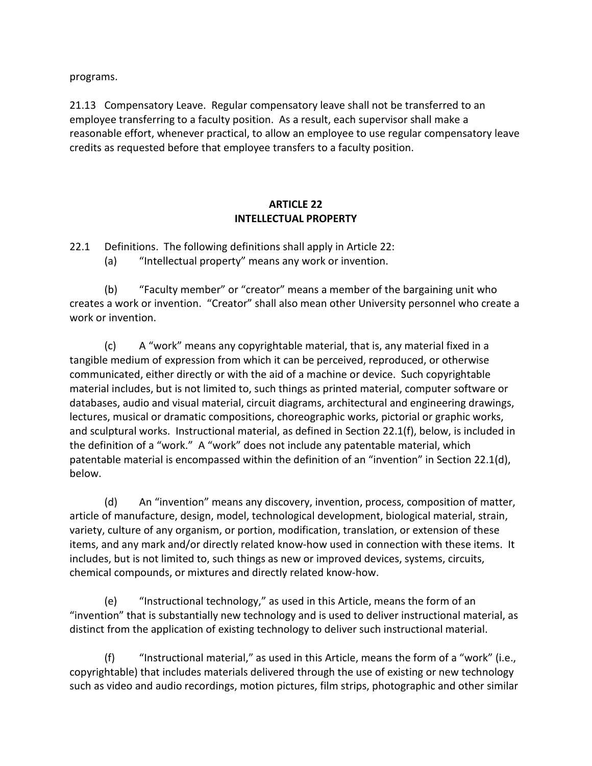programs.

21.13 Compensatory Leave. Regular compensatory leave shall not be transferred to an employee transferring to a faculty position. As a result, each supervisor shall make a reasonable effort, whenever practical, to allow an employee to use regular compensatory leave credits as requested before that employee transfers to a faculty position.

### **ARTICLE 22 INTELLECTUAL PROPERTY**

22.1 Definitions. The following definitions shall apply in Article 22:

(a) "Intellectual property" means any work or invention.

(b) "Faculty member" or "creator" means a member of the bargaining unit who creates a work or invention. "Creator" shall also mean other University personnel who create a work or invention.

(c) A "work" means any copyrightable material, that is, any material fixed in a tangible medium of expression from which it can be perceived, reproduced, or otherwise communicated, either directly or with the aid of a machine or device. Such copyrightable material includes, but is not limited to, such things as printed material, computer software or databases, audio and visual material, circuit diagrams, architectural and engineering drawings, lectures, musical or dramatic compositions, choreographic works, pictorial or graphic works, and sculptural works. Instructional material, as defined in Section 22.1(f), below, is included in the definition of a "work." A "work" does not include any patentable material, which patentable material is encompassed within the definition of an "invention" in Section 22.1(d), below.

(d) An "invention" means any discovery, invention, process, composition of matter, article of manufacture, design, model, technological development, biological material, strain, variety, culture of any organism, or portion, modification, translation, or extension of these items, and any mark and/or directly related know-how used in connection with these items. It includes, but is not limited to, such things as new or improved devices, systems, circuits, chemical compounds, or mixtures and directly related know-how.

(e) "Instructional technology," as used in this Article, means the form of an "invention" that is substantially new technology and is used to deliver instructional material, as distinct from the application of existing technology to deliver such instructional material.

(f) "Instructional material," as used in this Article, means the form of a "work" (i.e., copyrightable) that includes materials delivered through the use of existing or new technology such as video and audio recordings, motion pictures, film strips, photographic and other similar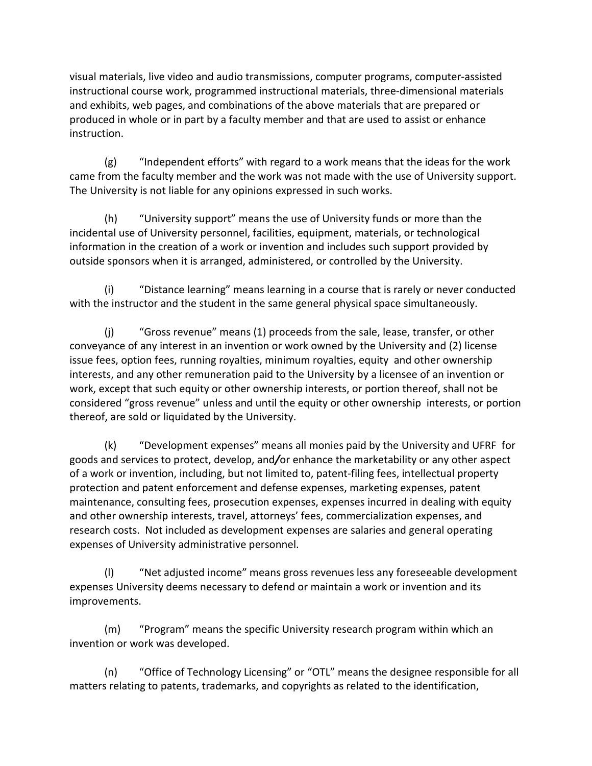visual materials, live video and audio transmissions, computer programs, computer-assisted instructional course work, programmed instructional materials, three-dimensional materials and exhibits, web pages, and combinations of the above materials that are prepared or produced in whole or in part by a faculty member and that are used to assist or enhance instruction.

(g) "Independent efforts" with regard to a work means that the ideas for the work came from the faculty member and the work was not made with the use of University support. The University is not liable for any opinions expressed in such works.

(h) "University support" means the use of University funds or more than the incidental use of University personnel, facilities, equipment, materials, or technological information in the creation of a work or invention and includes such support provided by outside sponsors when it is arranged, administered, or controlled by the University.

(i) "Distance learning" means learning in a course that is rarely or never conducted with the instructor and the student in the same general physical space simultaneously.

(j) "Gross revenue" means (1) proceeds from the sale, lease, transfer, or other conveyance of any interest in an invention or work owned by the University and (2) license issue fees, option fees, running royalties, minimum royalties, equity and other ownership interests, and any other remuneration paid to the University by a licensee of an invention or work, except that such equity or other ownership interests, or portion thereof, shall not be considered "gross revenue" unless and until the equity or other ownership interests, or portion thereof, are sold or liquidated by the University.

(k) "Development expenses" means all monies paid by the University and UFRFfor goods and services to protect, develop, and*/*or enhance the marketability or any other aspect of a work or invention, including, but not limited to, patent-filing fees, intellectual property protection and patent enforcement and defense expenses, marketing expenses, patent maintenance, consulting fees, prosecution expenses, expenses incurred in dealing with equity and other ownership interests, travel, attorneys' fees, commercialization expenses, and research costs. Not included as development expenses are salaries and general operating expenses of University administrative personnel.

(l) "Net adjusted income" means gross revenues less any foreseeable development expenses University deems necessary to defend or maintain a work or invention and its improvements.

(m) "Program" means the specific University research program within which an invention or work was developed.

(n) "Office of Technology Licensing" or "OTL" means the designee responsible for all matters relating to patents, trademarks, and copyrights as related to the identification,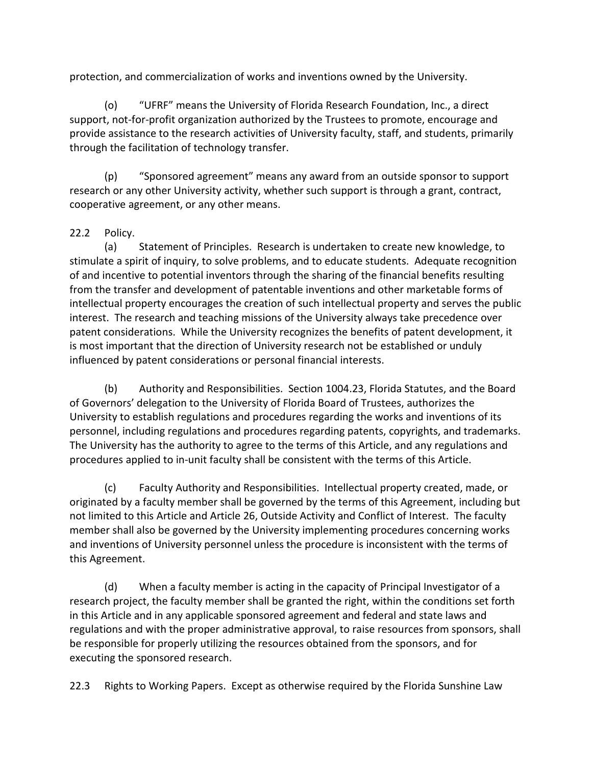protection, and commercialization of works and inventions owned by the University.

(o) "UFRF" means the University of Florida Research Foundation, Inc., a direct support, not-for-profit organization authorized by the Trustees to promote, encourage and provide assistance to the research activities of University faculty, staff, and students, primarily through the facilitation of technology transfer.

(p) "Sponsored agreement" means any award from an outside sponsor to support research or any other University activity, whether such support is through a grant, contract, cooperative agreement, or any other means.

## 22.2 Policy.

(a) Statement of Principles. Research is undertaken to create new knowledge, to stimulate a spirit of inquiry, to solve problems, and to educate students. Adequate recognition of and incentive to potential inventors through the sharing of the financial benefits resulting from the transfer and development of patentable inventions and other marketable forms of intellectual property encourages the creation of such intellectual property and serves the public interest. The research and teaching missions of the University always take precedence over patent considerations. While the University recognizes the benefits of patent development, it is most important that the direction of University research not be established or unduly influenced by patent considerations or personal financial interests.

(b) Authority and Responsibilities. Section 1004.23, Florida Statutes, and the Board of Governors' delegation to the University of Florida Board of Trustees, authorizes the University to establish regulations and procedures regarding the works and inventions of its personnel, including regulations and procedures regarding patents, copyrights, and trademarks. The University has the authority to agree to the terms of this Article, and any regulations and procedures applied to in-unit faculty shall be consistent with the terms of this Article.

(c) Faculty Authority and Responsibilities. Intellectual property created, made, or originated by a faculty member shall be governed by the terms of this Agreement, including but not limited to this Article and Article 26, Outside Activity and Conflict of Interest. The faculty member shall also be governed by the University implementing procedures concerning works and inventions of University personnel unless the procedure is inconsistent with the terms of this Agreement.

(d) When a faculty member is acting in the capacity of Principal Investigator of a research project, the faculty member shall be granted the right, within the conditions set forth in this Article and in any applicable sponsored agreement and federal and state laws and regulations and with the proper administrative approval, to raise resources from sponsors, shall be responsible for properly utilizing the resources obtained from the sponsors, and for executing the sponsored research.

22.3 Rights to Working Papers. Except as otherwise required by the Florida Sunshine Law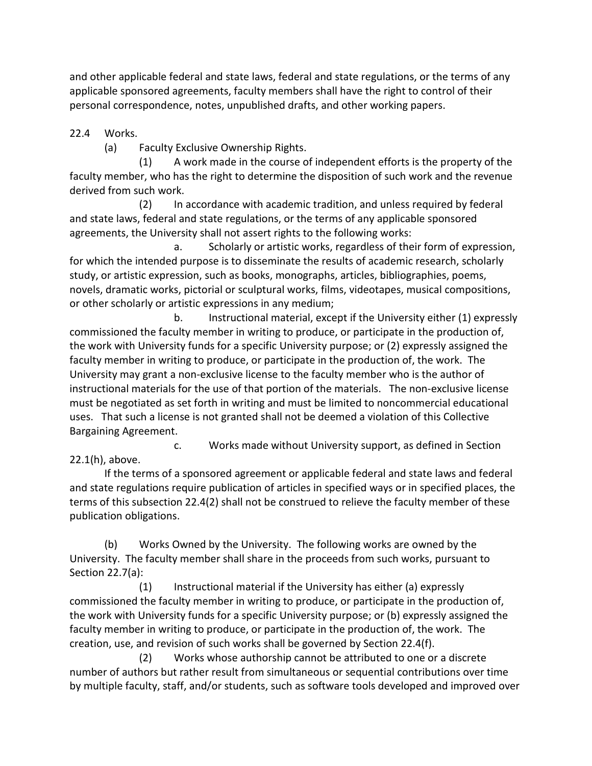and other applicable federal and state laws, federal and state regulations, or the terms of any applicable sponsored agreements, faculty members shall have the right to control of their personal correspondence, notes, unpublished drafts, and other working papers.

22.4 Works.

(a) Faculty Exclusive Ownership Rights.

(1) A work made in the course of independent efforts is the property of the faculty member, who has the right to determine the disposition of such work and the revenue derived from such work.

(2) In accordance with academic tradition, and unless required by federal and state laws, federal and state regulations, or the terms of any applicable sponsored agreements, the University shall not assert rights to the following works:

a. Scholarly or artistic works, regardless of their form of expression, for which the intended purpose is to disseminate the results of academic research, scholarly study, or artistic expression, such as books, monographs, articles, bibliographies, poems, novels, dramatic works, pictorial or sculptural works, films, videotapes, musical compositions, or other scholarly or artistic expressions in any medium;

b. Instructional material, except if the University either (1) expressly commissioned the faculty member in writing to produce, or participate in the production of, the work with University funds for a specific University purpose; or (2) expressly assigned the faculty member in writing to produce, or participate in the production of, the work. The University may grant a non-exclusive license to the faculty member who is the author of instructional materials for the use of that portion of the materials. The non-exclusive license must be negotiated as set forth in writing and must be limited to noncommercial educational uses. That such a license is not granted shall not be deemed a violation of this Collective Bargaining Agreement.

c. Works made without University support, as defined in Section 22.1(h), above.

If the terms of a sponsored agreement or applicable federal and state laws and federal and state regulations require publication of articles in specified ways or in specified places, the terms of this subsection 22.4(2) shall not be construed to relieve the faculty member of these publication obligations.

(b) Works Owned by the University. The following works are owned by the University. The faculty member shall share in the proceeds from such works, pursuant to Section 22.7(a):

(1) Instructional material if the University has either (a) expressly commissioned the faculty member in writing to produce, or participate in the production of, the work with University funds for a specific University purpose; or (b) expressly assigned the faculty member in writing to produce, or participate in the production of, the work. The creation, use, and revision of such works shall be governed by Section 22.4(f).

(2) Works whose authorship cannot be attributed to one or a discrete number of authors but rather result from simultaneous or sequential contributions over time by multiple faculty, staff, and/or students, such as software tools developed and improved over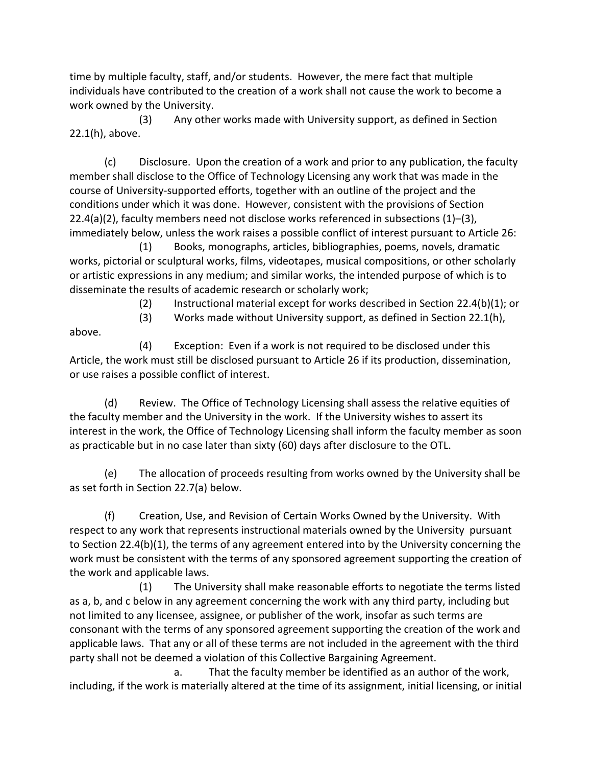time by multiple faculty, staff, and/or students. However, the mere fact that multiple individuals have contributed to the creation of a work shall not cause the work to become a work owned by the University.

(3) Any other works made with University support, as defined in Section 22.1(h), above.

(c) Disclosure. Upon the creation of a work and prior to any publication, the faculty member shall disclose to the Office of Technology Licensing any work that was made in the course of University-supported efforts, together with an outline of the project and the conditions under which it was done. However, consistent with the provisions of Section  $22.4(a)(2)$ , faculty members need not disclose works referenced in subsections  $(1)$ – $(3)$ , immediately below, unless the work raises a possible conflict of interest pursuant to Article 26:

(1) Books, monographs, articles, bibliographies, poems, novels, dramatic works, pictorial or sculptural works, films, videotapes, musical compositions, or other scholarly or artistic expressions in any medium; and similar works, the intended purpose of which is to disseminate the results of academic research or scholarly work;

(2) Instructional material except for works described in Section 22.4(b)(1); or

(3) Works made without University support, as defined in Section 22.1(h),

above.

(4) Exception: Even if a work is not required to be disclosed under this Article, the work must still be disclosed pursuant to Article 26 if its production, dissemination, or use raises a possible conflict of interest.

(d) Review. The Office of Technology Licensing shall assess the relative equities of the faculty member and the University in the work. If the University wishes to assert its interest in the work, the Office of Technology Licensing shall inform the faculty member as soon as practicable but in no case later than sixty (60) days after disclosure to the OTL.

(e) The allocation of proceeds resulting from works owned by the University shall be as set forth in Section 22.7(a) below.

(f) Creation, Use, and Revision of Certain Works Owned by the University. With respect to any work that represents instructional materials owned by the University pursuant to Section 22.4(b)(1), the terms of any agreement entered into by the University concerning the work must be consistent with the terms of any sponsored agreement supporting the creation of the work and applicable laws.

(1) The University shall make reasonable efforts to negotiate the terms listed as a, b, and c below in any agreement concerning the work with any third party, including but not limited to any licensee, assignee, or publisher of the work, insofar as such terms are consonant with the terms of any sponsored agreement supporting the creation of the work and applicable laws. That any or all of these terms are not included in the agreement with the third party shall not be deemed a violation of this Collective Bargaining Agreement.

a. That the faculty member be identified as an author of the work, including, if the work is materially altered at the time of its assignment, initial licensing, or initial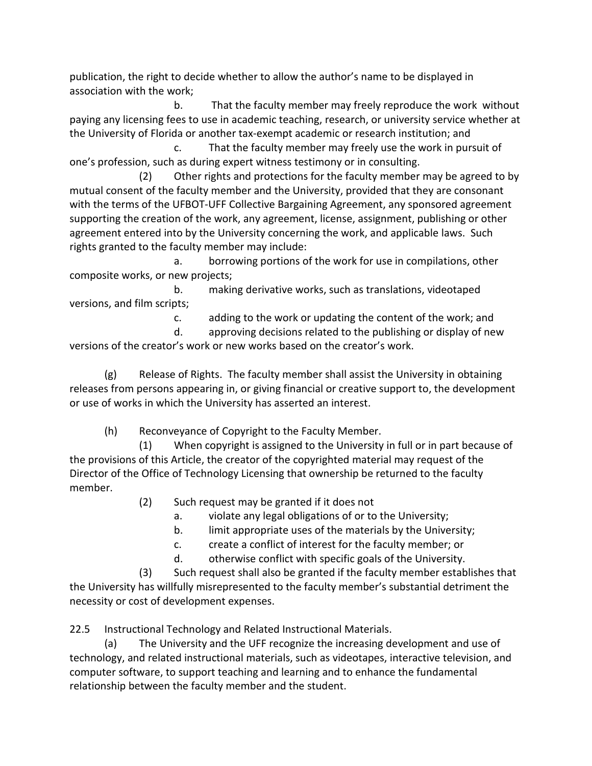publication, the right to decide whether to allow the author's name to be displayed in association with the work;

b. That the faculty member may freely reproduce the work without paying any licensing fees to use in academic teaching, research, or university service whether at the University of Florida or another tax-exempt academic or research institution; and

c. That the faculty member may freely use the work in pursuit of one's profession, such as during expert witness testimony or in consulting.

(2) Other rights and protections for the faculty member may be agreed to by mutual consent of the faculty member and the University, provided that they are consonant with the terms of the UFBOT-UFF Collective Bargaining Agreement, any sponsored agreement supporting the creation of the work, any agreement, license, assignment, publishing or other agreement entered into by the University concerning the work, and applicable laws. Such rights granted to the faculty member may include:

a. borrowing portions of the work for use in compilations, other composite works, or new projects;

b. making derivative works, such as translations, videotaped versions, and film scripts;

c. adding to the work or updating the content of the work; and

d. approving decisions related to the publishing or display of new versions of the creator's work or new works based on the creator's work.

(g) Release of Rights. The faculty member shall assist the University in obtaining releases from persons appearing in, or giving financial or creative support to, the development or use of works in which the University has asserted an interest.

(h) Reconveyance of Copyright to the Faculty Member.

(1) When copyright is assigned to the University in full or in part because of the provisions of this Article, the creator of the copyrighted material may request of the Director of the Office of Technology Licensing that ownership be returned to the faculty member.

(2) Such request may be granted if it does not

- a. violate any legal obligations of or to the University;
- b. limit appropriate uses of the materials by the University;
- c. create a conflict of interest for the faculty member; or
- d. otherwise conflict with specific goals of the University.

(3) Such request shall also be granted if the faculty member establishes that the University has willfully misrepresented to the faculty member's substantial detriment the necessity or cost of development expenses.

22.5 Instructional Technology and Related Instructional Materials.

(a) The University and the UFF recognize the increasing development and use of technology, and related instructional materials, such as videotapes, interactive television, and computer software, to support teaching and learning and to enhance the fundamental relationship between the faculty member and the student.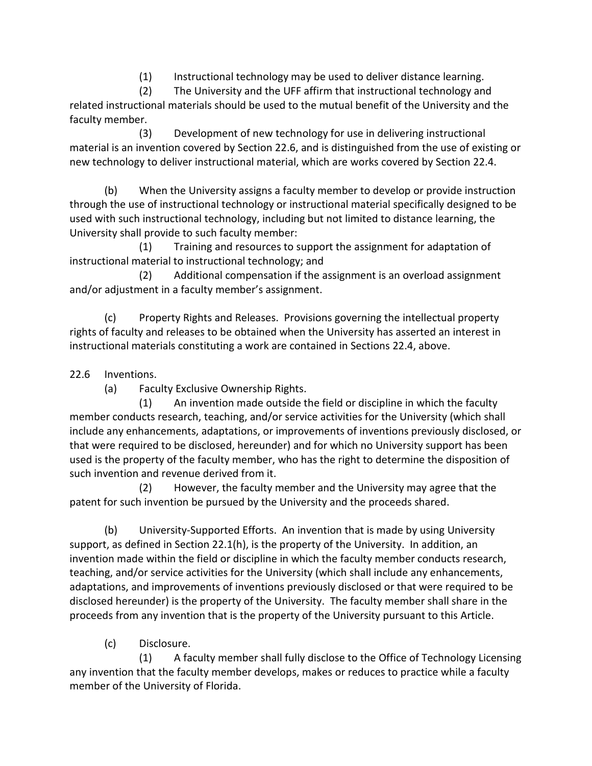(1) Instructional technology may be used to deliver distance learning.

(2) The University and the UFF affirm that instructional technology and related instructional materials should be used to the mutual benefit of the University and the faculty member.

(3) Development of new technology for use in delivering instructional material is an invention covered by Section 22.6, and is distinguished from the use of existing or new technology to deliver instructional material, which are works covered by Section 22.4.

(b) When the University assigns a faculty member to develop or provide instruction through the use of instructional technology or instructional material specifically designed to be used with such instructional technology, including but not limited to distance learning, the University shall provide to such faculty member:

(1) Training and resources to support the assignment for adaptation of instructional material to instructional technology; and

(2) Additional compensation if the assignment is an overload assignment and/or adjustment in a faculty member's assignment.

(c) Property Rights and Releases. Provisions governing the intellectual property rights of faculty and releases to be obtained when the University has asserted an interest in instructional materials constituting a work are contained in Sections 22.4, above.

22.6 Inventions.

(a) Faculty Exclusive Ownership Rights.

(1) An invention made outside the field or discipline in which the faculty member conducts research, teaching, and/or service activities for the University (which shall include any enhancements, adaptations, or improvements of inventions previously disclosed, or that were required to be disclosed, hereunder) and for which no University support has been used is the property of the faculty member, who has the right to determine the disposition of such invention and revenue derived from it.

(2) However, the faculty member and the University may agree that the patent for such invention be pursued by the University and the proceeds shared.

(b) University-Supported Efforts. An invention that is made by using University support, as defined in Section 22.1(h), is the property of the University. In addition, an invention made within the field or discipline in which the faculty member conducts research, teaching, and/or service activities for the University (which shall include any enhancements, adaptations, and improvements of inventions previously disclosed or that were required to be disclosed hereunder) is the property of the University. The faculty member shall share in the proceeds from any invention that is the property of the University pursuant to this Article.

(c) Disclosure.

(1) A faculty member shall fully disclose to the Office of Technology Licensing any invention that the faculty member develops, makes or reduces to practice while a faculty member of the University of Florida.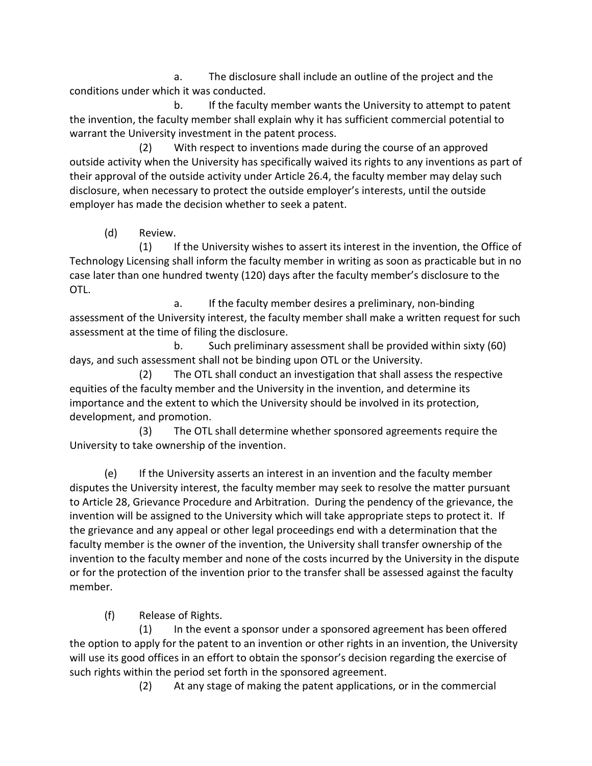a. The disclosure shall include an outline of the project and the conditions under which it was conducted.

b. If the faculty member wants the University to attempt to patent the invention, the faculty member shall explain why it has sufficient commercial potential to warrant the University investment in the patent process.

(2) With respect to inventions made during the course of an approved outside activity when the University has specifically waived its rights to any inventions as part of their approval of the outside activity under Article 26.4, the faculty member may delay such disclosure, when necessary to protect the outside employer's interests, until the outside employer has made the decision whether to seek a patent.

(d) Review.

(1) If the University wishes to assert its interest in the invention, the Office of Technology Licensing shall inform the faculty member in writing as soon as practicable but in no case later than one hundred twenty (120) days after the faculty member's disclosure to the OTL.

a. If the faculty member desires a preliminary, non-binding assessment of the University interest, the faculty member shall make a written request for such assessment at the time of filing the disclosure.

b. Such preliminary assessment shall be provided within sixty (60) days, and such assessment shall not be binding upon OTL or the University.

(2) The OTL shall conduct an investigation that shall assess the respective equities of the faculty member and the University in the invention, and determine its importance and the extent to which the University should be involved in its protection, development, and promotion.

(3) The OTL shall determine whether sponsored agreements require the University to take ownership of the invention.

(e) If the University asserts an interest in an invention and the faculty member disputes the University interest, the faculty member may seek to resolve the matter pursuant to Article 28, Grievance Procedure and Arbitration. During the pendency of the grievance, the invention will be assigned to the University which will take appropriate steps to protect it. If the grievance and any appeal or other legal proceedings end with a determination that the faculty member is the owner of the invention, the University shall transfer ownership of the invention to the faculty member and none of the costs incurred by the University in the dispute or for the protection of the invention prior to the transfer shall be assessed against the faculty member.

(f) Release of Rights.

(1) In the event a sponsor under a sponsored agreement has been offered the option to apply for the patent to an invention or other rights in an invention, the University will use its good offices in an effort to obtain the sponsor's decision regarding the exercise of such rights within the period set forth in the sponsored agreement.

(2) At any stage of making the patent applications, or in the commercial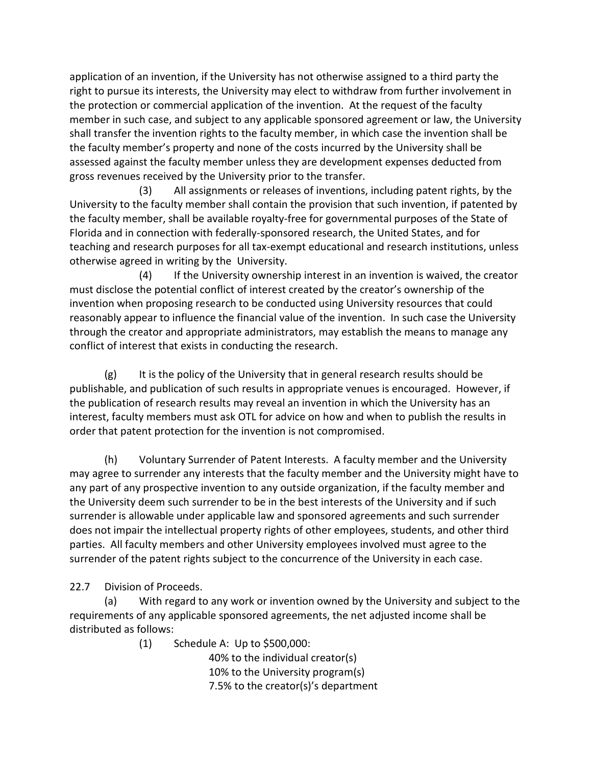application of an invention, if the University has not otherwise assigned to a third party the right to pursue its interests, the University may elect to withdraw from further involvement in the protection or commercial application of the invention. At the request of the faculty member in such case, and subject to any applicable sponsored agreement or law, the University shall transfer the invention rights to the faculty member, in which case the invention shall be the faculty member's property and none of the costs incurred by the University shall be assessed against the faculty member unless they are development expenses deducted from gross revenues received by the University prior to the transfer.

(3) All assignments or releases of inventions, including patent rights, by the University to the faculty member shall contain the provision that such invention, if patented by the faculty member, shall be available royalty-free for governmental purposes of the State of Florida and in connection with federally-sponsored research, the United States, and for teaching and research purposes for all tax-exempt educational and research institutions, unless otherwise agreed in writing by the University.

(4) If the University ownership interest in an invention is waived, the creator must disclose the potential conflict of interest created by the creator's ownership of the invention when proposing research to be conducted using University resources that could reasonably appear to influence the financial value of the invention. In such case the University through the creator and appropriate administrators, may establish the means to manage any conflict of interest that exists in conducting the research.

 $(g)$  It is the policy of the University that in general research results should be publishable, and publication of such results in appropriate venues is encouraged. However, if the publication of research results may reveal an invention in which the University has an interest, faculty members must ask OTL for advice on how and when to publish the results in order that patent protection for the invention is not compromised.

(h) Voluntary Surrender of Patent Interests. A faculty member and the University may agree to surrender any interests that the faculty member and the University might have to any part of any prospective invention to any outside organization, if the faculty member and the University deem such surrender to be in the best interests of the University and if such surrender is allowable under applicable law and sponsored agreements and such surrender does not impair the intellectual property rights of other employees, students, and other third parties. All faculty members and other University employees involved must agree to the surrender of the patent rights subject to the concurrence of the University in each case.

22.7 Division of Proceeds.

(a) With regard to any work or invention owned by the University and subject to the requirements of any applicable sponsored agreements, the net adjusted income shall be distributed as follows:

(1) Schedule A: Up to \$500,000:

 40% to the individual creator(s) 10% to the University program(s) 7.5% to the creator(s)'s department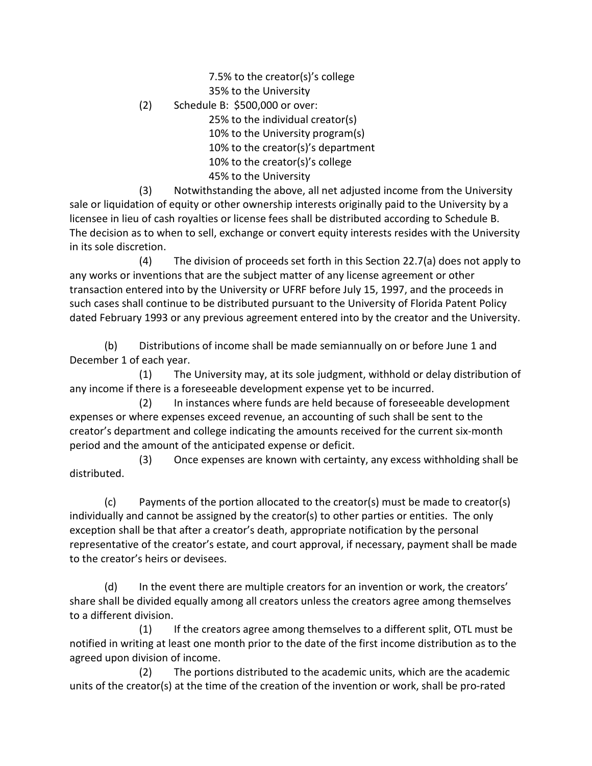7.5% to the creator(s)'s college 35% to the University

(2) Schedule B: \$500,000 or over:

 25% to the individual creator(s) 10% to the University program(s) 10% to the creator(s)'s department 10% to the creator(s)'s college 45% to the University

(3) Notwithstanding the above, all net adjusted income from the University sale or liquidation of equity or other ownership interests originally paid to the University by a licensee in lieu of cash royalties or license fees shall be distributed according to Schedule B. The decision as to when to sell, exchange or convert equity interests resides with the University in its sole discretion.

(4) The division of proceeds set forth in this Section 22.7(a) does not apply to any works or inventions that are the subject matter of any license agreement or other transaction entered into by the University or UFRF before July 15, 1997, and the proceeds in such cases shall continue to be distributed pursuant to the University of Florida Patent Policy dated February 1993 or any previous agreement entered into by the creator and the University.

(b) Distributions of income shall be made semiannually on or before June 1 and December 1 of each year.

(1) The University may, at its sole judgment, withhold or delay distribution of any income if there is a foreseeable development expense yet to be incurred.

(2) In instances where funds are held because of foreseeable development expenses or where expenses exceed revenue, an accounting of such shall be sent to the creator's department and college indicating the amounts received for the current six-month period and the amount of the anticipated expense or deficit.

 (3) Once expenses are known with certainty, any excess withholding shall be distributed.

(c) Payments of the portion allocated to the creator(s) must be made to creator(s) individually and cannot be assigned by the creator(s) to other parties or entities. The only exception shall be that after a creator's death, appropriate notification by the personal representative of the creator's estate, and court approval, if necessary, payment shall be made to the creator's heirs or devisees.

(d) In the event there are multiple creators for an invention or work, the creators' share shall be divided equally among all creators unless the creators agree among themselves to a different division.

(1) If the creators agree among themselves to a different split, OTL must be notified in writing at least one month prior to the date of the first income distribution as to the agreed upon division of income.

(2) The portions distributed to the academic units, which are the academic units of the creator(s) at the time of the creation of the invention or work, shall be pro-rated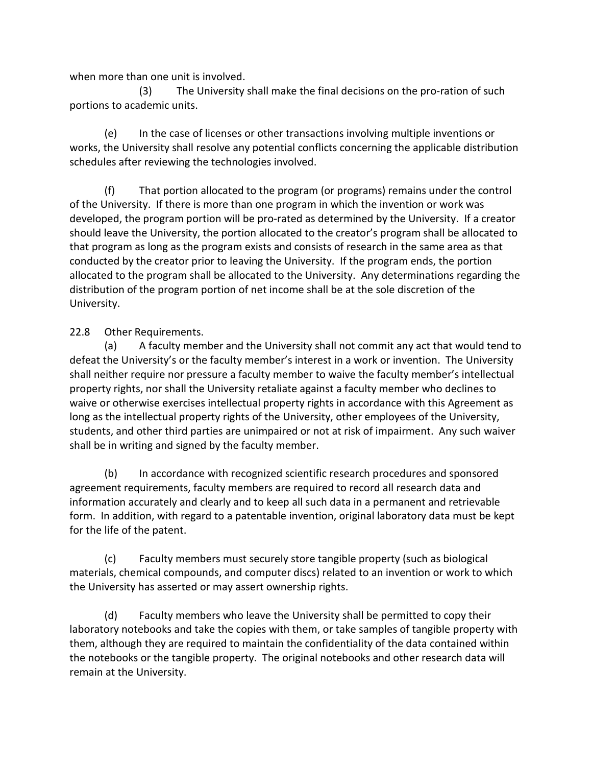when more than one unit is involved.

(3) The University shall make the final decisions on the pro-ration of such portions to academic units.

(e) In the case of licenses or other transactions involving multiple inventions or works, the University shall resolve any potential conflicts concerning the applicable distribution schedules after reviewing the technologies involved.

(f) That portion allocated to the program (or programs) remains under the control of the University. If there is more than one program in which the invention or work was developed, the program portion will be pro-rated as determined by the University. If a creator should leave the University, the portion allocated to the creator's program shall be allocated to that program as long as the program exists and consists of research in the same area as that conducted by the creator prior to leaving the University. If the program ends, the portion allocated to the program shall be allocated to the University. Any determinations regarding the distribution of the program portion of net income shall be at the sole discretion of the University.

## 22.8 Other Requirements.

(a) A faculty member and the University shall not commit any act that would tend to defeat the University's or the faculty member's interest in a work or invention. The University shall neither require nor pressure a faculty member to waive the faculty member's intellectual property rights, nor shall the University retaliate against a faculty member who declines to waive or otherwise exercises intellectual property rights in accordance with this Agreement as long as the intellectual property rights of the University, other employees of the University, students, and other third parties are unimpaired or not at risk of impairment. Any such waiver shall be in writing and signed by the faculty member.

(b) In accordance with recognized scientific research procedures and sponsored agreement requirements, faculty members are required to record all research data and information accurately and clearly and to keep all such data in a permanent and retrievable form. In addition, with regard to a patentable invention, original laboratory data must be kept for the life of the patent.

(c) Faculty members must securely store tangible property (such as biological materials, chemical compounds, and computer discs) related to an invention or work to which the University has asserted or may assert ownership rights.

(d) Faculty members who leave the University shall be permitted to copy their laboratory notebooks and take the copies with them, or take samples of tangible property with them, although they are required to maintain the confidentiality of the data contained within the notebooks or the tangible property. The original notebooks and other research data will remain at the University.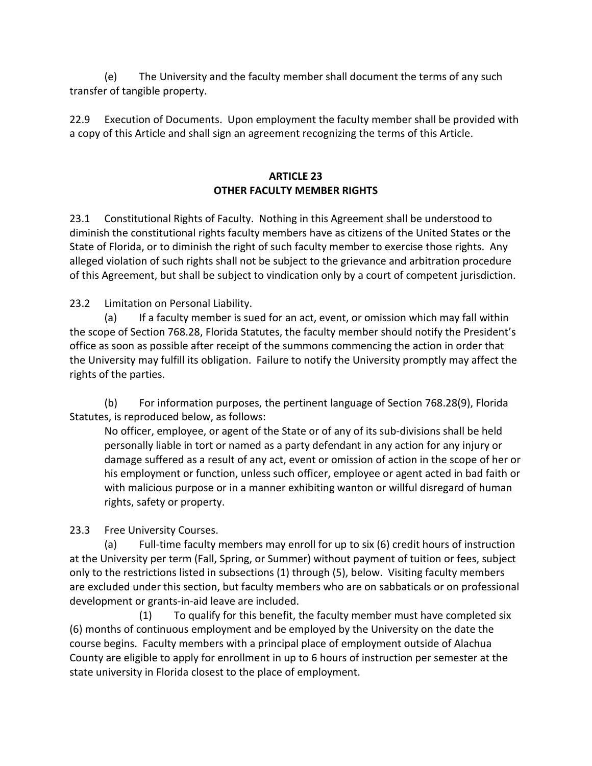(e) The University and the faculty member shall document the terms of any such transfer of tangible property.

22.9 Execution of Documents. Upon employment the faculty member shall be provided with a copy of this Article and shall sign an agreement recognizing the terms of this Article.

# **ARTICLE 23 OTHER FACULTY MEMBER RIGHTS**

23.1 Constitutional Rights of Faculty. Nothing in this Agreement shall be understood to diminish the constitutional rights faculty members have as citizens of the United States or the State of Florida, or to diminish the right of such faculty member to exercise those rights. Any alleged violation of such rights shall not be subject to the grievance and arbitration procedure of this Agreement, but shall be subject to vindication only by a court of competent jurisdiction.

23.2 Limitation on Personal Liability.

(a) If a faculty member is sued for an act, event, or omission which may fall within the scope of Section 768.28, Florida Statutes, the faculty member should notify the President's office as soon as possible after receipt of the summons commencing the action in order that the University may fulfill its obligation. Failure to notify the University promptly may affect the rights of the parties.

(b) For information purposes, the pertinent language of Section 768.28(9), Florida Statutes, is reproduced below, as follows:

No officer, employee, or agent of the State or of any of its sub-divisions shall be held personally liable in tort or named as a party defendant in any action for any injury or damage suffered as a result of any act, event or omission of action in the scope of her or his employment or function, unless such officer, employee or agent acted in bad faith or with malicious purpose or in a manner exhibiting wanton or willful disregard of human rights, safety or property.

23.3 Free University Courses.

(a) Full-time faculty members may enroll for up to six (6) credit hours of instruction at the University per term (Fall, Spring, or Summer) without payment of tuition or fees, subject only to the restrictions listed in subsections (1) through (5), below. Visiting faculty members are excluded under this section, but faculty members who are on sabbaticals or on professional development or grants-in-aid leave are included.

(1) To qualify for this benefit, the faculty member must have completed six (6) months of continuous employment and be employed by the University on the date the course begins. Faculty members with a principal place of employment outside of Alachua County are eligible to apply for enrollment in up to 6 hours of instruction per semester at the state university in Florida closest to the place of employment.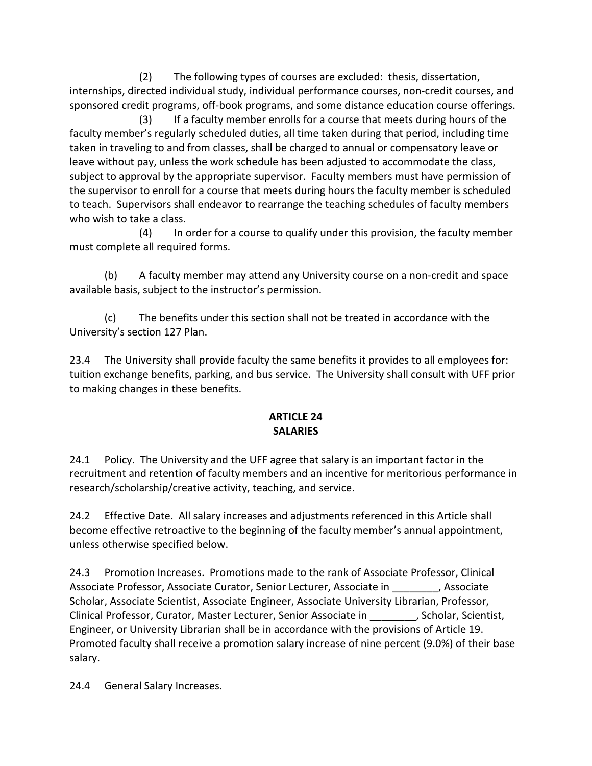(2) The following types of courses are excluded: thesis, dissertation, internships, directed individual study, individual performance courses, non-credit courses, and sponsored credit programs, off-book programs, and some distance education course offerings.

(3) If a faculty member enrolls for a course that meets during hours of the faculty member's regularly scheduled duties, all time taken during that period, including time taken in traveling to and from classes, shall be charged to annual or compensatory leave or leave without pay, unless the work schedule has been adjusted to accommodate the class, subject to approval by the appropriate supervisor. Faculty members must have permission of the supervisor to enroll for a course that meets during hours the faculty member is scheduled to teach. Supervisors shall endeavor to rearrange the teaching schedules of faculty members who wish to take a class.

(4) In order for a course to qualify under this provision, the faculty member must complete all required forms.

(b) A faculty member may attend any University course on a non-credit and space available basis, subject to the instructor's permission.

(c) The benefits under this section shall not be treated in accordance with the University's section 127 Plan.

23.4 The University shall provide faculty the same benefits it provides to all employees for: tuition exchange benefits, parking, and bus service. The University shall consult with UFF prior to making changes in these benefits.

# **ARTICLE 24 SALARIES**

24.1 Policy. The University and the UFF agree that salary is an important factor in the recruitment and retention of faculty members and an incentive for meritorious performance in research/scholarship/creative activity, teaching, and service.

24.2 Effective Date. All salary increases and adjustments referenced in this Article shall become effective retroactive to the beginning of the faculty member's annual appointment, unless otherwise specified below.

24.3 Promotion Increases. Promotions made to the rank of Associate Professor, Clinical Associate Professor, Associate Curator, Senior Lecturer, Associate in \_\_\_\_\_\_\_\_, Associate Scholar, Associate Scientist, Associate Engineer, Associate University Librarian, Professor, Clinical Professor, Curator, Master Lecturer, Senior Associate in \_\_\_\_\_\_\_\_, Scholar, Scientist, Engineer, or University Librarian shall be in accordance with the provisions of Article 19. Promoted faculty shall receive a promotion salary increase of nine percent (9.0%) of their base salary.

24.4 General Salary Increases.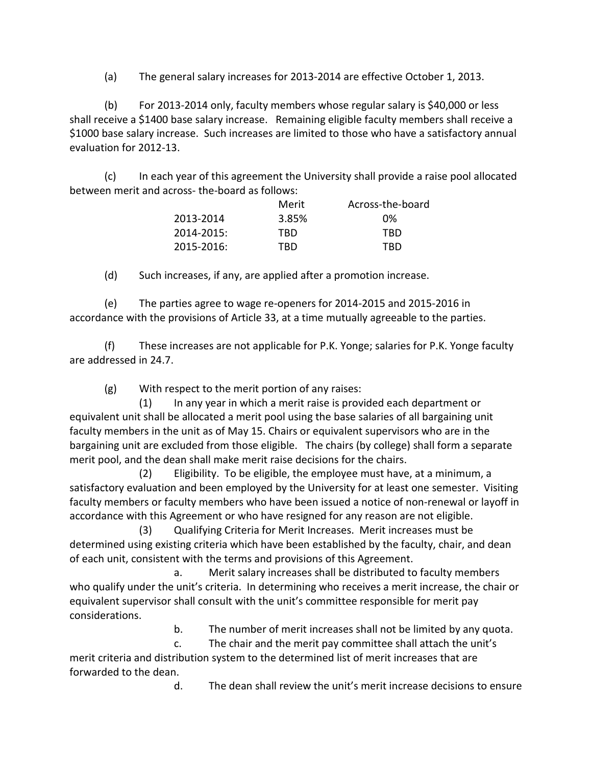(a) The general salary increases for 2013-2014 are effective October 1, 2013.

(b) For 2013-2014 only, faculty members whose regular salary is \$40,000 or less shall receive a \$1400 base salary increase. Remaining eligible faculty members shall receive a \$1000 base salary increase. Such increases are limited to those who have a satisfactory annual evaluation for 2012-13.

(c) In each year of this agreement the University shall provide a raise pool allocated between merit and across- the-board as follows:

|            | Merit | Across-the-board |
|------------|-------|------------------|
| 2013-2014  | 3.85% | በ%               |
| 2014-2015: | TRD   | TRD              |
| 2015-2016: | TRD   | TRD              |

(d) Such increases, if any, are applied after a promotion increase.

(e) The parties agree to wage re-openers for 2014-2015 and 2015-2016 in accordance with the provisions of Article 33, at a time mutually agreeable to the parties.

(f) These increases are not applicable for P.K. Yonge; salaries for P.K. Yonge faculty are addressed in 24.7.

(g) With respect to the merit portion of any raises:

(1) In any year in which a merit raise is provided each department or equivalent unit shall be allocated a merit pool using the base salaries of all bargaining unit faculty members in the unit as of May 15. Chairs or equivalent supervisors who are in the bargaining unit are excluded from those eligible. The chairs (by college) shall form a separate merit pool, and the dean shall make merit raise decisions for the chairs.

(2) Eligibility. To be eligible, the employee must have, at a minimum, a satisfactory evaluation and been employed by the University for at least one semester. Visiting faculty members or faculty members who have been issued a notice of non-renewal or layoff in accordance with this Agreement or who have resigned for any reason are not eligible.

(3) Qualifying Criteria for Merit Increases. Merit increases must be determined using existing criteria which have been established by the faculty, chair, and dean of each unit, consistent with the terms and provisions of this Agreement.

a. Merit salary increases shall be distributed to faculty members who qualify under the unit's criteria. In determining who receives a merit increase, the chair or equivalent supervisor shall consult with the unit's committee responsible for merit pay considerations.

b. The number of merit increases shall not be limited by any quota.

c. The chair and the merit pay committee shall attach the unit's merit criteria and distribution system to the determined list of merit increases that are forwarded to the dean.

d. The dean shall review the unit's merit increase decisions to ensure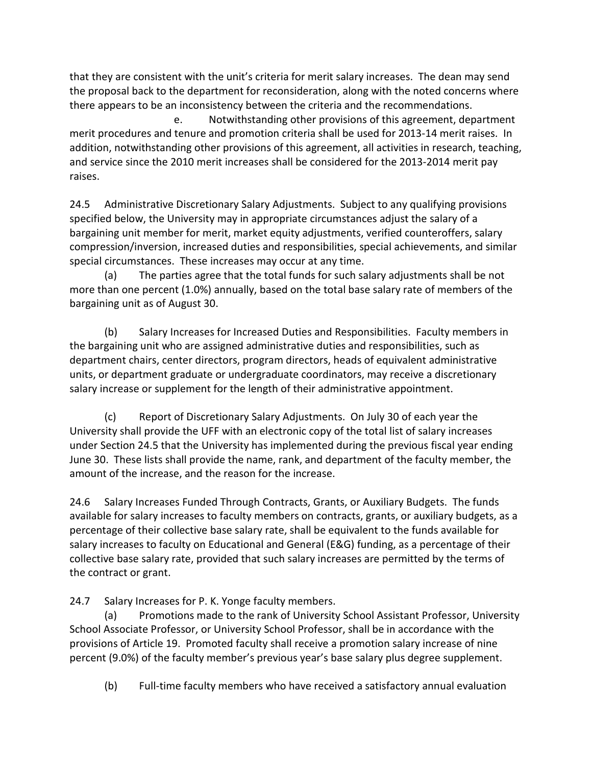that they are consistent with the unit's criteria for merit salary increases. The dean may send the proposal back to the department for reconsideration, along with the noted concerns where there appears to be an inconsistency between the criteria and the recommendations.

e. Notwithstanding other provisions of this agreement, department merit procedures and tenure and promotion criteria shall be used for 2013-14 merit raises. In addition, notwithstanding other provisions of this agreement, all activities in research, teaching, and service since the 2010 merit increases shall be considered for the 2013-2014 merit pay raises.

24.5 Administrative Discretionary Salary Adjustments. Subject to any qualifying provisions specified below, the University may in appropriate circumstances adjust the salary of a bargaining unit member for merit, market equity adjustments, verified counteroffers, salary compression/inversion, increased duties and responsibilities, special achievements, and similar special circumstances.These increases may occur at any time.

(a) The parties agree that the total funds for such salary adjustments shall be not more than one percent (1.0%) annually, based on the total base salary rate of members of the bargaining unit as of August 30.

(b) Salary Increases for Increased Duties and Responsibilities. Faculty members in the bargaining unit who are assigned administrative duties and responsibilities, such as department chairs, center directors, program directors, heads of equivalent administrative units, or department graduate or undergraduate coordinators, may receive a discretionary salary increase or supplement for the length of their administrative appointment.

(c) Report of Discretionary Salary Adjustments. On July 30 of each year the University shall provide the UFF with an electronic copy of the total list of salary increases under Section 24.5 that the University has implemented during the previous fiscal year ending June 30. These lists shall provide the name, rank, and department of the faculty member, the amount of the increase, and the reason for the increase.

24.6 Salary Increases Funded Through Contracts, Grants, or Auxiliary Budgets. The funds available for salary increases to faculty members on contracts, grants, or auxiliary budgets, as a percentage of their collective base salary rate, shall be equivalent to the funds available for salary increases to faculty on Educational and General (E&G) funding, as a percentage of their collective base salary rate, provided that such salary increases are permitted by the terms of the contract or grant.

24.7 Salary Increases for P. K. Yonge faculty members.

(a) Promotions made to the rank of University School Assistant Professor, University School Associate Professor, or University School Professor, shall be in accordance with the provisions of Article 19.Promoted faculty shall receive a promotion salary increase of nine percent (9.0%) of the faculty member's previous year's base salary plus degree supplement.

(b) Full-time faculty members who have received a satisfactory annual evaluation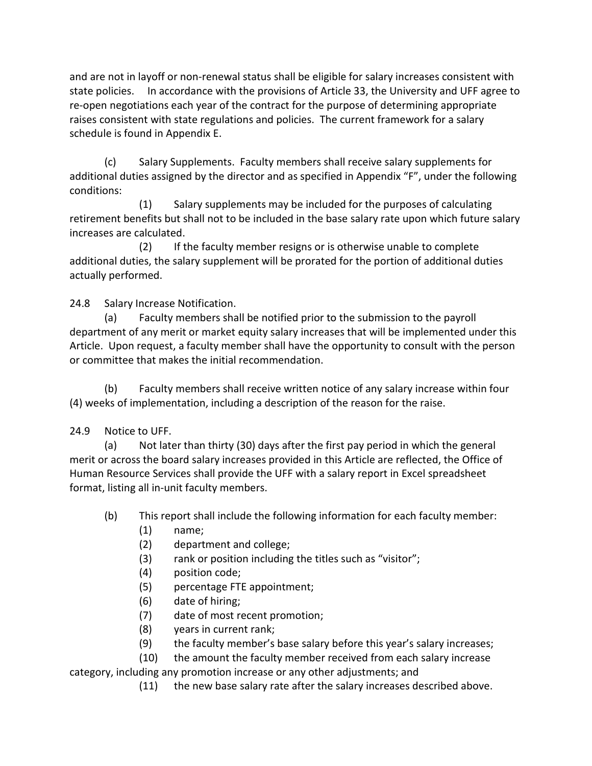and are not in layoff or non-renewal status shall be eligible for salary increases consistent with state policies. In accordance with the provisions of Article 33, the University and UFF agree to re-open negotiations each year of the contract for the purpose of determining appropriate raises consistent with state regulations and policies. The current framework for a salary schedule is found in Appendix E.

(c) Salary Supplements. Faculty members shall receive salary supplements for additional duties assigned by the director and as specified in Appendix "F", under the following conditions:

(1) Salary supplements may be included for the purposes of calculating retirement benefits but shall not to be included in the base salary rate upon which future salary increases are calculated.

(2) If the faculty member resigns or is otherwise unable to complete additional duties, the salary supplement will be prorated for the portion of additional duties actually performed.

24.8 Salary Increase Notification.

(a) Faculty members shall be notified prior to the submission to the payroll department of any merit or market equity salary increases that will be implemented under this Article. Upon request, a faculty member shall have the opportunity to consult with the person or committee that makes the initial recommendation.

(b) Faculty members shall receive written notice of any salary increase within four (4) weeks of implementation, including a description of the reason for the raise.

### 24.9 Notice to UFF.

(a) Not later than thirty (30) days after the first pay period in which the general merit or across the board salary increases provided in this Article are reflected, the Office of Human Resource Services shall provide the UFF with a salary report in Excel spreadsheet format, listing all in-unit faculty members.

(b) This report shall include the following information for each faculty member:

- (1) name;
- (2) department and college;
- (3) rank or position including the titles such as "visitor";
- (4) position code;
- (5) percentage FTE appointment;
- (6) date of hiring;
- (7) date of most recent promotion;
- (8) years in current rank;
- (9) the faculty member's base salary before this year's salary increases;

 (10) the amount the faculty member received from each salary increase category, including any promotion increase or any other adjustments; and

(11) the new base salary rate after the salary increases described above.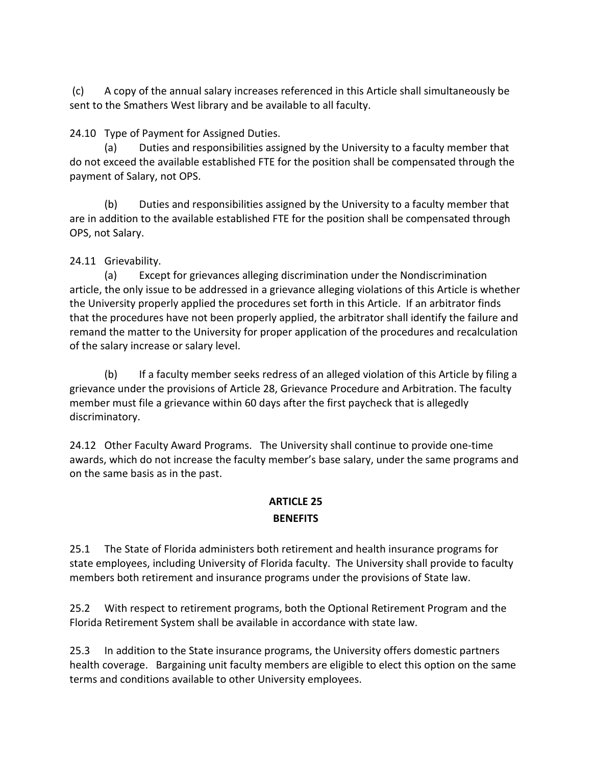(c) A copy of the annual salary increases referenced in this Article shall simultaneously be sent to the Smathers West library and be available to all faculty.

24.10 Type of Payment for Assigned Duties.

(a) Duties and responsibilities assigned by the University to a faculty member that do not exceed the available established FTE for the position shall be compensated through the payment of Salary, not OPS.

(b) Duties and responsibilities assigned by the University to a faculty member that are in addition to the available established FTE for the position shall be compensated through OPS, not Salary.

# 24.11 Grievability.

(a) Except for grievances alleging discrimination under the Nondiscrimination article, the only issue to be addressed in a grievance alleging violations of this Article is whether the University properly applied the procedures set forth in this Article. If an arbitrator finds that the procedures have not been properly applied, the arbitrator shall identify the failure and remand the matter to the University for proper application of the procedures and recalculation of the salary increase or salary level.

(b) If a faculty member seeks redress of an alleged violation of this Article by filing a grievance under the provisions of Article 28, Grievance Procedure and Arbitration. The faculty member must file a grievance within 60 days after the first paycheck that is allegedly discriminatory.

24.12 Other Faculty Award Programs. The University shall continue to provide one-time awards, which do not increase the faculty member's base salary, under the same programs and on the same basis as in the past.

#### **ARTICLE 25 BENEFITS**

25.1 The State of Florida administers both retirement and health insurance programs for state employees, including University of Florida faculty. The University shall provide to faculty

members both retirement and insurance programs under the provisions of State law.

25.2 With respect to retirement programs, both the Optional Retirement Program and the Florida Retirement System shall be available in accordance with state law.

25.3 In addition to the State insurance programs, the University offers domestic partners health coverage. Bargaining unit faculty members are eligible to elect this option on the same terms and conditions available to other University employees.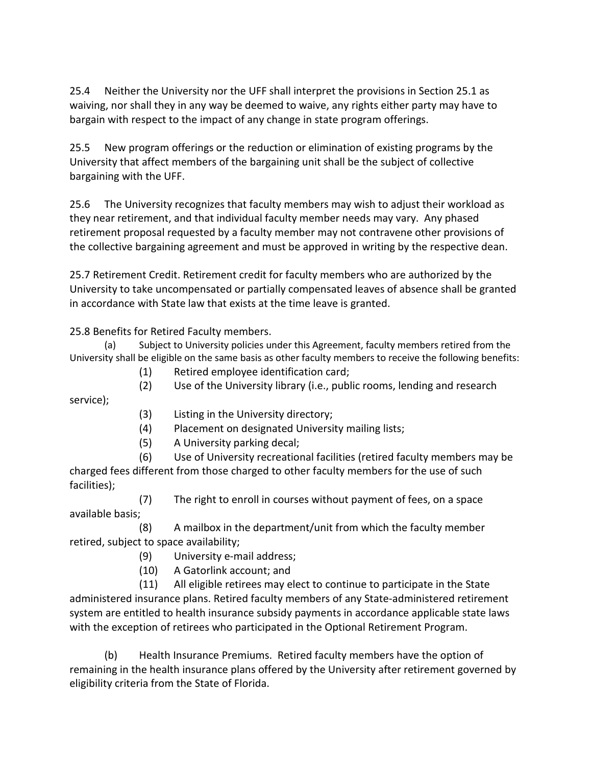25.4 Neither the University nor the UFF shall interpret the provisions in Section 25.1 as waiving, nor shall they in any way be deemed to waive, any rights either party may have to bargain with respect to the impact of any change in state program offerings.

25.5 New program offerings or the reduction or elimination of existing programs by the University that affect members of the bargaining unit shall be the subject of collective bargaining with the UFF.

25.6 The University recognizes that faculty members may wish to adjust their workload as they near retirement, and that individual faculty member needs may vary. Any phased retirement proposal requested by a faculty member may not contravene other provisions of the collective bargaining agreement and must be approved in writing by the respective dean.

25.7 Retirement Credit. Retirement credit for faculty members who are authorized by the University to take uncompensated or partially compensated leaves of absence shall be granted in accordance with State law that exists at the time leave is granted.

25.8 Benefits for Retired Faculty members.

(a) Subject to University policies under this Agreement, faculty members retired from the University shall be eligible on the same basis as other faculty members to receive the following benefits:

- (1) Retired employee identification card;
- (2) Use of the University library (i.e., public rooms, lending and research

service);

- (3) Listing in the University directory;
- (4) Placement on designated University mailing lists;
- (5) A University parking decal;

(6) Use of University recreational facilities (retired faculty members may be charged fees different from those charged to other faculty members for the use of such facilities);

(7) The right to enroll in courses without payment of fees, on a space available basis;

(8) A mailbox in the department/unit from which the faculty member retired, subject to space availability;

- (9) University e-mail address;
- (10) A Gatorlink account; and

(11) All eligible retirees may elect to continue to participate in the State administered insurance plans. Retired faculty members of any State-administered retirement system are entitled to health insurance subsidy payments in accordance applicable state laws with the exception of retirees who participated in the Optional Retirement Program.

(b) Health Insurance Premiums. Retired faculty members have the option of remaining in the health insurance plans offered by the University after retirement governed by eligibility criteria from the State of Florida.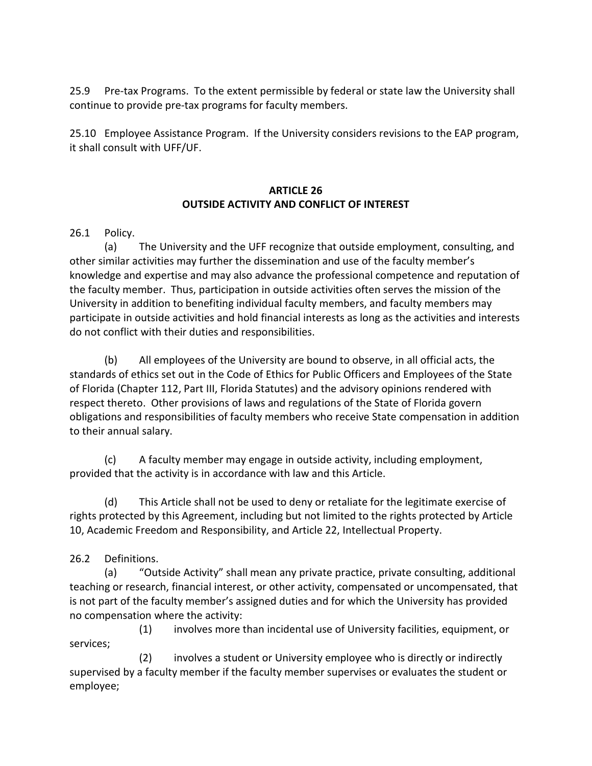25.9 Pre-tax Programs. To the extent permissible by federal or state law the University shall continue to provide pre-tax programs for faculty members.

25.10 Employee Assistance Program. If the University considers revisions to the EAP program, it shall consult with UFF/UF.

### **ARTICLE 26 OUTSIDE ACTIVITY AND CONFLICT OF INTEREST**

26.1 Policy.

(a) The University and the UFF recognize that outside employment, consulting, and other similar activities may further the dissemination and use of the faculty member's knowledge and expertise and may also advance the professional competence and reputation of the faculty member. Thus, participation in outside activities often serves the mission of the University in addition to benefiting individual faculty members, and faculty members may participate in outside activities and hold financial interests as long as the activities and interests do not conflict with their duties and responsibilities.

(b) All employees of the University are bound to observe, in all official acts, the standards of ethics set out in the Code of Ethics for Public Officers and Employees of the State of Florida (Chapter 112, Part III, Florida Statutes) and the advisory opinions rendered with respect thereto. Other provisions of laws and regulations of the State of Florida govern obligations and responsibilities of faculty members who receive State compensation in addition to their annual salary.

(c) A faculty member may engage in outside activity, including employment, provided that the activity is in accordance with law and this Article.

(d) This Article shall not be used to deny or retaliate for the legitimate exercise of rights protected by this Agreement, including but not limited to the rights protected by Article 10, Academic Freedom and Responsibility, and Article 22, Intellectual Property.

26.2 Definitions.

(a) "Outside Activity" shall mean any private practice, private consulting, additional teaching or research, financial interest, or other activity, compensated or uncompensated, that is not part of the faculty member's assigned duties and for which the University has provided no compensation where the activity:

 (1) involves more than incidental use of University facilities, equipment, or services;

 (2) involves a student or University employee who is directly or indirectly supervised by a faculty member if the faculty member supervises or evaluates the student or employee;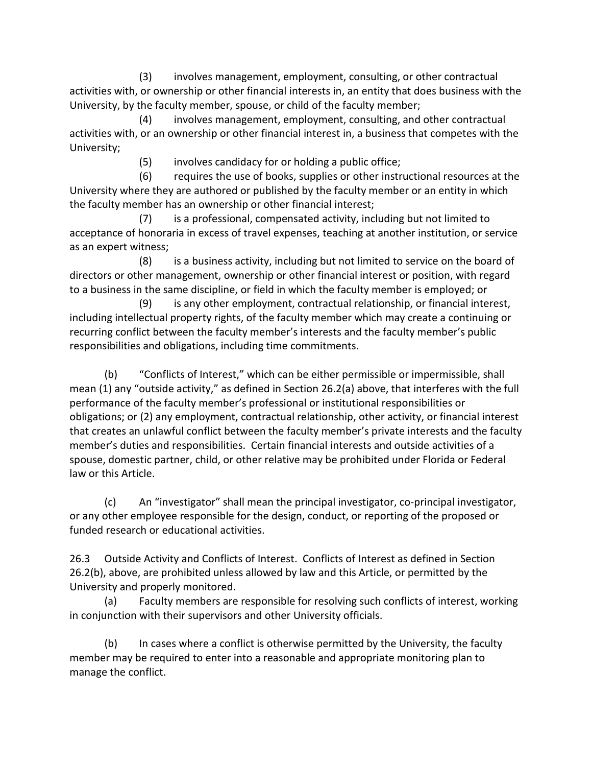(3) involves management, employment, consulting, or other contractual activities with, or ownership or other financial interests in, an entity that does business with the University, by the faculty member, spouse, or child of the faculty member;

 (4) involves management, employment, consulting, and other contractual activities with, or an ownership or other financial interest in, a business that competes with the University;

(5) involves candidacy for or holding a public office;

 (6) requires the use of books, supplies or other instructional resources at the University where they are authored or published by the faculty member or an entity in which the faculty member has an ownership or other financial interest;

 (7) is a professional, compensated activity, including but not limited to acceptance of honoraria in excess of travel expenses, teaching at another institution, or service as an expert witness;

 (8) is a business activity, including but not limited to service on the board of directors or other management, ownership or other financial interest or position, with regard to a business in the same discipline, or field in which the faculty member is employed; or

 (9) is any other employment, contractual relationship, or financial interest, including intellectual property rights, of the faculty member which may create a continuing or recurring conflict between the faculty member's interests and the faculty member's public responsibilities and obligations, including time commitments.

(b) "Conflicts of Interest," which can be either permissible or impermissible, shall mean (1) any "outside activity," as defined in Section 26.2(a) above, that interferes with the full performance of the faculty member's professional or institutional responsibilities or obligations; or (2) any employment, contractual relationship, other activity, or financial interest that creates an unlawful conflict between the faculty member's private interests and the faculty member's duties and responsibilities. Certain financial interests and outside activities of a spouse, domestic partner, child, or other relative may be prohibited under Florida or Federal law or this Article.

(c) An "investigator" shall mean the principal investigator, co-principal investigator, or any other employee responsible for the design, conduct, or reporting of the proposed or funded research or educational activities.

26.3 Outside Activity and Conflicts of Interest. Conflicts of Interest as defined in Section 26.2(b), above, are prohibited unless allowed by law and this Article, or permitted by the University and properly monitored.

(a) Faculty members are responsible for resolving such conflicts of interest, working in conjunction with their supervisors and other University officials.

(b) In cases where a conflict is otherwise permitted by the University, the faculty member may be required to enter into a reasonable and appropriate monitoring plan to manage the conflict.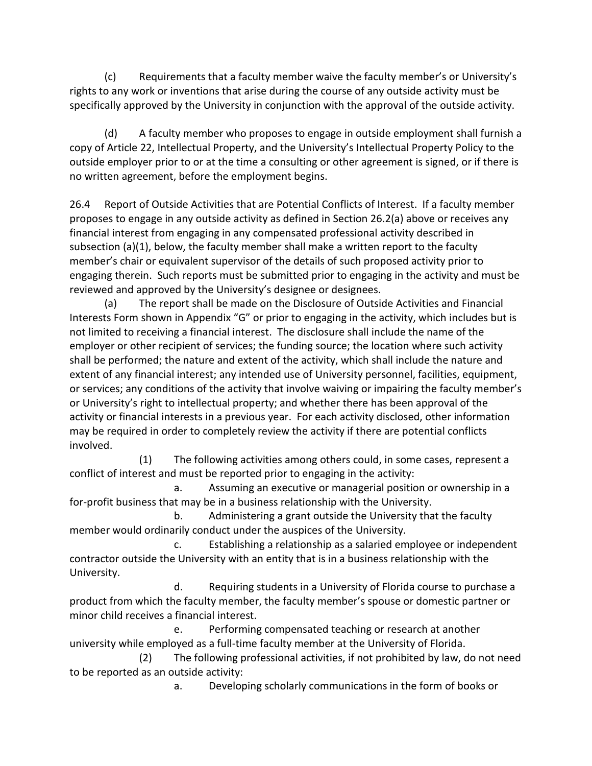(c) Requirements that a faculty member waive the faculty member's or University's rights to any work or inventions that arise during the course of any outside activity must be specifically approved by the University in conjunction with the approval of the outside activity.

(d) A faculty member who proposes to engage in outside employment shall furnish a copy of Article 22, Intellectual Property, and the University's Intellectual Property Policy to the outside employer prior to or at the time a consulting or other agreement is signed, or if there is no written agreement, before the employment begins.

26.4 Report of Outside Activities that are Potential Conflicts of Interest. If a faculty member proposes to engage in any outside activity as defined in Section 26.2(a) above or receives any financial interest from engaging in any compensated professional activity described in subsection  $(a)(1)$ , below, the faculty member shall make a written report to the faculty member's chair or equivalent supervisor of the details of such proposed activity prior to engaging therein. Such reports must be submitted prior to engaging in the activity and must be reviewed and approved by the University's designee or designees.

(a) The report shall be made on the Disclosure of Outside Activities and Financial Interests Form shown in Appendix "G" or prior to engaging in the activity, which includes but is not limited to receiving a financial interest. The disclosure shall include the name of the employer or other recipient of services; the funding source; the location where such activity shall be performed; the nature and extent of the activity, which shall include the nature and extent of any financial interest; any intended use of University personnel, facilities, equipment, or services; any conditions of the activity that involve waiving or impairing the faculty member's or University's right to intellectual property; and whether there has been approval of the activity or financial interests in a previous year. For each activity disclosed, other information may be required in order to completely review the activity if there are potential conflicts involved.

 (1) The following activities among others could, in some cases, represent a conflict of interest and must be reported prior to engaging in the activity:

 a. Assuming an executive or managerial position or ownership in a for-profit business that may be in a business relationship with the University.

 b. Administering a grant outside the University that the faculty member would ordinarily conduct under the auspices of the University.

 c. Establishing a relationship as a salaried employee or independent contractor outside the University with an entity that is in a business relationship with the University.

 d. Requiring students in a University of Florida course to purchase a product from which the faculty member, the faculty member's spouse or domestic partner or minor child receives a financial interest.

 e. Performing compensated teaching or research at another university while employed as a full-time faculty member at the University of Florida.

 (2) The following professional activities, if not prohibited by law, do not need to be reported as an outside activity:

a. Developing scholarly communications in the form of books or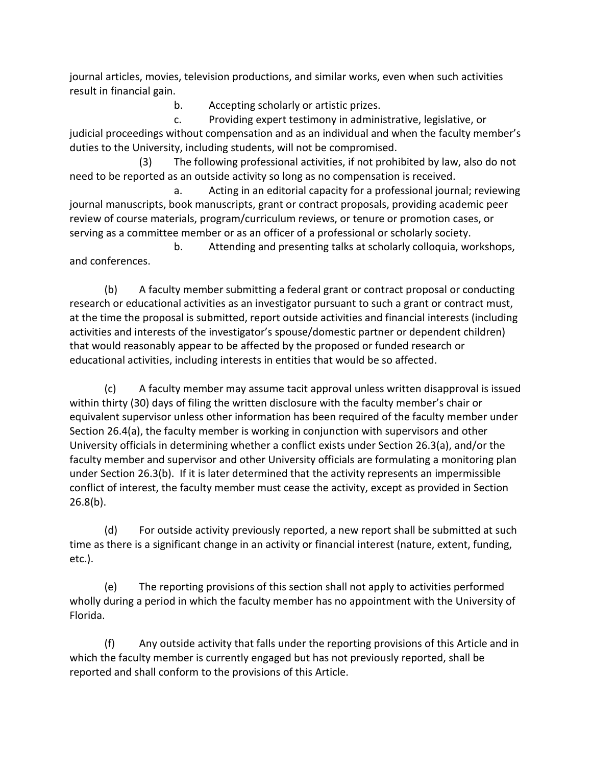journal articles, movies, television productions, and similar works, even when such activities result in financial gain.

b. Accepting scholarly or artistic prizes.

 c. Providing expert testimony in administrative, legislative, or judicial proceedings without compensation and as an individual and when the faculty member's duties to the University, including students, will not be compromised.

 (3) The following professional activities, if not prohibited by law, also do not need to be reported as an outside activity so long as no compensation is received.

 a. Acting in an editorial capacity for a professional journal; reviewing journal manuscripts, book manuscripts, grant or contract proposals, providing academic peer review of course materials, program/curriculum reviews, or tenure or promotion cases, or serving as a committee member or as an officer of a professional or scholarly society.

 b. Attending and presenting talks at scholarly colloquia, workshops, and conferences.

(b) A faculty member submitting a federal grant or contract proposal or conducting research or educational activities as an investigator pursuant to such a grant or contract must, at the time the proposal is submitted, report outside activities and financial interests (including activities and interests of the investigator's spouse/domestic partner or dependent children) that would reasonably appear to be affected by the proposed or funded research or educational activities, including interests in entities that would be so affected.

(c) A faculty member may assume tacit approval unless written disapproval is issued within thirty (30) days of filing the written disclosure with the faculty member's chair or equivalent supervisor unless other information has been required of the faculty member under Section 26.4(a), the faculty member is working in conjunction with supervisors and other University officials in determining whether a conflict exists under Section 26.3(a), and/or the faculty member and supervisor and other University officials are formulating a monitoring plan under Section 26.3(b). If it is later determined that the activity represents an impermissible conflict of interest, the faculty member must cease the activity, except as provided in Section  $26.8(b)$ .

(d) For outside activity previously reported, a new report shall be submitted at such time as there is a significant change in an activity or financial interest (nature, extent, funding, etc.).

(e) The reporting provisions of this section shall not apply to activities performed wholly during a period in which the faculty member has no appointment with the University of Florida.

(f) Any outside activity that falls under the reporting provisions of this Article and in which the faculty member is currently engaged but has not previously reported, shall be reported and shall conform to the provisions of this Article.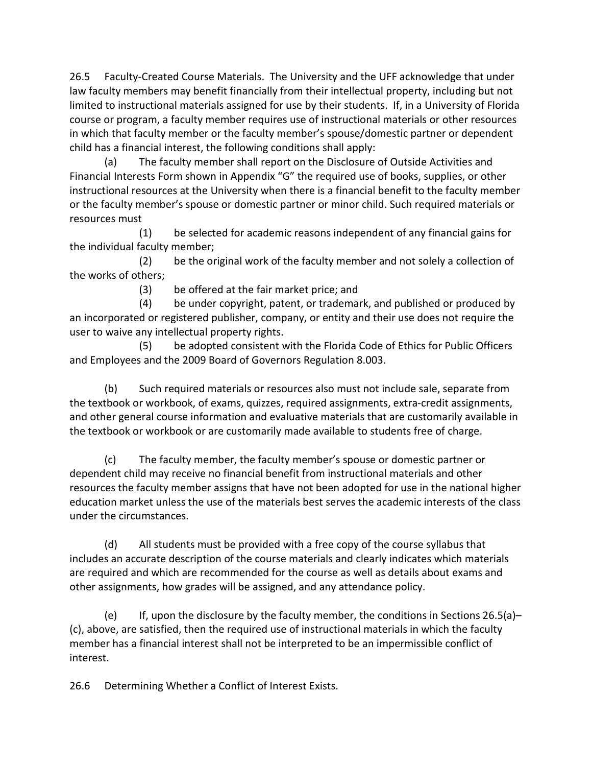26.5 Faculty-Created Course Materials. The University and the UFF acknowledge that under law faculty members may benefit financially from their intellectual property, including but not limited to instructional materials assigned for use by their students. If, in a University of Florida course or program, a faculty member requires use of instructional materials or other resources in which that faculty member or the faculty member's spouse/domestic partner or dependent child has a financial interest, the following conditions shall apply:

(a) The faculty member shall report on the Disclosure of Outside Activities and Financial Interests Form shown in Appendix "G" the required use of books, supplies, or other instructional resources at the University when there is a financial benefit to the faculty member or the faculty member's spouse or domestic partner or minor child. Such required materials or resources must

(1) be selected for academic reasons independent of any financial gains for the individual faculty member;

 (2) be the original work of the faculty member and not solely a collection of the works of others;

(3) be offered at the fair market price; and

 (4) be under copyright, patent, or trademark, and published or produced by an incorporated or registered publisher, company, or entity and their use does not require the user to waive any intellectual property rights.

 (5) be adopted consistent with the Florida Code of Ethics for Public Officers and Employees and the 2009 Board of Governors Regulation 8.003.

(b) Such required materials or resources also must not include sale, separate from the textbook or workbook, of exams, quizzes, required assignments, extra-credit assignments, and other general course information and evaluative materials that are customarily available in the textbook or workbook or are customarily made available to students free of charge.

(c) The faculty member, the faculty member's spouse or domestic partner or dependent child may receive no financial benefit from instructional materials and other resources the faculty member assigns that have not been adopted for use in the national higher education market unless the use of the materials best serves the academic interests of the class under the circumstances.

(d) All students must be provided with a free copy of the course syllabus that includes an accurate description of the course materials and clearly indicates which materials are required and which are recommended for the course as well as details about exams and other assignments, how grades will be assigned, and any attendance policy.

(e) If, upon the disclosure by the faculty member, the conditions in Sections 26.5(a)– (c), above, are satisfied, then the required use of instructional materials in which the faculty member has a financial interest shall not be interpreted to be an impermissible conflict of interest.

26.6 Determining Whether a Conflict of Interest Exists.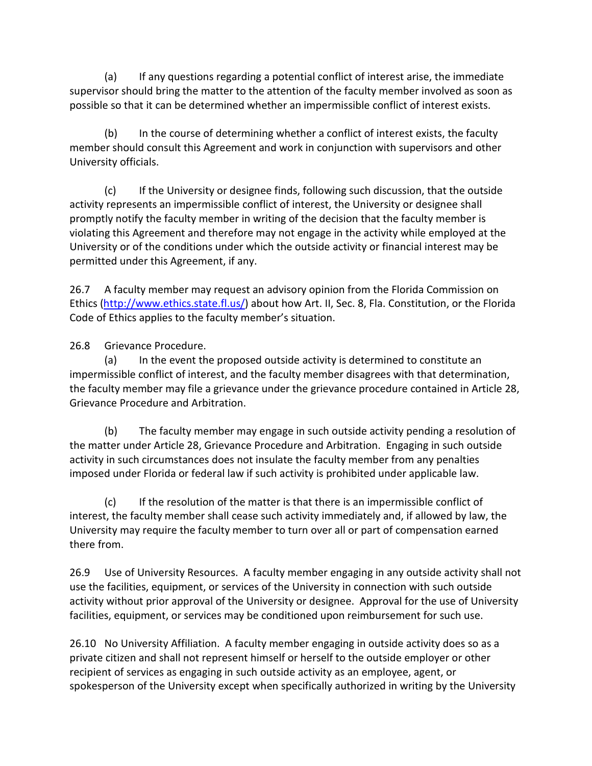(a) If any questions regarding a potential conflict of interest arise, the immediate supervisor should bring the matter to the attention of the faculty member involved as soon as possible so that it can be determined whether an impermissible conflict of interest exists.

(b) In the course of determining whether a conflict of interest exists, the faculty member should consult this Agreement and work in conjunction with supervisors and other University officials.

(c) If the University or designee finds, following such discussion, that the outside activity represents an impermissible conflict of interest, the University or designee shall promptly notify the faculty member in writing of the decision that the faculty member is violating this Agreement and therefore may not engage in the activity while employed at the University or of the conditions under which the outside activity or financial interest may be permitted under this Agreement, if any.

26.7 A faculty member may request an advisory opinion from the Florida Commission on Ethics [\(http://www.ethics.state.fl.us/\)](http://www.ethics.state.fl.us/) about how Art. II, Sec. 8, Fla. Constitution, or the Florida Code of Ethics applies to the faculty member's situation.

26.8 Grievance Procedure.

(a) In the event the proposed outside activity is determined to constitute an impermissible conflict of interest, and the faculty member disagrees with that determination, the faculty member may file a grievance under the grievance procedure contained in Article 28, Grievance Procedure and Arbitration.

(b) The faculty member may engage in such outside activity pending a resolution of the matter under Article 28, Grievance Procedure and Arbitration. Engaging in such outside activity in such circumstances does not insulate the faculty member from any penalties imposed under Florida or federal law if such activity is prohibited under applicable law.

(c) If the resolution of the matter is that there is an impermissible conflict of interest, the faculty member shall cease such activity immediately and, if allowed by law, the University may require the faculty member to turn over all or part of compensation earned there from.

26.9 Use of University Resources. A faculty member engaging in any outside activity shall not use the facilities, equipment, or services of the University in connection with such outside activity without prior approval of the University or designee. Approval for the use of University facilities, equipment, or services may be conditioned upon reimbursement for such use.

26.10 No University Affiliation. A faculty member engaging in outside activity does so as a private citizen and shall not represent himself or herself to the outside employer or other recipient of services as engaging in such outside activity as an employee, agent, or spokesperson of the University except when specifically authorized in writing by the University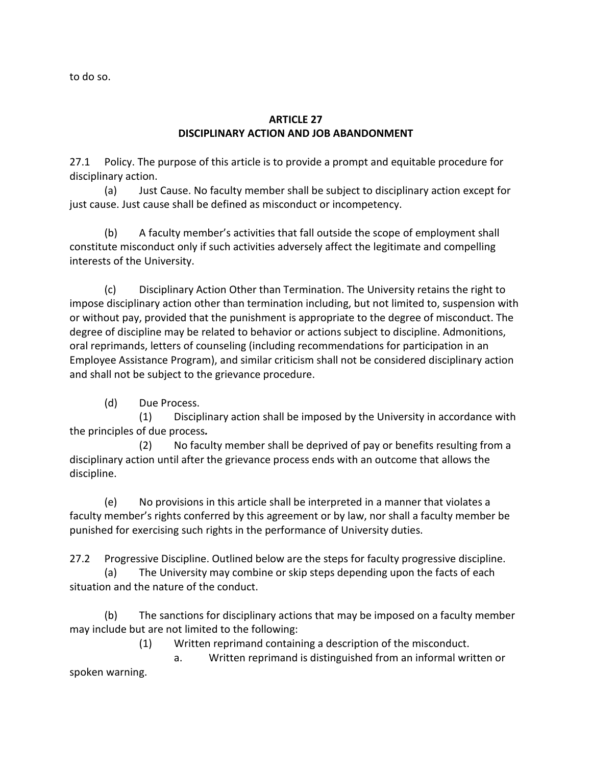to do so.

### **ARTICLE 27 DISCIPLINARY ACTION AND JOB ABANDONMENT**

27.1 Policy. The purpose of this article is to provide a prompt and equitable procedure for disciplinary action.

(a) Just Cause. No faculty member shall be subject to disciplinary action except for just cause. Just cause shall be defined as misconduct or incompetency.

(b) A faculty member's activities that fall outside the scope of employment shall constitute misconduct only if such activities adversely affect the legitimate and compelling interests of the University.

(c) Disciplinary Action Other than Termination. The University retains the right to impose disciplinary action other than termination including, but not limited to, suspension with or without pay, provided that the punishment is appropriate to the degree of misconduct. The degree of discipline may be related to behavior or actions subject to discipline. Admonitions, oral reprimands, letters of counseling (including recommendations for participation in an Employee Assistance Program), and similar criticism shall not be considered disciplinary action and shall not be subject to the grievance procedure.

(d) Due Process.

 (1) Disciplinary action shall be imposed by the University in accordance with the principles of due process*.*

 (2) No faculty member shall be deprived of pay or benefits resulting from a disciplinary action until after the grievance process ends with an outcome that allows the discipline.

(e) No provisions in this article shall be interpreted in a manner that violates a faculty member's rights conferred by this agreement or by law, nor shall a faculty member be punished for exercising such rights in the performance of University duties.

27.2 Progressive Discipline. Outlined below are the steps for faculty progressive discipline. (a) The University may combine or skip steps depending upon the facts of each

situation and the nature of the conduct.

(b) The sanctions for disciplinary actions that may be imposed on a faculty member may include but are not limited to the following:

(1) Written reprimand containing a description of the misconduct.

 a. Written reprimand is distinguished from an informal written or spoken warning.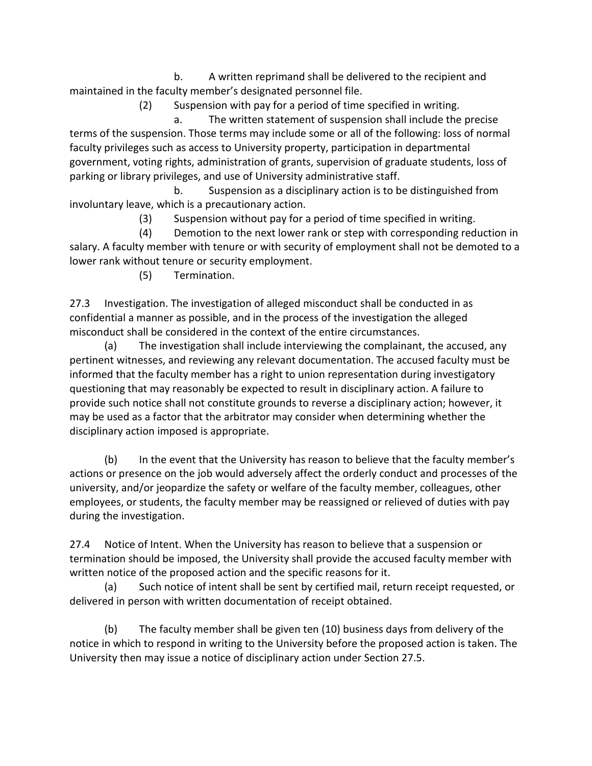b. A written reprimand shall be delivered to the recipient and maintained in the faculty member's designated personnel file.

(2) Suspension with pay for a period of time specified in writing.

 a. The written statement of suspension shall include the precise terms of the suspension. Those terms may include some or all of the following: loss of normal faculty privileges such as access to University property, participation in departmental government, voting rights, administration of grants, supervision of graduate students, loss of parking or library privileges, and use of University administrative staff.

 b. Suspension as a disciplinary action is to be distinguished from involuntary leave, which is a precautionary action.

(3) Suspension without pay for a period of time specified in writing.

 (4) Demotion to the next lower rank or step with corresponding reduction in salary. A faculty member with tenure or with security of employment shall not be demoted to a lower rank without tenure or security employment.

(5) Termination.

27.3 Investigation. The investigation of alleged misconduct shall be conducted in as confidential a manner as possible, and in the process of the investigation the alleged misconduct shall be considered in the context of the entire circumstances.

(a) The investigation shall include interviewing the complainant, the accused, any pertinent witnesses, and reviewing any relevant documentation. The accused faculty must be informed that the faculty member has a right to union representation during investigatory questioning that may reasonably be expected to result in disciplinary action. A failure to provide such notice shall not constitute grounds to reverse a disciplinary action; however, it may be used as a factor that the arbitrator may consider when determining whether the disciplinary action imposed is appropriate.

(b) In the event that the University has reason to believe that the faculty member's actions or presence on the job would adversely affect the orderly conduct and processes of the university, and/or jeopardize the safety or welfare of the faculty member, colleagues, other employees, or students, the faculty member may be reassigned or relieved of duties with pay during the investigation.

27.4 Notice of Intent. When the University has reason to believe that a suspension or termination should be imposed, the University shall provide the accused faculty member with written notice of the proposed action and the specific reasons for it.

(a) Such notice of intent shall be sent by certified mail, return receipt requested, or delivered in person with written documentation of receipt obtained.

(b) The faculty member shall be given ten (10) business days from delivery of the notice in which to respond in writing to the University before the proposed action is taken. The University then may issue a notice of disciplinary action under Section 27.5.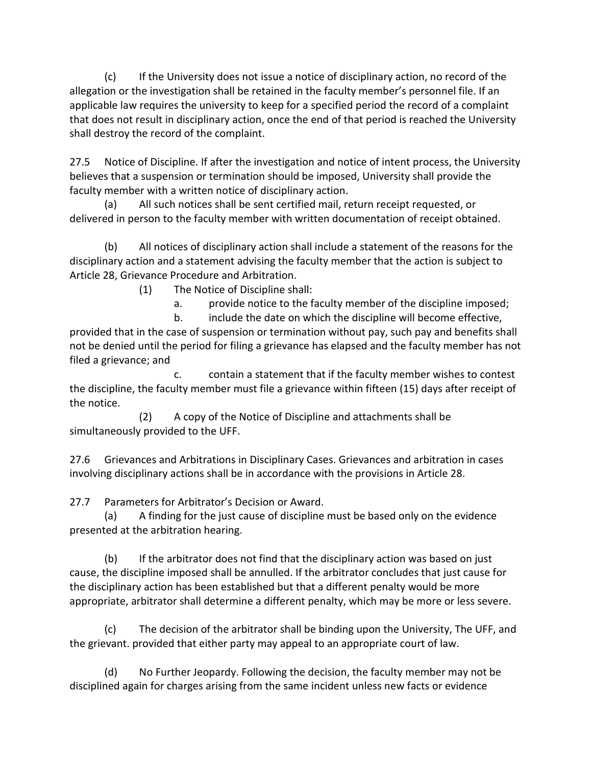(c) If the University does not issue a notice of disciplinary action, no record of the allegation or the investigation shall be retained in the faculty member's personnel file. If an applicable law requires the university to keep for a specified period the record of a complaint that does not result in disciplinary action, once the end of that period is reached the University shall destroy the record of the complaint.

27.5 Notice of Discipline. If after the investigation and notice of intent process, the University believes that a suspension or termination should be imposed, University shall provide the faculty member with a written notice of disciplinary action.

(a) All such notices shall be sent certified mail, return receipt requested, or delivered in person to the faculty member with written documentation of receipt obtained.

(b) All notices of disciplinary action shall include a statement of the reasons for the disciplinary action and a statement advising the faculty member that the action is subject to Article 28, Grievance Procedure and Arbitration.

(1) The Notice of Discipline shall:

a. provide notice to the faculty member of the discipline imposed;

 b. include the date on which the discipline will become effective, provided that in the case of suspension or termination without pay, such pay and benefits shall not be denied until the period for filing a grievance has elapsed and the faculty member has not filed a grievance; and

 c. contain a statement that if the faculty member wishes to contest the discipline, the faculty member must file a grievance within fifteen (15) days after receipt of the notice.

 (2) A copy of the Notice of Discipline and attachments shall be simultaneously provided to the UFF.

27.6 Grievances and Arbitrations in Disciplinary Cases. Grievances and arbitration in cases involving disciplinary actions shall be in accordance with the provisions in Article 28.

27.7 Parameters for Arbitrator's Decision or Award.

(a) A finding for the just cause of discipline must be based only on the evidence presented at the arbitration hearing.

(b) If the arbitrator does not find that the disciplinary action was based on just cause, the discipline imposed shall be annulled. If the arbitrator concludes that just cause for the disciplinary action has been established but that a different penalty would be more appropriate, arbitrator shall determine a different penalty, which may be more or less severe.

(c) The decision of the arbitrator shall be binding upon the University, The UFF, and the grievant. provided that either party may appeal to an appropriate court of law.

(d) No Further Jeopardy. Following the decision, the faculty member may not be disciplined again for charges arising from the same incident unless new facts or evidence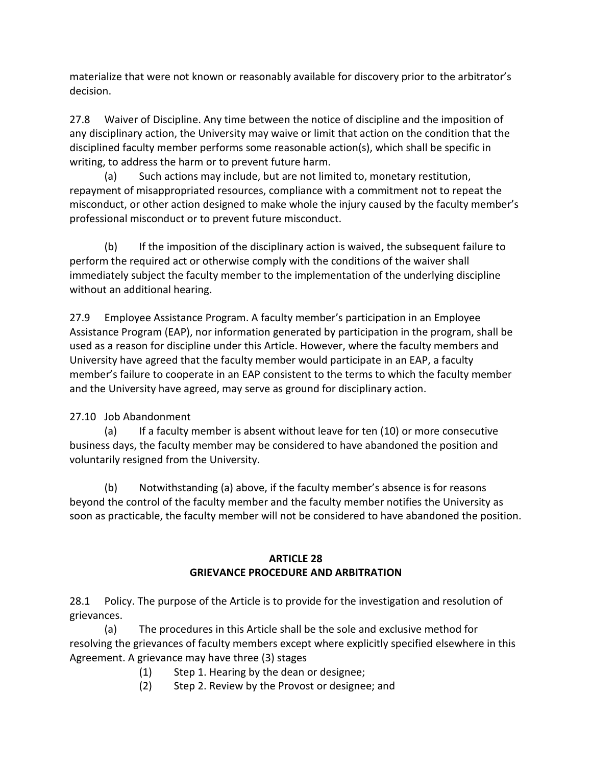materialize that were not known or reasonably available for discovery prior to the arbitrator's decision.

27.8 Waiver of Discipline. Any time between the notice of discipline and the imposition of any disciplinary action, the University may waive or limit that action on the condition that the disciplined faculty member performs some reasonable action(s), which shall be specific in writing, to address the harm or to prevent future harm.

(a) Such actions may include, but are not limited to, monetary restitution, repayment of misappropriated resources, compliance with a commitment not to repeat the misconduct, or other action designed to make whole the injury caused by the faculty member's professional misconduct or to prevent future misconduct.

(b) If the imposition of the disciplinary action is waived, the subsequent failure to perform the required act or otherwise comply with the conditions of the waiver shall immediately subject the faculty member to the implementation of the underlying discipline without an additional hearing.

27.9 Employee Assistance Program. A faculty member's participation in an Employee Assistance Program (EAP), nor information generated by participation in the program, shall be used as a reason for discipline under this Article. However, where the faculty members and University have agreed that the faculty member would participate in an EAP, a faculty member's failure to cooperate in an EAP consistent to the terms to which the faculty member and the University have agreed, may serve as ground for disciplinary action.

# 27.10 Job Abandonment

(a) If a faculty member is absent without leave for ten (10) or more consecutive business days, the faculty member may be considered to have abandoned the position and voluntarily resigned from the University.

(b) Notwithstanding (a) above, if the faculty member's absence is for reasons beyond the control of the faculty member and the faculty member notifies the University as soon as practicable, the faculty member will not be considered to have abandoned the position.

# **ARTICLE 28 GRIEVANCE PROCEDURE AND ARBITRATION**

28.1 Policy. The purpose of the Article is to provide for the investigation and resolution of grievances.

(a) The procedures in this Article shall be the sole and exclusive method for resolving the grievances of faculty members except where explicitly specified elsewhere in this Agreement. A grievance may have three (3) stages

- (1) Step 1. Hearing by the dean or designee;
- (2) Step 2. Review by the Provost or designee; and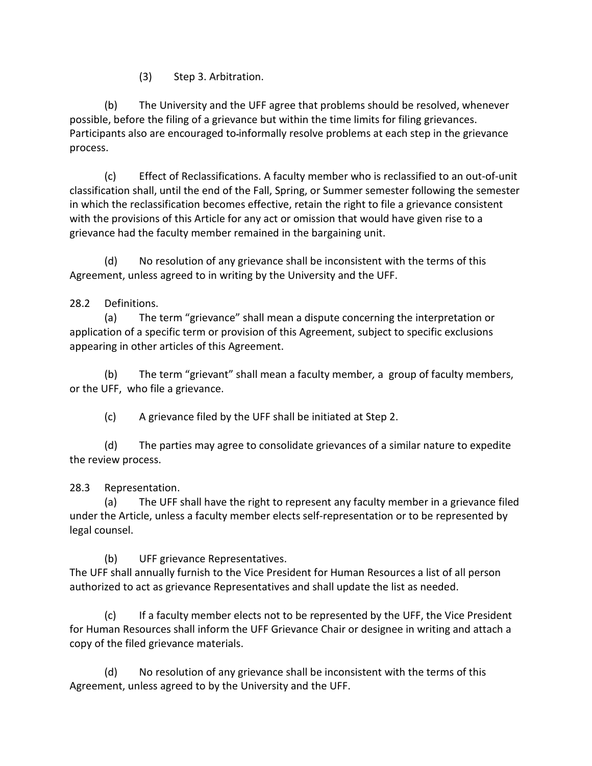(3) Step 3. Arbitration.

(b) The University and the UFF agree that problems should be resolved, whenever possible, before the filing of a grievance but within the time limits for filing grievances. Participants also are encouraged to-informally resolve problems at each step in the grievance process.

(c) Effect of Reclassifications. A faculty member who is reclassified to an out-of-unit classification shall, until the end of the Fall, Spring, or Summer semester following the semester in which the reclassification becomes effective, retain the right to file a grievance consistent with the provisions of this Article for any act or omission that would have given rise to a grievance had the faculty member remained in the bargaining unit.

(d) No resolution of any grievance shall be inconsistent with the terms of this Agreement, unless agreed to in writing by the University and the UFF.

## 28.2 Definitions.

(a) The term "grievance" shall mean a dispute concerning the interpretation or application of a specific term or provision of this Agreement, subject to specific exclusions appearing in other articles of this Agreement.

(b) The term "grievant" shall mean a faculty member*,* a group of faculty members, or the UFF, who file a grievance.

(c) A grievance filed by the UFF shall be initiated at Step 2.

(d) The parties may agree to consolidate grievances of a similar nature to expedite the review process.

28.3 Representation.

(a) The UFF shall have the right to represent any faculty member in a grievance filed under the Article, unless a faculty member elects self-representation or to be represented by legal counsel.

(b) UFF grievance Representatives.

The UFF shall annually furnish to the Vice President for Human Resources a list of all person authorized to act as grievance Representatives and shall update the list as needed.

(c) If a faculty member elects not to be represented by the UFF, the Vice President for Human Resources shall inform the UFF Grievance Chair or designee in writing and attach a copy of the filed grievance materials.

 (d) No resolution of any grievance shall be inconsistent with the terms of this Agreement, unless agreed to by the University and the UFF.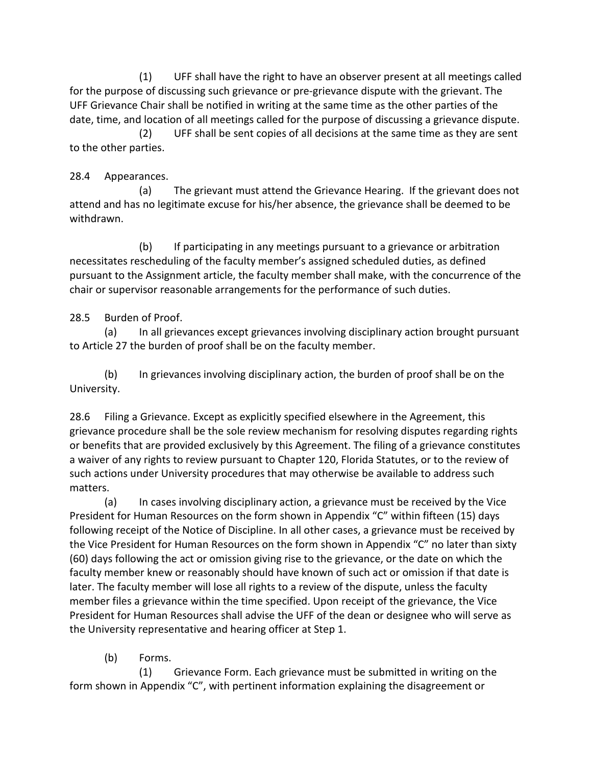(1) UFF shall have the right to have an observer present at all meetings called for the purpose of discussing such grievance or pre-grievance dispute with the grievant. The UFF Grievance Chair shall be notified in writing at the same time as the other parties of the date, time, and location of all meetings called for the purpose of discussing a grievance dispute.

 (2) UFF shall be sent copies of all decisions at the same time as they are sent to the other parties.

## 28.4 Appearances.

(a) The grievant must attend the Grievance Hearing. If the grievant does not attend and has no legitimate excuse for his/her absence, the grievance shall be deemed to be withdrawn.

(b) If participating in any meetings pursuant to a grievance or arbitration necessitates rescheduling of the faculty member's assigned scheduled duties, as defined pursuant to the Assignment article, the faculty member shall make, with the concurrence of the chair or supervisor reasonable arrangements for the performance of such duties.

# 28.5 Burden of Proof.

(a) In all grievances except grievances involving disciplinary action brought pursuant to Article 27 the burden of proof shall be on the faculty member.

(b) In grievances involving disciplinary action, the burden of proof shall be on the University.

28.6 Filing a Grievance. Except as explicitly specified elsewhere in the Agreement, this grievance procedure shall be the sole review mechanism for resolving disputes regarding rights or benefits that are provided exclusively by this Agreement. The filing of a grievance constitutes a waiver of any rights to review pursuant to Chapter 120, Florida Statutes, or to the review of such actions under University procedures that may otherwise be available to address such matters.

(a) In cases involving disciplinary action, a grievance must be received by the Vice President for Human Resources on the form shown in Appendix "C" within fifteen (15) days following receipt of the Notice of Discipline. In all other cases, a grievance must be received by the Vice President for Human Resources on the form shown in Appendix "C" no later than sixty (60) days following the act or omission giving rise to the grievance, or the date on which the faculty member knew or reasonably should have known of such act or omission if that date is later. The faculty member will lose all rights to a review of the dispute, unless the faculty member files a grievance within the time specified. Upon receipt of the grievance, the Vice President for Human Resources shall advise the UFF of the dean or designee who will serve as the University representative and hearing officer at Step 1.

(b) Forms.

(1) Grievance Form. Each grievance must be submitted in writing on the form shown in Appendix "C", with pertinent information explaining the disagreement or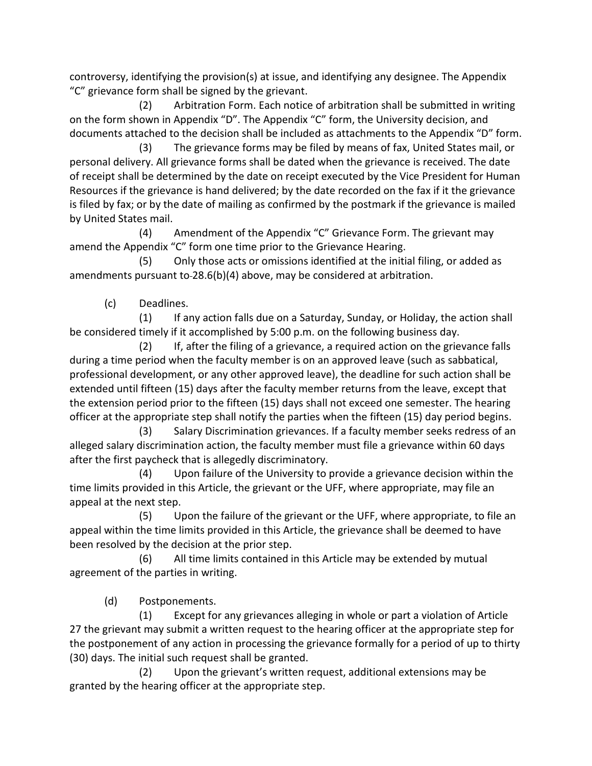controversy, identifying the provision(s) at issue, and identifying any designee. The Appendix "C" grievance form shall be signed by the grievant.

(2) Arbitration Form. Each notice of arbitration shall be submitted in writing on the form shown in Appendix "D". The Appendix "C" form, the University decision, and documents attached to the decision shall be included as attachments to the Appendix "D" form.

 (3) The grievance forms may be filed by means of fax, United States mail, or personal delivery. All grievance forms shall be dated when the grievance is received. The date of receipt shall be determined by the date on receipt executed by the Vice President for Human Resources if the grievance is hand delivered; by the date recorded on the fax if it the grievance is filed by fax; or by the date of mailing as confirmed by the postmark if the grievance is mailed by United States mail.

 (4) Amendment of the Appendix "C" Grievance Form. The grievant may amend the Appendix "C" form one time prior to the Grievance Hearing.

 (5) Only those acts or omissions identified at the initial filing, or added as amendments pursuant to 28.6(b)(4) above, may be considered at arbitration.

(c) Deadlines.

 (1) If any action falls due on a Saturday, Sunday, or Holiday, the action shall be considered timely if it accomplished by 5:00 p.m. on the following business day.

 (2) If, after the filing of a grievance, a required action on the grievance falls during a time period when the faculty member is on an approved leave (such as sabbatical, professional development, or any other approved leave), the deadline for such action shall be extended until fifteen (15) days after the faculty member returns from the leave, except that the extension period prior to the fifteen (15) days shall not exceed one semester. The hearing officer at the appropriate step shall notify the parties when the fifteen (15) day period begins.

 (3) Salary Discrimination grievances. If a faculty member seeks redress of an alleged salary discrimination action, the faculty member must file a grievance within 60 days after the first paycheck that is allegedly discriminatory.

 (4) Upon failure of the University to provide a grievance decision within the time limits provided in this Article, the grievant or the UFF, where appropriate, may file an appeal at the next step.

 (5) Upon the failure of the grievant or the UFF, where appropriate, to file an appeal within the time limits provided in this Article, the grievance shall be deemed to have been resolved by the decision at the prior step.

 (6) All time limits contained in this Article may be extended by mutual agreement of the parties in writing.

(d) Postponements.

 (1) Except for any grievances alleging in whole or part a violation of Article 27 the grievant may submit a written request to the hearing officer at the appropriate step for the postponement of any action in processing the grievance formally for a period of up to thirty (30) days. The initial such request shall be granted.

 (2) Upon the grievant's written request, additional extensions may be granted by the hearing officer at the appropriate step.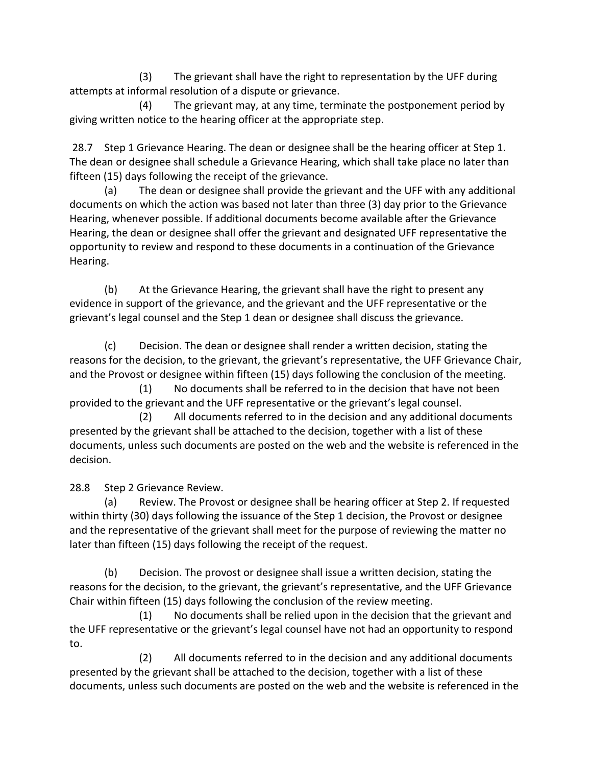(3) The grievant shall have the right to representation by the UFF during attempts at informal resolution of a dispute or grievance.

 (4) The grievant may, at any time, terminate the postponement period by giving written notice to the hearing officer at the appropriate step.

28.7 Step 1 Grievance Hearing. The dean or designee shall be the hearing officer at Step 1. The dean or designee shall schedule a Grievance Hearing, which shall take place no later than fifteen (15) days following the receipt of the grievance.

(a) The dean or designee shall provide the grievant and the UFF with any additional documents on which the action was based not later than three (3) day prior to the Grievance Hearing, whenever possible. If additional documents become available after the Grievance Hearing, the dean or designee shall offer the grievant and designated UFF representative the opportunity to review and respond to these documents in a continuation of the Grievance Hearing.

(b) At the Grievance Hearing, the grievant shall have the right to present any evidence in support of the grievance, and the grievant and the UFF representative or the grievant's legal counsel and the Step 1 dean or designee shall discuss the grievance.

(c) Decision. The dean or designee shall render a written decision, stating the reasons for the decision, to the grievant, the grievant's representative, the UFF Grievance Chair, and the Provost or designee within fifteen (15) days following the conclusion of the meeting.

 (1) No documents shall be referred to in the decision that have not been provided to the grievant and the UFF representative or the grievant's legal counsel.

 (2) All documents referred to in the decision and any additional documents presented by the grievant shall be attached to the decision, together with a list of these documents, unless such documents are posted on the web and the website is referenced in the decision.

28.8 Step 2 Grievance Review.

(a) Review. The Provost or designee shall be hearing officer at Step 2. If requested within thirty (30) days following the issuance of the Step 1 decision, the Provost or designee and the representative of the grievant shall meet for the purpose of reviewing the matter no later than fifteen (15) days following the receipt of the request.

(b) Decision. The provost or designee shall issue a written decision, stating the reasons for the decision, to the grievant, the grievant's representative, and the UFF Grievance Chair within fifteen (15) days following the conclusion of the review meeting.

 (1) No documents shall be relied upon in the decision that the grievant and the UFF representative or the grievant's legal counsel have not had an opportunity to respond to.

 (2) All documents referred to in the decision and any additional documents presented by the grievant shall be attached to the decision, together with a list of these documents, unless such documents are posted on the web and the website is referenced in the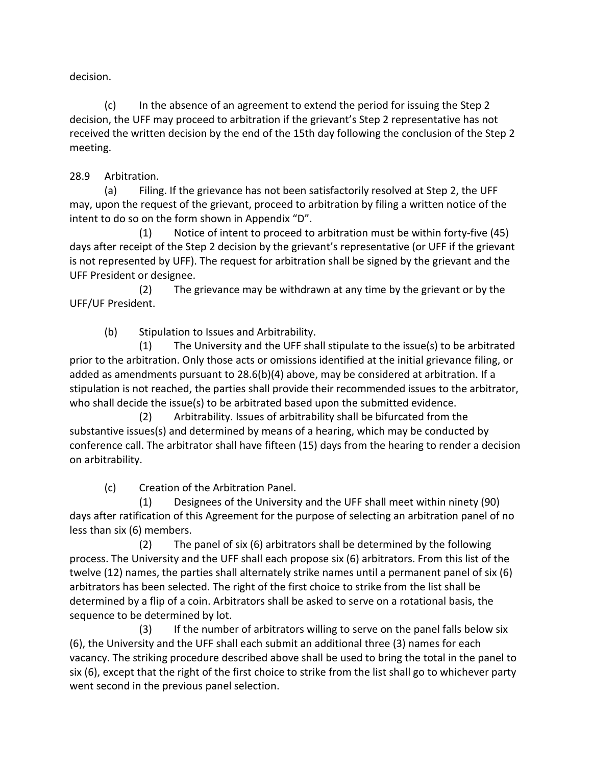decision.

(c) In the absence of an agreement to extend the period for issuing the Step 2 decision, the UFF may proceed to arbitration if the grievant's Step 2 representative has not received the written decision by the end of the 15th day following the conclusion of the Step 2 meeting.

# 28.9 Arbitration.

(a) Filing. If the grievance has not been satisfactorily resolved at Step 2, the UFF may, upon the request of the grievant, proceed to arbitration by filing a written notice of the intent to do so on the form shown in Appendix "D".

 (1) Notice of intent to proceed to arbitration must be within forty-five (45) days after receipt of the Step 2 decision by the grievant's representative (or UFF if the grievant is not represented by UFF). The request for arbitration shall be signed by the grievant and the UFF President or designee.

 (2) The grievance may be withdrawn at any time by the grievant or by the UFF/UF President.

(b) Stipulation to Issues and Arbitrability.

 (1) The University and the UFF shall stipulate to the issue(s) to be arbitrated prior to the arbitration. Only those acts or omissions identified at the initial grievance filing, or added as amendments pursuant to 28.6(b)(4) above, may be considered at arbitration. If a stipulation is not reached, the parties shall provide their recommended issues to the arbitrator, who shall decide the issue(s) to be arbitrated based upon the submitted evidence.

 (2) Arbitrability. Issues of arbitrability shall be bifurcated from the substantive issues(s) and determined by means of a hearing, which may be conducted by conference call. The arbitrator shall have fifteen (15) days from the hearing to render a decision on arbitrability.

(c) Creation of the Arbitration Panel.

 (1) Designees of the University and the UFF shall meet within ninety (90) days after ratification of this Agreement for the purpose of selecting an arbitration panel of no less than six (6) members.

 (2) The panel of six (6) arbitrators shall be determined by the following process. The University and the UFF shall each propose six (6) arbitrators. From this list of the twelve (12) names, the parties shall alternately strike names until a permanent panel of six (6) arbitrators has been selected. The right of the first choice to strike from the list shall be determined by a flip of a coin. Arbitrators shall be asked to serve on a rotational basis, the sequence to be determined by lot.

 (3) If the number of arbitrators willing to serve on the panel falls below six (6), the University and the UFF shall each submit an additional three (3) names for each vacancy. The striking procedure described above shall be used to bring the total in the panel to six (6), except that the right of the first choice to strike from the list shall go to whichever party went second in the previous panel selection.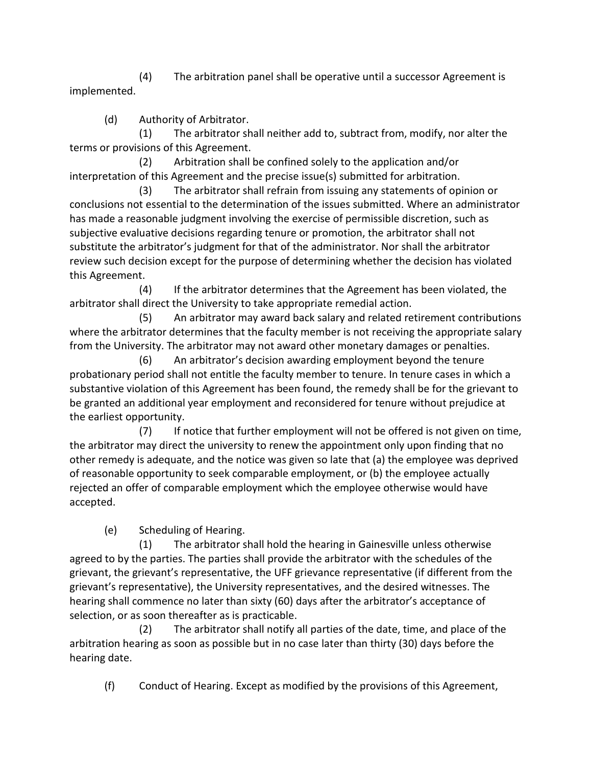(4) The arbitration panel shall be operative until a successor Agreement is implemented.

(d) Authority of Arbitrator.

 (1) The arbitrator shall neither add to, subtract from, modify, nor alter the terms or provisions of this Agreement.

 (2) Arbitration shall be confined solely to the application and/or interpretation of this Agreement and the precise issue(s) submitted for arbitration.

 (3) The arbitrator shall refrain from issuing any statements of opinion or conclusions not essential to the determination of the issues submitted. Where an administrator has made a reasonable judgment involving the exercise of permissible discretion, such as subjective evaluative decisions regarding tenure or promotion, the arbitrator shall not substitute the arbitrator's judgment for that of the administrator. Nor shall the arbitrator review such decision except for the purpose of determining whether the decision has violated this Agreement.

 (4) If the arbitrator determines that the Agreement has been violated, the arbitrator shall direct the University to take appropriate remedial action.

 (5) An arbitrator may award back salary and related retirement contributions where the arbitrator determines that the faculty member is not receiving the appropriate salary from the University. The arbitrator may not award other monetary damages or penalties.

(6) An arbitrator's decision awarding employment beyond the tenure probationary period shall not entitle the faculty member to tenure. In tenure cases in which a substantive violation of this Agreement has been found, the remedy shall be for the grievant to be granted an additional year employment and reconsidered for tenure without prejudice at the earliest opportunity.

 (7) If notice that further employment will not be offered is not given on time, the arbitrator may direct the university to renew the appointment only upon finding that no other remedy is adequate, and the notice was given so late that (a) the employee was deprived of reasonable opportunity to seek comparable employment, or (b) the employee actually rejected an offer of comparable employment which the employee otherwise would have accepted.

(e) Scheduling of Hearing.

 (1) The arbitrator shall hold the hearing in Gainesville unless otherwise agreed to by the parties. The parties shall provide the arbitrator with the schedules of the grievant, the grievant's representative, the UFF grievance representative (if different from the grievant's representative), the University representatives, and the desired witnesses. The hearing shall commence no later than sixty (60) days after the arbitrator's acceptance of selection, or as soon thereafter as is practicable.

 (2) The arbitrator shall notify all parties of the date, time, and place of the arbitration hearing as soon as possible but in no case later than thirty (30) days before the hearing date.

(f) Conduct of Hearing. Except as modified by the provisions of this Agreement,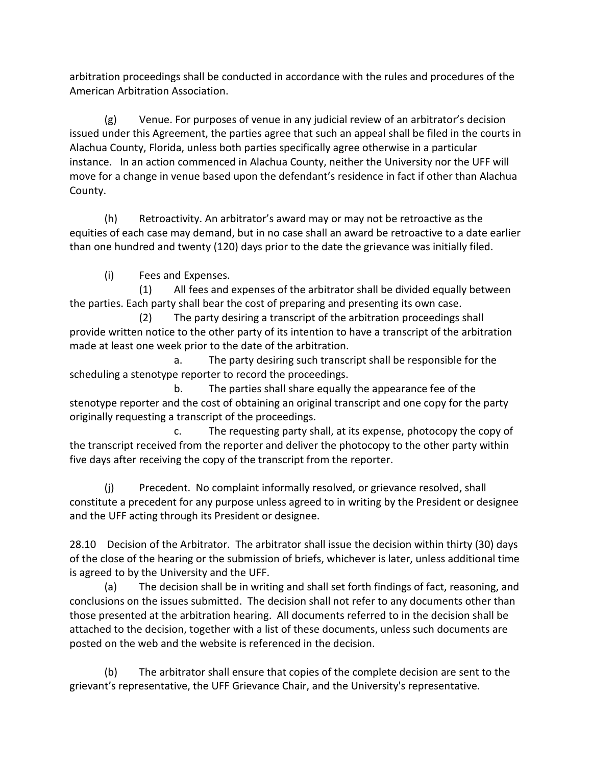arbitration proceedings shall be conducted in accordance with the rules and procedures of the American Arbitration Association.

(g) Venue. For purposes of venue in any judicial review of an arbitrator's decision issued under this Agreement, the parties agree that such an appeal shall be filed in the courts in Alachua County, Florida, unless both parties specifically agree otherwise in a particular instance. In an action commenced in Alachua County, neither the University nor the UFF will move for a change in venue based upon the defendant's residence in fact if other than Alachua County.

(h) Retroactivity. An arbitrator's award may or may not be retroactive as the equities of each case may demand, but in no case shall an award be retroactive to a date earlier than one hundred and twenty (120) days prior to the date the grievance was initially filed.

(i) Fees and Expenses.

 (1) All fees and expenses of the arbitrator shall be divided equally between the parties. Each party shall bear the cost of preparing and presenting its own case.

 (2) The party desiring a transcript of the arbitration proceedings shall provide written notice to the other party of its intention to have a transcript of the arbitration made at least one week prior to the date of the arbitration.

 a. The party desiring such transcript shall be responsible for the scheduling a stenotype reporter to record the proceedings.

 b. The parties shall share equally the appearance fee of the stenotype reporter and the cost of obtaining an original transcript and one copy for the party originally requesting a transcript of the proceedings.

 c. The requesting party shall, at its expense, photocopy the copy of the transcript received from the reporter and deliver the photocopy to the other party within five days after receiving the copy of the transcript from the reporter.

(j) Precedent. No complaint informally resolved, or grievance resolved, shall constitute a precedent for any purpose unless agreed to in writing by the President or designee and the UFF acting through its President or designee.

28.10 Decision of the Arbitrator. The arbitrator shall issue the decision within thirty (30) days of the close of the hearing or the submission of briefs, whichever is later, unless additional time is agreed to by the University and the UFF.

(a) The decision shall be in writing and shall set forth findings of fact, reasoning, and conclusions on the issues submitted. The decision shall not refer to any documents other than those presented at the arbitration hearing. All documents referred to in the decision shall be attached to the decision, together with a list of these documents, unless such documents are posted on the web and the website is referenced in the decision.

(b) The arbitrator shall ensure that copies of the complete decision are sent to the grievant's representative, the UFF Grievance Chair, and the University's representative.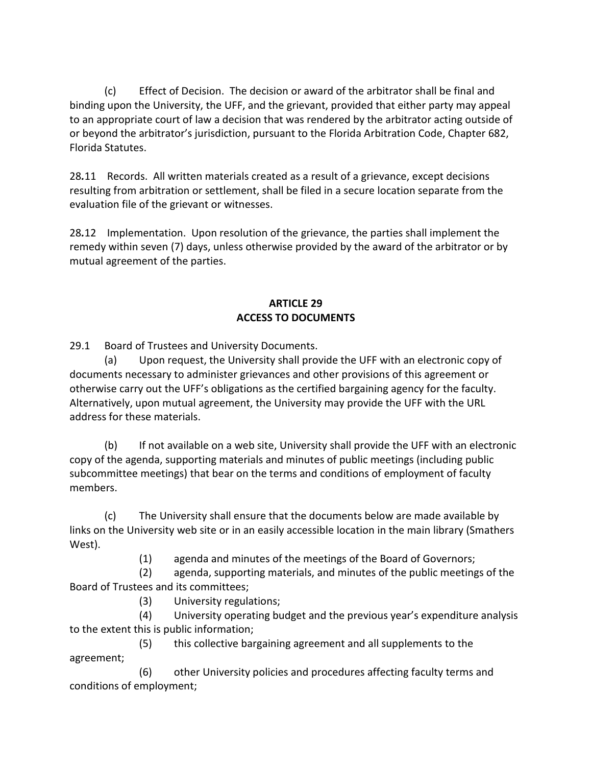(c) Effect of Decision. The decision or award of the arbitrator shall be final and binding upon the University, the UFF, and the grievant, provided that either party may appeal to an appropriate court of law a decision that was rendered by the arbitrator acting outside of or beyond the arbitrator's jurisdiction, pursuant to the Florida Arbitration Code, Chapter 682, Florida Statutes.

28*.*11 Records. All written materials created as a result of a grievance, except decisions resulting from arbitration or settlement, shall be filed in a secure location separate from the evaluation file of the grievant or witnesses.

28*.*12 Implementation. Upon resolution of the grievance, the parties shall implement the remedy within seven (7) days, unless otherwise provided by the award of the arbitrator or by mutual agreement of the parties.

## **ARTICLE 29 ACCESS TO DOCUMENTS**

29.1 Board of Trustees and University Documents.

(a) Upon request, the University shall provide the UFF with an electronic copy of documents necessary to administer grievances and other provisions of this agreement or otherwise carry out the UFF's obligations as the certified bargaining agency for the faculty. Alternatively, upon mutual agreement, the University may provide the UFF with the URL address for these materials.

(b) If not available on a web site, University shall provide the UFF with an electronic copy of the agenda, supporting materials and minutes of public meetings (including public subcommittee meetings) that bear on the terms and conditions of employment of faculty members.

(c) The University shall ensure that the documents below are made available by links on the University web site or in an easily accessible location in the main library (Smathers West).

(1) agenda and minutes of the meetings of the Board of Governors;

 (2) agenda, supporting materials, and minutes of the public meetings of the Board of Trustees and its committees;

(3) University regulations;

 (4) University operating budget and the previous year's expenditure analysis to the extent this is public information;

 (5) this collective bargaining agreement and all supplements to the agreement;

 (6) other University policies and procedures affecting faculty terms and conditions of employment;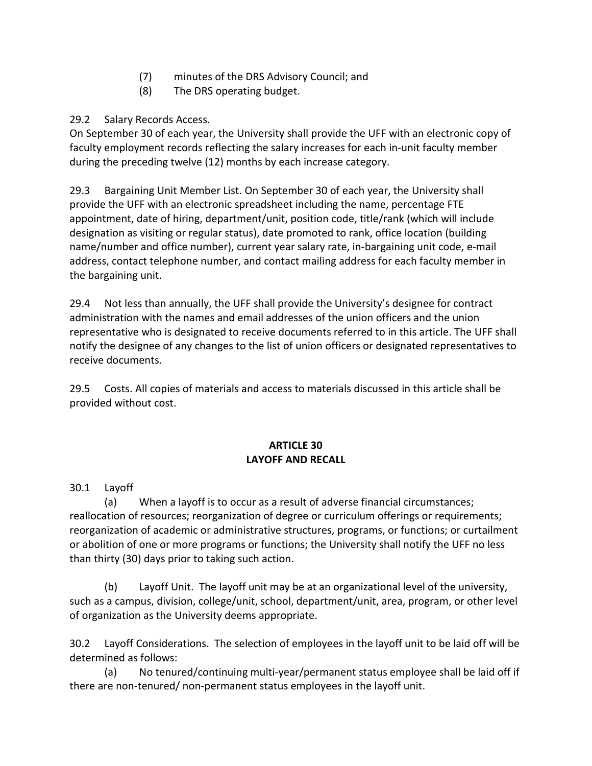- (7) minutes of the DRS Advisory Council; and
- (8) The DRS operating budget.

# 29.2 Salary Records Access.

On September 30 of each year, the University shall provide the UFF with an electronic copy of faculty employment records reflecting the salary increases for each in-unit faculty member during the preceding twelve (12) months by each increase category.

29.3 Bargaining Unit Member List. On September 30 of each year, the University shall provide the UFF with an electronic spreadsheet including the name, percentage FTE appointment, date of hiring, department/unit, position code, title/rank (which will include designation as visiting or regular status), date promoted to rank, office location (building name/number and office number), current year salary rate, in-bargaining unit code, e-mail address, contact telephone number, and contact mailing address for each faculty member in the bargaining unit.

29.4 Not less than annually, the UFF shall provide the University's designee for contract administration with the names and email addresses of the union officers and the union representative who is designated to receive documents referred to in this article. The UFF shall notify the designee of any changes to the list of union officers or designated representatives to receive documents.

29.5 Costs. All copies of materials and access to materials discussed in this article shall be provided without cost.

# **ARTICLE 30 LAYOFF AND RECALL**

30.1 Layoff

(a) When a layoff is to occur as a result of adverse financial circumstances; reallocation of resources; reorganization of degree or curriculum offerings or requirements; reorganization of academic or administrative structures, programs, or functions; or curtailment or abolition of one or more programs or functions; the University shall notify the UFF no less than thirty (30) days prior to taking such action.

(b) Layoff Unit. The layoff unit may be at an organizational level of the university, such as a campus, division, college/unit, school, department/unit, area, program, or other level of organization as the University deems appropriate.

30.2 Layoff Considerations. The selection of employees in the layoff unit to be laid off will be determined as follows:

(a) No tenured/continuing multi-year/permanent status employee shall be laid off if there are non-tenured/ non-permanent status employees in the layoff unit.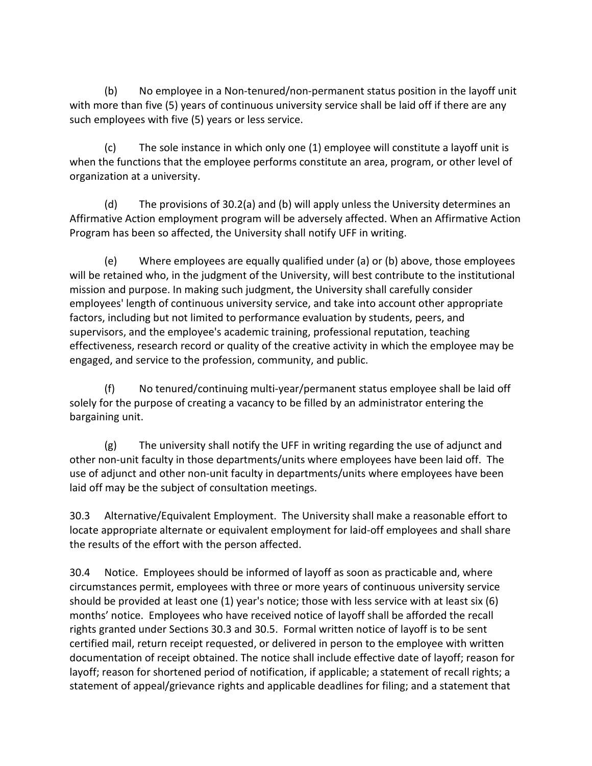(b) No employee in a Non-tenured/non-permanent status position in the layoff unit with more than five (5) years of continuous university service shall be laid off if there are any such employees with five (5) years or less service.

(c) The sole instance in which only one (1) employee will constitute a layoff unit is when the functions that the employee performs constitute an area, program, or other level of organization at a university.

(d) The provisions of 30.2(a) and (b) will apply unless the University determines an Affirmative Action employment program will be adversely affected. When an Affirmative Action Program has been so affected, the University shall notify UFF in writing.

(e) Where employees are equally qualified under (a) or (b) above, those employees will be retained who, in the judgment of the University, will best contribute to the institutional mission and purpose. In making such judgment, the University shall carefully consider employees' length of continuous university service, and take into account other appropriate factors, including but not limited to performance evaluation by students, peers, and supervisors, and the employee's academic training, professional reputation, teaching effectiveness, research record or quality of the creative activity in which the employee may be engaged, and service to the profession, community, and public.

(f) No tenured/continuing multi-year/permanent status employee shall be laid off solely for the purpose of creating a vacancy to be filled by an administrator entering the bargaining unit.

(g) The university shall notify the UFF in writing regarding the use of adjunct and other non-unit faculty in those departments/units where employees have been laid off. The use of adjunct and other non-unit faculty in departments/units where employees have been laid off may be the subject of consultation meetings.

30.3 Alternative/Equivalent Employment. The University shall make a reasonable effort to locate appropriate alternate or equivalent employment for laid-off employees and shall share the results of the effort with the person affected.

30.4 Notice. Employees should be informed of layoff as soon as practicable and, where circumstances permit, employees with three or more years of continuous university service should be provided at least one (1) year's notice; those with less service with at least six (6) months' notice. Employees who have received notice of layoff shall be afforded the recall rights granted under Sections 30.3 and 30.5. Formal written notice of layoff is to be sent certified mail, return receipt requested, or delivered in person to the employee with written documentation of receipt obtained. The notice shall include effective date of layoff; reason for layoff; reason for shortened period of notification, if applicable; a statement of recall rights; a statement of appeal/grievance rights and applicable deadlines for filing; and a statement that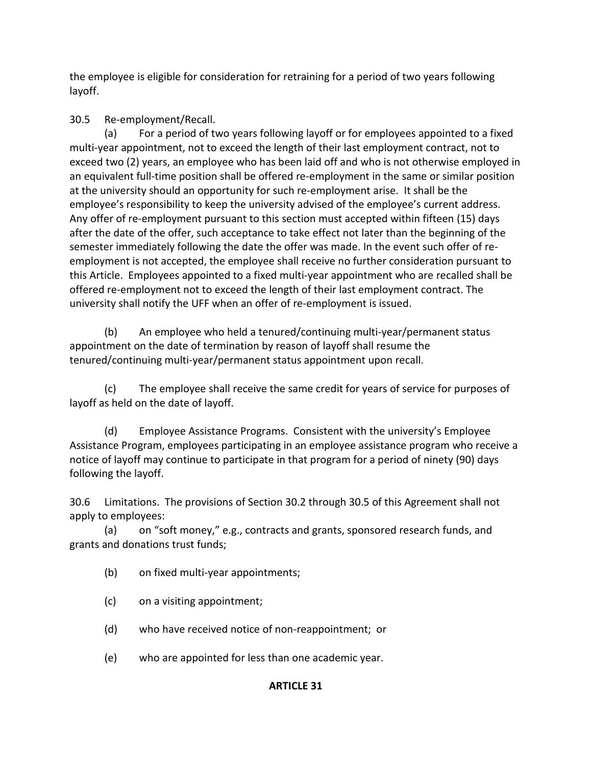the employee is eligible for consideration for retraining for a period of two years following layoff.

30.5 Re-employment/Recall.

(a) For a period of two years following layoff or for employees appointed to a fixed multi-year appointment, not to exceed the length of their last employment contract, not to exceed two (2) years, an employee who has been laid off and who is not otherwise employed in an equivalent full-time position shall be offered re-employment in the same or similar position at the university should an opportunity for such re-employment arise. It shall be the employee's responsibility to keep the university advised of the employee's current address. Any offer of re-employment pursuant to this section must accepted within fifteen (15) days after the date of the offer, such acceptance to take effect not later than the beginning of the semester immediately following the date the offer was made. In the event such offer of reemployment is not accepted, the employee shall receive no further consideration pursuant to this Article. Employees appointed to a fixed multi-year appointment who are recalled shall be offered re-employment not to exceed the length of their last employment contract. The university shall notify the UFF when an offer of re-employment is issued.

(b) An employee who held a tenured/continuing multi-year/permanent status appointment on the date of termination by reason of layoff shall resume the tenured/continuing multi-year/permanent status appointment upon recall.

(c) The employee shall receive the same credit for years of service for purposes of layoff as held on the date of layoff.

(d) Employee Assistance Programs. Consistent with the university's Employee Assistance Program, employees participating in an employee assistance program who receive a notice of layoff may continue to participate in that program for a period of ninety (90) days following the layoff.

30.6 Limitations. The provisions of Section 30.2 through 30.5 of this Agreement shall not apply to employees:

(a) on "soft money," e.g., contracts and grants, sponsored research funds, and grants and donations trust funds;

- (b) on fixed multi-year appointments;
- (c) on a visiting appointment;
- (d) who have received notice of non-reappointment; or
- (e) who are appointed for less than one academic year.

# **ARTICLE 31**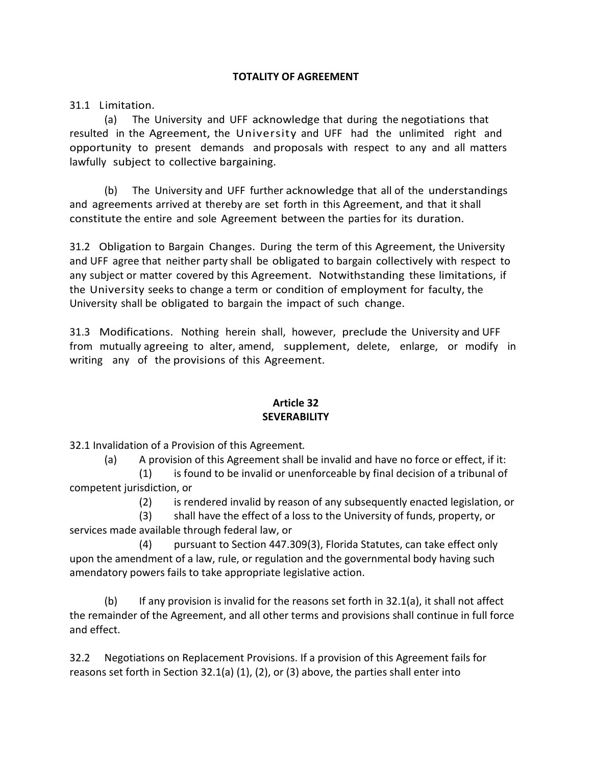### **TOTALITY OF AGREEMENT**

31.1 Limitation.

(a) The University and UFF acknowledge that during the negotiations that resulted in the Agreement, the University and UFF had the unlimited right and opportunity to present demands and proposals with respect to any and all matters lawfully subject to collective bargaining.

(b) The University and UFF further acknowledge that all of the understandings and agreements arrived at thereby are set forth in this Agreement, and that it shall constitute the entire and sole Agreement between the parties for its duration.

31.2 Obligation to Bargain Changes. During the term of this Agreement, the University and UFF agree that neither party shall be obligated to bargain collectively with respect to any subject or matter covered by this Agreement. Notwithstanding these limitations, if the University seeks to change a term or condition of employment for faculty, the University shall be obligated to bargain the impact of such change.

31.3 Modifications. Nothing herein shall, however, preclude the University and UFF from mutually agreeing to alter, amend, supplement, delete, enlarge, or modify in writing any of the provisions of this Agreement.

### **Article 32 SEVERABILITY**

32.1 Invalidation of a Provision of this Agreement*.*

(a) A provision of this Agreement shall be invalid and have no force or effect, if it:

(1) is found to be invalid or unenforceable by final decision of a tribunal of competent jurisdiction, or

(2) is rendered invalid by reason of any subsequently enacted legislation, or

(3) shall have the effect of a loss to the University of funds, property, or services made available through federal law, or

(4) pursuant to Section 447.309(3), Florida Statutes, can take effect only upon the amendment of a law, rule, or regulation and the governmental body having such amendatory powers fails to take appropriate legislative action.

(b) If any provision is invalid for the reasons set forth in  $32.1(a)$ , it shall not affect the remainder of the Agreement, and all other terms and provisions shall continue in full force and effect.

32.2 Negotiations on Replacement Provisions. If a provision of this Agreement fails for reasons set forth in Section 32.1(a) (1), (2), or (3) above, the parties shall enter into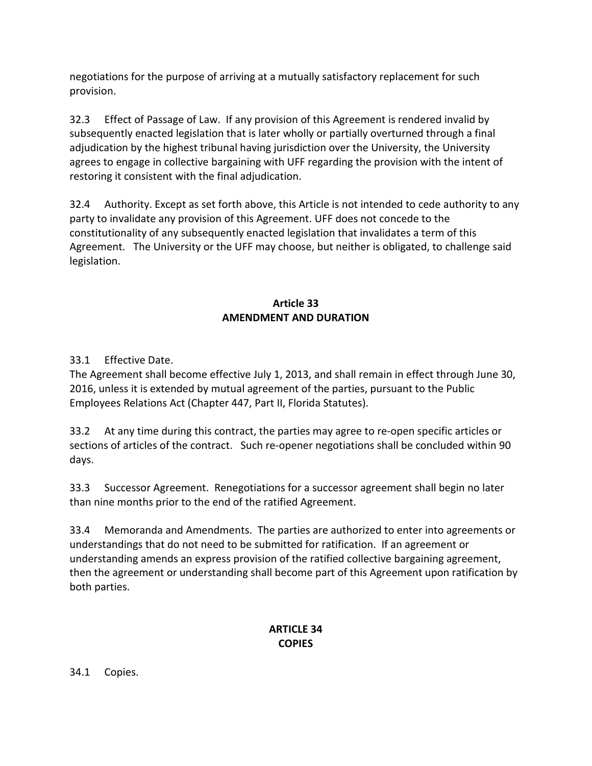negotiations for the purpose of arriving at a mutually satisfactory replacement for such provision.

32.3 Effect of Passage of Law. If any provision of this Agreement is rendered invalid by subsequently enacted legislation that is later wholly or partially overturned through a final adjudication by the highest tribunal having jurisdiction over the University, the University agrees to engage in collective bargaining with UFF regarding the provision with the intent of restoring it consistent with the final adjudication.

32.4 Authority. Except as set forth above, this Article is not intended to cede authority to any party to invalidate any provision of this Agreement. UFF does not concede to the constitutionality of any subsequently enacted legislation that invalidates a term of this Agreement. The University or the UFF may choose, but neither is obligated, to challenge said legislation.

# **Article 33 AMENDMENT AND DURATION**

# 33.1 Effective Date.

The Agreement shall become effective July 1, 2013, and shall remain in effect through June 30, 2016, unless it is extended by mutual agreement of the parties, pursuant to the Public Employees Relations Act (Chapter 447, Part II, Florida Statutes).

33.2 At any time during this contract, the parties may agree to re-open specific articles or sections of articles of the contract. Such re-opener negotiations shall be concluded within 90 days.

33.3 Successor Agreement. Renegotiations for a successor agreement shall begin no later than nine months prior to the end of the ratified Agreement.

33.4 Memoranda and Amendments. The parties are authorized to enter into agreements or understandings that do not need to be submitted for ratification. If an agreement or understanding amends an express provision of the ratified collective bargaining agreement, then the agreement or understanding shall become part of this Agreement upon ratification by both parties.

## **ARTICLE 34 COPIES**

34.1 Copies.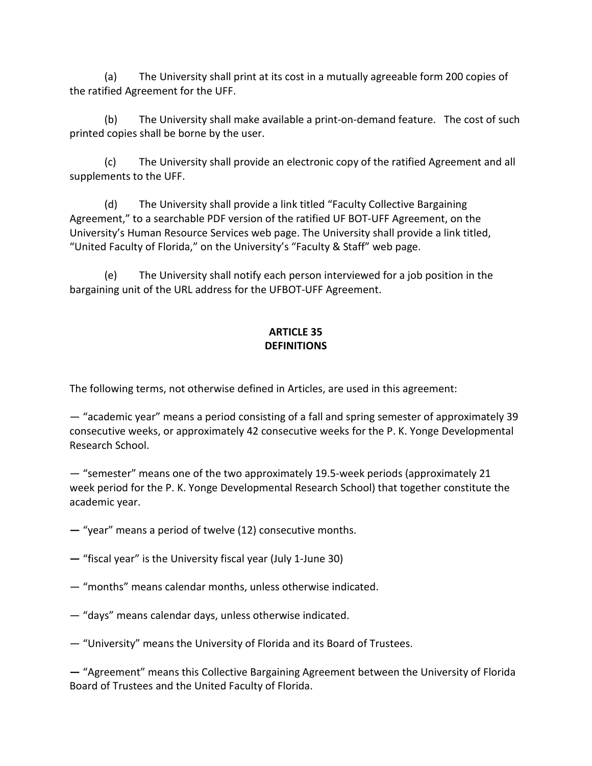(a) The University shall print at its cost in a mutually agreeable form 200 copies of the ratified Agreement for the UFF.

(b)The University shall make available a print-on-demand feature. The cost of such printed copies shall be borne by the user.

(c) The University shall provide an electronic copy of the ratified Agreement and all supplements to the UFF.

(d) The University shall provide a link titled "Faculty Collective Bargaining Agreement," to a searchable PDF version of the ratified UF BOT-UFF Agreement, on the University's Human Resource Services web page. The University shall provide a link titled, "United Faculty of Florida," on the University's "Faculty & Staff" web page.

(e) The University shall notify each person interviewed for a job position in the bargaining unit of the URL address for the UFBOT-UFF Agreement.

## **ARTICLE 35 DEFINITIONS**

The following terms, not otherwise defined in Articles, are used in this agreement:

— "academic year" means a period consisting of a fall and spring semester of approximately 39 consecutive weeks, or approximately 42 consecutive weeks for the P. K. Yonge Developmental Research School.

— "semester" means one of the two approximately 19.5-week periods (approximately 21 week period for the P. K. Yonge Developmental Research School) that together constitute the academic year.

**—** "year" means a period of twelve (12) consecutive months.

**—** "fiscal year" is the University fiscal year (July 1-June 30)

- "months" means calendar months, unless otherwise indicated.
- "days" means calendar days, unless otherwise indicated.
- "University" means the University of Florida and its Board of Trustees.

**—** "Agreement" means this Collective Bargaining Agreement between the University of Florida Board of Trustees and the United Faculty of Florida.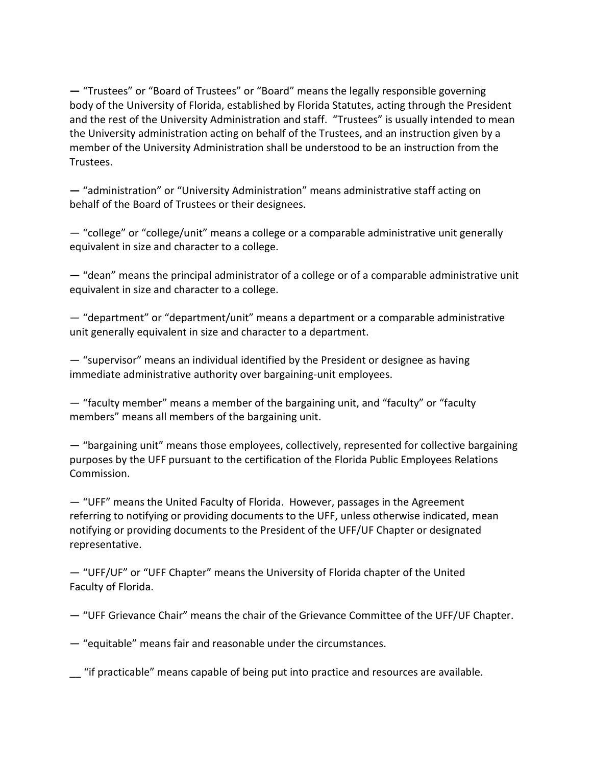**—** "Trustees" or "Board of Trustees" or "Board" means the legally responsible governing body of the University of Florida, established by Florida Statutes, acting through the President and the rest of the University Administration and staff. "Trustees" is usually intended to mean the University administration acting on behalf of the Trustees, and an instruction given by a member of the University Administration shall be understood to be an instruction from the Trustees.

**—** "administration" or "University Administration" means administrative staff acting on behalf of the Board of Trustees or their designees.

— "college" or "college/unit" means a college or a comparable administrative unit generally equivalent in size and character to a college.

**—** "dean" means the principal administrator of a college or of a comparable administrative unit equivalent in size and character to a college.

— "department" or "department/unit" means a department or a comparable administrative unit generally equivalent in size and character to a department.

— "supervisor" means an individual identified by the President or designee as having immediate administrative authority over bargaining-unit employees.

— "faculty member" means a member of the bargaining unit, and "faculty" or "faculty members" means all members of the bargaining unit.

— "bargaining unit" means those employees, collectively, represented for collective bargaining purposes by the UFF pursuant to the certification of the Florida Public Employees Relations Commission.

— "UFF" means the United Faculty of Florida. However, passages in the Agreement referring to notifying or providing documents to the UFF, unless otherwise indicated, mean notifying or providing documents to the President of the UFF/UF Chapter or designated representative.

— "UFF/UF" or "UFF Chapter" means the University of Florida chapter of the United Faculty of Florida.

— "UFF Grievance Chair" means the chair of the Grievance Committee of the UFF/UF Chapter.

— "equitable" means fair and reasonable under the circumstances.

\_\_ "if practicable" means capable of being put into practice and resources are available.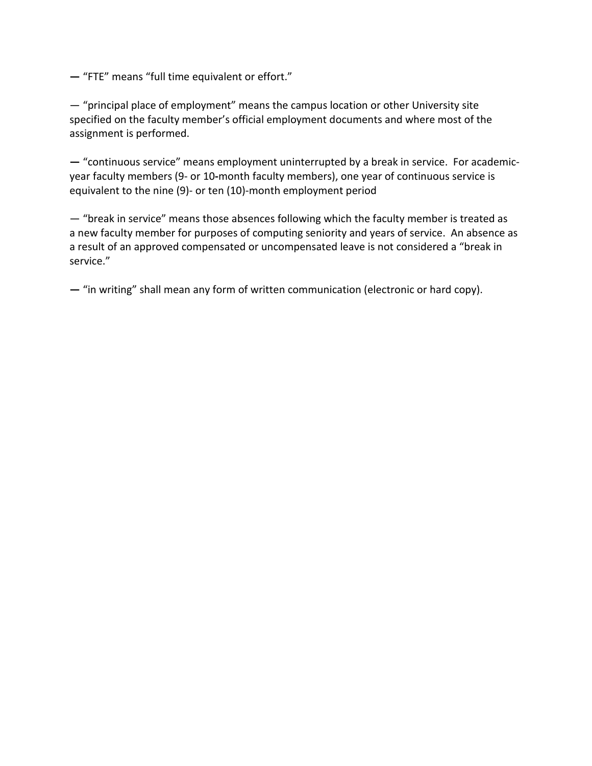**—** "FTE" means "full time equivalent or effort."

— "principal place of employment" means the campus location or other University site specified on the faculty member's official employment documents and where most of the assignment is performed.

**—** "continuous service" means employment uninterrupted by a break in service. For academicyear faculty members (9- or 10**-**month faculty members), one year of continuous service is equivalent to the nine (9)- or ten (10)-month employment period

— "break in service" means those absences following which the faculty member is treated as a new faculty member for purposes of computing seniority and years of service. An absence as a result of an approved compensated or uncompensated leave is not considered a "break in service."

**—** "in writing" shall mean any form of written communication (electronic or hard copy).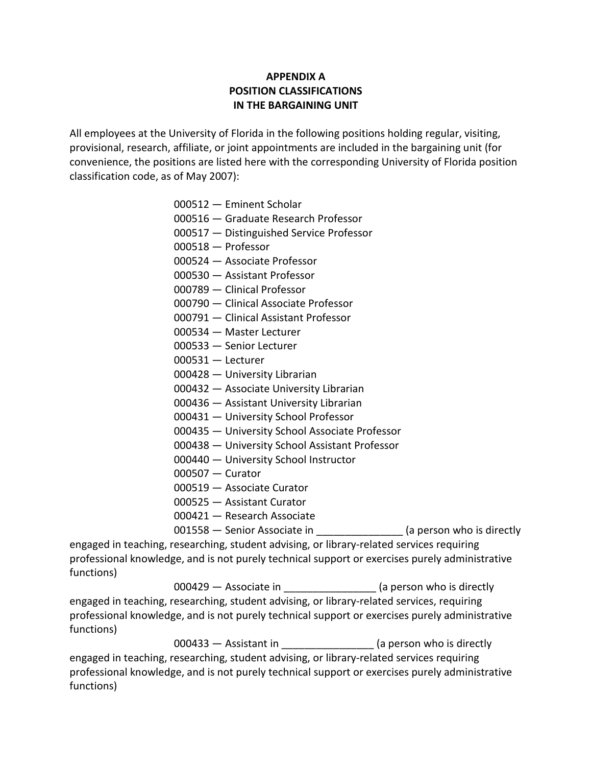### **APPENDIX A POSITION CLASSIFICATIONS IN THE BARGAINING UNIT**

All employees at the University of Florida in the following positions holding regular, visiting, provisional, research, affiliate, or joint appointments are included in the bargaining unit (for convenience, the positions are listed here with the corresponding University of Florida position classification code, as of May 2007):

- 000512 Eminent Scholar
- 000516 Graduate Research Professor
- 000517 Distinguished Service Professor
- 000518 Professor
- 000524 Associate Professor
- 000530 Assistant Professor
- 000789 Clinical Professor
- 000790 Clinical Associate Professor
- 000791 Clinical Assistant Professor
- 000534 Master Lecturer
- 000533 Senior Lecturer
- 000531 Lecturer
- 000428 University Librarian
- 000432 Associate University Librarian
- 000436 Assistant University Librarian
- 000431 University School Professor
- 000435 University School Associate Professor
- 000438 University School Assistant Professor
- 000440 University School Instructor
- 000507 Curator
- 000519 Associate Curator
- 000525 Assistant Curator
- 000421 Research Associate
- 001558 Senior Associate in **Fig. 2016** (a person who is directly

engaged in teaching, researching, student advising, or library-related services requiring professional knowledge, and is not purely technical support or exercises purely administrative functions)

000429 — Associate in **the in** (a person who is directly engaged in teaching, researching, student advising, or library-related services, requiring professional knowledge, and is not purely technical support or exercises purely administrative functions)

000433 – Assistant in **the contract of the contract of the contract of the contract of the contract of the contract of the contract of the contract of the contract of the contract of the contract of the contract of the con** engaged in teaching, researching, student advising, or library-related services requiring professional knowledge, and is not purely technical support or exercises purely administrative functions)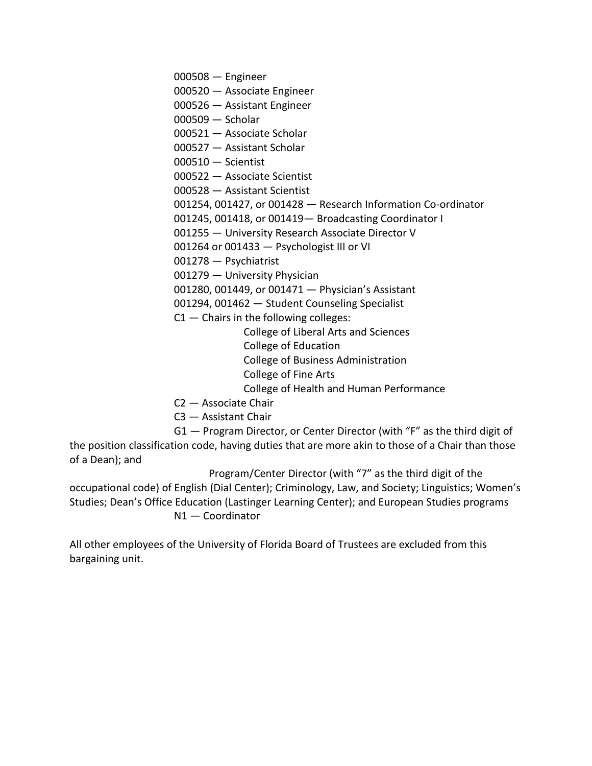000508 — Engineer

- 000520 Associate Engineer
- 000526 Assistant Engineer
- 000509 Scholar
- 000521 Associate Scholar
- 000527 Assistant Scholar
- 000510 Scientist
- 000522 Associate Scientist
- 000528 Assistant Scientist
- 001254, 001427, or 001428 Research Information Co-ordinator
- 001245, 001418, or 001419— Broadcasting Coordinator I
- 001255 University Research Associate Director V
- 001264 or 001433 Psychologist III or VI
- 001278 Psychiatrist
- 001279 University Physician
- 001280, 001449, or 001471 Physician's Assistant
- 001294, 001462 Student Counseling Specialist
- $C1$  Chairs in the following colleges:
	- College of Liberal Arts and Sciences
	- College of Education
	- College of Business Administration
	- College of Fine Arts
	- College of Health and Human Performance
- C2 Associate Chair
- C3 Assistant Chair

G1 — Program Director, or Center Director (with "F" as the third digit of the position classification code, having duties that are more akin to those of a Chair than those of a Dean); and

Program/Center Director (with "7" as the third digit of the occupational code) of English (Dial Center); Criminology, Law, and Society; Linguistics; Women's Studies; Dean's Office Education (Lastinger Learning Center); and European Studies programs N1 — Coordinator

All other employees of the University of Florida Board of Trustees are excluded from this bargaining unit.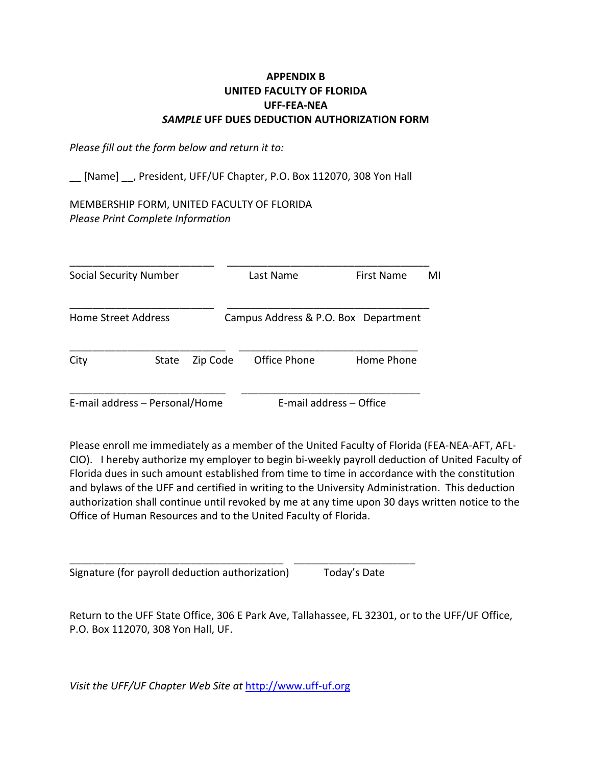### **APPENDIX B UNITED FACULTY OF FLORIDA UFF-FEA-NEA** *SAMPLE* **UFF DUES DEDUCTION AUTHORIZATION FORM**

*Please fill out the form below and return it to:*

[Name] , President, UFF/UF Chapter, P.O. Box 112070, 308 Yon Hall

MEMBERSHIP FORM, UNITED FACULTY OF FLORIDA *Please Print Complete Information*

| Social Security Number |                                |          | Last Name               | First Name                           | MI |
|------------------------|--------------------------------|----------|-------------------------|--------------------------------------|----|
| Home Street Address    |                                |          |                         | Campus Address & P.O. Box Department |    |
| City                   | State                          | Zip Code | Office Phone            | Home Phone                           |    |
|                        | E-mail address - Personal/Home |          | E-mail address - Office |                                      |    |

Please enroll me immediately as a member of the United Faculty of Florida (FEA-NEA-AFT, AFL-CIO). I hereby authorize my employer to begin bi-weekly payroll deduction of United Faculty of Florida dues in such amount established from time to time in accordance with the constitution and bylaws of the UFF and certified in writing to the University Administration. This deduction authorization shall continue until revoked by me at any time upon 30 days written notice to the Office of Human Resources and to the United Faculty of Florida.

Signature (for payroll deduction authorization) Today's Date

Return to the UFF State Office, 306 E Park Ave, Tallahassee, FL 32301, or to the UFF/UF Office, P.O. Box 112070, 308 Yon Hall, UF.

*Visit the UFF/UF Chapter Web Site at* [http://www.uff-uf.org](http://www.uff-uf.org/)

\_\_\_\_\_\_\_\_\_\_\_\_\_\_\_\_\_\_\_\_\_\_\_\_\_\_\_\_\_\_\_\_\_\_\_\_\_ \_\_\_\_\_\_\_\_\_\_\_\_\_\_\_\_\_\_\_\_\_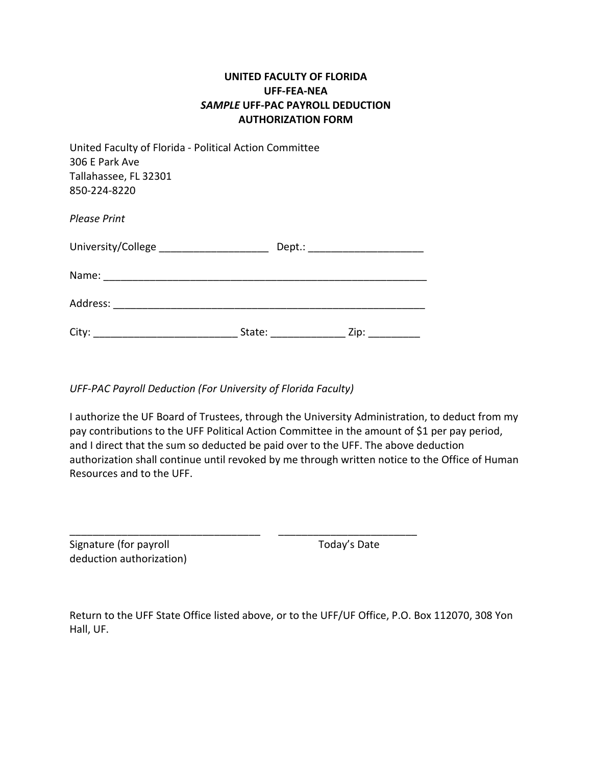### **UNITED FACULTY OF FLORIDA UFF-FEA-NEA** *SAMPLE* **UFF-PAC PAYROLL DEDUCTION AUTHORIZATION FORM**

| United Faculty of Florida - Political Action Committee<br>306 E Park Ave<br>Tallahassee, FL 32301<br>850-224-8220 |                                                                                                                                                                                                                                |                                  |
|-------------------------------------------------------------------------------------------------------------------|--------------------------------------------------------------------------------------------------------------------------------------------------------------------------------------------------------------------------------|----------------------------------|
| <b>Please Print</b>                                                                                               |                                                                                                                                                                                                                                |                                  |
| University/College ________________________                                                                       |                                                                                                                                                                                                                                | Dept.: _________________________ |
|                                                                                                                   |                                                                                                                                                                                                                                |                                  |
|                                                                                                                   |                                                                                                                                                                                                                                |                                  |
|                                                                                                                   | State: the state of the state of the state of the state of the state of the state of the state of the state of the state of the state of the state of the state of the state of the state of the state of the state of the sta | Zip:                             |

*UFF-PAC Payroll Deduction (For University of Florida Faculty)*

I authorize the UF Board of Trustees, through the University Administration, to deduct from my pay contributions to the UFF Political Action Committee in the amount of \$1 per pay period, and I direct that the sum so deducted be paid over to the UFF. The above deduction authorization shall continue until revoked by me through written notice to the Office of Human Resources and to the UFF.

| Signature (for payroll   | Today's Date |
|--------------------------|--------------|
| deduction authorization) |              |

Return to the UFF State Office listed above, or to the UFF/UF Office, P.O. Box 112070, 308 Yon Hall, UF.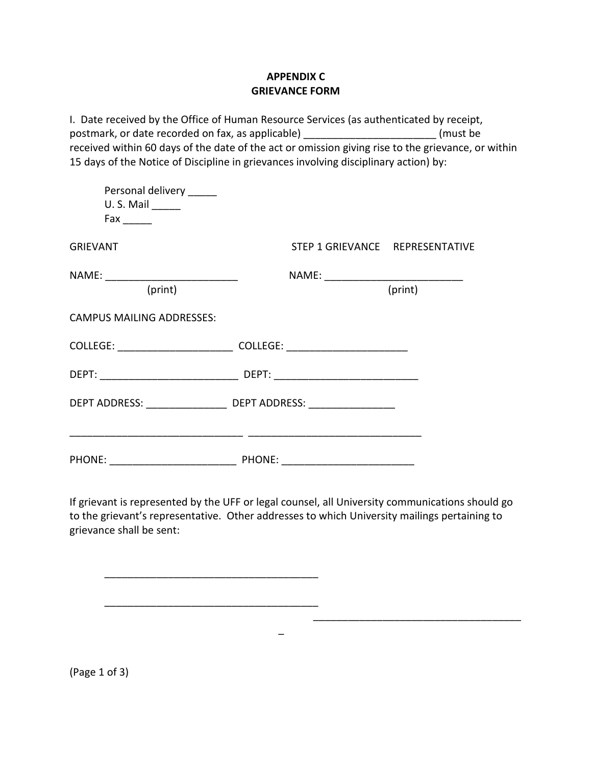### **APPENDIX C GRIEVANCE FORM**

I. Date received by the Office of Human Resource Services (as authenticated by receipt, postmark, or date recorded on fax, as applicable) example the substitution of the set of the set of the set of received within 60 days of the date of the act or omission giving rise to the grievance, or within 15 days of the Notice of Discipline in grievances involving disciplinary action) by:

| Personal delivery ______<br>$U.S.$ Mail $\_\_\_\_\_\_\_\_\$<br>Fax and the state of the state of the state of the state of the state of the state of the state of the state o |                                                                                  |                                 |
|-------------------------------------------------------------------------------------------------------------------------------------------------------------------------------|----------------------------------------------------------------------------------|---------------------------------|
| <b>GRIEVANT</b>                                                                                                                                                               |                                                                                  | STEP 1 GRIEVANCE REPRESENTATIVE |
| (print)                                                                                                                                                                       |                                                                                  | (print)                         |
| <b>CAMPUS MAILING ADDRESSES:</b>                                                                                                                                              |                                                                                  |                                 |
|                                                                                                                                                                               | COLLEGE: _______________________________COLLEGE: _______________________________ |                                 |
|                                                                                                                                                                               |                                                                                  |                                 |
|                                                                                                                                                                               | DEPT ADDRESS: ________________________ DEPT ADDRESS: __________________          |                                 |
|                                                                                                                                                                               |                                                                                  |                                 |

If grievant is represented by the UFF or legal counsel, all University communications should go to the grievant's representative. Other addresses to which University mailings pertaining to grievance shall be sent:

\_

\_\_\_\_\_\_\_\_\_\_\_\_\_\_\_\_\_\_\_\_\_\_\_\_\_\_\_\_\_\_\_\_\_\_\_\_

\_\_\_\_\_\_\_\_\_\_\_\_\_\_\_\_\_\_\_\_\_\_\_\_\_\_\_\_\_\_\_\_\_\_\_\_\_

\_\_\_\_\_\_\_\_\_\_\_\_\_\_\_\_\_\_\_\_\_\_\_\_\_\_\_\_\_\_\_\_\_\_\_\_\_

(Page 1 of 3)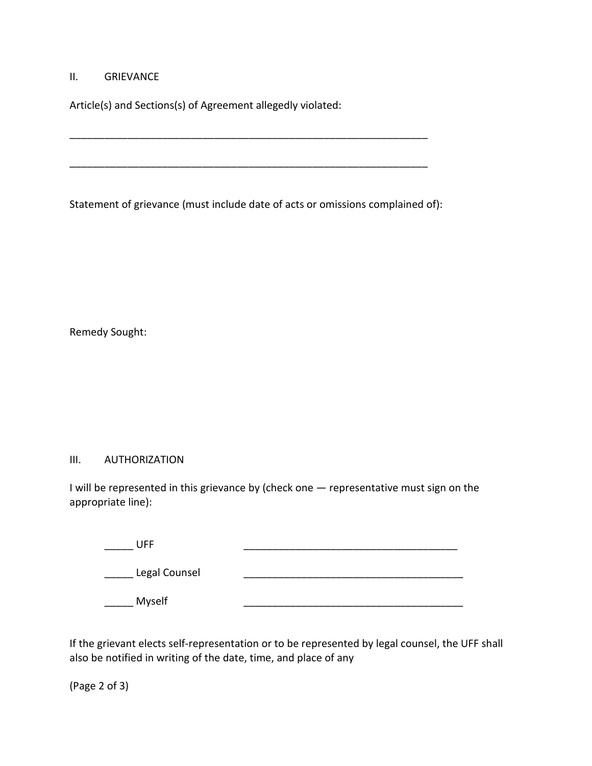#### II. GRIEVANCE

Article(s) and Sections(s) of Agreement allegedly violated:

Statement of grievance (must include date of acts or omissions complained of):

\_\_\_\_\_\_\_\_\_\_\_\_\_\_\_\_\_\_\_\_\_\_\_\_\_\_\_\_\_\_\_\_\_\_\_\_\_\_\_\_\_\_\_\_\_\_\_\_\_\_\_\_\_\_\_\_\_\_\_\_\_\_

\_\_\_\_\_\_\_\_\_\_\_\_\_\_\_\_\_\_\_\_\_\_\_\_\_\_\_\_\_\_\_\_\_\_\_\_\_\_\_\_\_\_\_\_\_\_\_\_\_\_\_\_\_\_\_\_\_\_\_\_\_\_

Remedy Sought:

### III. AUTHORIZATION

I will be represented in this grievance by (check one — representative must sign on the appropriate line):

| UFF           |  |
|---------------|--|
| Legal Counsel |  |
| Myself        |  |

If the grievant elects self-representation or to be represented by legal counsel, the UFF shall also be notified in writing of the date, time, and place of any

(Page 2 of 3)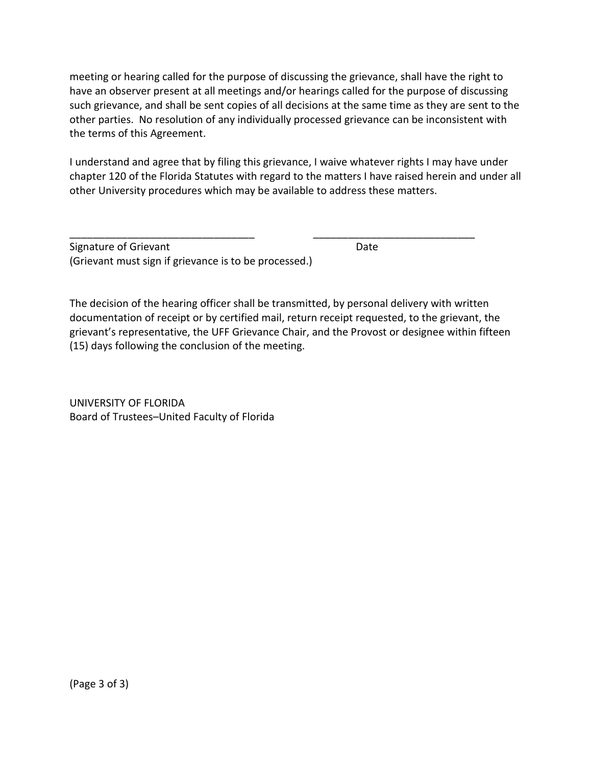meeting or hearing called for the purpose of discussing the grievance, shall have the right to have an observer present at all meetings and/or hearings called for the purpose of discussing such grievance, and shall be sent copies of all decisions at the same time as they are sent to the other parties. No resolution of any individually processed grievance can be inconsistent with the terms of this Agreement.

I understand and agree that by filing this grievance, I waive whatever rights I may have under chapter 120 of the Florida Statutes with regard to the matters I have raised herein and under all other University procedures which may be available to address these matters.

\_\_\_\_\_\_\_\_\_\_\_\_\_\_\_\_\_\_\_\_\_\_\_\_\_\_\_\_\_\_\_\_ \_\_\_\_\_\_\_\_\_\_\_\_\_\_\_\_\_\_\_\_\_\_\_\_\_\_\_\_

Signature of Grievant **Date** Date **Date** (Grievant must sign if grievance is to be processed.)

The decision of the hearing officer shall be transmitted, by personal delivery with written documentation of receipt or by certified mail, return receipt requested, to the grievant, the grievant's representative, the UFF Grievance Chair, and the Provost or designee within fifteen (15) days following the conclusion of the meeting.

UNIVERSITY OF FLORIDA Board of Trustees–United Faculty of Florida

(Page 3 of 3)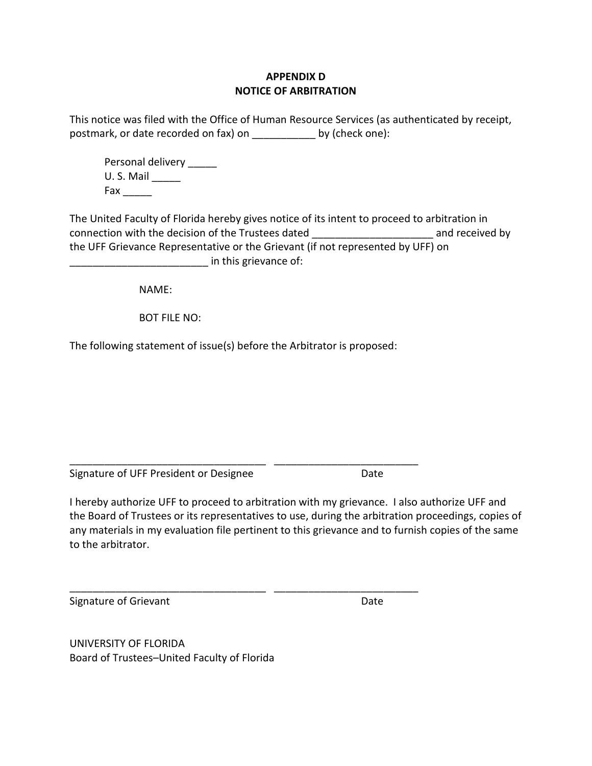### **APPENDIX D NOTICE OF ARBITRATION**

This notice was filed with the Office of Human Resource Services (as authenticated by receipt, postmark, or date recorded on fax) on \_\_\_\_\_\_\_\_\_\_\_ by (check one):

Personal delivery U. S. Mail \_\_\_\_\_ Fax \_\_\_\_\_

The United Faculty of Florida hereby gives notice of its intent to proceed to arbitration in connection with the decision of the Trustees dated \_\_\_\_\_\_\_\_\_\_\_\_\_\_\_\_\_\_\_\_\_ and received by the UFF Grievance Representative or the Grievant (if not represented by UFF) on  $\blacksquare$  in this grievance of:

NAME:

BOT FILE NO:

The following statement of issue(s) before the Arbitrator is proposed:

\_\_\_\_\_\_\_\_\_\_\_\_\_\_\_\_\_\_\_\_\_\_\_\_\_\_\_\_\_\_\_\_\_\_ \_\_\_\_\_\_\_\_\_\_\_\_\_\_\_\_\_\_\_\_\_\_\_\_\_

\_\_\_\_\_\_\_\_\_\_\_\_\_\_\_\_\_\_\_\_\_\_\_\_\_\_\_\_\_\_\_\_\_\_ \_\_\_\_\_\_\_\_\_\_\_\_\_\_\_\_\_\_\_\_\_\_\_\_\_

Signature of UFF President or Designee Date

I hereby authorize UFF to proceed to arbitration with my grievance. I also authorize UFF and the Board of Trustees or its representatives to use, during the arbitration proceedings, copies of any materials in my evaluation file pertinent to this grievance and to furnish copies of the same to the arbitrator.

Signature of Grievant **Date** Date **Date** 

UNIVERSITY OF FLORIDA Board of Trustees–United Faculty of Florida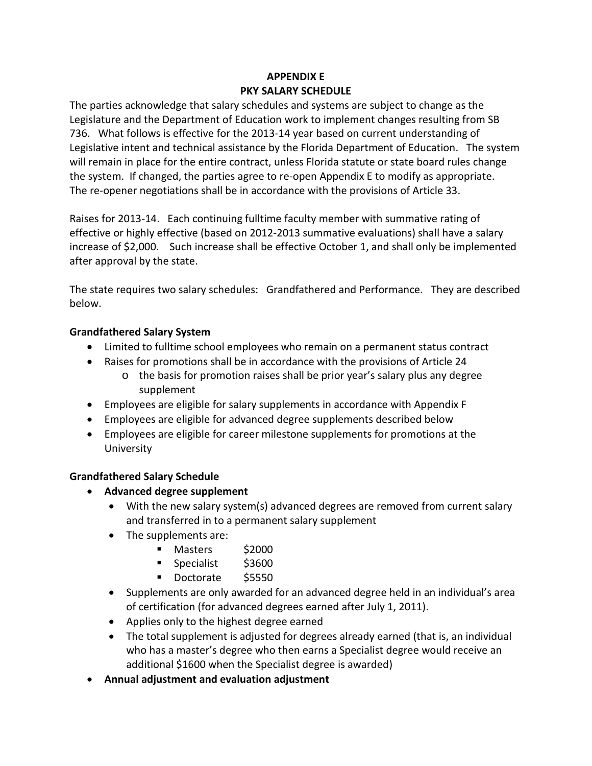# **APPENDIX E PKY SALARY SCHEDULE**

The parties acknowledge that salary schedules and systems are subject to change as the Legislature and the Department of Education work to implement changes resulting from SB 736. What follows is effective for the 2013-14 year based on current understanding of Legislative intent and technical assistance by the Florida Department of Education. The system will remain in place for the entire contract, unless Florida statute or state board rules change the system. If changed, the parties agree to re-open Appendix E to modify as appropriate. The re-opener negotiations shall be in accordance with the provisions of Article 33.

Raises for 2013-14. Each continuing fulltime faculty member with summative rating of effective or highly effective (based on 2012-2013 summative evaluations) shall have a salary increase of \$2,000. Such increase shall be effective October 1, and shall only be implemented after approval by the state.

The state requires two salary schedules: Grandfathered and Performance. They are described below.

### **Grandfathered Salary System**

- Limited to fulltime school employees who remain on a permanent status contract
- Raises for promotions shall be in accordance with the provisions of Article 24
	- o the basis for promotion raises shall be prior year's salary plus any degree supplement
- Employees are eligible for salary supplements in accordance with Appendix F
- Employees are eligible for advanced degree supplements described below
- Employees are eligible for career milestone supplements for promotions at the University

# **Grandfathered Salary Schedule**

- **Advanced degree supplement**
	- With the new salary system(s) advanced degrees are removed from current salary and transferred in to a permanent salary supplement
	- The supplements are:
		- Masters \$2000
		- Specialist \$3600
		- Doctorate \$5550
	- Supplements are only awarded for an advanced degree held in an individual's area of certification (for advanced degrees earned after July 1, 2011).
	- Applies only to the highest degree earned
	- The total supplement is adjusted for degrees already earned (that is, an individual who has a master's degree who then earns a Specialist degree would receive an additional \$1600 when the Specialist degree is awarded)
- **Annual adjustment and evaluation adjustment**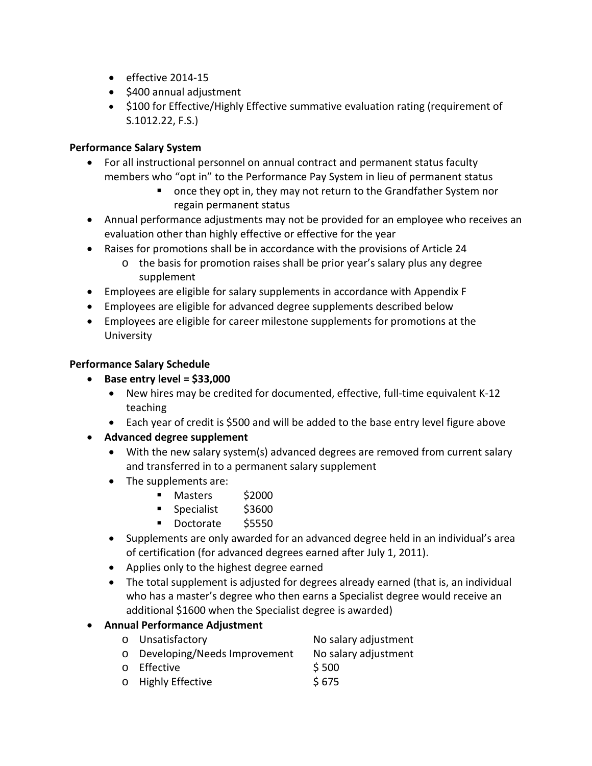- effective 2014-15
- \$400 annual adjustment
- \$100 for Effective/Highly Effective summative evaluation rating (requirement of S.1012.22, F.S.)

### **Performance Salary System**

- For all instructional personnel on annual contract and permanent status faculty members who "opt in" to the Performance Pay System in lieu of permanent status
	- **•** once they opt in, they may not return to the Grandfather System nor regain permanent status
- Annual performance adjustments may not be provided for an employee who receives an evaluation other than highly effective or effective for the year
- Raises for promotions shall be in accordance with the provisions of Article 24
	- o the basis for promotion raises shall be prior year's salary plus any degree supplement
- Employees are eligible for salary supplements in accordance with Appendix F
- Employees are eligible for advanced degree supplements described below
- Employees are eligible for career milestone supplements for promotions at the University

### **Performance Salary Schedule**

- **Base entry level = \$33,000**
	- New hires may be credited for documented, effective, full-time equivalent K-12 teaching
	- Each year of credit is \$500 and will be added to the base entry level figure above
- **Advanced degree supplement**
	- With the new salary system(s) advanced degrees are removed from current salary and transferred in to a permanent salary supplement
	- The supplements are:
		- Masters \$2000
		- **Specialist** \$3600
		- Doctorate \$5550
	- Supplements are only awarded for an advanced degree held in an individual's area of certification (for advanced degrees earned after July 1, 2011).
	- Applies only to the highest degree earned
	- The total supplement is adjusted for degrees already earned (that is, an individual who has a master's degree who then earns a Specialist degree would receive an additional \$1600 when the Specialist degree is awarded)

# • **Annual Performance Adjustment**

| o Unsatisfactory               | No salary adjustment |
|--------------------------------|----------------------|
| o Developing/Needs Improvement | No salary adjustment |
| o Effective                    | \$500                |
| o Highly Effective             | \$675                |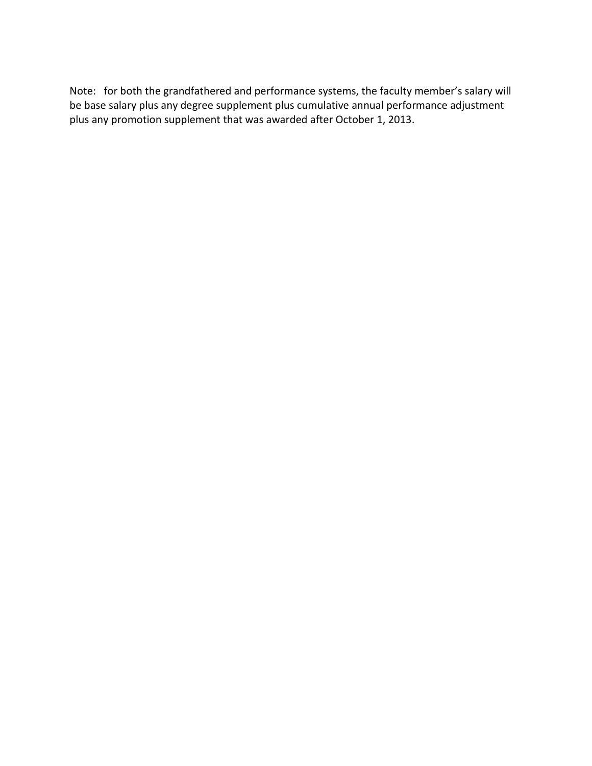Note: for both the grandfathered and performance systems, the faculty member's salary will be base salary plus any degree supplement plus cumulative annual performance adjustment plus any promotion supplement that was awarded after October 1, 2013.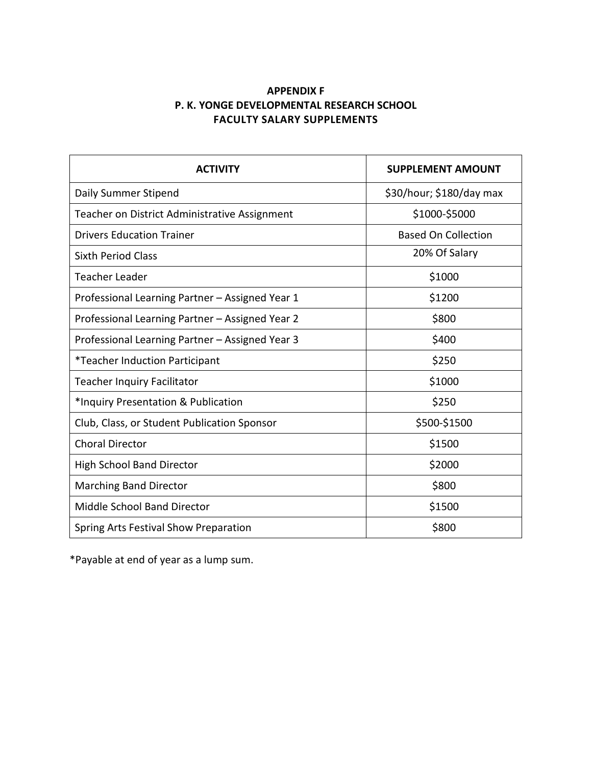### **APPENDIX F P. K. YONGE DEVELOPMENTAL RESEARCH SCHOOL FACULTY SALARY SUPPLEMENTS**

| <b>ACTIVITY</b>                                 | <b>SUPPLEMENT AMOUNT</b>   |
|-------------------------------------------------|----------------------------|
| Daily Summer Stipend                            | \$30/hour; \$180/day max   |
| Teacher on District Administrative Assignment   | \$1000-\$5000              |
| <b>Drivers Education Trainer</b>                | <b>Based On Collection</b> |
| Sixth Period Class                              | 20% Of Salary              |
| Teacher Leader                                  | \$1000                     |
| Professional Learning Partner - Assigned Year 1 | \$1200                     |
| Professional Learning Partner - Assigned Year 2 | \$800                      |
| Professional Learning Partner - Assigned Year 3 | \$400                      |
| <i>*</i> Teacher Induction Participant          | \$250                      |
| <b>Teacher Inquiry Facilitator</b>              | \$1000                     |
| *Inquiry Presentation & Publication             | \$250                      |
| Club, Class, or Student Publication Sponsor     | \$500-\$1500               |
| <b>Choral Director</b>                          | \$1500                     |
| <b>High School Band Director</b>                | \$2000                     |
| <b>Marching Band Director</b>                   | \$800                      |
| Middle School Band Director                     | \$1500                     |
| Spring Arts Festival Show Preparation           | \$800                      |

\*Payable at end of year as a lump sum.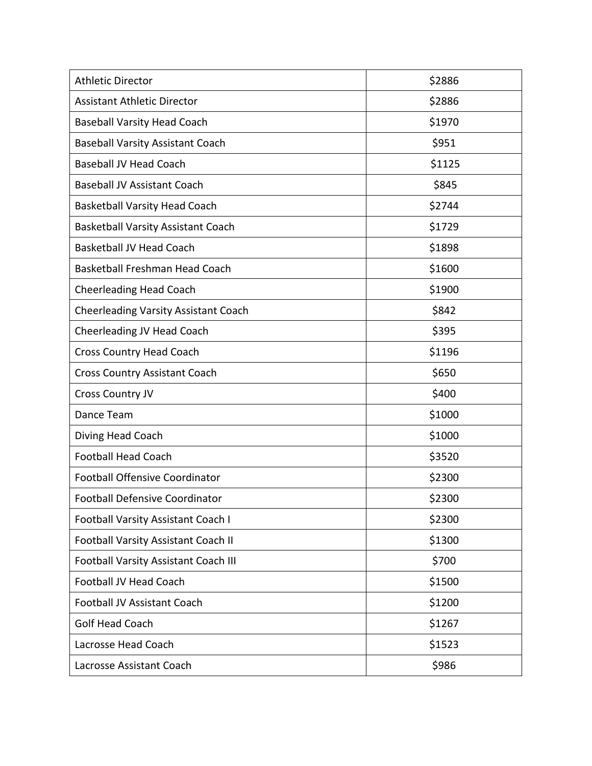| <b>Athletic Director</b>                    | \$2886 |
|---------------------------------------------|--------|
| <b>Assistant Athletic Director</b>          | \$2886 |
| <b>Baseball Varsity Head Coach</b>          | \$1970 |
| <b>Baseball Varsity Assistant Coach</b>     | \$951  |
| <b>Baseball JV Head Coach</b>               | \$1125 |
| <b>Baseball JV Assistant Coach</b>          | \$845  |
| <b>Basketball Varsity Head Coach</b>        | \$2744 |
| <b>Basketball Varsity Assistant Coach</b>   | \$1729 |
| <b>Basketball JV Head Coach</b>             | \$1898 |
| <b>Basketball Freshman Head Coach</b>       | \$1600 |
| <b>Cheerleading Head Coach</b>              | \$1900 |
| Cheerleading Varsity Assistant Coach        | \$842  |
| Cheerleading JV Head Coach                  | \$395  |
| <b>Cross Country Head Coach</b>             | \$1196 |
| Cross Country Assistant Coach               | \$650  |
| Cross Country JV                            | \$400  |
| Dance Team                                  | \$1000 |
| Diving Head Coach                           | \$1000 |
| <b>Football Head Coach</b>                  | \$3520 |
| <b>Football Offensive Coordinator</b>       | \$2300 |
| <b>Football Defensive Coordinator</b>       | \$2300 |
| Football Varsity Assistant Coach I          | \$2300 |
| <b>Football Varsity Assistant Coach II</b>  | \$1300 |
| <b>Football Varsity Assistant Coach III</b> | \$700  |
| Football JV Head Coach                      | \$1500 |
| Football JV Assistant Coach                 | \$1200 |
| <b>Golf Head Coach</b>                      | \$1267 |
| Lacrosse Head Coach                         | \$1523 |
| Lacrosse Assistant Coach                    | \$986  |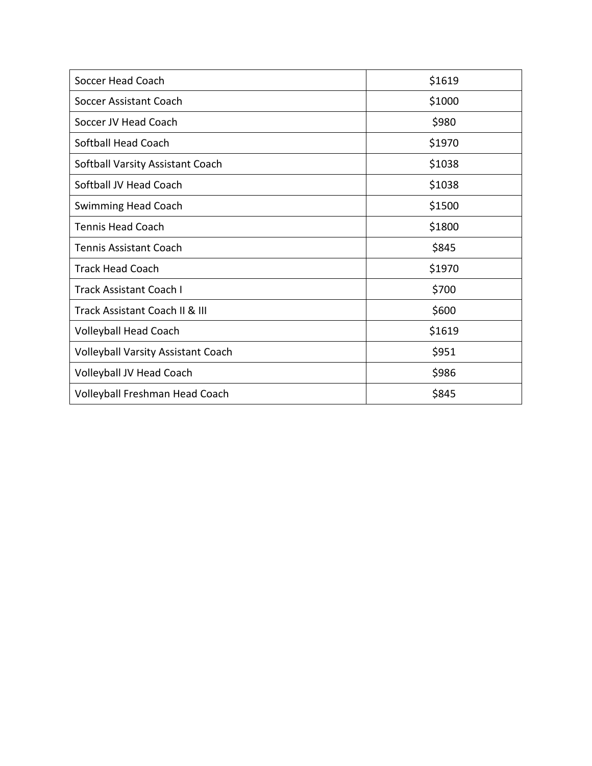| Soccer Head Coach                         | \$1619 |
|-------------------------------------------|--------|
| Soccer Assistant Coach                    | \$1000 |
| Soccer JV Head Coach                      | \$980  |
| Softball Head Coach                       | \$1970 |
| Softball Varsity Assistant Coach          | \$1038 |
| Softball JV Head Coach                    | \$1038 |
| <b>Swimming Head Coach</b>                | \$1500 |
| <b>Tennis Head Coach</b>                  | \$1800 |
| <b>Tennis Assistant Coach</b>             | \$845  |
| <b>Track Head Coach</b>                   | \$1970 |
| <b>Track Assistant Coach I</b>            | \$700  |
| Track Assistant Coach II & III            | \$600  |
| <b>Volleyball Head Coach</b>              | \$1619 |
| <b>Volleyball Varsity Assistant Coach</b> | \$951  |
| Volleyball JV Head Coach                  | \$986  |
| Volleyball Freshman Head Coach            | \$845  |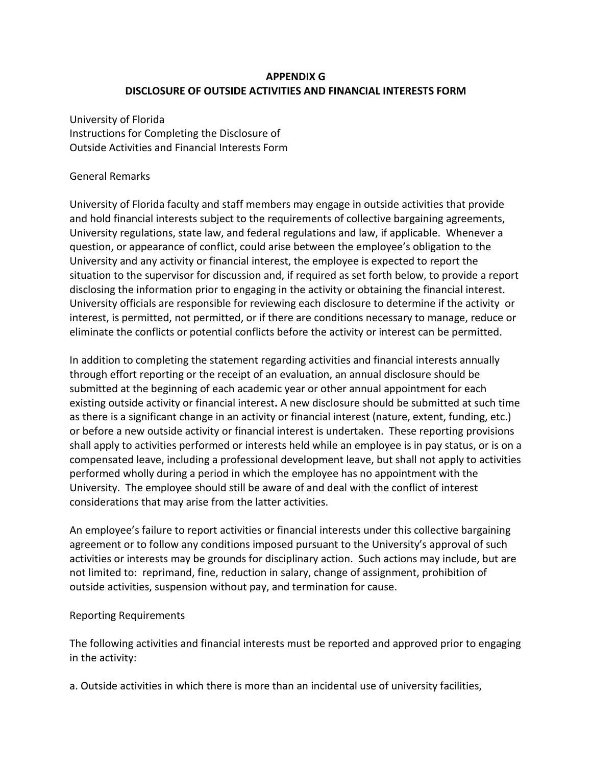### **APPENDIX G DISCLOSURE OF OUTSIDE ACTIVITIES AND FINANCIAL INTERESTS FORM**

University of Florida Instructions for Completing the Disclosure of Outside Activities and Financial Interests Form

### General Remarks

University of Florida faculty and staff members may engage in outside activities that provide and hold financial interests subject to the requirements of collective bargaining agreements, University regulations, state law, and federal regulations and law, if applicable. Whenever a question, or appearance of conflict, could arise between the employee's obligation to the University and any activity or financial interest, the employee is expected to report the situation to the supervisor for discussion and, if required as set forth below, to provide a report disclosing the information prior to engaging in the activity or obtaining the financial interest. University officials are responsible for reviewing each disclosure to determine if the activity or interest, is permitted, not permitted, or if there are conditions necessary to manage, reduce or eliminate the conflicts or potential conflicts before the activity or interest can be permitted.

In addition to completing the statement regarding activities and financial interests annually through effort reporting or the receipt of an evaluation, an annual disclosure should be submitted at the beginning of each academic year or other annual appointment for each existing outside activity or financial interest**.** A new disclosure should be submitted at such time as there is a significant change in an activity or financial interest (nature, extent, funding, etc.) or before a new outside activity or financial interest is undertaken. These reporting provisions shall apply to activities performed or interests held while an employee is in pay status, or is on a compensated leave, including a professional development leave, but shall not apply to activities performed wholly during a period in which the employee has no appointment with the University. The employee should still be aware of and deal with the conflict of interest considerations that may arise from the latter activities.

An employee's failure to report activities or financial interests under this collective bargaining agreement or to follow any conditions imposed pursuant to the University's approval of such activities or interests may be grounds for disciplinary action. Such actions may include, but are not limited to: reprimand, fine, reduction in salary, change of assignment, prohibition of outside activities, suspension without pay, and termination for cause.

#### Reporting Requirements

The following activities and financial interests must be reported and approved prior to engaging in the activity:

a. Outside activities in which there is more than an incidental use of university facilities,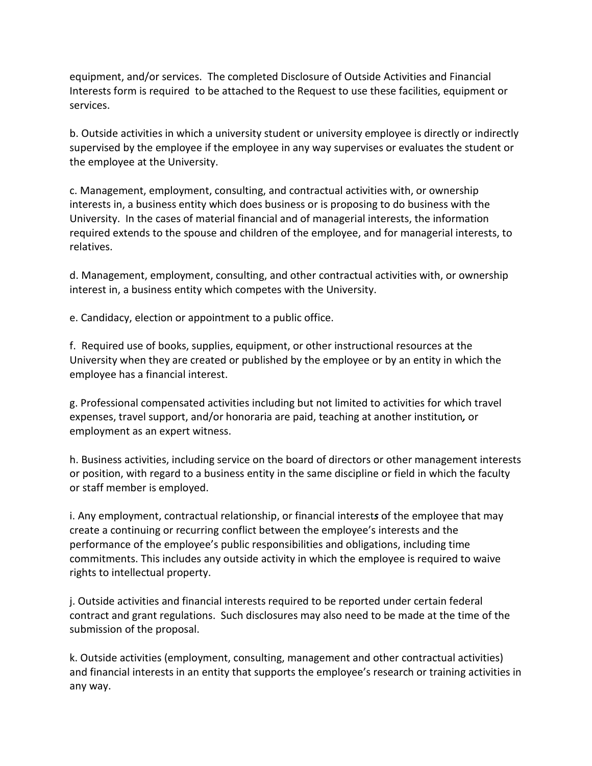equipment, and/or services. The completed Disclosure of Outside Activities and Financial Interests form is required to be attached to the Request to use these facilities, equipment or services.

b. Outside activities in which a university student or university employee is directly or indirectly supervised by the employee if the employee in any way supervises or evaluates the student or the employee at the University.

c. Management, employment, consulting, and contractual activities with, or ownership interests in, a business entity which does business or is proposing to do business with the University. In the cases of material financial and of managerial interests, the information required extends to the spouse and children of the employee, and for managerial interests, to relatives.

d. Management, employment, consulting, and other contractual activities with, or ownership interest in, a business entity which competes with the University.

e. Candidacy, election or appointment to a public office.

f. Required use of books, supplies, equipment, or other instructional resources at the University when they are created or published by the employee or by an entity in which the employee has a financial interest.

g. Professional compensated activities including but not limited to activities for which travel expenses, travel support, and/or honoraria are paid, teaching at another institution*,* or employment as an expert witness.

h. Business activities, including service on the board of directors or other management interests or position, with regard to a business entity in the same discipline or field in which the faculty or staff member is employed.

i. Any employment, contractual relationship, or financial interest*s* of the employee that may create a continuing or recurring conflict between the employee's interests and the performance of the employee's public responsibilities and obligations, including time commitments. This includes any outside activity in which the employee is required to waive rights to intellectual property.

j. Outside activities and financial interests required to be reported under certain federal contract and grant regulations. Such disclosures may also need to be made at the time of the submission of the proposal.

k. Outside activities (employment, consulting, management and other contractual activities) and financial interests in an entity that supports the employee's research or training activities in any way.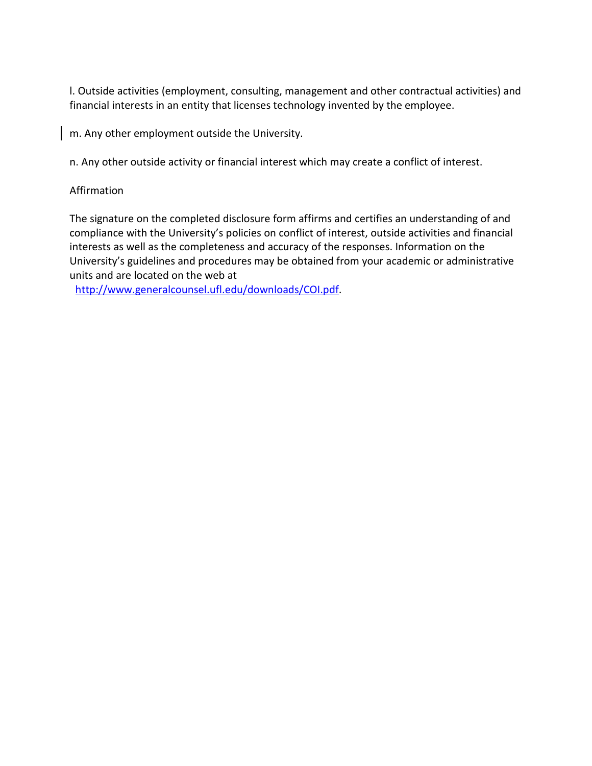l. Outside activities (employment, consulting, management and other contractual activities) and financial interests in an entity that licenses technology invented by the employee.

m. Any other employment outside the University.

n. Any other outside activity or financial interest which may create a conflict of interest.

### Affirmation

The signature on the completed disclosure form affirms and certifies an understanding of and compliance with the University's policies on conflict of interest, outside activities and financial interests as well as the completeness and accuracy of the responses. Information on the University's guidelines and procedures may be obtained from your academic or administrative units and are located on the web at

[http://www.generalcounsel.ufl.edu/downloads/COI.pdf.](http://www.generalcounsel.ufl.edu/downloads/COI.pdf)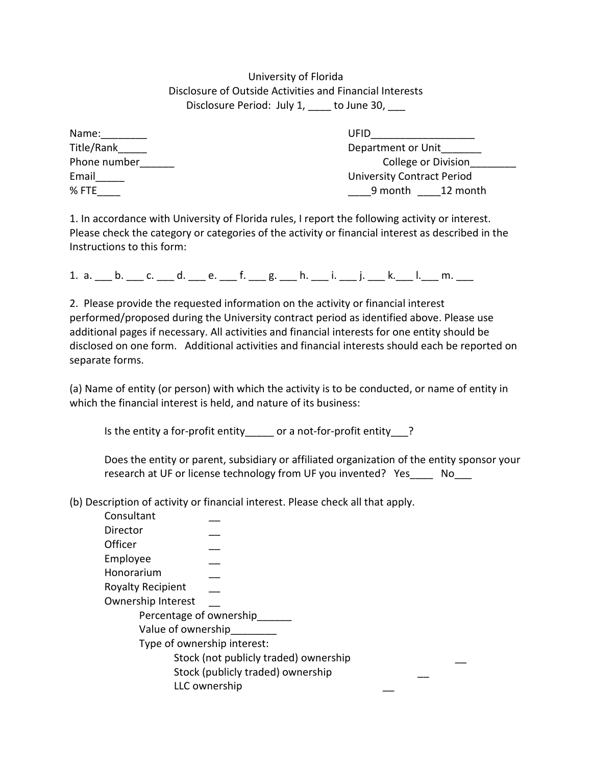University of Florida Disclosure of Outside Activities and Financial Interests Disclosure Period: July 1, \_\_\_\_ to June 30, \_\_\_

| Name:        |  |
|--------------|--|
| Title/Rank   |  |
| Phone number |  |
| Email        |  |
| % FTF        |  |

 $UFD$ Department or Unit College or Division University Contract Period  $\frac{9}{2}$  month  $\frac{12}{2}$  month

1. In accordance with University of Florida rules, I report the following activity or interest. Please check the category or categories of the activity or financial interest as described in the Instructions to this form:

1. a.  $_$  b.  $_$  c.  $_$  d.  $_$  e.  $_$  f.  $_$  g.  $_$  h.  $_$ i.  $_$ i.  $_$  j.  $_$  k.  $_$  l.  $_$  m.  $_$ 

2. Please provide the requested information on the activity or financial interest performed/proposed during the University contract period as identified above. Please use additional pages if necessary. All activities and financial interests for one entity should be disclosed on one form. Additional activities and financial interests should each be reported on separate forms.

(a) Name of entity (or person) with which the activity is to be conducted, or name of entity in which the financial interest is held, and nature of its business:

Is the entity a for-profit entity\_\_\_\_\_ or a not-for-profit entity\_\_\_?

Does the entity or parent, subsidiary or affiliated organization of the entity sponsor your research at UF or license technology from UF you invented? Yes a Mo

(b) Description of activity or financial interest. Please check all that apply.

| Consultant                  |                                       |  |  |
|-----------------------------|---------------------------------------|--|--|
| Director                    |                                       |  |  |
| Officer                     |                                       |  |  |
| Employee                    |                                       |  |  |
| Honorarium                  |                                       |  |  |
| <b>Royalty Recipient</b>    |                                       |  |  |
| Ownership Interest          |                                       |  |  |
| Percentage of ownership     |                                       |  |  |
| Value of ownership          |                                       |  |  |
| Type of ownership interest: |                                       |  |  |
|                             | Stock (not publicly traded) ownership |  |  |
|                             | Stock (publicly traded) ownership     |  |  |
|                             | LLC ownership                         |  |  |
|                             |                                       |  |  |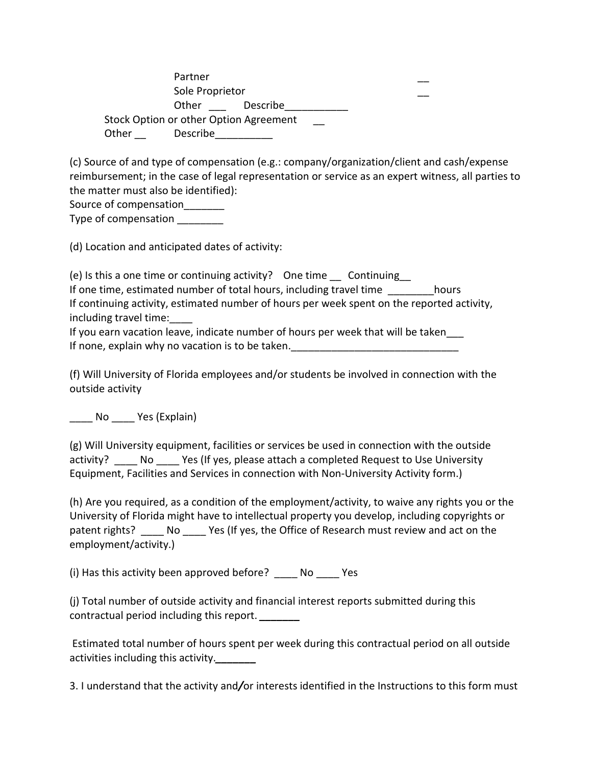Partner Sole Proprietor Other Describe Stock Option or other Option Agreement Other Describe

(c) Source of and type of compensation (e.g.: company/organization/client and cash/expense reimbursement; in the case of legal representation or service as an expert witness, all parties to the matter must also be identified):

Source of compensation

Type of compensation \_\_\_\_\_\_\_\_

(d) Location and anticipated dates of activity:

(e) Is this a one time or continuing activity? One time \_\_ Continuing\_\_ If one time, estimated number of total hours, including travel time hours If continuing activity, estimated number of hours per week spent on the reported activity, including travel time:

If you earn vacation leave, indicate number of hours per week that will be taken\_\_\_ If none, explain why no vacation is to be taken.

(f) Will University of Florida employees and/or students be involved in connection with the outside activity

No Yes (Explain)

(g) Will University equipment, facilities or services be used in connection with the outside activity? \_\_\_\_\_ No \_\_\_\_\_ Yes (If yes, please attach a completed Request to Use University Equipment, Facilities and Services in connection with Non-University Activity form.)

(h) Are you required, as a condition of the employment/activity, to waive any rights you or the University of Florida might have to intellectual property you develop, including copyrights or patent rights? No Yes (If yes, the Office of Research must review and act on the employment/activity.)

(i) Has this activity been approved before? \_\_\_\_ No \_\_\_\_ Yes

(j) Total number of outside activity and financial interest reports submitted during this contractual period including this report. *\_\_\_\_\_\_\_*

Estimated total number of hours spent per week during this contractual period on all outside activities including this activity.*\_\_\_\_\_\_\_*

3. I understand that the activity and*/*or interests identified in the Instructions to this form must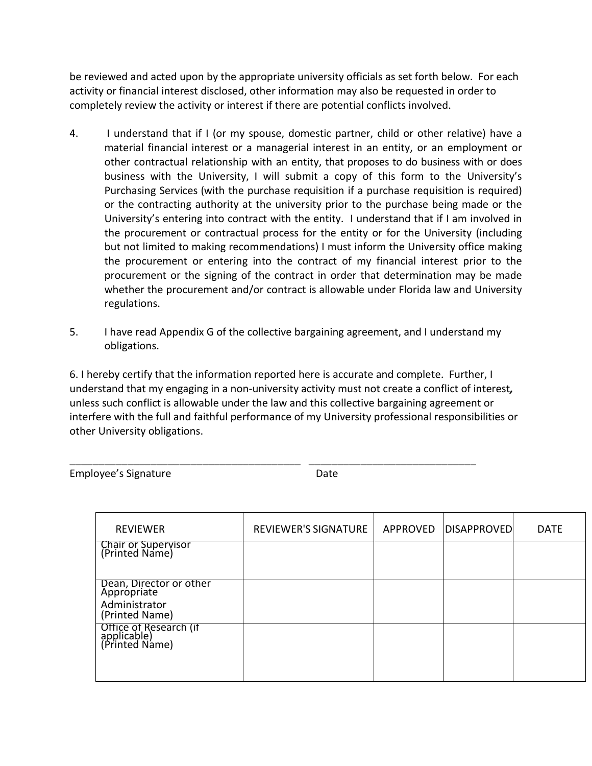be reviewed and acted upon by the appropriate university officials as set forth below. For each activity or financial interest disclosed, other information may also be requested in order to completely review the activity or interest if there are potential conflicts involved.

- 4. I understand that if I (or my spouse, domestic partner, child or other relative) have a material financial interest or a managerial interest in an entity, or an employment or other contractual relationship with an entity, that proposes to do business with or does business with the University, I will submit a copy of this form to the University's Purchasing Services (with the purchase requisition if a purchase requisition is required) or the contracting authority at the university prior to the purchase being made or the University's entering into contract with the entity. I understand that if I am involved in the procurement or contractual process for the entity or for the University (including but not limited to making recommendations) I must inform the University office making the procurement or entering into the contract of my financial interest prior to the procurement or the signing of the contract in order that determination may be made whether the procurement and/or contract is allowable under Florida law and University regulations.
- 5. I have read Appendix G of the collective bargaining agreement, and I understand my obligations.

6. I hereby certify that the information reported here is accurate and complete. Further, I understand that my engaging in a non-university activity must not create a conflict of interest*,*  unless such conflict is allowable under the law and this collective bargaining agreement or interfere with the full and faithful performance of my University professional responsibilities or other University obligations.

\_\_\_\_\_\_\_\_\_\_\_\_\_\_\_\_\_\_\_\_\_\_\_\_\_\_\_\_\_\_\_\_\_\_\_\_\_\_\_\_ \_\_\_\_\_\_\_\_\_\_\_\_\_\_\_\_\_\_\_\_\_\_\_\_\_\_\_\_\_

Employee's Signature **Date** Date

| <b>REVIEWER</b>                                         | REVIEWER'S SIGNATURE | APPROVED   DISAPPROVED | <b>DATE</b> |
|---------------------------------------------------------|----------------------|------------------------|-------------|
| <b>Chair or Supervisor</b><br>(Printed Name)            |                      |                        |             |
| Dean, Director or other<br>Apprópriate                  |                      |                        |             |
| Administrator<br>(Printed Name)                         |                      |                        |             |
| Office of Research (if<br>applicable)<br>(Printed Name) |                      |                        |             |
|                                                         |                      |                        |             |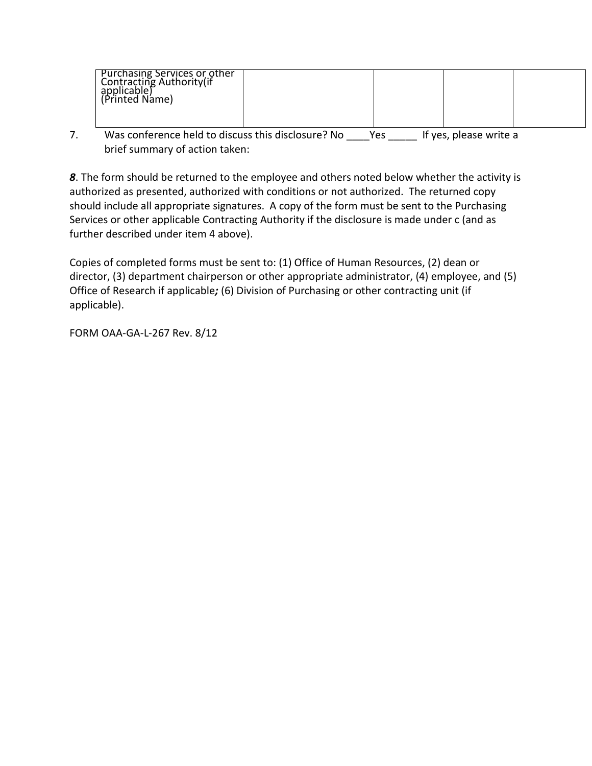| <b>Purchasing Services or other</b><br>Contracting Authority(if<br>applicable)<br>(Printed Name) |  |  |
|--------------------------------------------------------------------------------------------------|--|--|
|                                                                                                  |  |  |

7. Was conference held to discuss this disclosure? No \_\_\_\_Yes \_\_\_\_\_ If yes, please write a brief summary of action taken:

*8*. The form should be returned to the employee and others noted below whether the activity is authorized as presented, authorized with conditions or not authorized. The returned copy should include all appropriate signatures. A copy of the form must be sent to the Purchasing Services or other applicable Contracting Authority if the disclosure is made under c (and as further described under item 4 above).

Copies of completed forms must be sent to: (1) Office of Human Resources, (2) dean or director, (3) department chairperson or other appropriate administrator, (4) employee, and (5) Office of Research if applicable*;* (6) Division of Purchasing or other contracting unit (if applicable).

FORM OAA-GA-L-267 Rev. 8/12